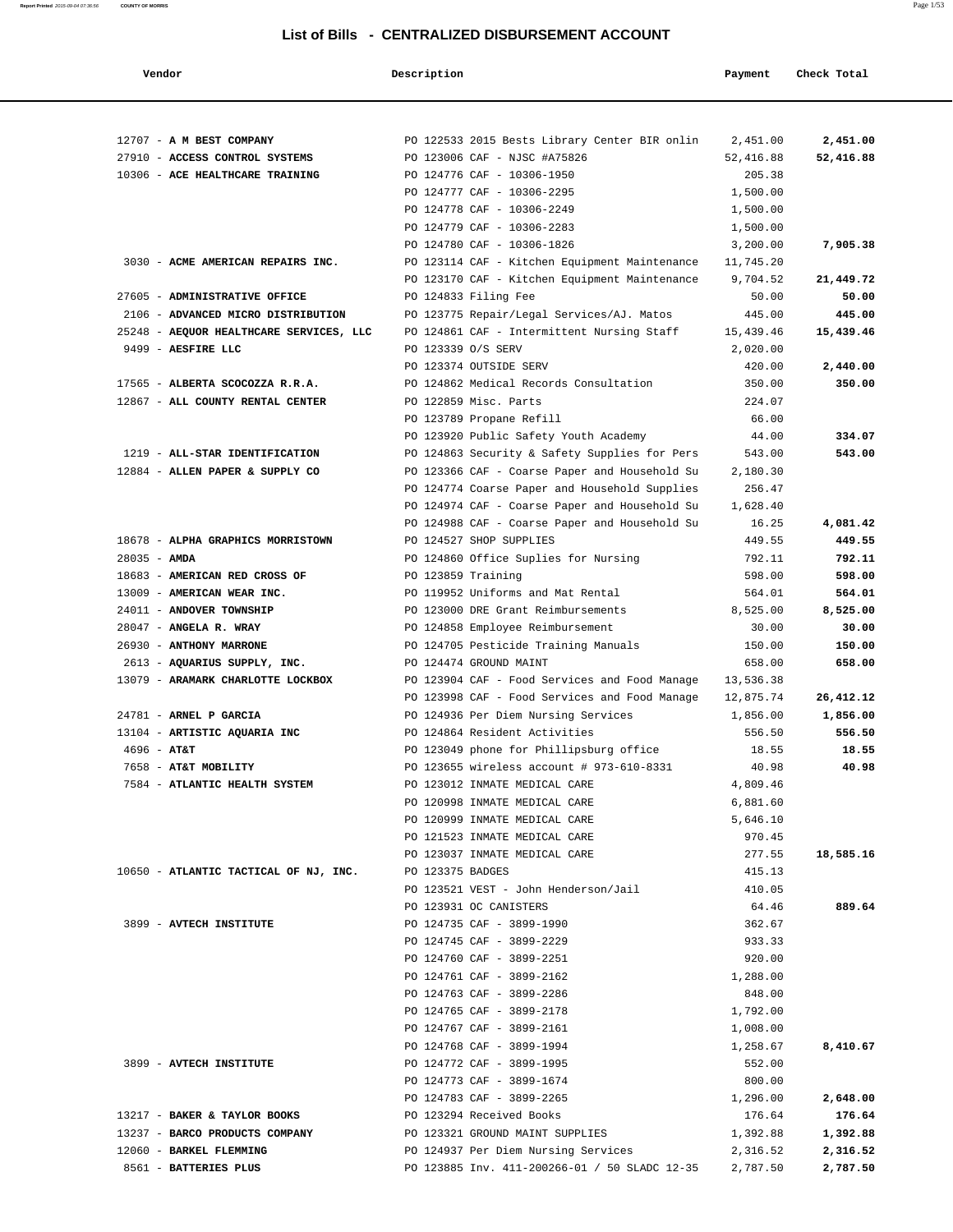| Vendor                                                            | Description        |                                                                         | Payment          | Check Total      |
|-------------------------------------------------------------------|--------------------|-------------------------------------------------------------------------|------------------|------------------|
|                                                                   |                    |                                                                         |                  |                  |
| 12707 - A M BEST COMPANY                                          |                    | PO 122533 2015 Bests Library Center BIR onlin                           | 2,451.00         | 2,451.00         |
| 27910 - ACCESS CONTROL SYSTEMS                                    |                    | PO 123006 CAF - NJSC #A75826                                            | 52,416.88        | 52,416.88        |
| 10306 - ACE HEALTHCARE TRAINING                                   |                    | PO 124776 CAF - 10306-1950                                              | 205.38           |                  |
|                                                                   |                    | PO 124777 CAF - 10306-2295                                              | 1,500.00         |                  |
|                                                                   |                    | PO 124778 CAF - 10306-2249                                              | 1,500.00         |                  |
|                                                                   |                    | PO 124779 CAF - 10306-2283                                              | 1,500.00         |                  |
|                                                                   |                    | PO 124780 CAF - 10306-1826                                              | 3,200.00         | 7,905.38         |
| 3030 - ACME AMERICAN REPAIRS INC.                                 |                    | PO 123114 CAF - Kitchen Equipment Maintenance                           | 11,745.20        |                  |
|                                                                   |                    | PO 123170 CAF - Kitchen Equipment Maintenance                           | 9,704.52         | 21,449.72        |
| 27605 - ADMINISTRATIVE OFFICE                                     |                    | PO 124833 Filing Fee                                                    | 50.00            | 50.00            |
| 2106 - ADVANCED MICRO DISTRIBUTION                                |                    | PO 123775 Repair/Legal Services/AJ. Matos                               | 445.00           | 445.00           |
| 25248 - AEQUOR HEALTHCARE SERVICES, LLC                           |                    | PO 124861 CAF - Intermittent Nursing Staff                              | 15,439.46        | 15,439.46        |
| 9499 - AESFIRE LLC                                                | PO 123339 O/S SERV |                                                                         | 2,020.00         |                  |
|                                                                   |                    | PO 123374 OUTSIDE SERV                                                  | 420.00           | 2,440.00         |
| 17565 - ALBERTA SCOCOZZA R.R.A.                                   |                    | PO 124862 Medical Records Consultation                                  | 350.00           | 350.00           |
| 12867 - ALL COUNTY RENTAL CENTER                                  |                    | PO 122859 Misc. Parts                                                   | 224.07           |                  |
|                                                                   |                    | PO 123789 Propane Refill                                                | 66.00            |                  |
|                                                                   |                    | PO 123920 Public Safety Youth Academy                                   | 44.00            | 334.07           |
| 1219 - ALL-STAR IDENTIFICATION                                    |                    | PO 124863 Security & Safety Supplies for Pers                           | 543.00           | 543.00           |
| 12884 - ALLEN PAPER & SUPPLY CO                                   |                    | PO 123366 CAF - Coarse Paper and Household Su                           | 2,180.30         |                  |
|                                                                   |                    | PO 124774 Coarse Paper and Household Supplies                           | 256.47           |                  |
|                                                                   |                    | PO 124974 CAF - Coarse Paper and Household Su                           | 1,628.40         |                  |
|                                                                   |                    | PO 124988 CAF - Coarse Paper and Household Su                           | 16.25            | 4,081.42         |
| 18678 - ALPHA GRAPHICS MORRISTOWN                                 |                    | PO 124527 SHOP SUPPLIES                                                 | 449.55           | 449.55           |
| $28035 - AMDA$                                                    |                    | PO 124860 Office Suplies for Nursing                                    | 792.11           | 792.11           |
| 18683 - AMERICAN RED CROSS OF                                     | PO 123859 Training |                                                                         | 598.00           | 598.00           |
| 13009 - AMERICAN WEAR INC.                                        |                    | PO 119952 Uniforms and Mat Rental                                       | 564.01           | 564.01           |
| 24011 - ANDOVER TOWNSHIP                                          |                    | PO 123000 DRE Grant Reimbursements                                      | 8,525.00         | 8,525.00         |
| 28047 - ANGELA R. WRAY                                            |                    | PO 124858 Employee Reimbursement                                        | 30.00            | 30.00            |
| 26930 - ANTHONY MARRONE                                           |                    | PO 124705 Pesticide Training Manuals                                    | 150.00<br>658.00 | 150.00<br>658.00 |
| 2613 - AQUARIUS SUPPLY, INC.<br>13079 - ARAMARK CHARLOTTE LOCKBOX |                    | PO 124474 GROUND MAINT<br>PO 123904 CAF - Food Services and Food Manage | 13,536.38        |                  |
|                                                                   |                    | PO 123998 CAF - Food Services and Food Manage                           | 12,875.74        | 26,412.12        |
| 24781 - ARNEL P GARCIA                                            |                    | PO 124936 Per Diem Nursing Services                                     | 1,856.00         | 1,856.00         |
| 13104 - ARTISTIC AQUARIA INC                                      |                    | PO 124864 Resident Activities                                           | 556.50           | 556.50           |
| $4696 - AT&T$                                                     |                    | PO 123049 phone for Phillipsburg office                                 | 18.55            | 18.55            |
| 7658 - AT&T MOBILITY                                              |                    | PO 123655 wireless account # 973-610-8331                               | 40.98            | 40.98            |
| 7584 - ATLANTIC HEALTH SYSTEM                                     |                    | PO 123012 INMATE MEDICAL CARE                                           | 4,809.46         |                  |
|                                                                   |                    | PO 120998 INMATE MEDICAL CARE                                           | 6,881.60         |                  |
|                                                                   |                    | PO 120999 INMATE MEDICAL CARE                                           | 5,646.10         |                  |
|                                                                   |                    | PO 121523 INMATE MEDICAL CARE                                           | 970.45           |                  |
|                                                                   |                    | PO 123037 INMATE MEDICAL CARE                                           | 277.55           | 18,585.16        |
| 10650 - ATLANTIC TACTICAL OF NJ, INC.                             | PO 123375 BADGES   |                                                                         | 415.13           |                  |
|                                                                   |                    | PO 123521 VEST - John Henderson/Jail                                    | 410.05           |                  |
|                                                                   |                    | PO 123931 OC CANISTERS                                                  | 64.46            | 889.64           |
| 3899 - AVTECH INSTITUTE                                           |                    | PO 124735 CAF - 3899-1990                                               | 362.67           |                  |
|                                                                   |                    | PO 124745 CAF - 3899-2229                                               | 933.33           |                  |
|                                                                   |                    | PO 124760 CAF - 3899-2251                                               | 920.00           |                  |
|                                                                   |                    | PO 124761 CAF - 3899-2162                                               | 1,288.00         |                  |
|                                                                   |                    | PO 124763 CAF - 3899-2286                                               | 848.00           |                  |
|                                                                   |                    | PO 124765 CAF - 3899-2178                                               | 1,792.00         |                  |
|                                                                   |                    | PO 124767 CAF - 3899-2161                                               | 1,008.00         |                  |
|                                                                   |                    | PO 124768 CAF - 3899-1994                                               | 1,258.67         | 8,410.67         |
| 3899 - AVTECH INSTITUTE                                           |                    | PO 124772 CAF - 3899-1995                                               | 552.00           |                  |
|                                                                   |                    | PO 124773 CAF - 3899-1674                                               | 800.00           |                  |
|                                                                   |                    | PO 124783 CAF - 3899-2265                                               | 1,296.00         | 2,648.00         |
| 13217 - BAKER & TAYLOR BOOKS                                      |                    | PO 123294 Received Books                                                | 176.64           | 176.64           |
| 13237 - BARCO PRODUCTS COMPANY                                    |                    | PO 123321 GROUND MAINT SUPPLIES                                         | 1,392.88         | 1,392.88         |
| 12060 - BARKEL FLEMMING                                           |                    | PO 124937 Per Diem Nursing Services                                     | 2,316.52         | 2,316.52         |
| 8561 - BATTERIES PLUS                                             |                    | PO 123885 Inv. 411-200266-01 / 50 SLADC 12-35                           | 2,787.50         | 2,787.50         |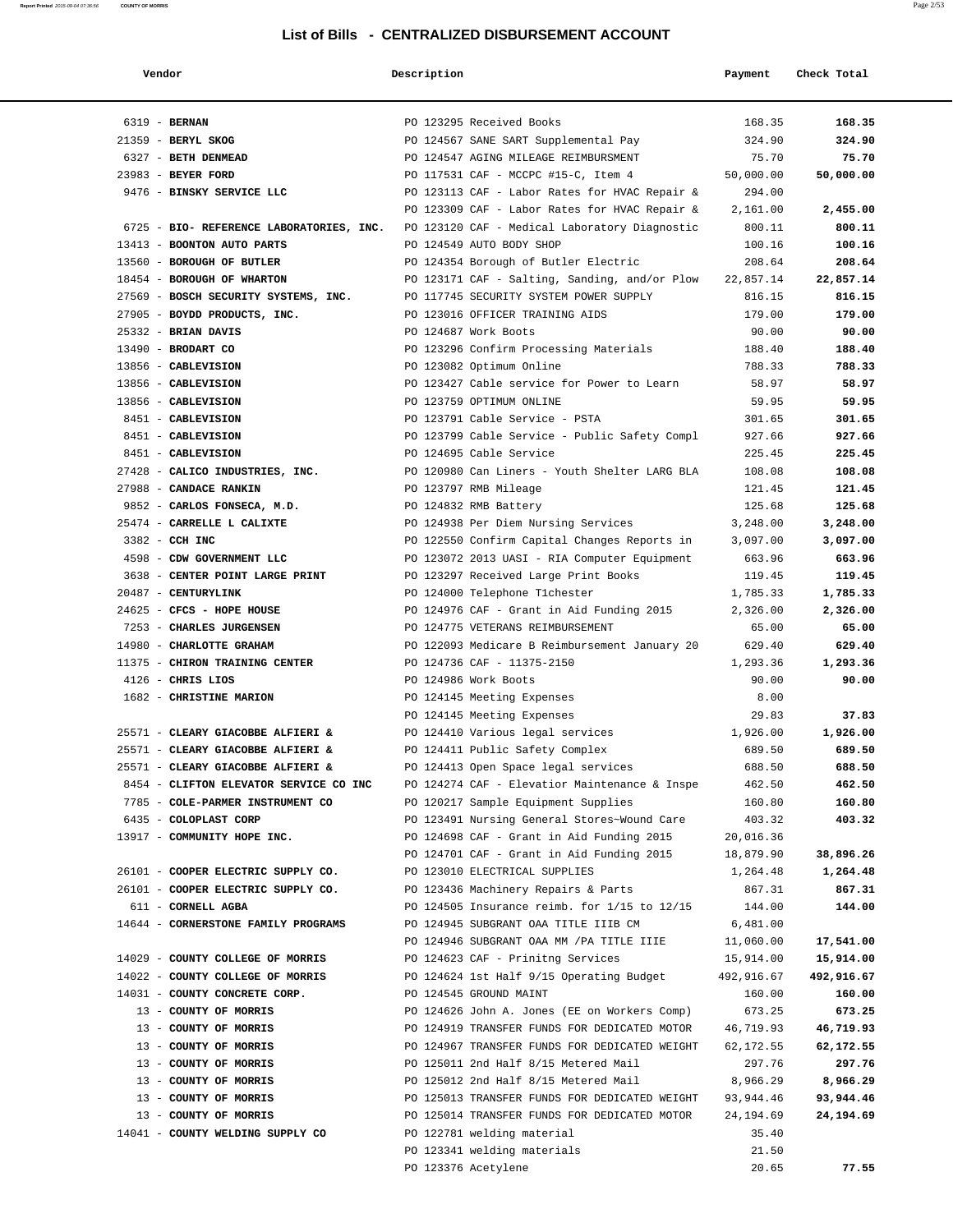| Vendor                                                                                 | Description |                                               | Payment    | Check Total |
|----------------------------------------------------------------------------------------|-------------|-----------------------------------------------|------------|-------------|
|                                                                                        |             |                                               |            |             |
| 6319 - BERNAN                                                                          |             | PO 123295 Received Books                      | 168.35     | 168.35      |
| $21359$ - BERYL SKOG                                                                   |             | PO 124567 SANE SART Supplemental Pay          | 324.90     | 324.90      |
| 6327 - BETH DENMEAD                                                                    |             | PO 124547 AGING MILEAGE REIMBURSMENT          | 75.70      | 75.70       |
| 23983 - BEYER FORD                                                                     |             | PO 117531 CAF - MCCPC #15-C, Item 4           | 50,000.00  | 50,000.00   |
| 9476 - BINSKY SERVICE LLC                                                              |             | PO 123113 CAF - Labor Rates for HVAC Repair & | 294.00     |             |
|                                                                                        |             | PO 123309 CAF - Labor Rates for HVAC Repair & | 2,161.00   | 2,455.00    |
| 6725 - BIO- REFERENCE LABORATORIES, INC. PO 123120 CAF - Medical Laboratory Diagnostic |             |                                               | 800.11     | 800.11      |
| 13413 - BOONTON AUTO PARTS                                                             |             | PO 124549 AUTO BODY SHOP                      | 100.16     | 100.16      |
| 13560 - BOROUGH OF BUTLER                                                              |             | PO 124354 Borough of Butler Electric          | 208.64     | 208.64      |
| 18454 - BOROUGH OF WHARTON                                                             |             | PO 123171 CAF - Salting, Sanding, and/or Plow | 22,857.14  | 22,857.14   |
| 27569 - BOSCH SECURITY SYSTEMS, INC. PO 117745 SECURITY SYSTEM POWER SUPPLY            |             |                                               | 816.15     | 816.15      |
| 27905 - BOYDD PRODUCTS, INC.                                                           |             | PO 123016 OFFICER TRAINING AIDS               | 179.00     | 179.00      |
| 25332 - BRIAN DAVIS                                                                    |             | PO 124687 Work Boots                          | 90.00      | 90.00       |
| 13490 - BRODART CO                                                                     |             | PO 123296 Confirm Processing Materials        | 188.40     | 188.40      |
| 13856 - CABLEVISION                                                                    |             | PO 123082 Optimum Online                      | 788.33     | 788.33      |
| 13856 - CABLEVISION                                                                    |             | PO 123427 Cable service for Power to Learn    | 58.97      | 58.97       |
| 13856 - CABLEVISION                                                                    |             | PO 123759 OPTIMUM ONLINE                      | 59.95      | 59.95       |
| 8451 - CABLEVISION                                                                     |             | PO 123791 Cable Service - PSTA                | 301.65     | 301.65      |
| 8451 - CABLEVISION                                                                     |             | PO 123799 Cable Service - Public Safety Compl | 927.66     | 927.66      |
| 8451 - CABLEVISION                                                                     |             | PO 124695 Cable Service                       | 225.45     | 225.45      |
| 27428 - CALICO INDUSTRIES, INC.                                                        |             | PO 120980 Can Liners - Youth Shelter LARG BLA | 108.08     | 108.08      |
| 27988 - CANDACE RANKIN                                                                 |             | PO 123797 RMB Mileage                         | 121.45     | 121.45      |
| 9852 - CARLOS FONSECA, M.D.                                                            |             | PO 124832 RMB Battery                         | 125.68     | 125.68      |
| 25474 - CARRELLE L CALIXTE                                                             |             | PO 124938 Per Diem Nursing Services           | 3,248.00   | 3,248.00    |
| 3382 - CCH INC                                                                         |             | PO 122550 Confirm Capital Changes Reports in  | 3,097.00   | 3,097.00    |
| 4598 - CDW GOVERNMENT LLC                                                              |             | PO 123072 2013 UASI - RIA Computer Equipment  | 663.96     | 663.96      |
| 3638 - CENTER POINT LARGE PRINT                                                        |             | PO 123297 Received Large Print Books          | 119.45     | 119.45      |
| 20487 - CENTURYLINK                                                                    |             | PO 124000 Telephone Tichester                 | 1,785.33   | 1,785.33    |
| 24625 - CFCS - HOPE HOUSE                                                              |             | PO 124976 CAF - Grant in Aid Funding 2015     | 2,326.00   | 2,326.00    |
| 7253 - CHARLES JURGENSEN                                                               |             | PO 124775 VETERANS REIMBURSEMENT              | 65.00      | 65.00       |
| 14980 - CHARLOTTE GRAHAM                                                               |             | PO 122093 Medicare B Reimbursement January 20 | 629.40     | 629.40      |
| 11375 - CHIRON TRAINING CENTER                                                         |             | PO 124736 CAF - 11375-2150                    | 1,293.36   | 1,293.36    |
| $4126$ - CHRIS LIOS                                                                    |             | PO 124986 Work Boots                          | 90.00      | 90.00       |
| 1682 - CHRISTINE MARION                                                                |             | PO 124145 Meeting Expenses                    | 8.00       |             |
|                                                                                        |             | PO 124145 Meeting Expenses                    | 29.83      | 37.83       |
| 25571 - CLEARY GIACOBBE ALFIERI &                                                      |             | PO 124410 Various legal services              | 1,926.00   | 1,926.00    |
| 25571 - CLEARY GIACOBBE ALFIERI &                                                      |             | PO 124411 Public Safety Complex               | 689.50     | 689.50      |
| 25571 - CLEARY GIACOBBE ALFIERI &                                                      |             | PO 124413 Open Space legal services           | 688.50     | 688.50      |
| 8454 - CLIFTON ELEVATOR SERVICE CO INC                                                 |             | PO 124274 CAF - Elevatior Maintenance & Inspe | 462.50     | 462.50      |
| 7785 - COLE-PARMER INSTRUMENT CO                                                       |             | PO 120217 Sample Equipment Supplies           | 160.80     | 160.80      |
| 6435 - COLOPLAST CORP                                                                  |             | PO 123491 Nursing General Stores~Wound Care   | 403.32     | 403.32      |
| 13917 - COMMUNITY HOPE INC.                                                            |             | PO 124698 CAF - Grant in Aid Funding 2015     | 20,016.36  |             |
|                                                                                        |             | PO 124701 CAF - Grant in Aid Funding 2015     | 18,879.90  | 38,896.26   |
| 26101 - COOPER ELECTRIC SUPPLY CO.                                                     |             | PO 123010 ELECTRICAL SUPPLIES                 | 1,264.48   | 1,264.48    |
| 26101 - COOPER ELECTRIC SUPPLY CO.                                                     |             | PO 123436 Machinery Repairs & Parts           | 867.31     | 867.31      |
| 611 - CORNELL AGBA                                                                     |             | PO 124505 Insurance reimb. for 1/15 to 12/15  | 144.00     | 144.00      |
| 14644 - CORNERSTONE FAMILY PROGRAMS                                                    |             | PO 124945 SUBGRANT OAA TITLE IIIB CM          | 6,481.00   |             |
|                                                                                        |             | PO 124946 SUBGRANT OAA MM / PA TITLE IIIE     | 11,060.00  | 17,541.00   |
| 14029 - COUNTY COLLEGE OF MORRIS                                                       |             | PO 124623 CAF - Prinitng Services             | 15,914.00  | 15,914.00   |
| 14022 - COUNTY COLLEGE OF MORRIS                                                       |             | PO 124624 1st Half 9/15 Operating Budget      | 492,916.67 | 492,916.67  |
| 14031 - COUNTY CONCRETE CORP.                                                          |             | PO 124545 GROUND MAINT                        | 160.00     | 160.00      |
| 13 - COUNTY OF MORRIS                                                                  |             | PO 124626 John A. Jones (EE on Workers Comp)  | 673.25     | 673.25      |
| 13 - COUNTY OF MORRIS                                                                  |             | PO 124919 TRANSFER FUNDS FOR DEDICATED MOTOR  | 46,719.93  | 46,719.93   |
| 13 - COUNTY OF MORRIS                                                                  |             | PO 124967 TRANSFER FUNDS FOR DEDICATED WEIGHT | 62,172.55  | 62,172.55   |
| 13 - COUNTY OF MORRIS                                                                  |             | PO 125011 2nd Half 8/15 Metered Mail          | 297.76     | 297.76      |
| 13 - COUNTY OF MORRIS                                                                  |             | PO 125012 2nd Half 8/15 Metered Mail          | 8,966.29   | 8,966.29    |
| 13 - COUNTY OF MORRIS                                                                  |             | PO 125013 TRANSFER FUNDS FOR DEDICATED WEIGHT | 93,944.46  | 93,944.46   |
| 13 - COUNTY OF MORRIS                                                                  |             | PO 125014 TRANSFER FUNDS FOR DEDICATED MOTOR  | 24,194.69  | 24,194.69   |
| 14041 - COUNTY WELDING SUPPLY CO                                                       |             | PO 122781 welding material                    | 35.40      |             |
|                                                                                        |             | PO 123341 welding materials                   | 21.50      |             |
|                                                                                        |             | PO 123376 Acetylene                           | 20.65      | 77.55       |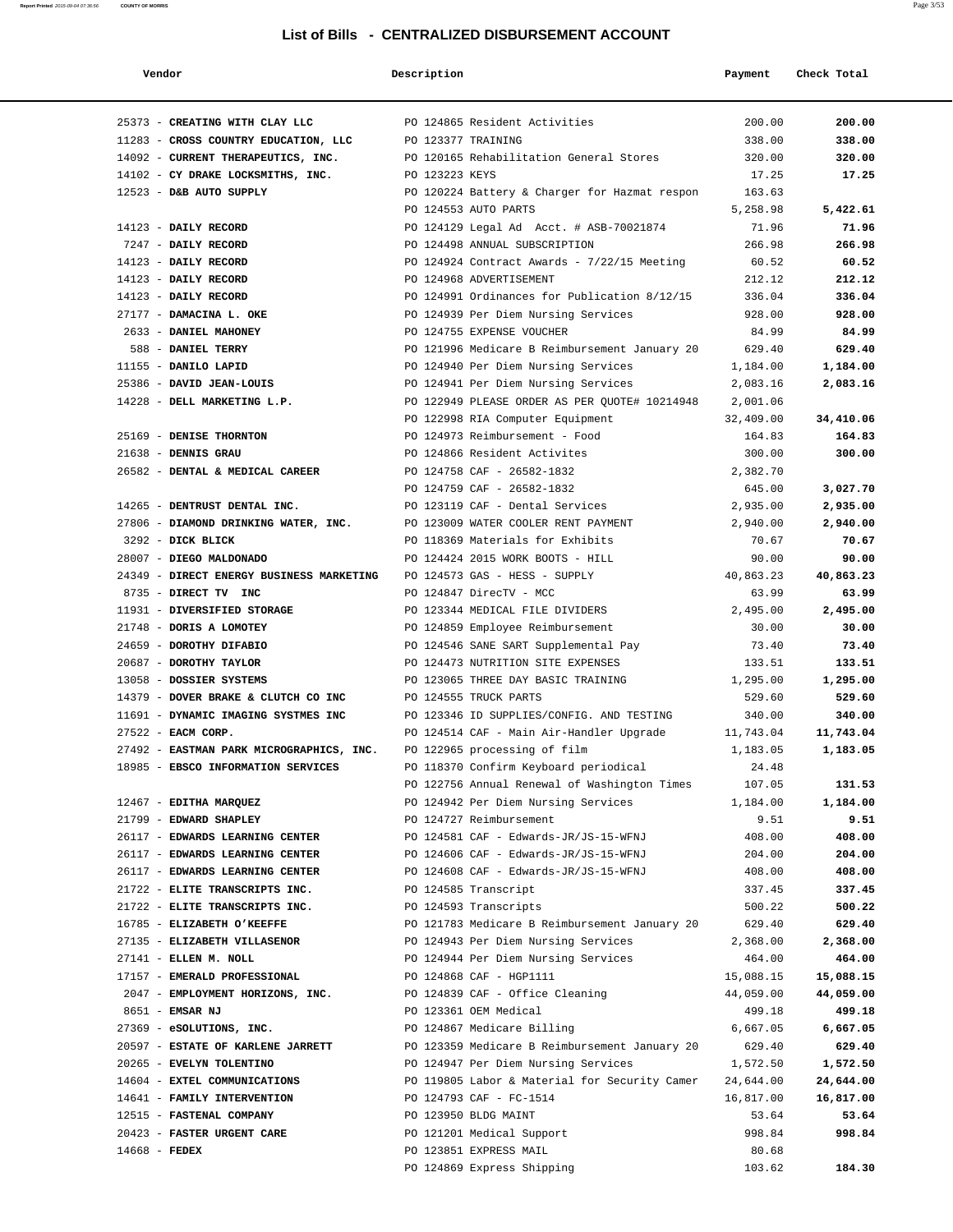| Vendor                                                                 | Description        |                                                                        | Payment            | Check Total        |
|------------------------------------------------------------------------|--------------------|------------------------------------------------------------------------|--------------------|--------------------|
| 25373 - CREATING WITH CLAY LLC                                         |                    | PO 124865 Resident Activities                                          | 200.00             | 200.00             |
| 11283 - CROSS COUNTRY EDUCATION, LLC                                   | PO 123377 TRAINING |                                                                        | 338.00             | 338.00             |
| 14092 - CURRENT THERAPEUTICS, INC.                                     |                    | PO 120165 Rehabilitation General Stores                                | 320.00             | 320.00             |
| 14102 - CY DRAKE LOCKSMITHS, INC.                                      | PO 123223 KEYS     |                                                                        | 17.25              | 17.25              |
| 12523 - D&B AUTO SUPPLY                                                |                    | PO 120224 Battery & Charger for Hazmat respon                          | 163.63             |                    |
|                                                                        |                    | PO 124553 AUTO PARTS                                                   | 5,258.98           | 5,422.61           |
| 14123 - DAILY RECORD                                                   |                    | PO 124129 Legal Ad Acct. # ASB-70021874                                | 71.96              | 71.96              |
| 7247 - DAILY RECORD                                                    |                    | PO 124498 ANNUAL SUBSCRIPTION                                          | 266.98             | 266.98             |
| 14123 - DAILY RECORD                                                   |                    | PO 124924 Contract Awards - 7/22/15 Meeting                            | 60.52              | 60.52              |
| 14123 - DAILY RECORD                                                   |                    | PO 124968 ADVERTISEMENT                                                | 212.12             | 212.12             |
| 14123 - DAILY RECORD                                                   |                    | PO 124991 Ordinances for Publication 8/12/15                           | 336.04             | 336.04             |
| 27177 - DAMACINA L. OKE                                                |                    | PO 124939 Per Diem Nursing Services                                    | 928.00             | 928.00             |
| 2633 - DANIEL MAHONEY                                                  |                    | PO 124755 EXPENSE VOUCHER                                              | 84.99              | 84.99              |
| 588 - DANIEL TERRY                                                     |                    | PO 121996 Medicare B Reimbursement January 20                          | 629.40             | 629.40             |
| 11155 - DANILO LAPID                                                   |                    | PO 124940 Per Diem Nursing Services                                    | 1,184.00           | 1,184.00           |
| 25386 - DAVID JEAN-LOUIS                                               |                    | PO 124941 Per Diem Nursing Services                                    | 2,083.16           | 2,083.16           |
| 14228 - DELL MARKETING L.P.                                            |                    | PO 122949 PLEASE ORDER AS PER QUOTE# 10214948                          | 2,001.06           |                    |
|                                                                        |                    | PO 122998 RIA Computer Equipment                                       | 32,409.00          | 34,410.06          |
| 25169 - DENISE THORNTON                                                |                    | PO 124973 Reimbursement - Food                                         | 164.83             | 164.83             |
| $21638$ - DENNIS GRAU                                                  |                    | PO 124866 Resident Activites                                           | 300.00             | 300.00             |
| 26582 - DENTAL & MEDICAL CAREER                                        |                    | PO 124758 CAF - 26582-1832                                             | 2,382.70           |                    |
|                                                                        |                    | PO 124759 CAF - 26582-1832                                             | 645.00             | 3,027.70           |
| 14265 - DENTRUST DENTAL INC.                                           |                    | PO 123119 CAF - Dental Services<br>PO 123009 WATER COOLER RENT PAYMENT | 2,935.00           | 2,935.00           |
| 27806 - DIAMOND DRINKING WATER, INC.<br>3292 - DICK BLICK              |                    | PO 118369 Materials for Exhibits                                       | 2,940.00<br>70.67  | 2,940.00<br>70.67  |
| 28007 - DIEGO MALDONADO                                                |                    | PO 124424 2015 WORK BOOTS - HILL                                       | 90.00              | 90.00              |
| 24349 - DIRECT ENERGY BUSINESS MARKETING PO 124573 GAS - HESS - SUPPLY |                    |                                                                        | 40,863.23          | 40,863.23          |
| 8735 - DIRECT TV INC                                                   |                    | PO 124847 DirecTV - MCC                                                | 63.99              | 63.99              |
| 11931 - DIVERSIFIED STORAGE                                            |                    | PO 123344 MEDICAL FILE DIVIDERS                                        | 2,495.00           | 2,495.00           |
| 21748 - DORIS A LOMOTEY                                                |                    | PO 124859 Employee Reimbursement                                       | 30.00              | 30.00              |
| 24659 - DOROTHY DIFABIO                                                |                    | PO 124546 SANE SART Supplemental Pay                                   | 73.40              | 73.40              |
| 20687 - DOROTHY TAYLOR                                                 |                    | PO 124473 NUTRITION SITE EXPENSES                                      | 133.51             | 133.51             |
| 13058 - DOSSIER SYSTEMS                                                |                    | PO 123065 THREE DAY BASIC TRAINING                                     | 1,295.00           | 1,295.00           |
| 14379 - DOVER BRAKE & CLUTCH CO INC                                    |                    | PO 124555 TRUCK PARTS                                                  | 529.60             | 529.60             |
| 11691 - DYNAMIC IMAGING SYSTMES INC                                    |                    | PO 123346 ID SUPPLIES/CONFIG. AND TESTING                              | 340.00             | 340.00             |
| 27522 - EACM CORP.                                                     |                    | PO 124514 CAF - Main Air-Handler Upgrade                               | 11,743.04          | 11,743.04          |
| 27492 - EASTMAN PARK MICROGRAPHICS, INC.                               |                    | PO 122965 processing of film                                           | 1,183.05           | 1,183.05           |
| 18985 - EBSCO INFORMATION SERVICES                                     |                    | PO 118370 Confirm Keyboard periodical                                  | 24.48              |                    |
|                                                                        |                    | PO 122756 Annual Renewal of Washington Times                           | 107.05             | 131.53             |
| 12467 - EDITHA MARQUEZ                                                 |                    | PO 124942 Per Diem Nursing Services                                    | 1,184.00           | 1,184.00           |
| 21799 - EDWARD SHAPLEY                                                 |                    | PO 124727 Reimbursement                                                | 9.51               | 9.51               |
| 26117 - EDWARDS LEARNING CENTER                                        |                    | PO 124581 CAF - Edwards-JR/JS-15-WFNJ                                  | 408.00             | 408.00             |
| 26117 - EDWARDS LEARNING CENTER                                        |                    | PO 124606 CAF - Edwards-JR/JS-15-WFNJ                                  | 204.00             | 204.00             |
| 26117 - EDWARDS LEARNING CENTER                                        |                    | PO 124608 CAF - Edwards-JR/JS-15-WFNJ                                  | 408.00             | 408.00             |
| 21722 - ELITE TRANSCRIPTS INC.                                         |                    | PO 124585 Transcript                                                   | 337.45             | 337.45             |
| 21722 - ELITE TRANSCRIPTS INC.                                         |                    | PO 124593 Transcripts                                                  | 500.22             | 500.22             |
| 16785 - ELIZABETH O'KEEFFE                                             |                    | PO 121783 Medicare B Reimbursement January 20                          | 629.40             | 629.40             |
| 27135 - ELIZABETH VILLASENOR                                           |                    | PO 124943 Per Diem Nursing Services                                    | 2,368.00           | 2,368.00           |
| 27141 - ELLEN M. NOLL                                                  |                    | PO 124944 Per Diem Nursing Services                                    | 464.00             | 464.00             |
| 17157 - EMERALD PROFESSIONAL                                           |                    | PO 124868 CAF - HGP1111<br>PO 124839 CAF - Office Cleaning             | 15,088.15          | 15,088.15          |
| 2047 - EMPLOYMENT HORIZONS, INC.<br>8651 - EMSAR NJ                    |                    | PO 123361 OEM Medical                                                  | 44,059.00          | 44,059.00          |
| 27369 - eSOLUTIONS, INC.                                               |                    | PO 124867 Medicare Billing                                             | 499.18<br>6,667.05 | 499.18<br>6,667.05 |
| 20597 - ESTATE OF KARLENE JARRETT                                      |                    | PO 123359 Medicare B Reimbursement January 20                          | 629.40             | 629.40             |
| 20265 - EVELYN TOLENTINO                                               |                    | PO 124947 Per Diem Nursing Services                                    | 1,572.50           | 1,572.50           |
| 14604 - EXTEL COMMUNICATIONS                                           |                    | PO 119805 Labor & Material for Security Camer                          | 24,644.00          | 24,644.00          |
| 14641 - FAMILY INTERVENTION                                            |                    | PO 124793 CAF - FC-1514                                                | 16,817.00          | 16,817.00          |
| 12515 - FASTENAL COMPANY                                               |                    | PO 123950 BLDG MAINT                                                   | 53.64              | 53.64              |
| 20423 - FASTER URGENT CARE                                             |                    | PO 121201 Medical Support                                              | 998.84             | 998.84             |
| 14668 - FEDEX                                                          |                    | PO 123851 EXPRESS MAIL                                                 | 80.68              |                    |
|                                                                        |                    | PO 124869 Express Shipping                                             | 103.62             | 184.30             |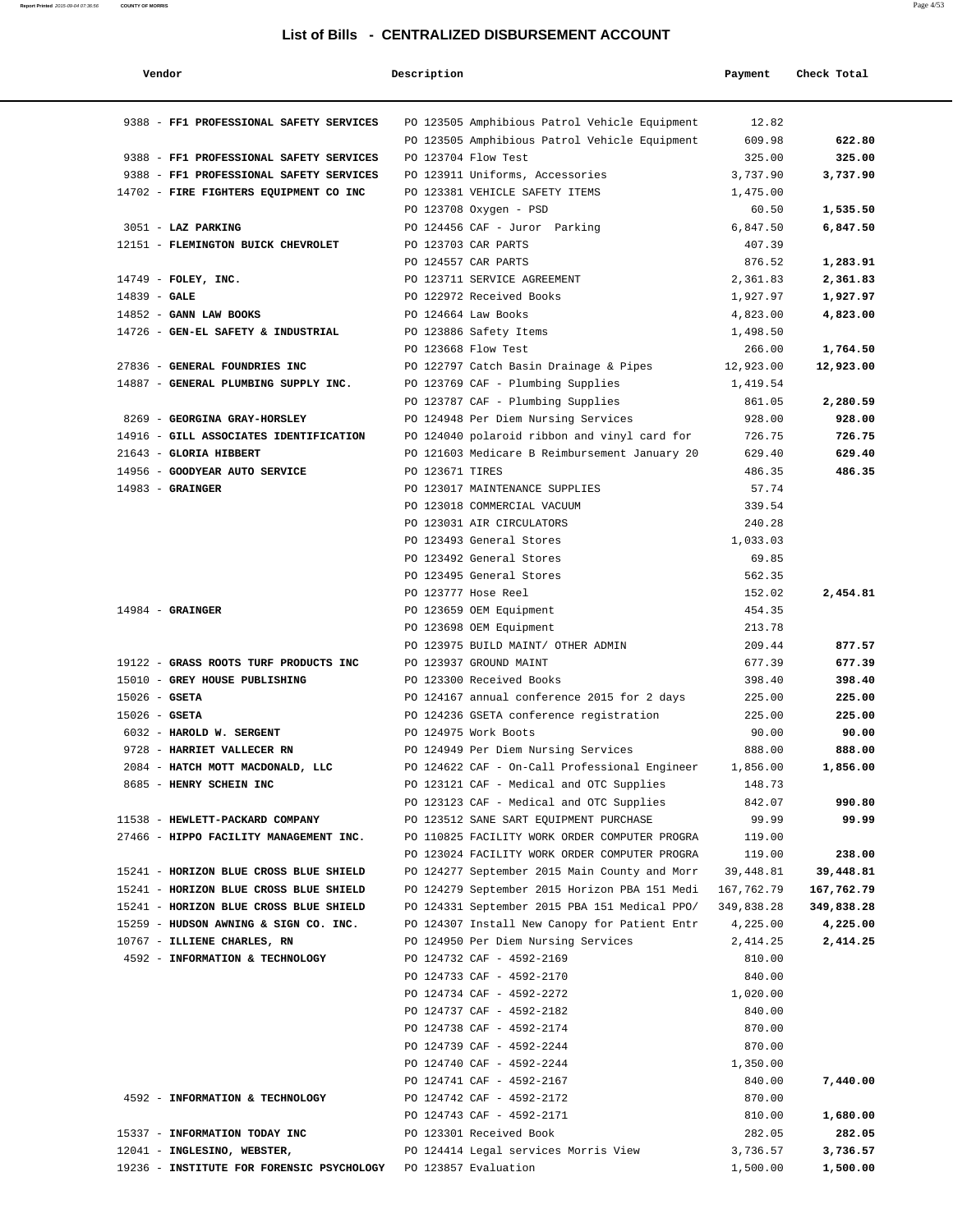| Vendor                                                         | Description         |                                                                                      | Payment          | Check Total |
|----------------------------------------------------------------|---------------------|--------------------------------------------------------------------------------------|------------------|-------------|
| 9388 - FF1 PROFESSIONAL SAFETY SERVICES                        |                     | PO 123505 Amphibious Patrol Vehicle Equipment                                        | 12.82            |             |
|                                                                |                     | PO 123505 Amphibious Patrol Vehicle Equipment                                        | 609.98           | 622.80      |
| 9388 - FF1 PROFESSIONAL SAFETY SERVICES                        |                     | PO 123704 Flow Test                                                                  | 325.00           | 325.00      |
| 9388 - FF1 PROFESSIONAL SAFETY SERVICES                        |                     | PO 123911 Uniforms, Accessories                                                      | 3,737.90         | 3,737.90    |
| 14702 - FIRE FIGHTERS EQUIPMENT CO INC                         |                     | PO 123381 VEHICLE SAFETY ITEMS                                                       | 1,475.00         |             |
|                                                                |                     | PO 123708 Oxygen - PSD                                                               | 60.50            | 1,535.50    |
| 3051 - LAZ PARKING                                             |                     | PO 124456 CAF - Juror Parking                                                        | 6,847.50         | 6,847.50    |
| 12151 - FLEMINGTON BUICK CHEVROLET                             |                     | PO 123703 CAR PARTS                                                                  | 407.39           |             |
|                                                                |                     | PO 124557 CAR PARTS                                                                  | 876.52           | 1,283.91    |
| 14749 - FOLEY, INC.                                            |                     | PO 123711 SERVICE AGREEMENT                                                          | 2,361.83         | 2,361.83    |
| $14839 - GALE$                                                 |                     | PO 122972 Received Books                                                             | 1,927.97         | 1,927.97    |
| 14852 - GANN LAW BOOKS                                         | PO 124664 Law Books |                                                                                      | 4,823.00         | 4,823.00    |
| 14726 - GEN-EL SAFETY & INDUSTRIAL                             |                     | PO 123886 Safety Items                                                               | 1,498.50         |             |
|                                                                | PO 123668 Flow Test |                                                                                      | 266.00           | 1,764.50    |
| 27836 - GENERAL FOUNDRIES INC                                  |                     | PO 122797 Catch Basin Drainage & Pipes                                               | 12,923.00        | 12,923.00   |
| 14887 - GENERAL PLUMBING SUPPLY INC.                           |                     | PO 123769 CAF - Plumbing Supplies                                                    | 1,419.54         |             |
|                                                                |                     | PO 123787 CAF - Plumbing Supplies                                                    | 861.05           | 2,280.59    |
| 8269 - GEORGINA GRAY-HORSLEY                                   |                     | PO 124948 Per Diem Nursing Services                                                  | 928.00           | 928.00      |
| 14916 - GILL ASSOCIATES IDENTIFICATION                         |                     | PO 124040 polaroid ribbon and vinyl card for                                         | 726.75           | 726.75      |
| 21643 - GLORIA HIBBERT                                         |                     | PO 121603 Medicare B Reimbursement January 20                                        | 629.40           | 629.40      |
| 14956 - GOODYEAR AUTO SERVICE                                  | PO 123671 TIRES     |                                                                                      | 486.35           | 486.35      |
| $14983$ - GRAINGER                                             |                     | PO 123017 MAINTENANCE SUPPLIES                                                       | 57.74            |             |
|                                                                |                     | PO 123018 COMMERCIAL VACUUM                                                          | 339.54           |             |
|                                                                |                     | PO 123031 AIR CIRCULATORS                                                            | 240.28           |             |
|                                                                |                     | PO 123493 General Stores                                                             | 1,033.03         |             |
|                                                                |                     | PO 123492 General Stores                                                             | 69.85            |             |
|                                                                |                     | PO 123495 General Stores                                                             | 562.35           |             |
|                                                                |                     | PO 123777 Hose Reel                                                                  | 152.02           | 2,454.81    |
| $14984$ - GRAINGER                                             |                     | PO 123659 OEM Equipment                                                              | 454.35           |             |
|                                                                |                     | PO 123698 OEM Equipment                                                              | 213.78           |             |
|                                                                |                     | PO 123975 BUILD MAINT/ OTHER ADMIN                                                   | 209.44           | 877.57      |
| 19122 - GRASS ROOTS TURF PRODUCTS INC                          |                     | PO 123937 GROUND MAINT                                                               | 677.39           | 677.39      |
| 15010 - GREY HOUSE PUBLISHING                                  |                     | PO 123300 Received Books                                                             | 398.40           | 398.40      |
| $15026$ - GSETA                                                |                     | PO 124167 annual conference 2015 for 2 days                                          | 225.00           | 225.00      |
| $15026$ - GSETA                                                |                     | PO 124236 GSETA conference registration                                              | 225.00           | 225.00      |
| 6032 - HAROLD W. SERGENT                                       |                     | PO 124975 Work Boots                                                                 | 90.00            | 90.00       |
| 9728 - HARRIET VALLECER RN                                     |                     | PO 124949 Per Diem Nursing Services                                                  | 888.00           | 888.00      |
| 2084 - HATCH MOTT MACDONALD, LLC                               |                     | PO 124622 CAF - On-Call Professional Engineer                                        | 1,856.00         | 1,856.00    |
| 8685 - HENRY SCHEIN INC                                        |                     | PO 123121 CAF - Medical and OTC Supplies<br>PO 123123 CAF - Medical and OTC Supplies | 148.73<br>842.07 | 990.80      |
| 11538 - HEWLETT-PACKARD COMPANY                                |                     | PO 123512 SANE SART EQUIPMENT PURCHASE                                               | 99.99            | 99.99       |
| 27466 - HIPPO FACILITY MANAGEMENT INC.                         |                     | PO 110825 FACILITY WORK ORDER COMPUTER PROGRA                                        | 119.00           |             |
|                                                                |                     | PO 123024 FACILITY WORK ORDER COMPUTER PROGRA                                        | 119.00           | 238.00      |
| 15241 - HORIZON BLUE CROSS BLUE SHIELD                         |                     | PO 124277 September 2015 Main County and Morr                                        | 39,448.81        | 39,448.81   |
| 15241 - HORIZON BLUE CROSS BLUE SHIELD                         |                     | PO 124279 September 2015 Horizon PBA 151 Medi                                        | 167,762.79       | 167,762.79  |
| 15241 - HORIZON BLUE CROSS BLUE SHIELD                         |                     | PO 124331 September 2015 PBA 151 Medical PPO/                                        | 349,838.28       | 349,838.28  |
| 15259 - HUDSON AWNING & SIGN CO. INC.                          |                     | PO 124307 Install New Canopy for Patient Entr                                        | 4,225.00         | 4,225.00    |
| 10767 - ILLIENE CHARLES, RN                                    |                     | PO 124950 Per Diem Nursing Services                                                  | 2,414.25         | 2,414.25    |
| 4592 - INFORMATION & TECHNOLOGY                                |                     | PO 124732 CAF - 4592-2169                                                            | 810.00           |             |
|                                                                |                     | PO 124733 CAF - 4592-2170                                                            | 840.00           |             |
|                                                                |                     | PO 124734 CAF - 4592-2272                                                            | 1,020.00         |             |
|                                                                |                     | PO 124737 CAF - 4592-2182                                                            | 840.00           |             |
|                                                                |                     | PO 124738 CAF - 4592-2174                                                            | 870.00           |             |
|                                                                |                     | PO 124739 CAF - 4592-2244                                                            | 870.00           |             |
|                                                                |                     | PO 124740 CAF - 4592-2244                                                            | 1,350.00         |             |
|                                                                |                     | PO 124741 CAF - 4592-2167                                                            | 840.00           | 7,440.00    |
| 4592 - INFORMATION & TECHNOLOGY                                |                     | PO 124742 CAF - 4592-2172                                                            | 870.00           |             |
|                                                                |                     | PO 124743 CAF - 4592-2171                                                            | 810.00           | 1,680.00    |
| 15337 - INFORMATION TODAY INC                                  |                     | PO 123301 Received Book                                                              | 282.05           | 282.05      |
| 12041 - INGLESINO, WEBSTER,                                    |                     | PO 124414 Legal services Morris View                                                 | 3,736.57         | 3,736.57    |
| 19236 - INSTITUTE FOR FORENSIC PSYCHOLOGY PO 123857 Evaluation |                     |                                                                                      | 1,500.00         | 1,500.00    |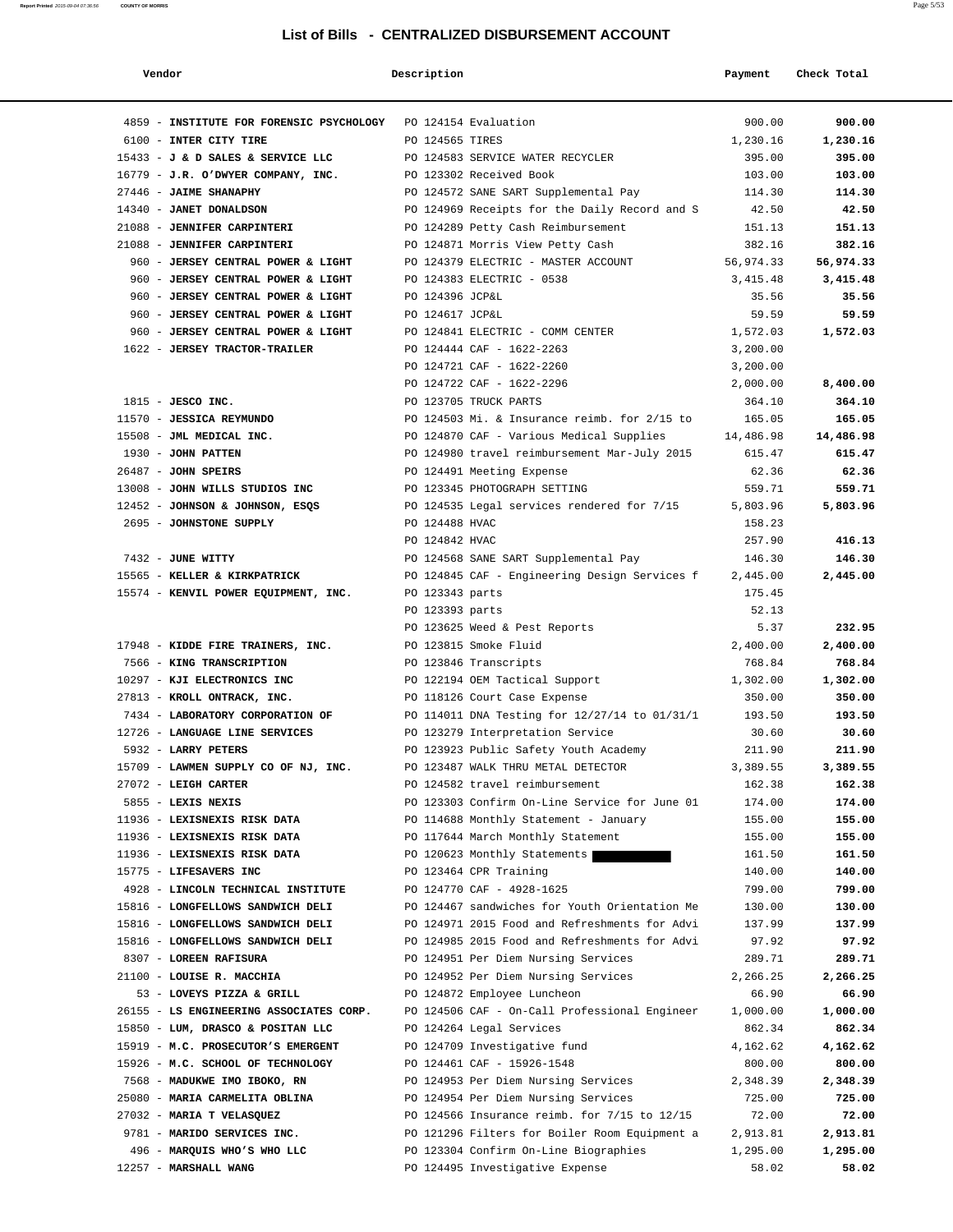| Vendor                                                                 | Description     |                                                                                                | Payment            | Check Total        |
|------------------------------------------------------------------------|-----------------|------------------------------------------------------------------------------------------------|--------------------|--------------------|
|                                                                        |                 |                                                                                                |                    |                    |
| 4859 - INSTITUTE FOR FORENSIC PSYCHOLOGY PO 124154 Evaluation          |                 |                                                                                                | 900.00             | 900.00             |
| 6100 - INTER CITY TIRE                                                 | PO 124565 TIRES |                                                                                                | 1,230.16           | 1,230.16           |
| 15433 - J & D SALES & SERVICE LLC PO 124583 SERVICE WATER RECYCLER     |                 |                                                                                                | 395.00             | 395.00             |
| 16779 - J.R. O'DWYER COMPANY, INC. PO 123302 Received Book             |                 |                                                                                                | 103.00             | 103.00             |
| 27446 - JAIME SHANAPHY                                                 |                 | PO 124572 SANE SART Supplemental Pay                                                           | 114.30             | 114.30             |
| 14340 - JANET DONALDSON                                                |                 | PO 124969 Receipts for the Daily Record and S                                                  | 42.50              | 42.50              |
| 21088 - JENNIFER CARPINTERI                                            |                 | PO 124289 Petty Cash Reimbursement                                                             | 151.13             | 151.13             |
| 21088 - JENNIFER CARPINTERI                                            |                 | PO 124871 Morris View Petty Cash                                                               | 382.16             | 382.16             |
| 960 - JERSEY CENTRAL POWER & LIGHT                                     |                 | PO 124379 ELECTRIC - MASTER ACCOUNT                                                            | 56,974.33          | 56,974.33          |
| 960 - JERSEY CENTRAL POWER & LIGHT                                     |                 | PO 124383 ELECTRIC - 0538                                                                      | 3,415.48           | 3,415.48           |
| 960 - JERSEY CENTRAL POWER & LIGHT                                     | PO 124396 JCP&L |                                                                                                | 35.56              | 35.56              |
| 960 - JERSEY CENTRAL POWER & LIGHT                                     | PO 124617 JCP&L |                                                                                                | 59.59              | 59.59              |
| 960 - JERSEY CENTRAL POWER & LIGHT                                     |                 | PO 124841 ELECTRIC - COMM CENTER                                                               | 1,572.03           | 1,572.03           |
| 1622 - JERSEY TRACTOR-TRAILER                                          |                 | PO 124444 CAF - 1622-2263                                                                      | 3,200.00           |                    |
|                                                                        |                 | PO 124721 CAF - 1622-2260                                                                      | 3,200.00           |                    |
| $1815$ - JESCO INC.                                                    |                 | PO 124722 CAF - 1622-2296<br>PO 123705 TRUCK PARTS                                             | 2,000.00<br>364.10 | 8,400.00<br>364.10 |
| 11570 - JESSICA REYMUNDO                                               |                 | PO 124503 Mi. & Insurance reimb. for 2/15 to                                                   | 165.05             | 165.05             |
| 15508 - JML MEDICAL INC.                                               |                 | PO 124870 CAF - Various Medical Supplies                                                       | 14,486.98          | 14,486.98          |
| 1930 - JOHN PATTEN                                                     |                 | PO 124980 travel reimbursement Mar-July 2015                                                   | 615.47             | 615.47             |
| 26487 - JOHN SPEIRS                                                    |                 | PO 124491 Meeting Expense                                                                      | 62.36              | 62.36              |
| 13008 - JOHN WILLS STUDIOS INC                                         |                 | PO 123345 PHOTOGRAPH SETTING                                                                   | 559.71             | 559.71             |
| 12452 - JOHNSON & JOHNSON, ESQS                                        |                 | PO 124535 Legal services rendered for 7/15                                                     | 5,803.96           | 5,803.96           |
| 2695 - JOHNSTONE SUPPLY                                                | PO 124488 HVAC  |                                                                                                | 158.23             |                    |
|                                                                        | PO 124842 HVAC  |                                                                                                | 257.90             | 416.13             |
| 7432 - JUNE WITTY                                                      |                 | PO 124568 SANE SART Supplemental Pay                                                           | 146.30             | 146.30             |
| 15565 - KELLER & KIRKPATRICK                                           |                 | PO 124845 CAF - Engineering Design Services f                                                  | 2,445.00           | 2,445.00           |
| 15574 - KENVIL POWER EQUIPMENT, INC.                                   | PO 123343 parts |                                                                                                | 175.45             |                    |
|                                                                        | PO 123393 parts |                                                                                                | 52.13              |                    |
|                                                                        |                 | PO 123625 Weed & Pest Reports                                                                  | 5.37               | 232.95             |
| 17948 - KIDDE FIRE TRAINERS, INC.                                      |                 | PO 123815 Smoke Fluid                                                                          | 2,400.00           | 2,400.00           |
| 7566 - KING TRANSCRIPTION                                              |                 | PO 123846 Transcripts                                                                          | 768.84             | 768.84             |
| 10297 - KJI ELECTRONICS INC                                            |                 | PO 122194 OEM Tactical Support                                                                 | 1,302.00           | 1,302.00           |
| 27813 - KROLL ONTRACK, INC.                                            |                 | PO 118126 Court Case Expense                                                                   | 350.00             | 350.00             |
| 7434 - LABORATORY CORPORATION OF                                       |                 | PO 114011 DNA Testing for 12/27/14 to 01/31/1 193.50                                           |                    | 193.50             |
| 12726 - LANGUAGE LINE SERVICES                                         |                 | PO 123279 Interpretation Service                                                               | 30.60              | 30.60              |
| 5932 - LARRY PETERS                                                    |                 | PO 123923 Public Safety Youth Academy                                                          | 211.90             | 211.90             |
| 15709 - LAWMEN SUPPLY CO OF NJ, INC.                                   |                 | PO 123487 WALK THRU METAL DETECTOR                                                             | 3,389.55           | 3,389.55           |
| 27072 - LEIGH CARTER                                                   |                 | PO 124582 travel reimbursement                                                                 | 162.38             | 162.38             |
| 5855 - LEXIS NEXIS                                                     |                 | PO 123303 Confirm On-Line Service for June 01                                                  | 174.00             | 174.00             |
| 11936 - LEXISNEXIS RISK DATA                                           |                 | PO 114688 Monthly Statement - January                                                          | 155.00             | 155.00             |
| 11936 - LEXISNEXIS RISK DATA                                           |                 | PO 117644 March Monthly Statement                                                              | 155.00             | 155.00             |
| 11936 - LEXISNEXIS RISK DATA                                           |                 | PO 120623 Monthly Statements                                                                   | 161.50             | 161.50             |
| 15775 - LIFESAVERS INC                                                 |                 | PO 123464 CPR Training                                                                         | 140.00             | 140.00             |
| 4928 - LINCOLN TECHNICAL INSTITUTE                                     |                 | PO 124770 CAF - 4928-1625                                                                      | 799.00             | 799.00             |
| 15816 - LONGFELLOWS SANDWICH DELI                                      |                 | PO 124467 sandwiches for Youth Orientation Me                                                  | 130.00             | 130.00             |
| 15816 - LONGFELLOWS SANDWICH DELI<br>15816 - LONGFELLOWS SANDWICH DELI |                 | PO 124971 2015 Food and Refreshments for Advi<br>PO 124985 2015 Food and Refreshments for Advi | 137.99<br>97.92    | 137.99<br>97.92    |
| 8307 - LOREEN RAFISURA                                                 |                 | PO 124951 Per Diem Nursing Services                                                            | 289.71             | 289.71             |
| 21100 - LOUISE R. MACCHIA                                              |                 | PO 124952 Per Diem Nursing Services                                                            | 2,266.25           | 2,266.25           |
| 53 - LOVEYS PIZZA & GRILL                                              |                 | PO 124872 Employee Luncheon                                                                    | 66.90              | 66.90              |
| 26155 - LS ENGINEERING ASSOCIATES CORP.                                |                 | PO 124506 CAF - On-Call Professional Engineer                                                  | 1,000.00           | 1,000.00           |
| 15850 - LUM, DRASCO & POSITAN LLC                                      |                 | PO 124264 Legal Services                                                                       | 862.34             | 862.34             |
| 15919 - M.C. PROSECUTOR'S EMERGENT                                     |                 | PO 124709 Investigative fund                                                                   | 4,162.62           | 4,162.62           |
| 15926 - M.C. SCHOOL OF TECHNOLOGY                                      |                 | PO 124461 CAF - 15926-1548                                                                     | 800.00             | 800.00             |
| 7568 - MADUKWE IMO IBOKO, RN                                           |                 | PO 124953 Per Diem Nursing Services                                                            | 2,348.39           | 2,348.39           |
| 25080 - MARIA CARMELITA OBLINA                                         |                 | PO 124954 Per Diem Nursing Services                                                            | 725.00             | 725.00             |
| 27032 - MARIA T VELASQUEZ                                              |                 | PO 124566 Insurance reimb. for 7/15 to 12/15                                                   | 72.00              | 72.00              |
| 9781 - MARIDO SERVICES INC.                                            |                 | PO 121296 Filters for Boiler Room Equipment a                                                  | 2,913.81           | 2,913.81           |
| 496 - MARQUIS WHO'S WHO LLC                                            |                 | PO 123304 Confirm On-Line Biographies                                                          | 1,295.00           | 1,295.00           |
| 12257 - MARSHALL WANG                                                  |                 | PO 124495 Investigative Expense                                                                | 58.02              | 58.02              |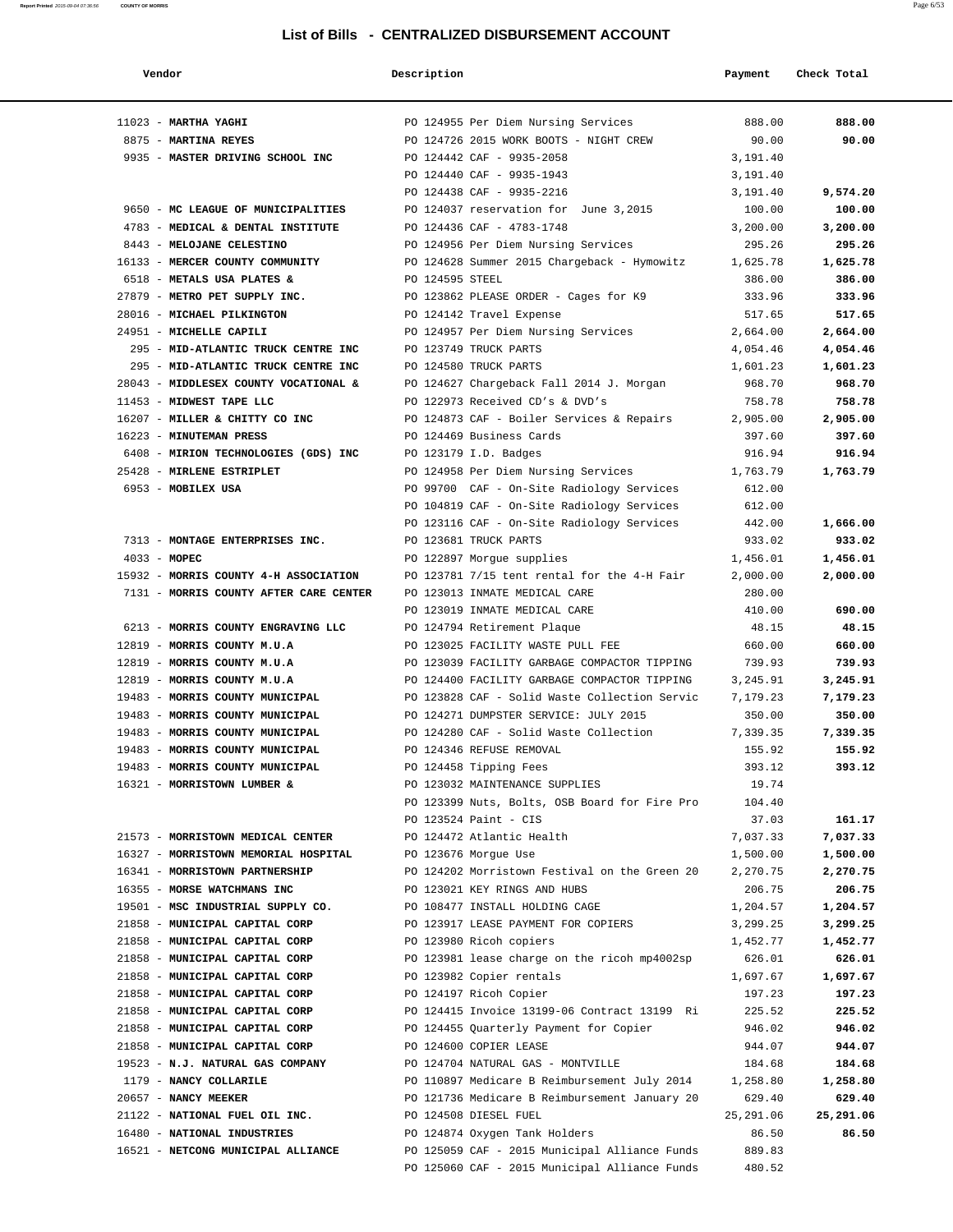| Vendor                                 | Description     |                                                                     | Payment          | Check Total |
|----------------------------------------|-----------------|---------------------------------------------------------------------|------------------|-------------|
|                                        |                 |                                                                     |                  |             |
| $11023$ - MARTHA YAGHI                 |                 | PO 124955 Per Diem Nursing Services                                 | 888.00           | 888.00      |
| 8875 - MARTINA REYES                   |                 | PO 124726 2015 WORK BOOTS - NIGHT CREW                              | 90.00            | 90.00       |
| 9935 - MASTER DRIVING SCHOOL INC       |                 | PO 124442 CAF - 9935-2058                                           | 3,191.40         |             |
|                                        |                 | PO 124440 CAF - 9935-1943                                           | 3,191.40         |             |
|                                        |                 | PO 124438 CAF - 9935-2216                                           | 3,191.40         | 9,574.20    |
| 9650 - MC LEAGUE OF MUNICIPALITIES     |                 | PO 124037 reservation for June 3,2015                               | 100.00           | 100.00      |
| 4783 - MEDICAL & DENTAL INSTITUTE      |                 | PO 124436 CAF - 4783-1748                                           | 3,200.00         | 3,200.00    |
| 8443 - MELOJANE CELESTINO              |                 | PO 124956 Per Diem Nursing Services                                 | 295.26           | 295.26      |
| 16133 - MERCER COUNTY COMMUNITY        |                 | PO 124628 Summer 2015 Chargeback - Hymowitz                         | 1,625.78         | 1,625.78    |
| 6518 - METALS USA PLATES &             | PO 124595 STEEL |                                                                     | 386.00           | 386.00      |
| 27879 - METRO PET SUPPLY INC.          |                 | PO 123862 PLEASE ORDER - Cages for K9                               | 333.96           | 333.96      |
| 28016 - MICHAEL PILKINGTON             |                 | PO 124142 Travel Expense                                            | 517.65           | 517.65      |
| 24951 - MICHELLE CAPILI                |                 | PO 124957 Per Diem Nursing Services                                 | 2,664.00         | 2,664.00    |
| 295 - MID-ATLANTIC TRUCK CENTRE INC    |                 | PO 123749 TRUCK PARTS                                               | 4,054.46         | 4,054.46    |
| 295 - MID-ATLANTIC TRUCK CENTRE INC    |                 | PO 124580 TRUCK PARTS                                               | 1,601.23         | 1,601.23    |
| 28043 - MIDDLESEX COUNTY VOCATIONAL &  |                 | PO 124627 Chargeback Fall 2014 J. Morgan                            | 968.70           | 968.70      |
| 11453 - MIDWEST TAPE LLC               |                 | PO 122973 Received CD's & DVD's                                     | 758.78           | 758.78      |
| 16207 - MILLER & CHITTY CO INC         |                 | PO 124873 CAF - Boiler Services & Repairs                           | 2,905.00         | 2,905.00    |
| 16223 - MINUTEMAN PRESS                |                 | PO 124469 Business Cards                                            | 397.60           | 397.60      |
| 6408 - MIRION TECHNOLOGIES (GDS) INC   |                 | PO 123179 I.D. Badges                                               | 916.94           | 916.94      |
| 25428 - MIRLENE ESTRIPLET              |                 | PO 124958 Per Diem Nursing Services                                 | 1,763.79         | 1,763.79    |
| 6953 - MOBILEX USA                     |                 | PO 99700 CAF - On-Site Radiology Services                           | 612.00           |             |
|                                        |                 | PO 104819 CAF - On-Site Radiology Services                          | 612.00<br>442.00 | 1,666.00    |
| 7313 - MONTAGE ENTERPRISES INC.        |                 | PO 123116 CAF - On-Site Radiology Services<br>PO 123681 TRUCK PARTS | 933.02           | 933.02      |
| $4033 - MOPEC$                         |                 | PO 122897 Morgue supplies                                           | 1,456.01         | 1,456.01    |
| 15932 - MORRIS COUNTY 4-H ASSOCIATION  |                 | PO 123781 7/15 tent rental for the 4-H Fair                         | 2,000.00         | 2,000.00    |
| 7131 - MORRIS COUNTY AFTER CARE CENTER |                 | PO 123013 INMATE MEDICAL CARE                                       | 280.00           |             |
|                                        |                 | PO 123019 INMATE MEDICAL CARE                                       | 410.00           | 690.00      |
| 6213 - MORRIS COUNTY ENGRAVING LLC     |                 | PO 124794 Retirement Plaque                                         | 48.15            | 48.15       |
| 12819 - MORRIS COUNTY M.U.A            |                 | PO 123025 FACILITY WASTE PULL FEE                                   | 660.00           | 660.00      |
| 12819 - MORRIS COUNTY M.U.A            |                 | PO 123039 FACILITY GARBAGE COMPACTOR TIPPING                        | 739.93           | 739.93      |
| 12819 - MORRIS COUNTY M.U.A            |                 | PO 124400 FACILITY GARBAGE COMPACTOR TIPPING                        | 3,245.91         | 3,245.91    |
| 19483 - MORRIS COUNTY MUNICIPAL        |                 | PO 123828 CAF - Solid Waste Collection Servic                       | 7,179.23         | 7,179.23    |
| 19483 - MORRIS COUNTY MUNICIPAL        |                 | PO 124271 DUMPSTER SERVICE: JULY 2015                               | 350.00           | 350.00      |
| 19483 - MORRIS COUNTY MUNICIPAL        |                 | PO 124280 CAF - Solid Waste Collection                              | 7,339.35         | 7,339.35    |
| 19483 - MORRIS COUNTY MUNICIPAL        |                 | PO 124346 REFUSE REMOVAL                                            | 155.92           | 155.92      |
| 19483 - MORRIS COUNTY MUNICIPAL        |                 | PO 124458 Tipping Fees                                              | 393.12           | 393.12      |
| 16321 - MORRISTOWN LUMBER &            |                 | PO 123032 MAINTENANCE SUPPLIES                                      | 19.74            |             |
|                                        |                 | PO 123399 Nuts, Bolts, OSB Board for Fire Pro                       | 104.40           |             |
|                                        |                 | PO 123524 Paint - CIS                                               | 37.03            | 161.17      |
| 21573 - MORRISTOWN MEDICAL CENTER      |                 | PO 124472 Atlantic Health                                           | 7,037.33         | 7,037.33    |
| 16327 - MORRISTOWN MEMORIAL HOSPITAL   |                 | PO 123676 Morgue Use                                                | 1,500.00         | 1,500.00    |
| 16341 - MORRISTOWN PARTNERSHIP         |                 | PO 124202 Morristown Festival on the Green 20                       | 2,270.75         | 2,270.75    |
| 16355 - MORSE WATCHMANS INC            |                 | PO 123021 KEY RINGS AND HUBS                                        | 206.75           | 206.75      |
| 19501 - MSC INDUSTRIAL SUPPLY CO.      |                 | PO 108477 INSTALL HOLDING CAGE                                      | 1,204.57         | 1,204.57    |
| 21858 - MUNICIPAL CAPITAL CORP         |                 | PO 123917 LEASE PAYMENT FOR COPIERS                                 | 3,299.25         | 3,299.25    |
| 21858 - MUNICIPAL CAPITAL CORP         |                 | PO 123980 Ricoh copiers                                             | 1,452.77         | 1,452.77    |
| 21858 - MUNICIPAL CAPITAL CORP         |                 | PO 123981 lease charge on the ricoh mp4002sp                        | 626.01           | 626.01      |
| 21858 - MUNICIPAL CAPITAL CORP         |                 | PO 123982 Copier rentals                                            | 1,697.67         | 1,697.67    |
| 21858 - MUNICIPAL CAPITAL CORP         |                 | PO 124197 Ricoh Copier                                              | 197.23           | 197.23      |
| 21858 - MUNICIPAL CAPITAL CORP         |                 | PO 124415 Invoice 13199-06 Contract 13199 Ri                        | 225.52           | 225.52      |
| 21858 - MUNICIPAL CAPITAL CORP         |                 | PO 124455 Quarterly Payment for Copier                              | 946.02           | 946.02      |
| 21858 - MUNICIPAL CAPITAL CORP         |                 | PO 124600 COPIER LEASE                                              | 944.07           | 944.07      |
| 19523 - N.J. NATURAL GAS COMPANY       |                 | PO 124704 NATURAL GAS - MONTVILLE                                   | 184.68           | 184.68      |
| 1179 - NANCY COLLARILE                 |                 | PO 110897 Medicare B Reimbursement July 2014                        | 1,258.80         | 1,258.80    |
| 20657 - NANCY MEEKER                   |                 | PO 121736 Medicare B Reimbursement January 20                       | 629.40           | 629.40      |
| 21122 - NATIONAL FUEL OIL INC.         |                 | PO 124508 DIESEL FUEL                                               | 25,291.06        | 25,291.06   |
| 16480 - NATIONAL INDUSTRIES            |                 | PO 124874 Oxygen Tank Holders                                       | 86.50            | 86.50       |
| 16521 - NETCONG MUNICIPAL ALLIANCE     |                 | PO 125059 CAF - 2015 Municipal Alliance Funds                       | 889.83           |             |
|                                        |                 | PO 125060 CAF - 2015 Municipal Alliance Funds                       | 480.52           |             |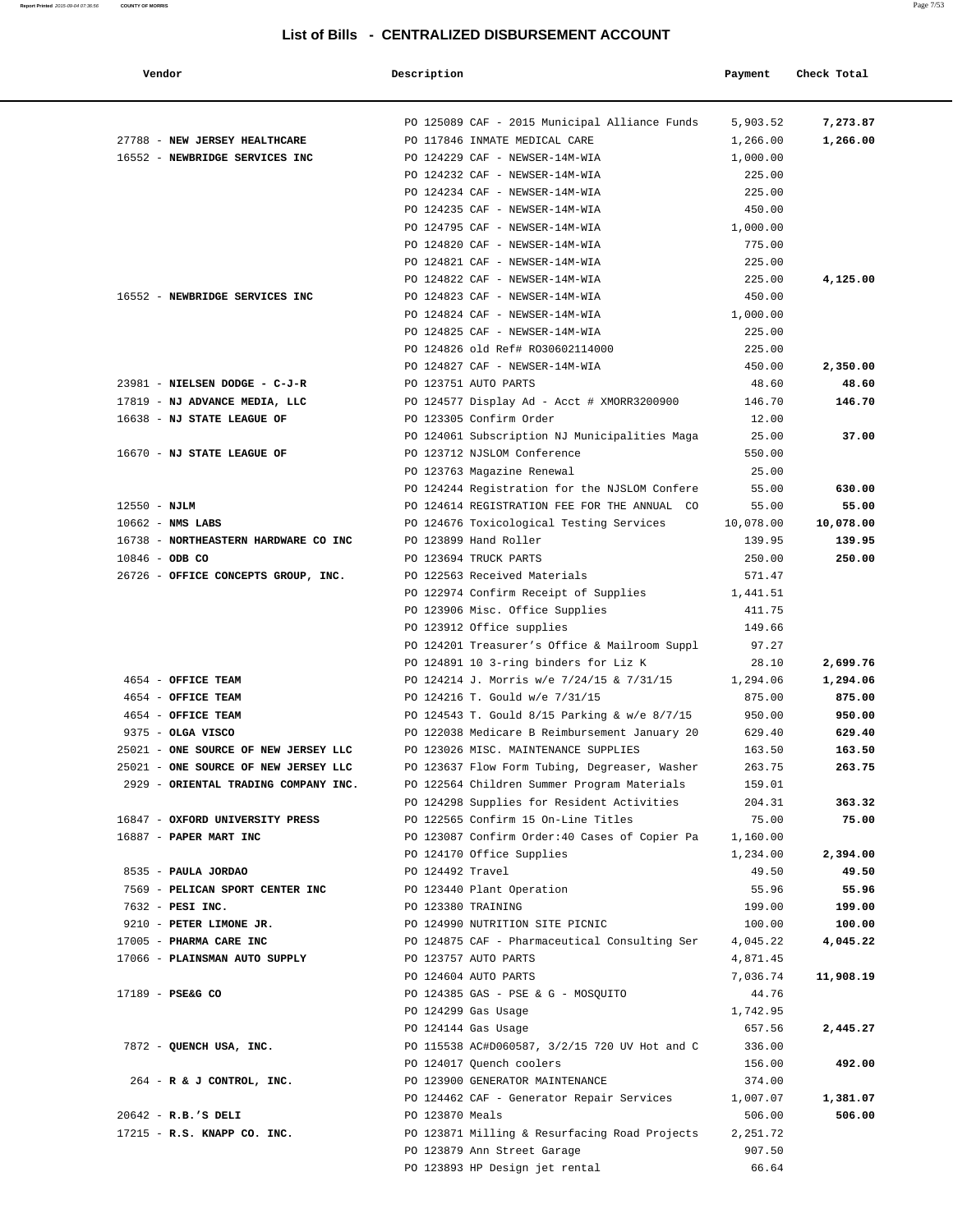| Vendor                               | Description                                                                               | Payment          | Check Total     |
|--------------------------------------|-------------------------------------------------------------------------------------------|------------------|-----------------|
|                                      |                                                                                           |                  |                 |
|                                      | PO 125089 CAF - 2015 Municipal Alliance Funds                                             | 5,903.52         | 7,273.87        |
| 27788 - NEW JERSEY HEALTHCARE        | PO 117846 INMATE MEDICAL CARE                                                             | 1,266.00         | 1,266.00        |
| 16552 - NEWBRIDGE SERVICES INC       | PO 124229 CAF - NEWSER-14M-WIA                                                            | 1,000.00         |                 |
|                                      | PO 124232 CAF - NEWSER-14M-WIA<br>PO 124234 CAF - NEWSER-14M-WIA                          | 225.00<br>225.00 |                 |
|                                      | PO 124235 CAF - NEWSER-14M-WIA                                                            | 450.00           |                 |
|                                      | PO 124795 CAF - NEWSER-14M-WIA                                                            | 1,000.00         |                 |
|                                      | PO 124820 CAF - NEWSER-14M-WIA                                                            | 775.00           |                 |
|                                      | PO 124821 CAF - NEWSER-14M-WIA                                                            | 225.00           |                 |
|                                      | PO 124822 CAF - NEWSER-14M-WIA                                                            | 225.00           | 4,125.00        |
| 16552 - NEWBRIDGE SERVICES INC       | PO 124823 CAF - NEWSER-14M-WIA                                                            | 450.00           |                 |
|                                      | PO 124824 CAF - NEWSER-14M-WIA                                                            | 1,000.00         |                 |
|                                      | PO 124825 CAF - NEWSER-14M-WIA                                                            | 225.00           |                 |
|                                      | PO 124826 old Ref# R030602114000                                                          | 225.00           |                 |
|                                      | PO 124827 CAF - NEWSER-14M-WIA                                                            | 450.00           | 2,350.00        |
| 23981 - NIELSEN DODGE - C-J-R        | PO 123751 AUTO PARTS                                                                      | 48.60            | 48.60           |
| 17819 - NJ ADVANCE MEDIA, LLC        | PO 124577 Display Ad - Acct # XMORR3200900                                                | 146.70           | 146.70          |
| 16638 - NJ STATE LEAGUE OF           | PO 123305 Confirm Order                                                                   | 12.00            |                 |
|                                      | PO 124061 Subscription NJ Municipalities Maga                                             | 25.00            | 37.00           |
| 16670 - NJ STATE LEAGUE OF           | PO 123712 NJSLOM Conference                                                               | 550.00           |                 |
|                                      | PO 123763 Magazine Renewal                                                                | 25.00            |                 |
|                                      | PO 124244 Registration for the NJSLOM Confere                                             | 55.00            | 630.00          |
| $12550 - NJLM$                       | PO 124614 REGISTRATION FEE FOR THE ANNUAL CO                                              | 55.00            | 55.00           |
| $10662$ - NMS LABS                   | PO 124676 Toxicological Testing Services                                                  | 10,078.00        | 10,078.00       |
| 16738 - NORTHEASTERN HARDWARE CO INC | PO 123899 Hand Roller                                                                     | 139.95           | 139.95          |
| $10846 - ODB CO$                     | PO 123694 TRUCK PARTS                                                                     | 250.00           | 250.00          |
| 26726 - OFFICE CONCEPTS GROUP, INC.  | PO 122563 Received Materials                                                              | 571.47           |                 |
|                                      | PO 122974 Confirm Receipt of Supplies                                                     | 1,441.51         |                 |
|                                      | PO 123906 Misc. Office Supplies                                                           | 411.75           |                 |
|                                      | PO 123912 Office supplies                                                                 | 149.66           |                 |
|                                      | PO 124201 Treasurer's Office & Mailroom Suppl                                             | 97.27            |                 |
|                                      | PO 124891 10 3-ring binders for Liz K                                                     | 28.10            | 2,699.76        |
| 4654 - OFFICE TEAM                   | PO 124214 J. Morris w/e 7/24/15 & 7/31/15                                                 | 1,294.06         | 1,294.06        |
| 4654 - OFFICE TEAM                   | PO 124216 T. Gould w/e 7/31/15                                                            | 875.00           | 875.00          |
| 4654 - OFFICE TEAM                   | PO 124543 T. Gould 8/15 Parking & w/e 8/7/15                                              | 950.00           | 950.00          |
| 9375 - OLGA VISCO                    | PO 122038 Medicare B Reimbursement January 20                                             | 629.40           | 629.40          |
| 25021 - ONE SOURCE OF NEW JERSEY LLC | PO 123026 MISC. MAINTENANCE SUPPLIES                                                      | 163.50           | 163.50          |
| 25021 - ONE SOURCE OF NEW JERSEY LLC | PO 123637 Flow Form Tubing, Degreaser, Washer                                             | 263.75           | 263.75          |
| 2929 - ORIENTAL TRADING COMPANY INC. | PO 122564 Children Summer Program Materials<br>PO 124298 Supplies for Resident Activities | 159.01           |                 |
| 16847 - OXFORD UNIVERSITY PRESS      | PO 122565 Confirm 15 On-Line Titles                                                       | 204.31<br>75.00  | 363.32<br>75.00 |
| 16887 - PAPER MART INC               | PO 123087 Confirm Order: 40 Cases of Copier Pa                                            | 1,160.00         |                 |
|                                      | PO 124170 Office Supplies                                                                 | 1,234.00         | 2,394.00        |
| 8535 - PAULA JORDAO                  | PO 124492 Travel                                                                          | 49.50            | 49.50           |
| 7569 - PELICAN SPORT CENTER INC      | PO 123440 Plant Operation                                                                 | 55.96            | 55.96           |
| 7632 - PESI INC.                     | PO 123380 TRAINING                                                                        | 199.00           | 199.00          |
| 9210 - PETER LIMONE JR.              | PO 124990 NUTRITION SITE PICNIC                                                           | 100.00           | 100.00          |
| 17005 - PHARMA CARE INC              | PO 124875 CAF - Pharmaceutical Consulting Ser                                             | 4,045.22         | 4,045.22        |
| 17066 - PLAINSMAN AUTO SUPPLY        | PO 123757 AUTO PARTS                                                                      | 4,871.45         |                 |
|                                      | PO 124604 AUTO PARTS                                                                      | 7,036.74         | 11,908.19       |
| 17189 - PSE&G CO                     | PO 124385 GAS - PSE & G - MOSQUITO                                                        | 44.76            |                 |
|                                      | PO 124299 Gas Usage                                                                       | 1,742.95         |                 |
|                                      | PO 124144 Gas Usage                                                                       | 657.56           | 2,445.27        |
| 7872 - QUENCH USA, INC.              | PO 115538 AC#D060587, 3/2/15 720 UV Hot and C                                             | 336.00           |                 |
|                                      | PO 124017 Quench coolers                                                                  | 156.00           | 492.00          |
| $264$ - R & J CONTROL, INC.          | PO 123900 GENERATOR MAINTENANCE                                                           | 374.00           |                 |
|                                      | PO 124462 CAF - Generator Repair Services                                                 | 1,007.07         | 1,381.07        |
| $20642 - R.B.'S DELI$                | PO 123870 Meals                                                                           | 506.00           | 506.00          |
| 17215 - R.S. KNAPP CO. INC.          | PO 123871 Milling & Resurfacing Road Projects                                             | 2,251.72         |                 |
|                                      | PO 123879 Ann Street Garage                                                               | 907.50           |                 |
|                                      | PO 123893 HP Design jet rental                                                            | 66.64            |                 |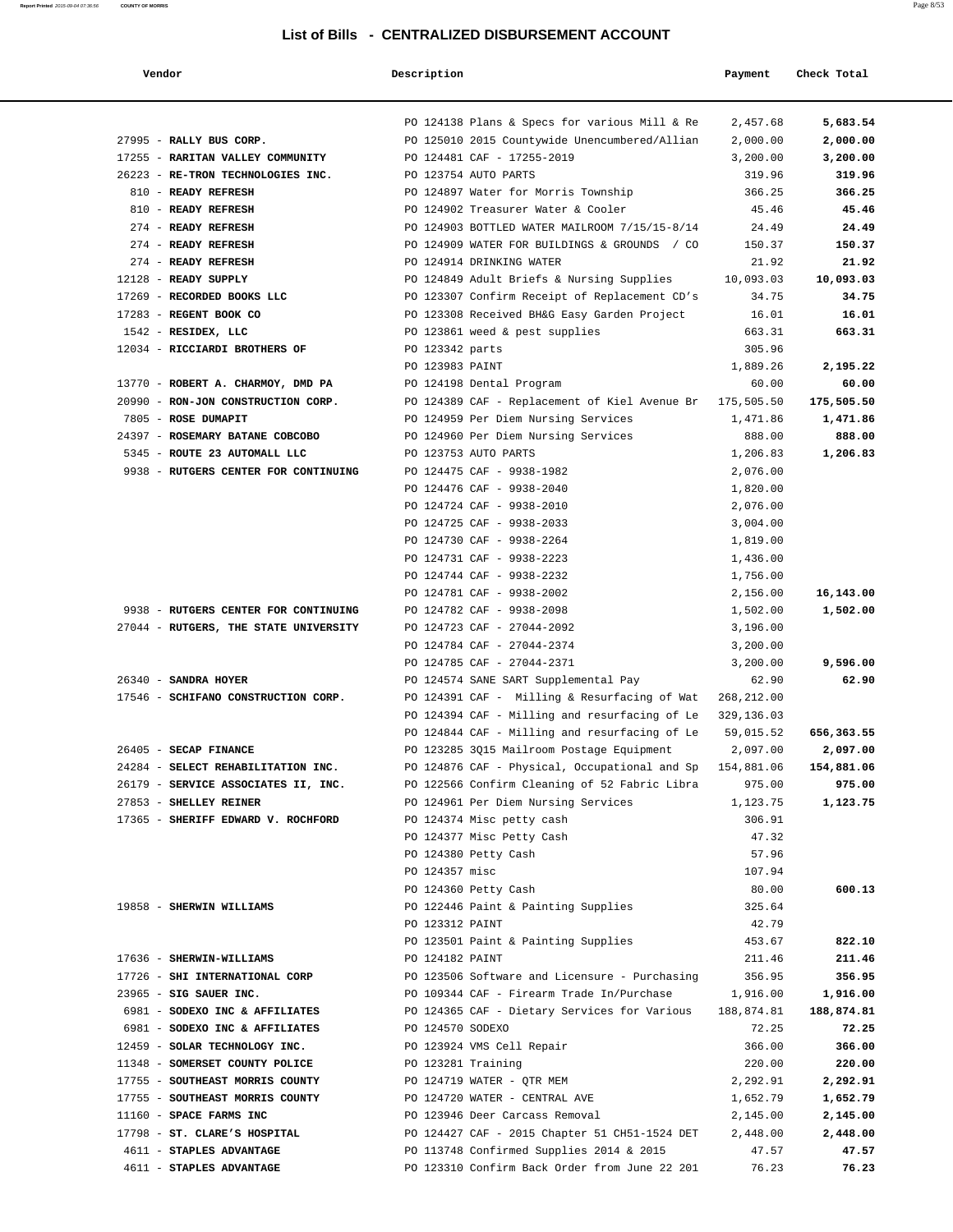| Vendor                                                               | Description        |                                                          | Payment              | Check Total          |  |
|----------------------------------------------------------------------|--------------------|----------------------------------------------------------|----------------------|----------------------|--|
|                                                                      |                    | PO 124138 Plans & Specs for various Mill & Re            | 2,457.68             | 5,683.54             |  |
| 27995 - RALLY BUS CORP.                                              |                    | PO 125010 2015 Countywide Unencumbered/Allian            | 2,000.00             | 2,000.00             |  |
| 17255 - RARITAN VALLEY COMMUNITY                                     |                    | PO 124481 CAF - 17255-2019                               | 3,200.00             | 3,200.00             |  |
| 26223 - RE-TRON TECHNOLOGIES INC.                                    |                    | PO 123754 AUTO PARTS                                     | 319.96               | 319.96               |  |
| 810 - READY REFRESH                                                  |                    | PO 124897 Water for Morris Township                      | 366.25               | 366.25               |  |
| 810 - READY REFRESH                                                  |                    | PO 124902 Treasurer Water & Cooler                       | 45.46                | 45.46                |  |
| 274 - READY REFRESH                                                  |                    | PO 124903 BOTTLED WATER MAILROOM 7/15/15-8/14            | 24.49                | 24.49                |  |
| 274 - READY REFRESH                                                  |                    | PO 124909 WATER FOR BUILDINGS & GROUNDS / CO             | 150.37               | 150.37               |  |
| 274 - READY REFRESH                                                  |                    | PO 124914 DRINKING WATER                                 | 21.92                | 21.92                |  |
| 12128 - READY SUPPLY                                                 |                    | PO 124849 Adult Briefs & Nursing Supplies                | 10,093.03            | 10,093.03            |  |
| 17269 - RECORDED BOOKS LLC                                           |                    | PO 123307 Confirm Receipt of Replacement CD's            | 34.75                | 34.75                |  |
| 17283 - REGENT BOOK CO                                               |                    | PO 123308 Received BH&G Easy Garden Project              | 16.01                | 16.01                |  |
| 1542 - RESIDEX, LLC                                                  |                    | PO 123861 weed & pest supplies                           | 663.31               | 663.31               |  |
| 12034 - RICCIARDI BROTHERS OF                                        | PO 123342 parts    |                                                          | 305.96               |                      |  |
|                                                                      | PO 123983 PAINT    |                                                          | 1,889.26             | 2,195.22             |  |
| 13770 - ROBERT A. CHARMOY, DMD PA                                    |                    | PO 124198 Dental Program                                 | 60.00                | 60.00                |  |
| 20990 - RON-JON CONSTRUCTION CORP.                                   |                    | PO 124389 CAF - Replacement of Kiel Avenue Br            | 175,505.50           | 175,505.50           |  |
| 7805 - ROSE DUMAPIT<br>24397 - ROSEMARY BATANE COBCOBO               |                    | PO 124959 Per Diem Nursing Services                      | 1,471.86             | 1,471.86             |  |
|                                                                      |                    | PO 124960 Per Diem Nursing Services                      | 888.00               | 888.00               |  |
| 5345 - ROUTE 23 AUTOMALL LLC<br>9938 - RUTGERS CENTER FOR CONTINUING |                    | PO 123753 AUTO PARTS<br>PO 124475 CAF - 9938-1982        | 1,206.83<br>2,076.00 | 1,206.83             |  |
|                                                                      |                    | PO 124476 CAF - 9938-2040                                | 1,820.00             |                      |  |
|                                                                      |                    | PO 124724 CAF - 9938-2010                                | 2,076.00             |                      |  |
|                                                                      |                    | PO 124725 CAF - 9938-2033                                | 3,004.00             |                      |  |
|                                                                      |                    | PO 124730 CAF - 9938-2264                                | 1,819.00             |                      |  |
|                                                                      |                    | PO 124731 CAF - 9938-2223                                | 1,436.00             |                      |  |
|                                                                      |                    | PO 124744 CAF - 9938-2232                                | 1,756.00             |                      |  |
|                                                                      |                    | PO 124781 CAF - 9938-2002                                | 2,156.00             | 16,143.00            |  |
| 9938 - RUTGERS CENTER FOR CONTINUING                                 |                    | PO 124782 CAF - 9938-2098                                | 1,502.00             | 1,502.00             |  |
| 27044 - RUTGERS, THE STATE UNIVERSITY                                |                    | PO 124723 CAF - 27044-2092                               | 3,196.00             |                      |  |
|                                                                      |                    | PO 124784 CAF - 27044-2374                               | 3,200.00             |                      |  |
|                                                                      |                    | PO 124785 CAF - 27044-2371                               | 3,200.00             | 9,596.00             |  |
| 26340 - SANDRA HOYER                                                 |                    | PO 124574 SANE SART Supplemental Pay                     | 62.90                | 62.90                |  |
| 17546 - SCHIFANO CONSTRUCTION CORP.                                  |                    | PO 124391 CAF - Milling & Resurfacing of Wat             | 268,212.00           |                      |  |
|                                                                      |                    | PO 124394 CAF - Milling and resurfacing of Le            | 329,136.03           |                      |  |
|                                                                      |                    | PO 124844 CAF - Milling and resurfacing of Le            | 59,015.52            | 656,363.55           |  |
| 26405 - SECAP FINANCE                                                |                    | PO 123285 3Q15 Mailroom Postage Equipment                | 2,097.00             | 2,097.00             |  |
| 24284 - SELECT REHABILITATION INC.                                   |                    | PO 124876 CAF - Physical, Occupational and Sp 154,881.06 |                      | 154,881.06           |  |
| 26179 - SERVICE ASSOCIATES II, INC.                                  |                    | PO 122566 Confirm Cleaning of 52 Fabric Libra            | 975.00               | 975.00               |  |
| 27853 - SHELLEY REINER                                               |                    | PO 124961 Per Diem Nursing Services                      | 1,123.75             | 1,123.75             |  |
| 17365 - SHERIFF EDWARD V. ROCHFORD                                   |                    | PO 124374 Misc petty cash                                | 306.91               |                      |  |
|                                                                      |                    | PO 124377 Misc Petty Cash                                | 47.32                |                      |  |
|                                                                      |                    | PO 124380 Petty Cash                                     | 57.96                |                      |  |
|                                                                      | PO 124357 misc     |                                                          | 107.94               |                      |  |
|                                                                      |                    | PO 124360 Petty Cash                                     | 80.00                | 600.13               |  |
| 19858 - SHERWIN WILLIAMS                                             |                    | PO 122446 Paint & Painting Supplies                      | 325.64               |                      |  |
|                                                                      | PO 123312 PAINT    |                                                          | 42.79                |                      |  |
|                                                                      |                    | PO 123501 Paint & Painting Supplies                      | 453.67               | 822.10               |  |
| 17636 - SHERWIN-WILLIAMS                                             | PO 124182 PAINT    |                                                          | 211.46               | 211.46               |  |
| 17726 - SHI INTERNATIONAL CORP                                       |                    | PO 123506 Software and Licensure - Purchasing            | 356.95               | 356.95               |  |
| 23965 - SIG SAUER INC.                                               |                    | PO 109344 CAF - Firearm Trade In/Purchase                | 1,916.00             | 1,916.00             |  |
| 6981 - SODEXO INC & AFFILIATES                                       |                    | PO 124365 CAF - Dietary Services for Various             | 188,874.81           | 188,874.81           |  |
| 6981 - SODEXO INC & AFFILIATES                                       | PO 124570 SODEXO   |                                                          | 72.25                | 72.25                |  |
| 12459 - SOLAR TECHNOLOGY INC.<br>11348 - SOMERSET COUNTY POLICE      | PO 123281 Training | PO 123924 VMS Cell Repair                                | 366.00               | 366.00               |  |
| 17755 - SOUTHEAST MORRIS COUNTY                                      |                    | PO 124719 WATER - QTR MEM                                | 220.00               | 220.00<br>2,292.91   |  |
| 17755 - SOUTHEAST MORRIS COUNTY                                      |                    | PO 124720 WATER - CENTRAL AVE                            | 2,292.91<br>1,652.79 |                      |  |
| 11160 - SPACE FARMS INC                                              |                    | PO 123946 Deer Carcass Removal                           | 2,145.00             | 1,652.79<br>2,145.00 |  |
| 17798 - ST. CLARE'S HOSPITAL                                         |                    | PO 124427 CAF - 2015 Chapter 51 CH51-1524 DET            | 2,448.00             | 2,448.00             |  |
| 4611 - STAPLES ADVANTAGE                                             |                    | PO 113748 Confirmed Supplies 2014 & 2015                 | 47.57                | 47.57                |  |
| 4611 - STAPLES ADVANTAGE                                             |                    | PO 123310 Confirm Back Order from June 22 201            | 76.23                | 76.23                |  |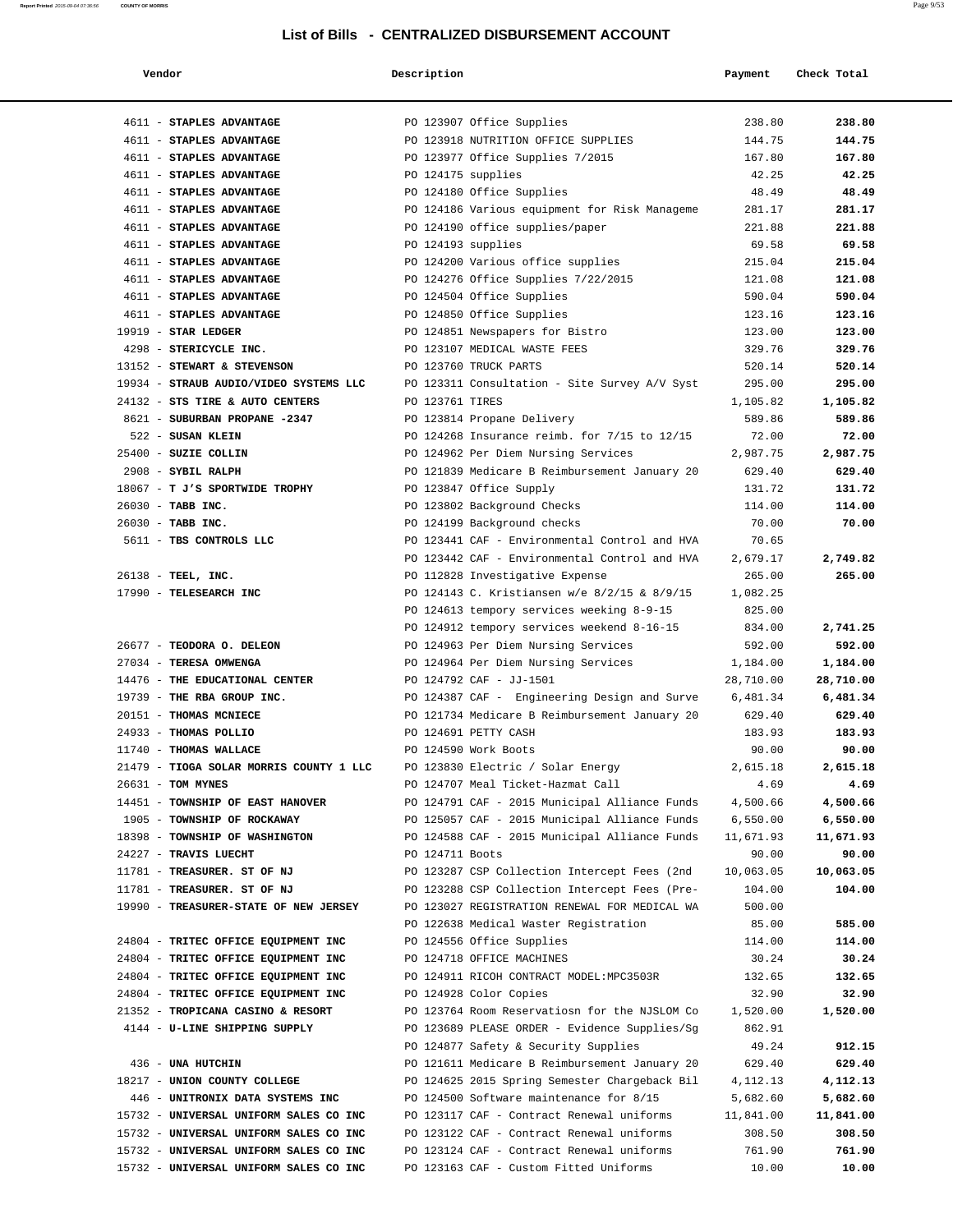| Vendor                                  | Description        |                                               | Payment   | Check Total |
|-----------------------------------------|--------------------|-----------------------------------------------|-----------|-------------|
|                                         |                    |                                               |           |             |
| 4611 - STAPLES ADVANTAGE                |                    | PO 123907 Office Supplies                     | 238.80    | 238.80      |
| 4611 - STAPLES ADVANTAGE                |                    | PO 123918 NUTRITION OFFICE SUPPLIES           | 144.75    | 144.75      |
| 4611 - STAPLES ADVANTAGE                |                    | PO 123977 Office Supplies 7/2015              | 167.80    | 167.80      |
| 4611 - STAPLES ADVANTAGE                | PO 124175 supplies |                                               | 42.25     | 42.25       |
| 4611 - STAPLES ADVANTAGE                |                    | PO 124180 Office Supplies                     | 48.49     | 48.49       |
| 4611 - STAPLES ADVANTAGE                |                    | PO 124186 Various equipment for Risk Manageme | 281.17    | 281.17      |
| 4611 - STAPLES ADVANTAGE                |                    | PO 124190 office supplies/paper               | 221.88    | 221.88      |
| 4611 - STAPLES ADVANTAGE                | PO 124193 supplies |                                               | 69.58     | 69.58       |
| 4611 - STAPLES ADVANTAGE                |                    | PO 124200 Various office supplies             | 215.04    | 215.04      |
| 4611 - STAPLES ADVANTAGE                |                    | PO 124276 Office Supplies 7/22/2015           | 121.08    | 121.08      |
| 4611 - STAPLES ADVANTAGE                |                    | PO 124504 Office Supplies                     | 590.04    | 590.04      |
| 4611 - STAPLES ADVANTAGE                |                    | PO 124850 Office Supplies                     | 123.16    | 123.16      |
| $19919$ - STAR LEDGER                   |                    | PO 124851 Newspapers for Bistro               | 123.00    | 123.00      |
| 4298 - STERICYCLE INC.                  |                    | PO 123107 MEDICAL WASTE FEES                  | 329.76    | 329.76      |
| 13152 - STEWART & STEVENSON             |                    | PO 123760 TRUCK PARTS                         | 520.14    | 520.14      |
| 19934 - STRAUB AUDIO/VIDEO SYSTEMS LLC  |                    | PO 123311 Consultation - Site Survey A/V Syst | 295.00    | 295.00      |
| 24132 - STS TIRE & AUTO CENTERS         | PO 123761 TIRES    |                                               | 1,105.82  | 1,105.82    |
| 8621 - SUBURBAN PROPANE -2347           |                    | PO 123814 Propane Delivery                    | 589.86    | 589.86      |
| 522 - SUSAN KLEIN                       |                    | PO 124268 Insurance reimb. for 7/15 to 12/15  | 72.00     | 72.00       |
| 25400 - SUZIE COLLIN                    |                    | PO 124962 Per Diem Nursing Services           | 2,987.75  | 2,987.75    |
| 2908 - SYBIL RALPH                      |                    | PO 121839 Medicare B Reimbursement January 20 | 629.40    | 629.40      |
| 18067 - T J'S SPORTWIDE TROPHY          |                    | PO 123847 Office Supply                       | 131.72    | 131.72      |
| 26030 - TABB INC.                       |                    | PO 123802 Background Checks                   | 114.00    | 114.00      |
| 26030 - TABB INC.                       |                    | PO 124199 Background checks                   | 70.00     | 70.00       |
| 5611 - TBS CONTROLS LLC                 |                    | PO 123441 CAF - Environmental Control and HVA | 70.65     |             |
|                                         |                    | PO 123442 CAF - Environmental Control and HVA | 2,679.17  | 2,749.82    |
| 26138 - TEEL, INC.                      |                    | PO 112828 Investigative Expense               | 265.00    | 265.00      |
| 17990 - TELESEARCH INC                  |                    | PO 124143 C. Kristiansen w/e 8/2/15 & 8/9/15  | 1,082.25  |             |
|                                         |                    | PO 124613 tempory services weeking 8-9-15     | 825.00    |             |
|                                         |                    | PO 124912 tempory services weekend 8-16-15    | 834.00    | 2,741.25    |
| 26677 - TEODORA O. DELEON               |                    | PO 124963 Per Diem Nursing Services           | 592.00    | 592.00      |
| 27034 - TERESA OMWENGA                  |                    | PO 124964 Per Diem Nursing Services           | 1,184.00  | 1,184.00    |
| 14476 - THE EDUCATIONAL CENTER          |                    | PO 124792 CAF - JJ-1501                       | 28,710.00 | 28,710.00   |
| 19739 - THE RBA GROUP INC.              |                    | PO 124387 CAF - Engineering Design and Surve  | 6,481.34  | 6,481.34    |
| 20151 - THOMAS MCNIECE                  |                    | PO 121734 Medicare B Reimbursement January 20 | 629.40    | 629.40      |
| 24933 - THOMAS POLLIO                   |                    | PO 124691 PETTY CASH                          | 183.93    | 183.93      |
| 11740 - THOMAS WALLACE                  |                    | PO 124590 Work Boots                          | 90.00     | 90.00       |
| 21479 - TIOGA SOLAR MORRIS COUNTY 1 LLC |                    | PO 123830 Electric / Solar Energy             | 2,615.18  | 2,615.18    |
| 26631 - TOM MYNES                       |                    | PO 124707 Meal Ticket-Hazmat Call             | 4.69      | 4.69        |
| 14451 - TOWNSHIP OF EAST HANOVER        |                    | PO 124791 CAF - 2015 Municipal Alliance Funds | 4,500.66  | 4,500.66    |
| 1905 - TOWNSHIP OF ROCKAWAY             |                    | PO 125057 CAF - 2015 Municipal Alliance Funds | 6,550.00  | 6,550.00    |
| 18398 - TOWNSHIP OF WASHINGTON          |                    | PO 124588 CAF - 2015 Municipal Alliance Funds | 11,671.93 | 11,671.93   |
| 24227 - TRAVIS LUECHT                   | PO 124711 Boots    |                                               | 90.00     | 90.00       |
| 11781 - TREASURER. ST OF NJ             |                    | PO 123287 CSP Collection Intercept Fees (2nd  | 10,063.05 | 10,063.05   |
| 11781 - TREASURER. ST OF NJ             |                    | PO 123288 CSP Collection Intercept Fees (Pre- | 104.00    | 104.00      |
| 19990 - TREASURER-STATE OF NEW JERSEY   |                    | PO 123027 REGISTRATION RENEWAL FOR MEDICAL WA | 500.00    |             |
|                                         |                    | PO 122638 Medical Waster Registration         | 85.00     | 585.00      |
| 24804 - TRITEC OFFICE EQUIPMENT INC     |                    | PO 124556 Office Supplies                     | 114.00    | 114.00      |
| 24804 - TRITEC OFFICE EQUIPMENT INC     |                    | PO 124718 OFFICE MACHINES                     | 30.24     | 30.24       |
| 24804 - TRITEC OFFICE EQUIPMENT INC     |                    | PO 124911 RICOH CONTRACT MODEL: MPC3503R      | 132.65    | 132.65      |
| 24804 - TRITEC OFFICE EQUIPMENT INC     |                    | PO 124928 Color Copies                        | 32.90     | 32.90       |
| 21352 - TROPICANA CASINO & RESORT       |                    | PO 123764 Room Reservatiosn for the NJSLOM Co | 1,520.00  | 1,520.00    |
| 4144 - U-LINE SHIPPING SUPPLY           |                    | PO 123689 PLEASE ORDER - Evidence Supplies/Sg | 862.91    |             |
|                                         |                    | PO 124877 Safety & Security Supplies          | 49.24     | 912.15      |
| 436 - UNA HUTCHIN                       |                    | PO 121611 Medicare B Reimbursement January 20 | 629.40    | 629.40      |
| 18217 - UNION COUNTY COLLEGE            |                    | PO 124625 2015 Spring Semester Chargeback Bil | 4,112.13  | 4,112.13    |
| 446 - UNITRONIX DATA SYSTEMS INC        |                    | PO 124500 Software maintenance for 8/15       | 5,682.60  | 5,682.60    |
| 15732 - UNIVERSAL UNIFORM SALES CO INC  |                    | PO 123117 CAF - Contract Renewal uniforms     | 11,841.00 | 11,841.00   |
| 15732 - UNIVERSAL UNIFORM SALES CO INC  |                    | PO 123122 CAF - Contract Renewal uniforms     | 308.50    | 308.50      |
| 15732 - UNIVERSAL UNIFORM SALES CO INC  |                    | PO 123124 CAF - Contract Renewal uniforms     | 761.90    | 761.90      |
| 15732 - UNIVERSAL UNIFORM SALES CO INC  |                    | PO 123163 CAF - Custom Fitted Uniforms        | 10.00     | 10.00       |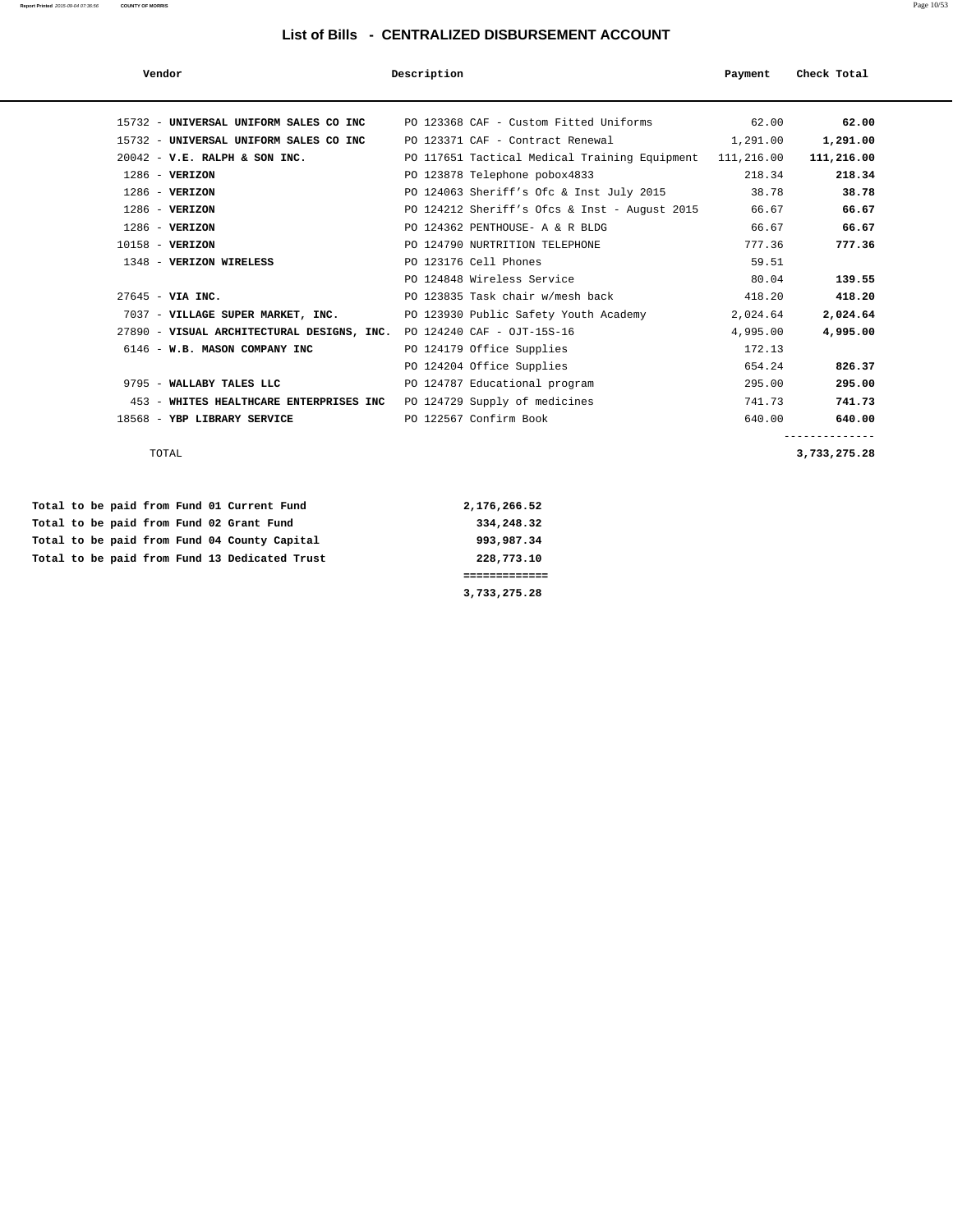| Vendor                                                                | Description                                               | Payment  | Check Total |
|-----------------------------------------------------------------------|-----------------------------------------------------------|----------|-------------|
|                                                                       |                                                           |          |             |
| 15732 - UNIVERSAL UNIFORM SALES CO INC                                | PO 123368 CAF - Custom Fitted Uniforms                    | 62.00    | 62.00       |
| 15732 - UNIVERSAL UNIFORM SALES CO INC                                | PO 123371 CAF - Contract Renewal                          | 1,291.00 | 1,291.00    |
| $20042$ - V.E. RALPH & SON INC.                                       | PO 117651 Tactical Medical Training Equipment 111, 216.00 |          | 111,216.00  |
| $1286$ - VERIZON                                                      | PO 123878 Telephone pobox4833                             | 218.34   | 218.34      |
| $1286$ - VERIZON                                                      | PO 124063 Sheriff's Ofc & Inst July 2015                  | 38.78    | 38.78       |
| $1286$ - VERIZON                                                      | PO 124212 Sheriff's Ofcs & Inst - August 2015             | 66.67    | 66.67       |
| $1286$ - VERIZON                                                      | PO 124362 PENTHOUSE- A & R BLDG                           | 66.67    | 66.67       |
| $10158 - VERIZON$                                                     | PO 124790 NURTRITION TELEPHONE                            | 777.36   | 777.36      |
| 1348 - VERIZON WIRELESS                                               | PO 123176 Cell Phones                                     | 59.51    |             |
|                                                                       | PO 124848 Wireless Service                                | 80.04    | 139.55      |
| $27645 - VIA INC.$                                                    | PO 123835 Task chair w/mesh back                          | 418.20   | 418.20      |
| 7037 - VILLAGE SUPER MARKET, INC.                                     | PO 123930 Public Safety Youth Academy                     | 2,024.64 | 2,024.64    |
| 27890 - VISUAL ARCHITECTURAL DESIGNS, INC. PO 124240 CAF - OJT-15S-16 |                                                           | 4,995.00 | 4,995.00    |
| 6146 - W.B. MASON COMPANY INC                                         | PO 124179 Office Supplies                                 | 172.13   |             |
|                                                                       | PO 124204 Office Supplies                                 | 654.24   | 826.37      |
| 9795 - WALLABY TALES LLC                                              | PO 124787 Educational program                             | 295.00   | 295.00      |
| 453 - WHITES HEALTHCARE ENTERPRISES INC                               | PO 124729 Supply of medicines                             | 741.73   | 741.73      |
| 18568 - YBP LIBRARY SERVICE                                           | PO 122567 Confirm Book                                    | 640.00   | 640.00      |
|                                                                       |                                                           |          |             |

TOTAL **3,733,275.28**

|  |  |  |  | Total to be paid from Fund 01 Current Fund    | 2,176,266.52 |
|--|--|--|--|-----------------------------------------------|--------------|
|  |  |  |  | Total to be paid from Fund 02 Grant Fund      | 334,248.32   |
|  |  |  |  | Total to be paid from Fund 04 County Capital  | 993,987.34   |
|  |  |  |  | Total to be paid from Fund 13 Dedicated Trust | 228,773.10   |
|  |  |  |  |                                               |              |
|  |  |  |  |                                               | 3,733,275.28 |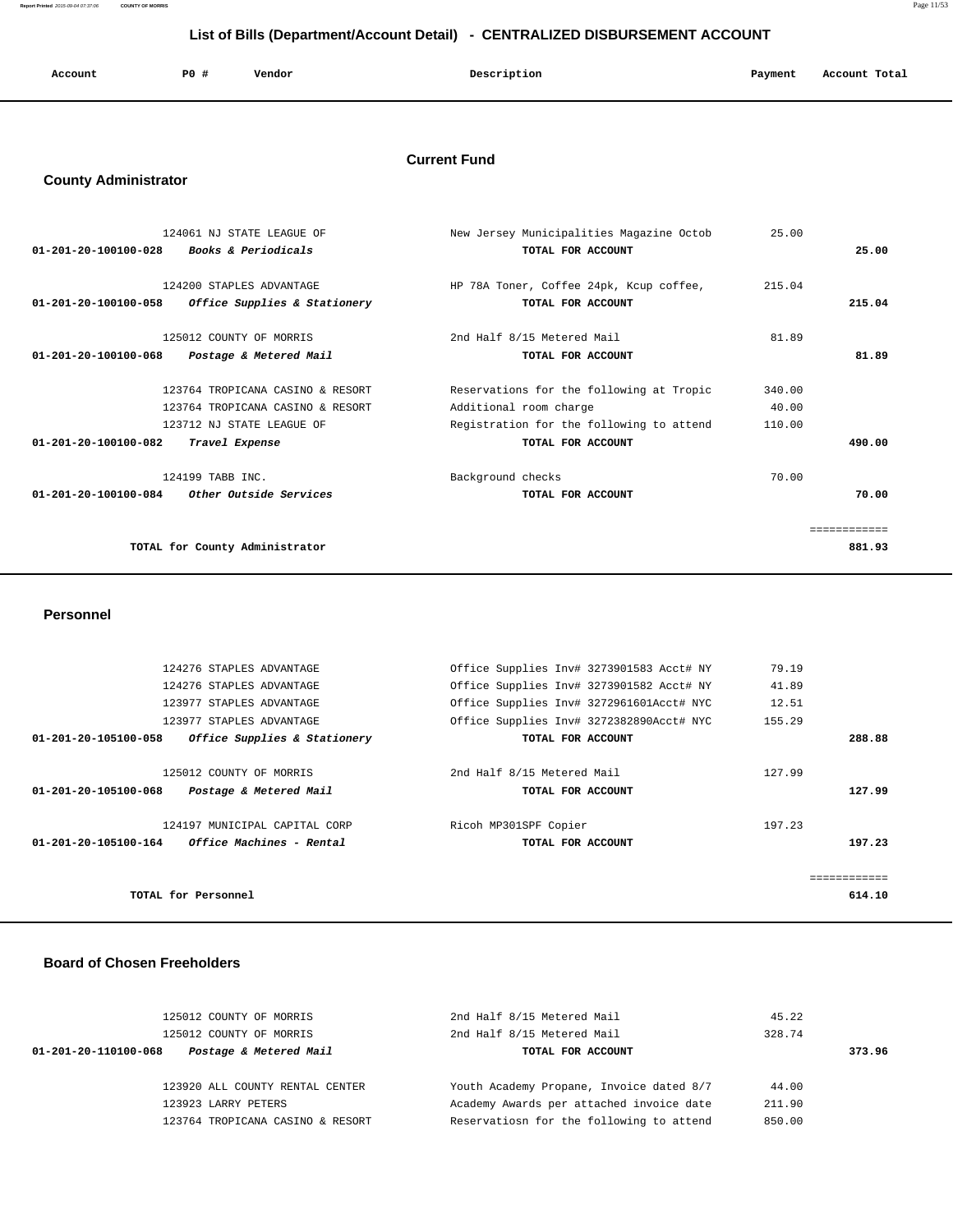**Report Printed** 2015-09-04 07:37:06 **COUNTY OF MORRIS** Page 11/53

# **List of Bills (Department/Account Detail) - CENTRALIZED DISBURSEMENT ACCOUNT**

| Account | <b>PO #</b> | Vendor | Description | Payment | Account Total<br>.<br>. |
|---------|-------------|--------|-------------|---------|-------------------------|
|         |             |        |             |         |                         |

### **Current Fund**

# **County Administrator**

| 124061 NJ STATE LEAGUE OF                              | New Jersey Municipalities Magazine Octob | 25.00  |             |
|--------------------------------------------------------|------------------------------------------|--------|-------------|
| 01-201-20-100100-028<br><i>Books &amp; Periodicals</i> | TOTAL FOR ACCOUNT                        |        | 25.00       |
| 124200 STAPLES ADVANTAGE                               |                                          | 215.04 |             |
|                                                        | HP 78A Toner, Coffee 24pk, Kcup coffee,  |        |             |
| Office Supplies & Stationery<br>01-201-20-100100-058   | TOTAL FOR ACCOUNT                        |        | 215.04      |
| 125012 COUNTY OF MORRIS                                | 2nd Half 8/15 Metered Mail               | 81.89  |             |
| 01-201-20-100100-068<br>Postage & Metered Mail         | TOTAL FOR ACCOUNT                        |        | 81.89       |
| 123764 TROPICANA CASINO & RESORT                       | Reservations for the following at Tropic | 340.00 |             |
| 123764 TROPICANA CASINO & RESORT                       | Additional room charge                   | 40.00  |             |
| 123712 NJ STATE LEAGUE OF                              | Registration for the following to attend | 110.00 |             |
| $01 - 201 - 20 - 100100 - 082$<br>Travel Expense       | TOTAL FOR ACCOUNT                        |        | 490.00      |
| 124199 TABB INC.                                       | Background checks                        | 70.00  |             |
| 01-201-20-100100-084<br><i>Other Outside Services</i>  | TOTAL FOR ACCOUNT                        |        | 70.00       |
|                                                        |                                          |        | =========== |
|                                                        |                                          |        |             |
| TOTAL for County Administrator                         |                                          |        | 881.93      |

 **Personnel** 

|              | 79.19  | Office Supplies Inv# 3273901583 Acct# NY | 124276 STAPLES ADVANTAGE                                       |
|--------------|--------|------------------------------------------|----------------------------------------------------------------|
|              | 41.89  | Office Supplies Inv# 3273901582 Acct# NY | 124276 STAPLES ADVANTAGE                                       |
|              | 12.51  | Office Supplies Inv# 3272961601Acct# NYC | 123977 STAPLES ADVANTAGE                                       |
|              | 155.29 | Office Supplies Inv# 3272382890Acct# NYC | 123977 STAPLES ADVANTAGE                                       |
| 288.88       |        | TOTAL FOR ACCOUNT                        | Office Supplies & Stationery<br>01-201-20-105100-058           |
|              | 127.99 | 2nd Half 8/15 Metered Mail               | 125012 COUNTY OF MORRIS                                        |
| 127.99       |        | TOTAL FOR ACCOUNT                        | 01-201-20-105100-068<br>Postage & Metered Mail                 |
|              | 197.23 | Ricoh MP301SPF Copier                    | 124197 MUNICIPAL CAPITAL CORP                                  |
| 197.23       |        | TOTAL FOR ACCOUNT                        | <i><b>Office Machines - Rental</b></i><br>01-201-20-105100-164 |
| ============ |        |                                          |                                                                |
| 614.10       |        |                                          | TOTAL for Personnel                                            |

#### **Board of Chosen Freeholders**

| 125012 COUNTY OF MORRIS                        | 2nd Half 8/15 Metered Mail               | 45.22  |        |
|------------------------------------------------|------------------------------------------|--------|--------|
| 125012 COUNTY OF MORRIS                        | 2nd Half 8/15 Metered Mail               | 328.74 |        |
| Postage & Metered Mail<br>01-201-20-110100-068 | TOTAL FOR ACCOUNT                        |        | 373.96 |
|                                                |                                          |        |        |
| 123920 ALL COUNTY RENTAL CENTER                | Youth Academy Propane, Invoice dated 8/7 | 44.00  |        |
| 123923 LARRY PETERS                            | Academy Awards per attached invoice date | 211.90 |        |
| 123764 TROPICANA CASINO & RESORT               | Reservatiosn for the following to attend | 850.00 |        |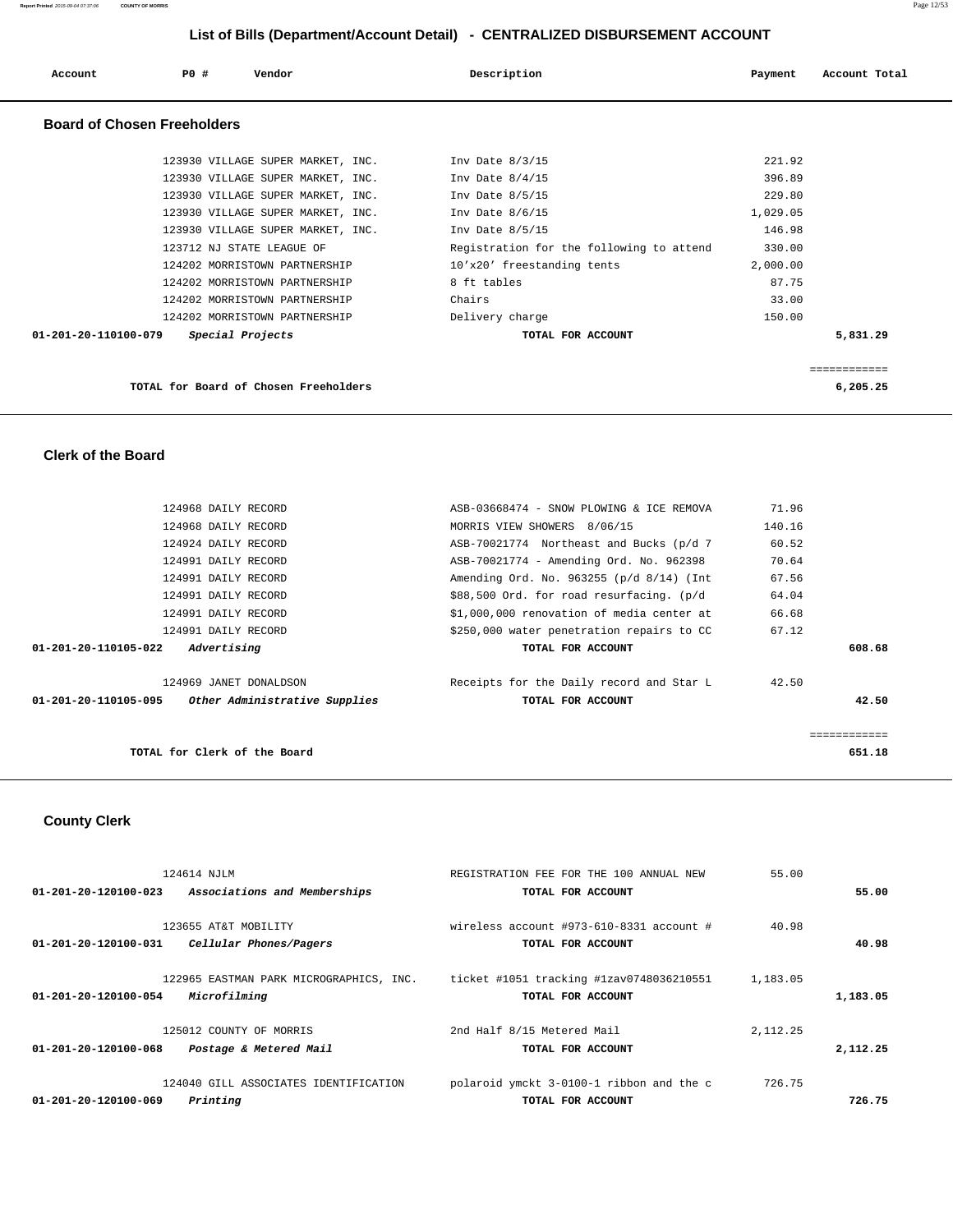| Account              | PO#<br>Vendor                                     | Description                              | Payment  | Account Total |
|----------------------|---------------------------------------------------|------------------------------------------|----------|---------------|
|                      | <b>Board of Chosen Freeholders</b>                |                                          |          |               |
|                      | 123930 VILLAGE SUPER MARKET, INC. Inv Date 8/3/15 |                                          | 221.92   |               |
|                      | 123930 VILLAGE SUPER MARKET, INC.                 | Inv Date $8/4/15$                        | 396.89   |               |
|                      | 123930 VILLAGE SUPER MARKET, INC.                 | Inv Date 8/5/15                          | 229.80   |               |
|                      | 123930 VILLAGE SUPER MARKET, INC.                 | Inv Date $8/6/15$                        | 1,029.05 |               |
|                      | 123930 VILLAGE SUPER MARKET, INC.                 | Inv Date 8/5/15                          | 146.98   |               |
|                      | 123712 NJ STATE LEAGUE OF                         | Registration for the following to attend | 330.00   |               |
|                      | 124202 MORRISTOWN PARTNERSHIP                     | 10'x20' freestanding tents               | 2,000.00 |               |
|                      | 124202 MORRISTOWN PARTNERSHIP                     | 8 ft tables                              | 87.75    |               |
|                      | 124202 MORRISTOWN PARTNERSHIP                     | Chairs                                   | 33.00    |               |
|                      | 124202 MORRISTOWN PARTNERSHIP                     | Delivery charge                          | 150.00   |               |
| 01-201-20-110100-079 | Special Projects                                  | TOTAL FOR ACCOUNT                        |          | 5,831.29      |
|                      |                                                   |                                          |          |               |
|                      |                                                   |                                          |          | ============  |
|                      | TOTAL for Board of Chosen Freeholders             |                                          |          | 6,205.25      |

#### **Clerk of the Board**

| 124968 DAILY RECORD                                   | ASB-03668474 - SNOW PLOWING & ICE REMOVA  | 71.96  |
|-------------------------------------------------------|-------------------------------------------|--------|
| 124968 DAILY RECORD                                   | MORRIS VIEW SHOWERS 8/06/15               | 140.16 |
| 124924 DAILY RECORD                                   | ASB-70021774 Northeast and Bucks (p/d 7   | 60.52  |
| 124991 DAILY RECORD                                   | ASB-70021774 - Amending Ord. No. 962398   | 70.64  |
| 124991 DAILY RECORD                                   | Amending Ord. No. 963255 (p/d 8/14) (Int  | 67.56  |
| 124991 DAILY RECORD                                   | \$88,500 Ord. for road resurfacing. (p/d  | 64.04  |
| 124991 DAILY RECORD                                   | \$1,000,000 renovation of media center at | 66.68  |
| 124991 DAILY RECORD                                   | \$250,000 water penetration repairs to CC | 67.12  |
| Advertising<br>01-201-20-110105-022                   | TOTAL FOR ACCOUNT                         | 608.68 |
| 124969 JANET DONALDSON                                | Receipts for the Daily record and Star L  | 42.50  |
| Other Administrative Supplies<br>01-201-20-110105-095 | TOTAL FOR ACCOUNT                         | 42.50  |
|                                                       |                                           |        |
| TOTAL for Clerk of the Board                          |                                           | 651.18 |

# **County Clerk**

|                      | 124614 NJLM                             | REGISTRATION FEE FOR THE 100 ANNUAL NEW  | 55.00      |          |
|----------------------|-----------------------------------------|------------------------------------------|------------|----------|
| 01-201-20-120100-023 | Associations and Memberships            | TOTAL FOR ACCOUNT                        |            | 55.00    |
|                      |                                         |                                          |            |          |
|                      | 123655 AT&T MOBILITY                    | wireless account #973-610-8331 account # | 40.98      |          |
| 01-201-20-120100-031 | Cellular Phones/Pagers                  | TOTAL FOR ACCOUNT                        |            | 40.98    |
|                      |                                         |                                          |            |          |
|                      | 122965 EASTMAN PARK MICROGRAPHICS, INC. | ticket #1051 tracking #1zav0748036210551 | 1,183.05   |          |
| 01-201-20-120100-054 | Microfilming                            | TOTAL FOR ACCOUNT                        |            | 1,183.05 |
|                      | 125012 COUNTY OF MORRIS                 | 2nd Half 8/15 Metered Mail               | 2, 112, 25 |          |
|                      |                                         |                                          |            |          |
| 01-201-20-120100-068 | Postage & Metered Mail                  | TOTAL FOR ACCOUNT                        |            | 2,112.25 |
|                      | 124040 GILL ASSOCIATES IDENTIFICATION   | polaroid ymckt 3-0100-1 ribbon and the c | 726.75     |          |
|                      |                                         |                                          |            |          |
| 01-201-20-120100-069 | Printing                                | TOTAL FOR ACCOUNT                        |            | 726.75   |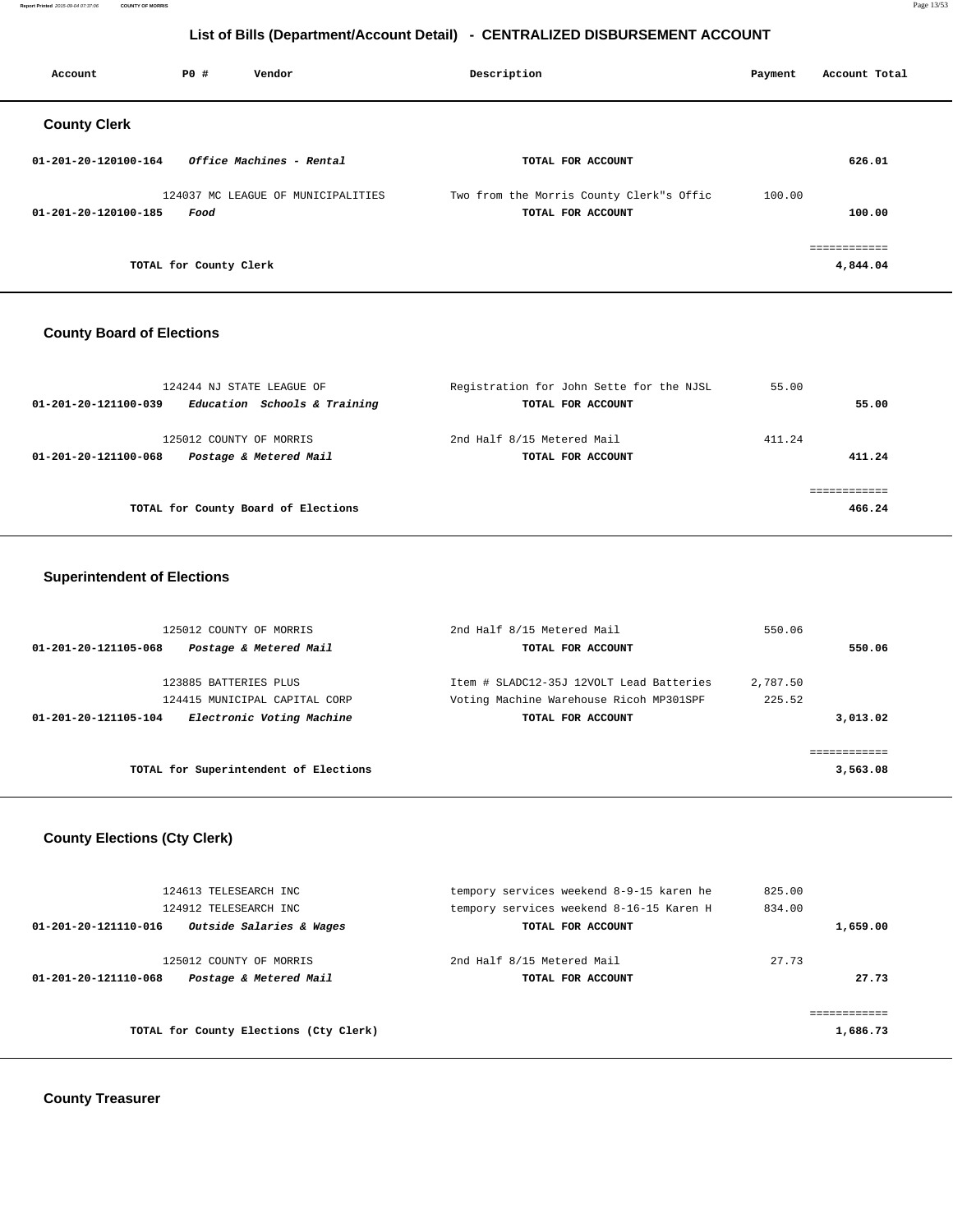**Report Printed** 2015-09-04 07:37:06 **COUNTY OF MORRIS** Page 13/53

# **List of Bills (Department/Account Detail) - CENTRALIZED DISBURSEMENT ACCOUNT**

| Account              | PO#                    | Vendor                             | Description |                                                               | Payment | Account Total            |
|----------------------|------------------------|------------------------------------|-------------|---------------------------------------------------------------|---------|--------------------------|
| <b>County Clerk</b>  |                        |                                    |             |                                                               |         |                          |
| 01-201-20-120100-164 |                        | Office Machines - Rental           |             | TOTAL FOR ACCOUNT                                             |         | 626.01                   |
| 01-201-20-120100-185 | Food                   | 124037 MC LEAGUE OF MUNICIPALITIES |             | Two from the Morris County Clerk"s Offic<br>TOTAL FOR ACCOUNT | 100.00  | 100.00                   |
|                      | TOTAL for County Clerk |                                    |             |                                                               |         | ============<br>4,844.04 |

#### **County Board of Elections**

| 124244 NJ STATE LEAGUE OF                                                 | Registration for John Sette for the NJSL        | 55.00  |        |
|---------------------------------------------------------------------------|-------------------------------------------------|--------|--------|
| Education Schools & Training<br>01-201-20-121100-039                      | TOTAL FOR ACCOUNT                               |        | 55.00  |
| 125012 COUNTY OF MORRIS<br>Postage & Metered Mail<br>01-201-20-121100-068 | 2nd Half 8/15 Metered Mail<br>TOTAL FOR ACCOUNT | 411.24 | 411.24 |
| TOTAL for County Board of Elections                                       |                                                 |        | 466.24 |
|                                                                           |                                                 |        |        |

#### **Superintendent of Elections**

| 125012 COUNTY OF MORRIS                           | 2nd Half 8/15 Metered Mail               | 550.06   |          |
|---------------------------------------------------|------------------------------------------|----------|----------|
| Postage & Metered Mail<br>01-201-20-121105-068    | TOTAL FOR ACCOUNT                        |          | 550.06   |
| 123885 BATTERIES PLUS                             | Item # SLADC12-35J 12VOLT Lead Batteries | 2,787.50 |          |
| 124415 MUNICIPAL CAPITAL CORP                     | Voting Machine Warehouse Ricoh MP301SPF  | 225.52   |          |
| Electronic Voting Machine<br>01-201-20-121105-104 | TOTAL FOR ACCOUNT                        |          | 3,013.02 |
|                                                   |                                          |          |          |
|                                                   |                                          |          |          |
| TOTAL for Superintendent of Elections             |                                          |          | 3,563.08 |

# **County Elections (Cty Clerk)**

|                      | 124613 TELESEARCH INC                  | tempory services weekend 8-9-15 karen he | 825.00   |
|----------------------|----------------------------------------|------------------------------------------|----------|
|                      | 124912 TELESEARCH INC                  | tempory services weekend 8-16-15 Karen H | 834.00   |
| 01-201-20-121110-016 | Outside Salaries & Wages               | TOTAL FOR ACCOUNT                        | 1,659.00 |
|                      |                                        |                                          |          |
|                      | 125012 COUNTY OF MORRIS                | 2nd Half 8/15 Metered Mail               | 27.73    |
| 01-201-20-121110-068 | Postage & Metered Mail                 | TOTAL FOR ACCOUNT                        | 27.73    |
|                      |                                        |                                          |          |
|                      |                                        |                                          |          |
|                      | TOTAL for County Elections (Cty Clerk) |                                          | 1,686.73 |
|                      |                                        |                                          |          |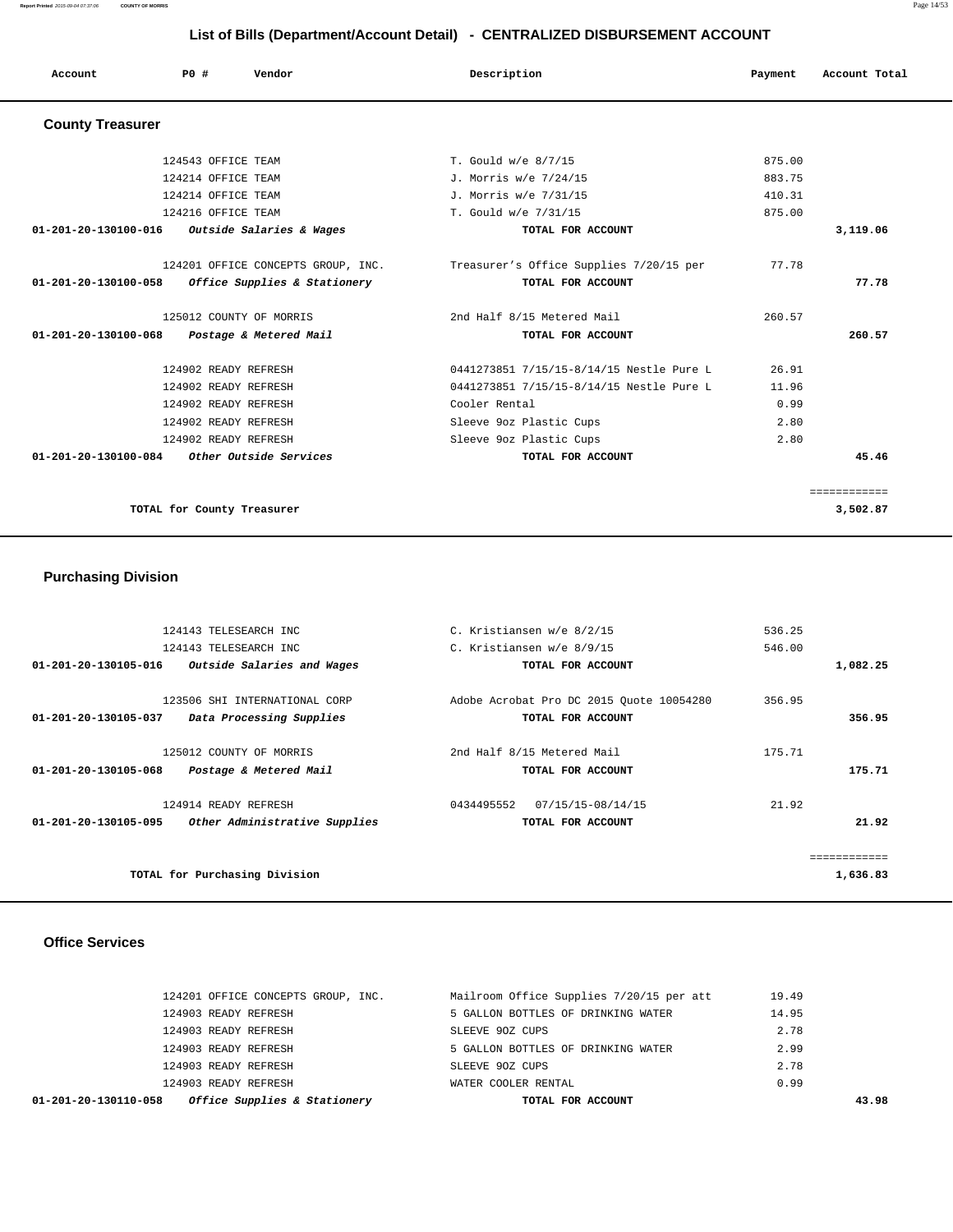**Report Printed** 2015-09-04 07:37:06 **COUNTY OF MORRIS** Page 14/53

# **List of Bills (Department/Account Detail) - CENTRALIZED DISBURSEMENT ACCOUNT**

| Account                 | PO#                        | Vendor                             | Description                              | Payment | Account Total |
|-------------------------|----------------------------|------------------------------------|------------------------------------------|---------|---------------|
| <b>County Treasurer</b> |                            |                                    |                                          |         |               |
|                         | 124543 OFFICE TEAM         |                                    | T. Gould w/e 8/7/15                      | 875.00  |               |
|                         | 124214 OFFICE TEAM         |                                    | J. Morris w/e 7/24/15                    | 883.75  |               |
|                         | 124214 OFFICE TEAM         |                                    | J. Morris w/e 7/31/15                    | 410.31  |               |
|                         | 124216 OFFICE TEAM         |                                    | T. Gould w/e 7/31/15                     | 875.00  |               |
| 01-201-20-130100-016    |                            | Outside Salaries & Wages           | TOTAL FOR ACCOUNT                        |         | 3,119.06      |
|                         |                            | 124201 OFFICE CONCEPTS GROUP, INC. | Treasurer's Office Supplies 7/20/15 per  | 77.78   |               |
| 01-201-20-130100-058    |                            | Office Supplies & Stationery       | TOTAL FOR ACCOUNT                        |         | 77.78         |
|                         |                            | 125012 COUNTY OF MORRIS            | 2nd Half 8/15 Metered Mail               | 260.57  |               |
| 01-201-20-130100-068    |                            | Postage & Metered Mail             | TOTAL FOR ACCOUNT                        |         | 260.57        |
|                         | 124902 READY REFRESH       |                                    | 0441273851 7/15/15-8/14/15 Nestle Pure L | 26.91   |               |
|                         | 124902 READY REFRESH       |                                    | 0441273851 7/15/15-8/14/15 Nestle Pure L | 11.96   |               |
|                         | 124902 READY REFRESH       |                                    | Cooler Rental                            | 0.99    |               |
|                         | 124902 READY REFRESH       |                                    | Sleeve 9oz Plastic Cups                  | 2.80    |               |
|                         | 124902 READY REFRESH       |                                    | Sleeve 9oz Plastic Cups                  | 2.80    |               |
| 01-201-20-130100-084    |                            | Other Outside Services             | TOTAL FOR ACCOUNT                        |         | 45.46         |
|                         |                            |                                    |                                          |         | ============  |
|                         | TOTAL for County Treasurer |                                    |                                          |         | 3,502.87      |

#### **Purchasing Division**

|             | 536.25 | C. Kristiansen w/e 8/2/15                | 124143 TELESEARCH INC         |                      |
|-------------|--------|------------------------------------------|-------------------------------|----------------------|
|             | 546.00 | C. Kristiansen w/e 8/9/15                | 124143 TELESEARCH INC         |                      |
| 1,082.25    |        | TOTAL FOR ACCOUNT                        | Outside Salaries and Wages    | 01-201-20-130105-016 |
|             | 356.95 | Adobe Acrobat Pro DC 2015 Ouote 10054280 | 123506 SHI INTERNATIONAL CORP |                      |
| 356.95      |        | TOTAL FOR ACCOUNT                        | Data Processing Supplies      | 01-201-20-130105-037 |
|             | 175.71 | 2nd Half 8/15 Metered Mail               | 125012 COUNTY OF MORRIS       |                      |
| 175.71      |        | TOTAL FOR ACCOUNT                        | Postage & Metered Mail        | 01-201-20-130105-068 |
|             | 21.92  | 07/15/15-08/14/15<br>0434495552          | 124914 READY REFRESH          |                      |
| 21.92       |        | TOTAL FOR ACCOUNT                        | Other Administrative Supplies | 01-201-20-130105-095 |
|             |        |                                          |                               |                      |
| =========== |        |                                          |                               |                      |
| 1,636.83    |        |                                          | TOTAL for Purchasing Division |                      |
|             |        |                                          |                               |                      |

#### **Office Services**

| Office Supplies & Stationery<br>01-201-20-130110-058 | TOTAL FOR ACCOUNT                        | 43.98 |
|------------------------------------------------------|------------------------------------------|-------|
| 124903 READY REFRESH                                 | WATER COOLER RENTAL                      | 0.99  |
| 124903 READY REFRESH                                 | SLEEVE 90Z CUPS                          | 2.78  |
| 124903 READY REFRESH                                 | 5 GALLON BOTTLES OF DRINKING WATER       | 2.99  |
| 124903 READY REFRESH                                 | SLEEVE 90Z CUPS                          | 2.78  |
| 124903 READY REFRESH                                 | 5 GALLON BOTTLES OF DRINKING WATER       | 14.95 |
| 124201 OFFICE CONCEPTS GROUP, INC.                   | Mailroom Office Supplies 7/20/15 per att | 19.49 |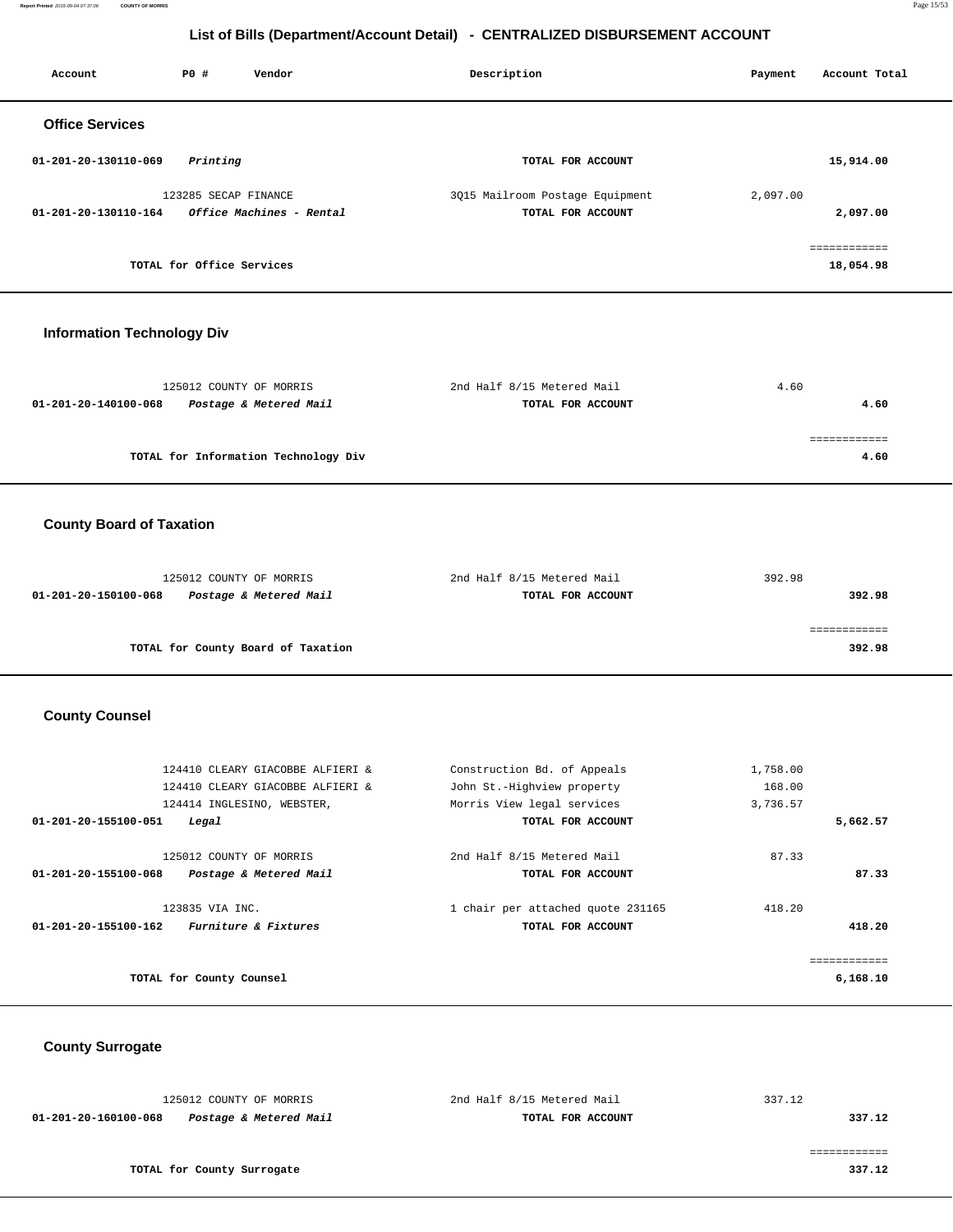**Report Printed** 2015-09-04 07:37:06 **COUNTY OF MORRIS** Page 15/53

| List of Bills (Department/Account Detail) - CENTRALIZED DISBURSEMENT ACCOUNT |                           |                                                                                                    |                                                                                         |                                |                           |
|------------------------------------------------------------------------------|---------------------------|----------------------------------------------------------------------------------------------------|-----------------------------------------------------------------------------------------|--------------------------------|---------------------------|
| Account                                                                      | P0 #                      | Vendor                                                                                             | Description                                                                             | Payment                        | Account Total             |
| <b>Office Services</b>                                                       |                           |                                                                                                    |                                                                                         |                                |                           |
| 01-201-20-130110-069                                                         | Printing                  |                                                                                                    | TOTAL FOR ACCOUNT                                                                       |                                | 15,914.00                 |
| 01-201-20-130110-164                                                         | 123285 SECAP FINANCE      | Office Machines - Rental                                                                           | 3Q15 Mailroom Postage Equipment<br>TOTAL FOR ACCOUNT                                    | 2,097.00                       | 2,097.00                  |
|                                                                              | TOTAL for Office Services |                                                                                                    |                                                                                         |                                | ============<br>18,054.98 |
| <b>Information Technology Div</b>                                            |                           |                                                                                                    |                                                                                         |                                |                           |
| 01-201-20-140100-068                                                         |                           | 125012 COUNTY OF MORRIS<br>Postage & Metered Mail                                                  | 2nd Half 8/15 Metered Mail<br>TOTAL FOR ACCOUNT                                         | 4.60                           | 4.60                      |
|                                                                              |                           | TOTAL for Information Technology Div                                                               |                                                                                         |                                | ============<br>4.60      |
| <b>County Board of Taxation</b>                                              |                           |                                                                                                    |                                                                                         |                                |                           |
| 01-201-20-150100-068                                                         |                           | 125012 COUNTY OF MORRIS<br>Postage & Metered Mail                                                  | 2nd Half 8/15 Metered Mail<br>TOTAL FOR ACCOUNT                                         | 392.98                         | 392.98                    |
|                                                                              |                           | TOTAL for County Board of Taxation                                                                 |                                                                                         |                                | ============<br>392.98    |
| <b>County Counsel</b>                                                        |                           |                                                                                                    |                                                                                         |                                |                           |
|                                                                              |                           | 124410 CLEARY GIACOBBE ALFIERI &<br>124410 CLEARY GIACOBBE ALFIERI &<br>124414 INGLESINO, WEBSTER, | Construction Bd. of Appeals<br>John St.-Highview property<br>Morris View legal services | 1,758.00<br>168.00<br>3,736.57 |                           |
| 01-201-20-155100-051                                                         | Legal                     | 125012 COUNTY OF MORRIS                                                                            | TOTAL FOR ACCOUNT<br>2nd Half 8/15 Metered Mail                                         | 87.33                          | 5,662.57                  |
| 01-201-20-155100-068                                                         |                           | Postage & Metered Mail                                                                             | TOTAL FOR ACCOUNT                                                                       |                                | 87.33                     |
| 01-201-20-155100-162                                                         | 123835 VIA INC.           | Furniture & Fixtures                                                                               | 1 chair per attached quote 231165<br>TOTAL FOR ACCOUNT                                  | 418.20                         | 418.20                    |

**TOTAL for County Counsel 6,168.10**

 **County Surrogate** 

| 125012 COUNTY OF MORRIS                        | 2nd Half 8/15 Metered Mail | 337.12 |
|------------------------------------------------|----------------------------|--------|
| Postage & Metered Mail<br>01-201-20-160100-068 | TOTAL FOR ACCOUNT          | 337.12 |
|                                                |                            |        |
|                                                |                            |        |
| TOTAL for County Surrogate                     |                            | 337.12 |

============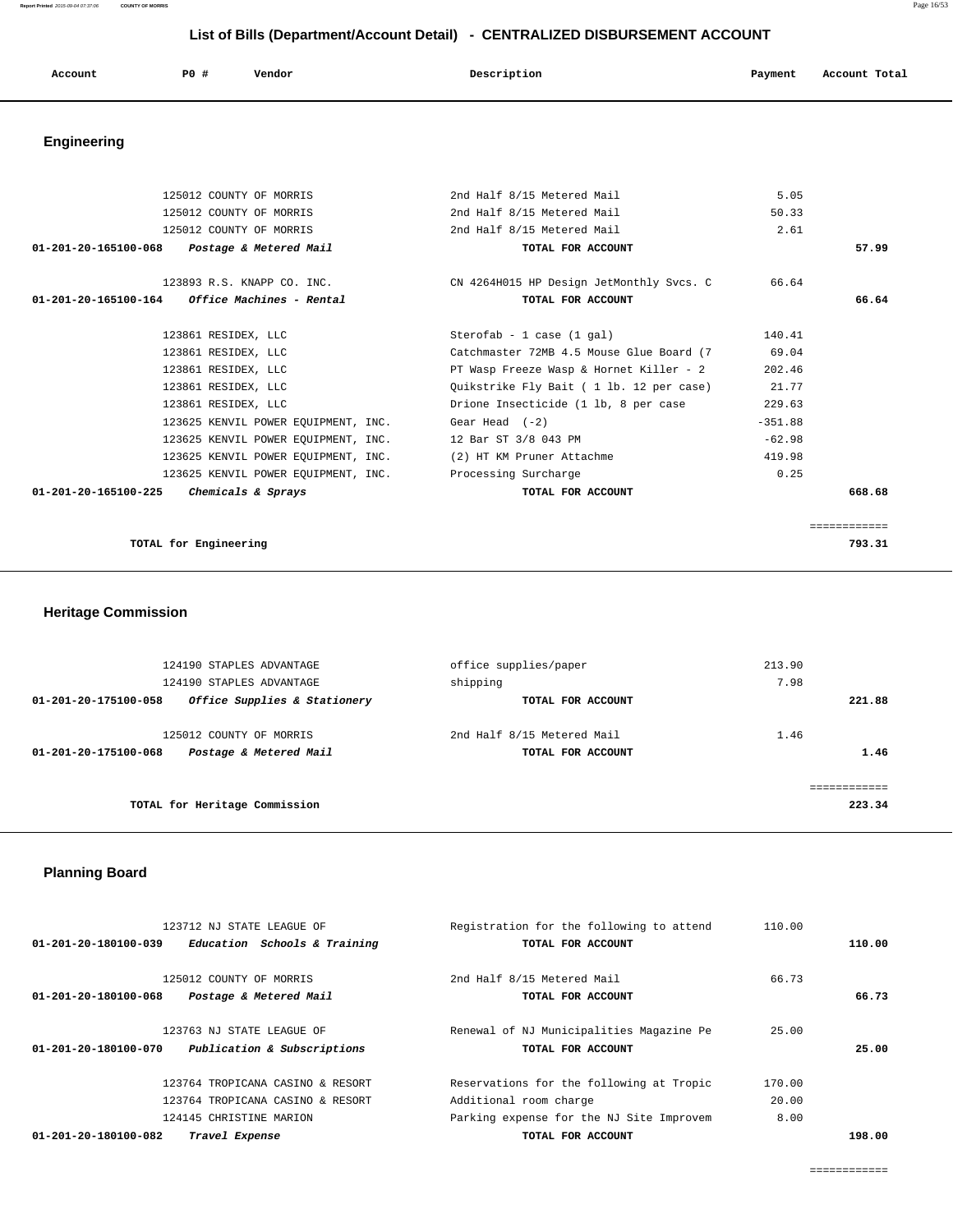**Report Printed** 2015-09-04 07:37:06 **COUNTY OF MORRIS** Page 16/53

# **List of Bills (Department/Account Detail) - CENTRALIZED DISBURSEMENT ACCOUNT**

| Account<br>. | P0 # | Vendor | Description | Payment | Account Total<br>.<br>. |
|--------------|------|--------|-------------|---------|-------------------------|
|              |      |        |             |         |                         |

# **Engineering**

| 125012 COUNTY OF MORRIS                                       | 2nd Half 8/15 Metered Mail                                              | 5.05      |              |
|---------------------------------------------------------------|-------------------------------------------------------------------------|-----------|--------------|
| 125012 COUNTY OF MORRIS                                       | 2nd Half 8/15 Metered Mail                                              | 50.33     |              |
| 125012 COUNTY OF MORRIS                                       | 2nd Half 8/15 Metered Mail                                              | 2.61      |              |
| 01-201-20-165100-068 Postage & Metered Mail                   | TOTAL FOR ACCOUNT                                                       |           | 57.99        |
|                                                               | 123893 R.S. KNAPP CO. INC. THE CN 4264H015 HP Design JetMonthly Svcs. C | 66.64     |              |
| $01 - 201 - 20 - 165100 - 164$ Office Machines - Rental       | TOTAL FOR ACCOUNT                                                       |           | 66.64        |
| 123861 RESIDEX, LLC                                           | Sterofab - 1 case $(1$ gal)                                             | 140.41    |              |
| 123861 RESIDEX, LLC                                           | Catchmaster 72MB 4.5 Mouse Glue Board (7                                | 69.04     |              |
| 123861 RESIDEX, LLC                                           | PT Wasp Freeze Wasp & Hornet Killer - 2                                 | 202.46    |              |
| 123861 RESIDEX, LLC                                           | Quikstrike Fly Bait ( 1 lb. 12 per case)                                | 21.77     |              |
| 123861 RESIDEX, LLC                                           | Drione Insecticide (1 lb, 8 per case                                    | 229.63    |              |
| 123625 KENVIL POWER EOUIPMENT, INC.                           | Gear Head (-2)                                                          | $-351.88$ |              |
| 123625 KENVIL POWER EQUIPMENT, INC. 12 Bar ST 3/8 043 PM      |                                                                         | $-62.98$  |              |
| 123625 KENVIL POWER EQUIPMENT, INC. (2) HT KM Pruner Attachme |                                                                         | 419.98    |              |
| 123625 KENVIL POWER EQUIPMENT, INC. Processing Surcharge      |                                                                         | 0.25      |              |
| 01-201-20-165100-225<br>Chemicals & Sprays                    | TOTAL FOR ACCOUNT                                                       |           | 668.68       |
|                                                               |                                                                         |           |              |
|                                                               |                                                                         |           | ============ |

**TOTAL for Engineering 793.31**

# **Heritage Commission**

| 124190 STAPLES ADVANTAGE                                                  | office supplies/paper                           | 213.90       |
|---------------------------------------------------------------------------|-------------------------------------------------|--------------|
| 124190 STAPLES ADVANTAGE                                                  | shipping                                        | 7.98         |
| Office Supplies & Stationery<br>01-201-20-175100-058                      | TOTAL FOR ACCOUNT                               | 221.88       |
| 125012 COUNTY OF MORRIS<br>Postage & Metered Mail<br>01-201-20-175100-068 | 2nd Half 8/15 Metered Mail<br>TOTAL FOR ACCOUNT | 1.46<br>1.46 |
| TOTAL for Heritage Commission                                             |                                                 | 223.34       |

# **Planning Board**

| 123712 NJ STATE LEAGUE OF                            | Registration for the following to attend | 110.00 |        |
|------------------------------------------------------|------------------------------------------|--------|--------|
| Education Schools & Training<br>01-201-20-180100-039 | TOTAL FOR ACCOUNT                        |        | 110.00 |
| 125012 COUNTY OF MORRIS                              | 2nd Half 8/15 Metered Mail               | 66.73  |        |
|                                                      |                                          |        |        |
| 01-201-20-180100-068<br>Postage & Metered Mail       | TOTAL FOR ACCOUNT                        |        | 66.73  |
|                                                      |                                          |        |        |
| 123763 NJ STATE LEAGUE OF                            | Renewal of NJ Municipalities Magazine Pe | 25.00  |        |
| Publication & Subscriptions<br>01-201-20-180100-070  | TOTAL FOR ACCOUNT                        |        | 25.00  |
|                                                      |                                          |        |        |
| 123764 TROPICANA CASINO & RESORT                     | Reservations for the following at Tropic | 170.00 |        |
| 123764 TROPICANA CASINO & RESORT                     | Additional room charge                   | 20.00  |        |
| 124145 CHRISTINE MARION                              | Parking expense for the NJ Site Improvem | 8.00   |        |
| 01-201-20-180100-082<br>Travel Expense               | TOTAL FOR ACCOUNT                        |        | 198.00 |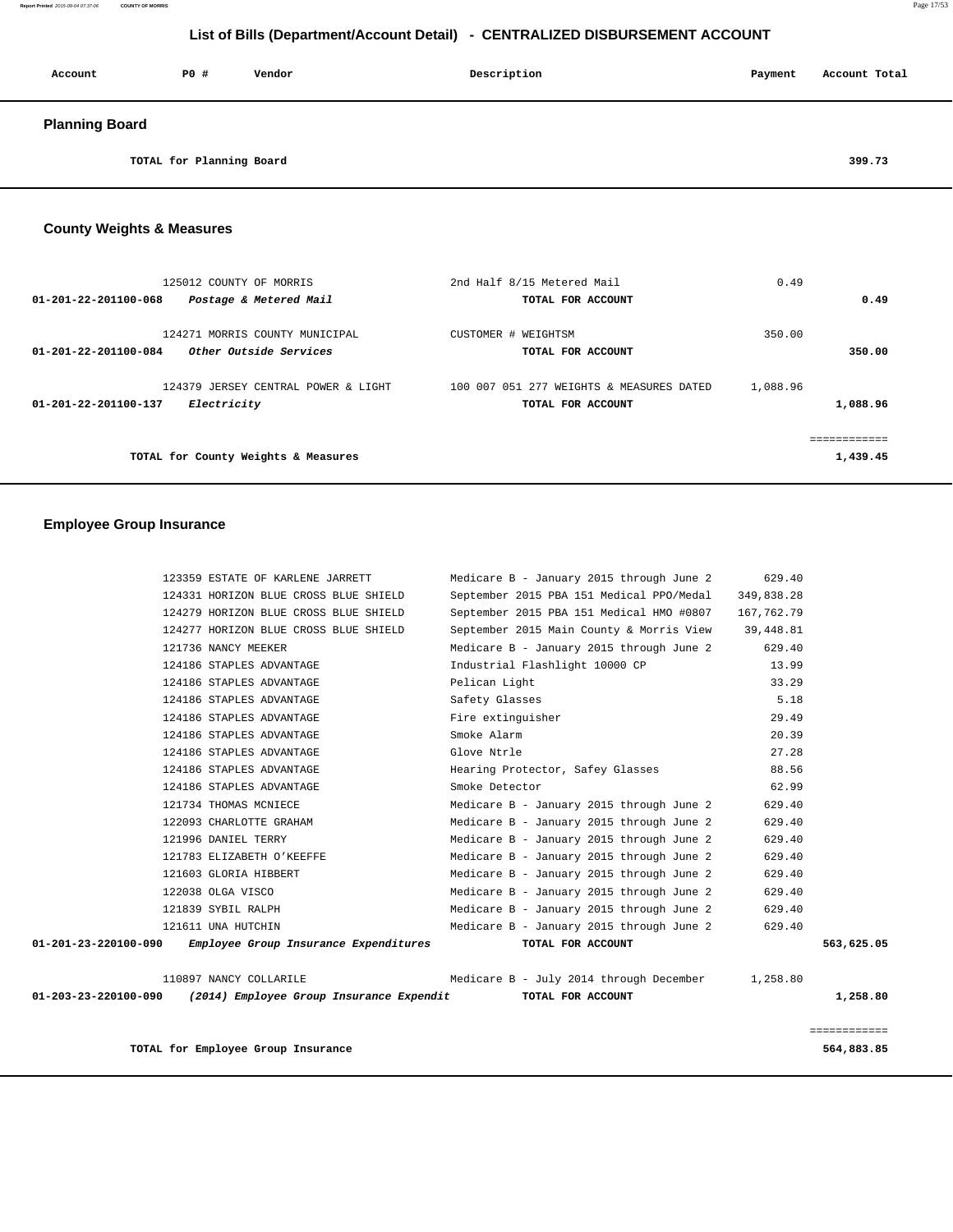| Account               | P0 #                     | Vendor | Description | Payment | Account Total |
|-----------------------|--------------------------|--------|-------------|---------|---------------|
| <b>Planning Board</b> |                          |        |             |         |               |
|                       | TOTAL for Planning Board |        |             |         | 399.73        |

# **County Weights & Measures**

| 125012 COUNTY OF MORRIS                                                          | 2nd Half 8/15 Metered Mail               | 0.49     |              |
|----------------------------------------------------------------------------------|------------------------------------------|----------|--------------|
| 01-201-22-201100-068<br>Postage & Metered Mail                                   | TOTAL FOR ACCOUNT                        |          | 0.49         |
| 124271 MORRIS COUNTY MUNICIPAL<br>Other Outside Services<br>01-201-22-201100-084 | CUSTOMER # WEIGHTSM                      | 350.00   | 350.00       |
|                                                                                  | TOTAL FOR ACCOUNT                        |          |              |
| 124379 JERSEY CENTRAL POWER & LIGHT                                              | 100 007 051 277 WEIGHTS & MEASURES DATED | 1,088.96 |              |
| Electricity<br>01-201-22-201100-137                                              | TOTAL FOR ACCOUNT                        |          | 1,088.96     |
|                                                                                  |                                          |          | ============ |
| TOTAL for County Weights & Measures                                              |                                          |          | 1,439.45     |

# **Employee Group Insurance**

|                      | TOTAL for Employee Group Insurance                                              |                                                  |            | 564,883.85   |
|----------------------|---------------------------------------------------------------------------------|--------------------------------------------------|------------|--------------|
|                      |                                                                                 |                                                  |            | ============ |
|                      | 01-203-23-220100-090 (2014) Employee Group Insurance Expendit TOTAL FOR ACCOUNT |                                                  |            | 1,258.80     |
|                      | 110897 NANCY COLLARILE                                                          | Medicare B - July 2014 through December 1,258.80 |            |              |
| 01-201-23-220100-090 | Employee Group Insurance Expenditures                                           | TOTAL FOR ACCOUNT                                |            | 563,625.05   |
|                      | 121611 UNA HUTCHIN                                                              | Medicare B - January 2015 through June 2         | 629.40     |              |
|                      | 121839 SYBIL RALPH                                                              | Medicare B - January 2015 through June 2         | 629.40     |              |
|                      | 122038 OLGA VISCO                                                               | Medicare B - January 2015 through June 2         | 629.40     |              |
|                      | 121603 GLORIA HIBBERT                                                           | Medicare B - January 2015 through June 2         | 629.40     |              |
|                      | 121783 ELIZABETH O'KEEFFE                                                       | Medicare B - January 2015 through June 2         | 629.40     |              |
|                      | 121996 DANIEL TERRY                                                             | Medicare B - January 2015 through June 2         | 629.40     |              |
|                      | 122093 CHARLOTTE GRAHAM                                                         | Medicare B - January 2015 through June 2         | 629.40     |              |
|                      | 121734 THOMAS MCNIECE                                                           | Medicare B - January 2015 through June 2         | 629.40     |              |
|                      | 124186 STAPLES ADVANTAGE                                                        | Smoke Detector                                   | 62.99      |              |
|                      | 124186 STAPLES ADVANTAGE                                                        | Hearing Protector, Safey Glasses                 | 88.56      |              |
|                      | 124186 STAPLES ADVANTAGE                                                        | Glove Ntrle                                      | 27.28      |              |
|                      | 124186 STAPLES ADVANTAGE                                                        | Smoke Alarm                                      | 20.39      |              |
|                      | 124186 STAPLES ADVANTAGE                                                        | Fire extinquisher                                | 29.49      |              |
|                      | 124186 STAPLES ADVANTAGE                                                        | Safety Glasses                                   | 5.18       |              |
|                      | 124186 STAPLES ADVANTAGE                                                        | Pelican Light                                    | 33.29      |              |
|                      | 124186 STAPLES ADVANTAGE                                                        | Industrial Flashlight 10000 CP                   | 13.99      |              |
|                      | 121736 NANCY MEEKER                                                             | Medicare B - January 2015 through June 2         | 629.40     |              |
|                      | 124277 HORIZON BLUE CROSS BLUE SHIELD                                           | September 2015 Main County & Morris View         | 39,448.81  |              |
|                      | 124279 HORIZON BLUE CROSS BLUE SHIELD                                           | September 2015 PBA 151 Medical HMO #0807         | 167,762.79 |              |
|                      | 124331 HORIZON BLUE CROSS BLUE SHIELD                                           | September 2015 PBA 151 Medical PPO/Medal         | 349,838.28 |              |
|                      | 123359 ESTATE OF KARLENE JARRETT                                                | Medicare B - January 2015 through June 2         | 629.40     |              |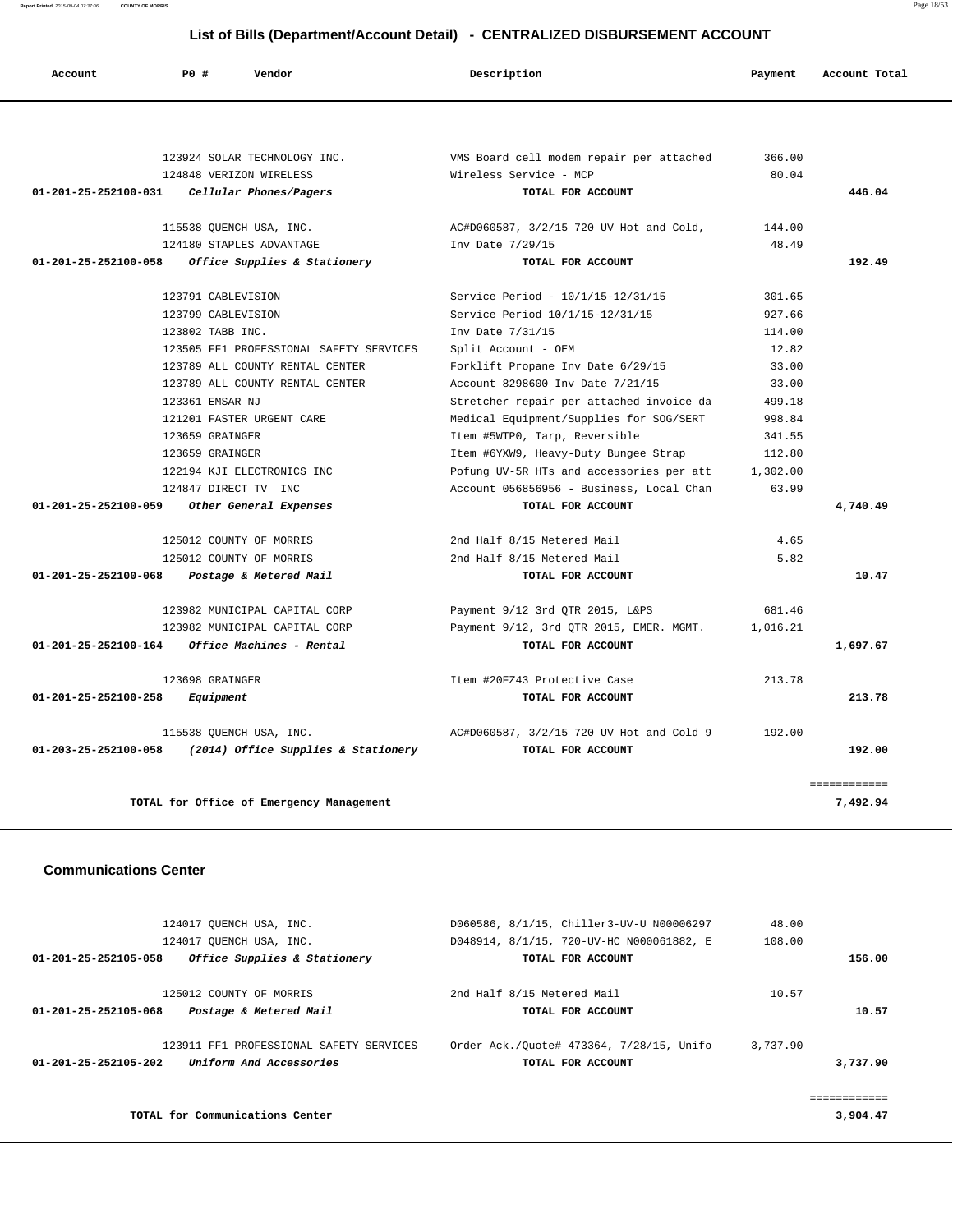**Report Printed** 2015-09-04 07:37:06 **COUNTY OF MORRIS** Page 18/53

# **List of Bills (Department/Account Detail) - CENTRALIZED DISBURSEMENT ACCOUNT**

| Account                        | PO#<br>Vendor                               | Description                              | Payment  | Account Total            |
|--------------------------------|---------------------------------------------|------------------------------------------|----------|--------------------------|
|                                |                                             |                                          |          |                          |
|                                | 123924 SOLAR TECHNOLOGY INC.                | VMS Board cell modem repair per attached | 366.00   |                          |
|                                | 124848 VERIZON WIRELESS                     | Wireless Service - MCP                   | 80.04    |                          |
|                                | 01-201-25-252100-031 Cellular Phones/Pagers | TOTAL FOR ACCOUNT                        |          | 446.04                   |
|                                | 115538 QUENCH USA, INC.                     | AC#D060587, 3/2/15 720 UV Hot and Cold,  | 144.00   |                          |
|                                | 124180 STAPLES ADVANTAGE                    | Inv Date 7/29/15                         | 48.49    |                          |
| 01-201-25-252100-058           | Office Supplies & Stationery                | TOTAL FOR ACCOUNT                        |          | 192.49                   |
|                                | 123791 CABLEVISION                          | Service Period - 10/1/15-12/31/15        | 301.65   |                          |
|                                | 123799 CABLEVISION                          | Service Period 10/1/15-12/31/15          | 927.66   |                          |
|                                | 123802 TABB INC.                            | Inv Date 7/31/15                         | 114.00   |                          |
|                                | 123505 FF1 PROFESSIONAL SAFETY SERVICES     | Split Account - OEM                      | 12.82    |                          |
|                                | 123789 ALL COUNTY RENTAL CENTER             | Forklift Propane Inv Date 6/29/15        | 33.00    |                          |
|                                | 123789 ALL COUNTY RENTAL CENTER             | Account 8298600 Inv Date 7/21/15         | 33.00    |                          |
|                                | 123361 EMSAR NJ                             | Stretcher repair per attached invoice da | 499.18   |                          |
|                                | 121201 FASTER URGENT CARE                   | Medical Equipment/Supplies for SOG/SERT  | 998.84   |                          |
|                                | 123659 GRAINGER                             | Item #5WTP0, Tarp, Reversible            | 341.55   |                          |
|                                | 123659 GRAINGER                             | Item #6YXW9, Heavy-Duty Bungee Strap     | 112.80   |                          |
|                                | 122194 KJI ELECTRONICS INC                  | Pofung UV-5R HTs and accessories per att | 1,302.00 |                          |
|                                | 124847 DIRECT TV INC                        | Account 056856956 - Business, Local Chan | 63.99    |                          |
| 01-201-25-252100-059           | Other General Expenses                      | TOTAL FOR ACCOUNT                        |          | 4,740.49                 |
|                                | 125012 COUNTY OF MORRIS                     | 2nd Half 8/15 Metered Mail               | 4.65     |                          |
|                                | 125012 COUNTY OF MORRIS                     | 2nd Half 8/15 Metered Mail               | 5.82     |                          |
| $01 - 201 - 25 - 252100 - 068$ | Postage & Metered Mail                      | TOTAL FOR ACCOUNT                        |          | 10.47                    |
|                                | 123982 MUNICIPAL CAPITAL CORP               | Payment 9/12 3rd QTR 2015, L&PS          | 681.46   |                          |
|                                | 123982 MUNICIPAL CAPITAL CORP               | Payment 9/12, 3rd QTR 2015, EMER. MGMT.  | 1,016.21 |                          |
| 01-201-25-252100-164           | Office Machines - Rental                    | TOTAL FOR ACCOUNT                        |          | 1,697.67                 |
|                                | 123698 GRAINGER                             | Item #20FZ43 Protective Case             | 213.78   |                          |
| 01-201-25-252100-258           | Equipment                                   | TOTAL FOR ACCOUNT                        |          | 213.78                   |
|                                | 115538 QUENCH USA, INC.                     | AC#D060587, 3/2/15 720 UV Hot and Cold 9 | 192.00   |                          |
| 01-203-25-252100-058           | (2014) Office Supplies & Stationery         | TOTAL FOR ACCOUNT                        |          | 192.00                   |
|                                | TOTAL for Office of Emergency Management    |                                          |          | ============<br>7,492.94 |

#### **Communications Center**

|                                | 124017 OUENCH USA, INC.                 | D060586, 8/1/15, Chiller3-UV-U N00006297 | 48.00    |          |
|--------------------------------|-----------------------------------------|------------------------------------------|----------|----------|
|                                | 124017 OUENCH USA, INC.                 | D048914, 8/1/15, 720-UV-HC N000061882, E | 108.00   |          |
| $01 - 201 - 25 - 252105 - 058$ | Office Supplies & Stationery            | TOTAL FOR ACCOUNT                        |          | 156.00   |
|                                | 125012 COUNTY OF MORRIS                 | 2nd Half 8/15 Metered Mail               | 10.57    |          |
| $01 - 201 - 25 - 252105 - 068$ | Postage & Metered Mail                  | TOTAL FOR ACCOUNT                        |          | 10.57    |
|                                | 123911 FF1 PROFESSIONAL SAFETY SERVICES | Order Ack./Ouote# 473364, 7/28/15, Unifo | 3,737.90 |          |
| $01 - 201 - 25 - 252105 - 202$ | Uniform And Accessories                 | TOTAL FOR ACCOUNT                        |          | 3,737.90 |
|                                |                                         |                                          |          |          |
|                                | TOTAL for Communications Center         |                                          |          | 3,904.47 |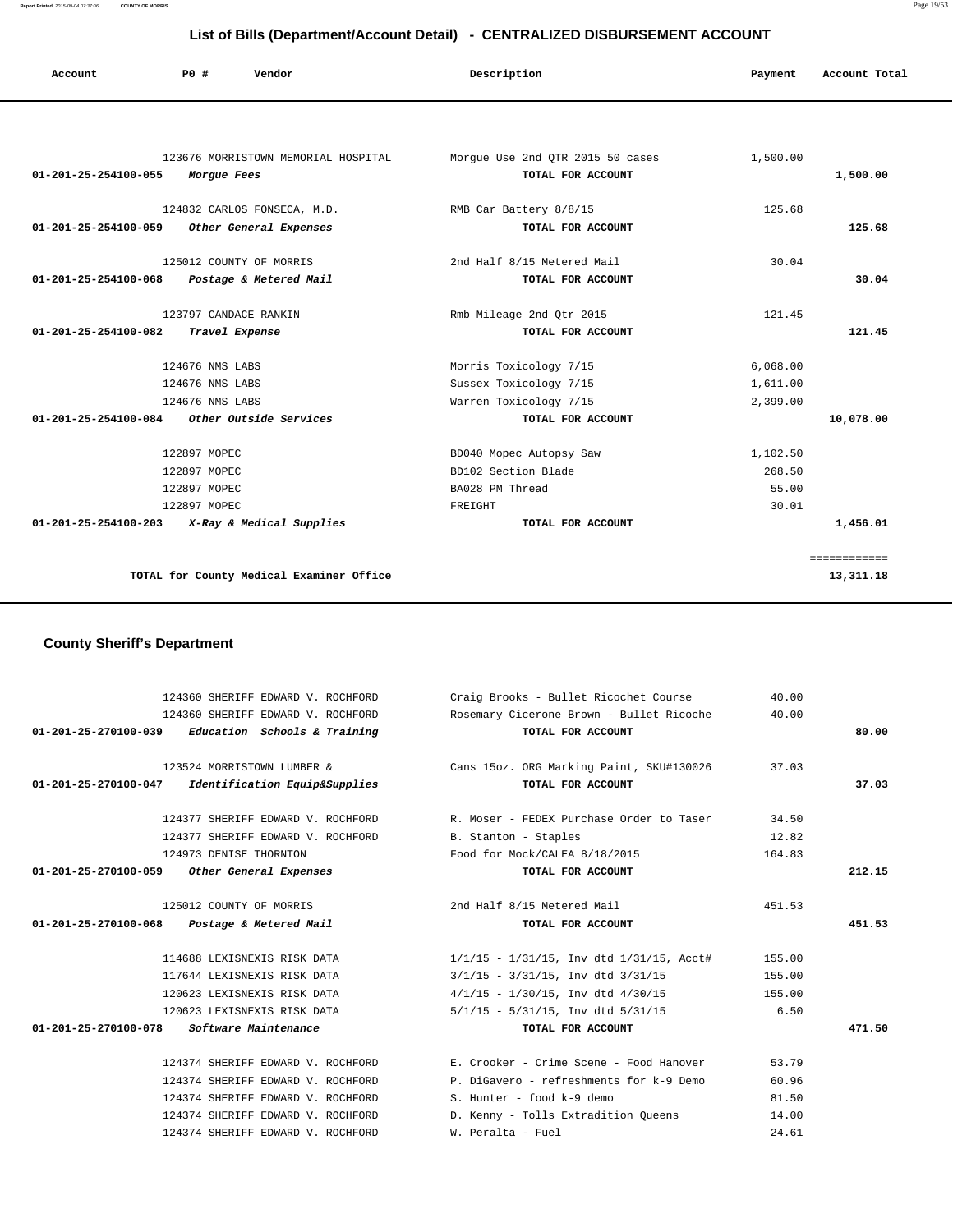**Report Printed** 2015-09-04 07:37:06 **COUNTY OF MORRIS** Page 19/53

| List of Bills (Department/Account Detail) - CENTRALIZED DISBURSEMENT ACCOUNT |                 |                                          |                                  |          |               |  |  |
|------------------------------------------------------------------------------|-----------------|------------------------------------------|----------------------------------|----------|---------------|--|--|
| Account                                                                      | PO#             | Vendor                                   | Description                      | Payment  | Account Total |  |  |
|                                                                              |                 |                                          |                                  |          |               |  |  |
|                                                                              |                 | 123676 MORRISTOWN MEMORIAL HOSPITAL      | Morgue Use 2nd QTR 2015 50 cases | 1,500.00 |               |  |  |
| 01-201-25-254100-055                                                         | Morgue Fees     |                                          | TOTAL FOR ACCOUNT                |          | 1,500.00      |  |  |
|                                                                              |                 | 124832 CARLOS FONSECA, M.D.              | RMB Car Battery 8/8/15           | 125.68   |               |  |  |
| 01-201-25-254100-059                                                         |                 | Other General Expenses                   | TOTAL FOR ACCOUNT                |          | 125.68        |  |  |
|                                                                              |                 | 125012 COUNTY OF MORRIS                  | 2nd Half 8/15 Metered Mail       | 30.04    |               |  |  |
| 01-201-25-254100-068                                                         |                 | Postage & Metered Mail                   | TOTAL FOR ACCOUNT                |          | 30.04         |  |  |
|                                                                              |                 | 123797 CANDACE RANKIN                    | Rmb Mileage 2nd Qtr 2015         | 121.45   |               |  |  |
| 01-201-25-254100-082                                                         |                 | Travel Expense                           | TOTAL FOR ACCOUNT                |          | 121.45        |  |  |
|                                                                              | 124676 NMS LABS |                                          | Morris Toxicology 7/15           | 6,068.00 |               |  |  |
|                                                                              | 124676 NMS LABS |                                          | Sussex Toxicology 7/15           | 1,611.00 |               |  |  |
|                                                                              | 124676 NMS LABS |                                          | Warren Toxicology 7/15           | 2,399.00 |               |  |  |
| 01-201-25-254100-084 Other Outside Services                                  |                 |                                          | TOTAL FOR ACCOUNT                |          | 10,078.00     |  |  |
|                                                                              | 122897 MOPEC    |                                          | BD040 Mopec Autopsy Saw          | 1,102.50 |               |  |  |
|                                                                              | 122897 MOPEC    |                                          | BD102 Section Blade              | 268.50   |               |  |  |
|                                                                              | 122897 MOPEC    |                                          | BA028 PM Thread                  | 55.00    |               |  |  |
|                                                                              | 122897 MOPEC    |                                          | FREIGHT                          | 30.01    |               |  |  |
| $01 - 201 - 25 - 254100 - 203$                                               |                 | X-Ray & Medical Supplies                 | TOTAL FOR ACCOUNT                |          | 1,456.01      |  |  |
|                                                                              |                 |                                          |                                  |          | ============  |  |  |
|                                                                              |                 | TOTAL for County Medical Examiner Office |                                  |          | 13,311.18     |  |  |

# **County Sheriff's Department**

the control of the control of the control

| 124360 SHERIFF EDWARD V. ROCHFORD                                      | Craig Brooks - Bullet Ricochet Course                               | 40.00          |        |
|------------------------------------------------------------------------|---------------------------------------------------------------------|----------------|--------|
| 124360 SHERIFF EDWARD V. ROCHFORD                                      | Rosemary Cicerone Brown - Bullet Ricoche                            | 40.00          |        |
| $01-201-25-270100-039$ Education Schools & Training                    | TOTAL FOR ACCOUNT                                                   |                | 80.00  |
|                                                                        |                                                                     |                |        |
|                                                                        | 123524 MORRISTOWN LUMBER & Cans 15oz. ORG Marking Paint, SKU#130026 | 37.03          |        |
| 01-201-25-270100-047 Identification Equip&Supplies                     | TOTAL FOR ACCOUNT                                                   |                | 37.03  |
| 124377 SHERIFF EDWARD V. ROCHFORD                                      | R. Moser - FEDEX Purchase Order to Taser                            | 34.50          |        |
| 124377 SHERIFF EDWARD V. ROCHFORD                                      | B. Stanton - Staples                                                | 12.82          |        |
| 124973 DENISE THORNTON                                                 | Food for Mock/CALEA 8/18/2015                                       | 164.83         |        |
| 01-201-25-270100-059 Other General Expenses                            | TOTAL FOR ACCOUNT                                                   |                | 212.15 |
|                                                                        |                                                                     |                |        |
| 125012 COUNTY OF MORRIS                                                | 2nd Half 8/15 Metered Mail                                          | 451.53         |        |
|                                                                        |                                                                     |                |        |
| 01-201-25-270100-068 Postage & Metered Mail                            | TOTAL FOR ACCOUNT                                                   |                | 451.53 |
|                                                                        |                                                                     |                |        |
| 114688 LEXISNEXIS RISK DATA                                            | $1/1/15$ - $1/31/15$ , Inv dtd $1/31/15$ , Acct#                    | 155.00         |        |
| 117644 LEXISNEXIS RISK DATA                                            | $3/1/15$ - $3/31/15$ , Inv dtd $3/31/15$                            | 155.00         |        |
| 120623 LEXISNEXIS RISK DATA                                            | $4/1/15$ - $1/30/15$ , Inv dtd $4/30/15$                            | 155.00         |        |
| 120623 LEXISNEXIS RISK DATA                                            | $5/1/15$ - $5/31/15$ , Inv dtd $5/31/15$                            | 6.50           |        |
| 01-201-25-270100-078 Software Maintenance                              | TOTAL FOR ACCOUNT                                                   |                | 471.50 |
|                                                                        |                                                                     |                |        |
| 124374 SHERIFF EDWARD V. ROCHFORD                                      | E. Crooker - Crime Scene - Food Hanover                             | 53.79          |        |
| 124374 SHERIFF EDWARD V. ROCHFORD                                      | P. DiGavero - refreshments for k-9 Demo                             | 60.96          |        |
| 124374 SHERIFF EDWARD V. ROCHFORD                                      | S. Hunter - food k-9 demo                                           | 81.50          |        |
| 124374 SHERIFF EDWARD V. ROCHFORD<br>124374 SHERIFF EDWARD V. ROCHFORD | D. Kenny - Tolls Extradition Queens<br>W. Peralta - Fuel            | 14.00<br>24.61 |        |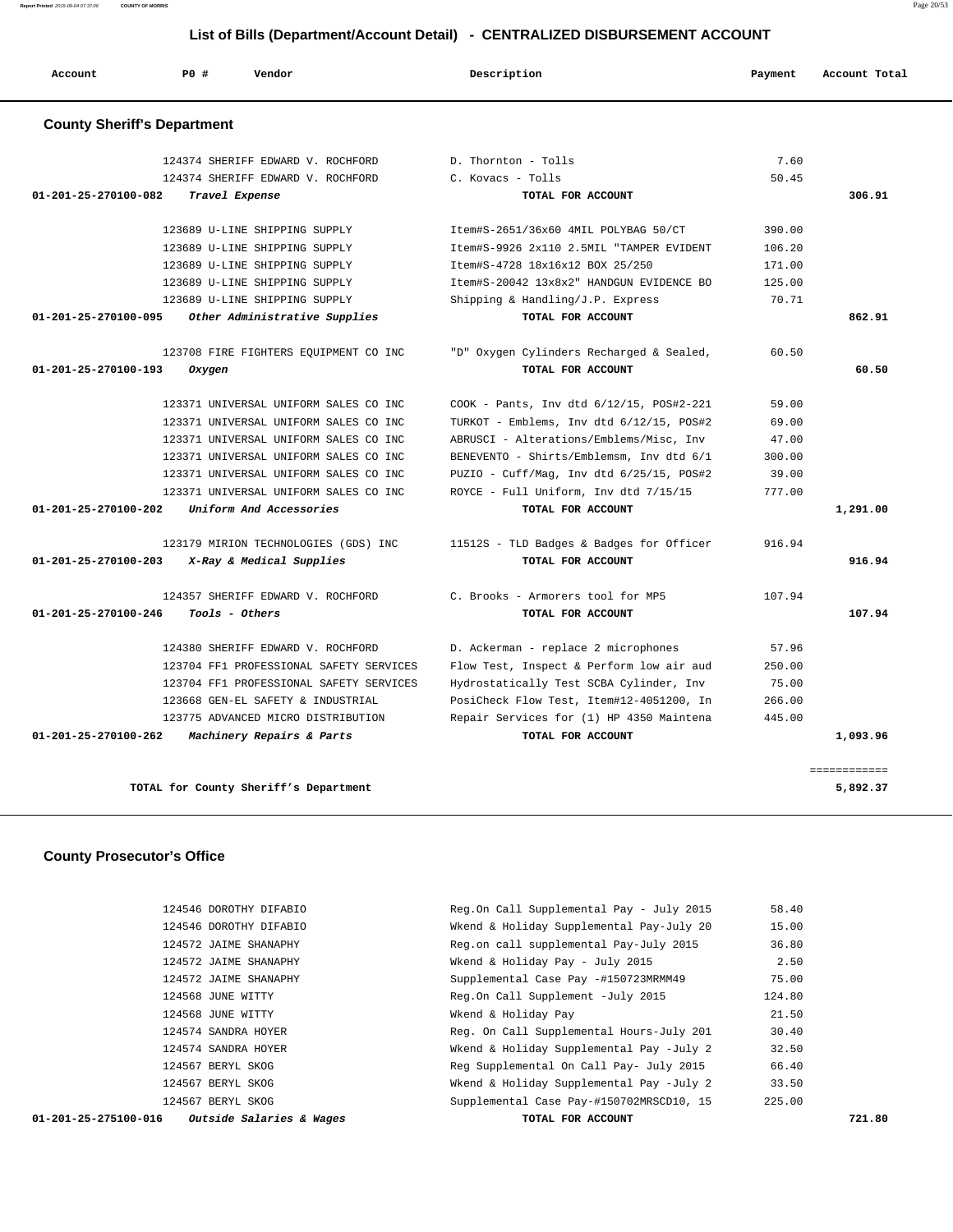**Report Printed** 2015-09-04 07:37:06 **COUNTY OF MORRIS** Page 20/53

# **List of Bills (Department/Account Detail) - CENTRALIZED DISBURSEMENT ACCOUNT**

| Account                            | PO#    | Vendor                                  | Description                              | Payment | Account Total |
|------------------------------------|--------|-----------------------------------------|------------------------------------------|---------|---------------|
| <b>County Sheriff's Department</b> |        |                                         |                                          |         |               |
|                                    |        | 124374 SHERIFF EDWARD V. ROCHFORD       | D. Thornton - Tolls                      | 7.60    |               |
|                                    |        | 124374 SHERIFF EDWARD V. ROCHFORD       | C. Kovacs - Tolls                        | 50.45   |               |
| 01-201-25-270100-082               |        | Travel Expense                          | TOTAL FOR ACCOUNT                        |         | 306.91        |
|                                    |        | 123689 U-LINE SHIPPING SUPPLY           | Item#S-2651/36x60 4MIL POLYBAG 50/CT     | 390.00  |               |
|                                    |        | 123689 U-LINE SHIPPING SUPPLY           | Item#S-9926 2x110 2.5MIL "TAMPER EVIDENT | 106.20  |               |
|                                    |        | 123689 U-LINE SHIPPING SUPPLY           | Item#S-4728 18x16x12 BOX 25/250          | 171.00  |               |
|                                    |        | 123689 U-LINE SHIPPING SUPPLY           | Item#S-20042 13x8x2" HANDGUN EVIDENCE BO | 125.00  |               |
|                                    |        | 123689 U-LINE SHIPPING SUPPLY           | Shipping & Handling/J.P. Express         | 70.71   |               |
| 01-201-25-270100-095               |        | Other Administrative Supplies           | TOTAL FOR ACCOUNT                        |         | 862.91        |
|                                    |        | 123708 FIRE FIGHTERS EQUIPMENT CO INC   | "D" Oxygen Cylinders Recharged & Sealed, | 60.50   |               |
| 01-201-25-270100-193               | Oxygen |                                         | TOTAL FOR ACCOUNT                        |         | 60.50         |
|                                    |        | 123371 UNIVERSAL UNIFORM SALES CO INC   | COOK - Pants, Inv dtd 6/12/15, POS#2-221 | 59.00   |               |
|                                    |        | 123371 UNIVERSAL UNIFORM SALES CO INC   | TURKOT - Emblems, Inv dtd 6/12/15, POS#2 | 69.00   |               |
|                                    |        | 123371 UNIVERSAL UNIFORM SALES CO INC   | ABRUSCI - Alterations/Emblems/Misc, Inv  | 47.00   |               |
|                                    |        | 123371 UNIVERSAL UNIFORM SALES CO INC   | BENEVENTO - Shirts/Emblemsm, Inv dtd 6/1 | 300.00  |               |
|                                    |        | 123371 UNIVERSAL UNIFORM SALES CO INC   | PUZIO - Cuff/Mag, Inv dtd 6/25/15, POS#2 | 39.00   |               |
|                                    |        | 123371 UNIVERSAL UNIFORM SALES CO INC   | ROYCE - Full Uniform, Inv dtd 7/15/15    | 777.00  |               |
| 01-201-25-270100-202               |        | Uniform And Accessories                 | TOTAL FOR ACCOUNT                        |         | 1,291.00      |
|                                    |        | 123179 MIRION TECHNOLOGIES (GDS) INC    | 11512S - TLD Badges & Badges for Officer | 916.94  |               |
| 01-201-25-270100-203               |        | X-Ray & Medical Supplies                | TOTAL FOR ACCOUNT                        |         | 916.94        |
|                                    |        | 124357 SHERIFF EDWARD V. ROCHFORD       | C. Brooks - Armorers tool for MP5        | 107.94  |               |
| 01-201-25-270100-246               |        | Tools - Others                          | TOTAL FOR ACCOUNT                        |         | 107.94        |
|                                    |        | 124380 SHERIFF EDWARD V. ROCHFORD       | D. Ackerman - replace 2 microphones      | 57.96   |               |
|                                    |        | 123704 FF1 PROFESSIONAL SAFETY SERVICES | Flow Test, Inspect & Perform low air aud | 250.00  |               |
|                                    |        | 123704 FF1 PROFESSIONAL SAFETY SERVICES | Hydrostatically Test SCBA Cylinder, Inv  | 75.00   |               |
|                                    |        | 123668 GEN-EL SAFETY & INDUSTRIAL       | PosiCheck Flow Test, Item#12-4051200, In | 266.00  |               |
|                                    |        | 123775 ADVANCED MICRO DISTRIBUTION      | Repair Services for (1) HP 4350 Maintena | 445.00  |               |
| 01-201-25-270100-262               |        | Machinery Repairs & Parts               | TOTAL FOR ACCOUNT                        |         | 1,093.96      |

**TOTAL for County Sheriff's Department 5,892.37**

# **County Prosecutor's Office**

| Outside Salaries & Wages<br>01-201-25-275100-016 | TOTAL FOR ACCOUNT                        |        | 721.80 |
|--------------------------------------------------|------------------------------------------|--------|--------|
| 124567 BERYL SKOG                                | Supplemental Case Pay-#150702MRSCD10, 15 | 225.00 |        |
| 124567 BERYL SKOG                                | Wkend & Holiday Supplemental Pay -July 2 | 33.50  |        |
| 124567 BERYL SKOG                                | Reg Supplemental On Call Pay- July 2015  | 66.40  |        |
| 124574 SANDRA HOYER                              | Wkend & Holiday Supplemental Pay -July 2 | 32.50  |        |
| 124574 SANDRA HOYER                              | Req. On Call Supplemental Hours-July 201 | 30.40  |        |
| 124568 JUNE WITTY                                | Wkend & Holiday Pay                      | 21.50  |        |
| 124568 JUNE WITTY                                | Reg.On Call Supplement -July 2015        | 124.80 |        |
| 124572 JAIME SHANAPHY                            | Supplemental Case Pay -#150723MRMM49     | 75.00  |        |
| 124572 JAIME SHANAPHY                            | Wkend & Holiday Pay - July 2015          | 2.50   |        |
| 124572 JAIME SHANAPHY                            | Reg.on call supplemental Pay-July 2015   | 36.80  |        |
| 124546 DOROTHY DIFABIO                           | Wkend & Holiday Supplemental Pay-July 20 | 15.00  |        |
| 124546 DOROTHY DIFABIO                           | Reg.On Call Supplemental Pay - July 2015 | 58.40  |        |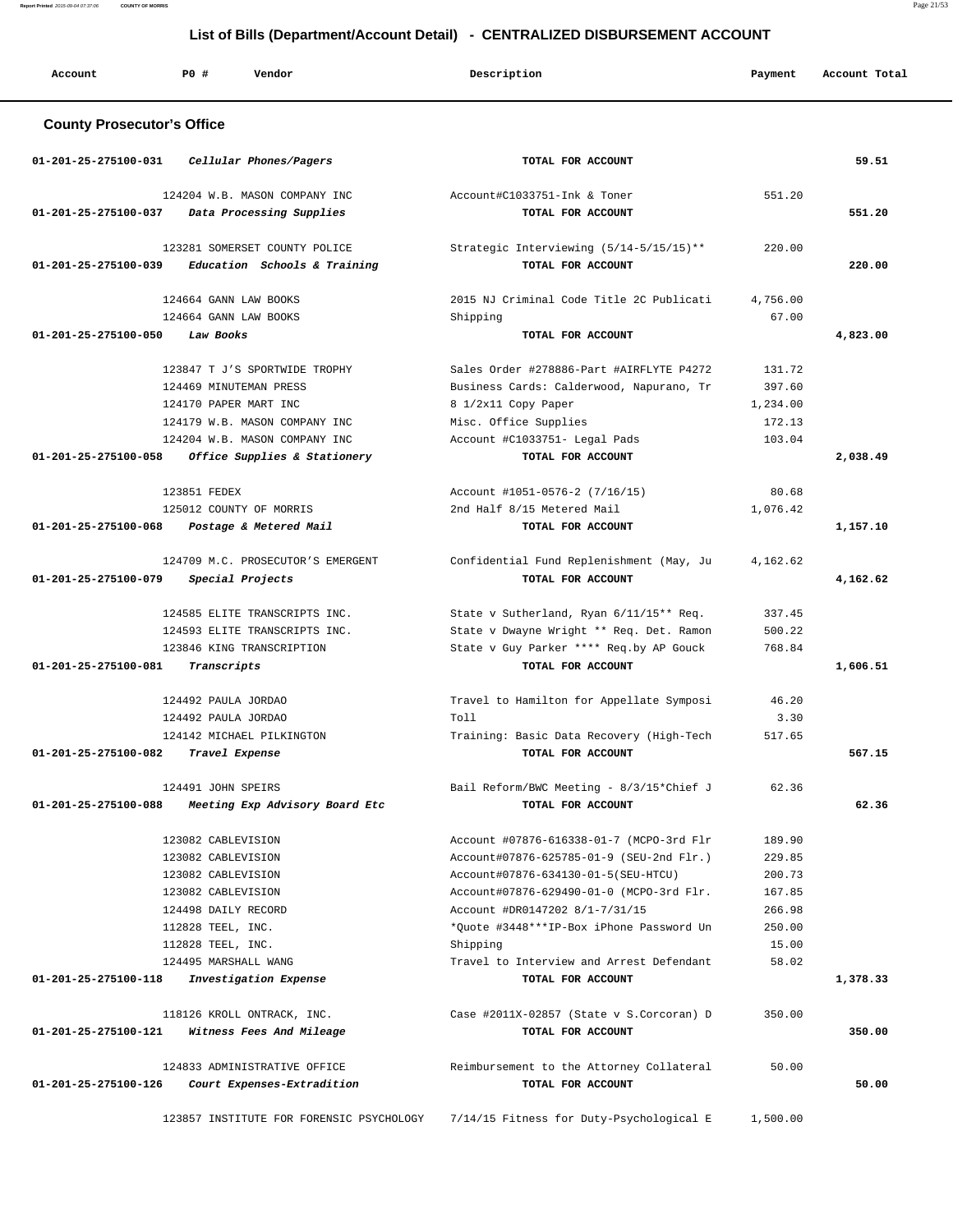**Report Printed** 2015-09-04 07:37:06 **COUNTY OF MORRIS** Page 21/53

# **List of Bills (Department/Account Detail) - CENTRALIZED DISBURSEMENT ACCOUNT**

| Account                                      | PO#<br>Vendor                                                                                                                                                                                          | Description                                                                                                                                                                                                                                                                                                                        | Payment                                                                    | Account Total   |
|----------------------------------------------|--------------------------------------------------------------------------------------------------------------------------------------------------------------------------------------------------------|------------------------------------------------------------------------------------------------------------------------------------------------------------------------------------------------------------------------------------------------------------------------------------------------------------------------------------|----------------------------------------------------------------------------|-----------------|
| <b>County Prosecutor's Office</b>            |                                                                                                                                                                                                        |                                                                                                                                                                                                                                                                                                                                    |                                                                            |                 |
| 01-201-25-275100-031                         | Cellular Phones/Pagers                                                                                                                                                                                 | TOTAL FOR ACCOUNT                                                                                                                                                                                                                                                                                                                  |                                                                            | 59.51           |
| 01-201-25-275100-037                         | 124204 W.B. MASON COMPANY INC<br>Data Processing Supplies                                                                                                                                              | Account#C1033751-Ink & Toner<br>TOTAL FOR ACCOUNT                                                                                                                                                                                                                                                                                  | 551.20                                                                     | 551.20          |
| 01-201-25-275100-039                         | 123281 SOMERSET COUNTY POLICE<br>Education Schools & Training                                                                                                                                          | Strategic Interviewing (5/14-5/15/15)**<br>TOTAL FOR ACCOUNT                                                                                                                                                                                                                                                                       | 220.00                                                                     | 220.00          |
|                                              | 124664 GANN LAW BOOKS<br>124664 GANN LAW BOOKS                                                                                                                                                         | 2015 NJ Criminal Code Title 2C Publicati<br>Shipping                                                                                                                                                                                                                                                                               | 4,756.00<br>67.00                                                          |                 |
| 01-201-25-275100-050                         | Law Books                                                                                                                                                                                              | TOTAL FOR ACCOUNT                                                                                                                                                                                                                                                                                                                  |                                                                            | 4,823.00        |
|                                              | 123847 T J'S SPORTWIDE TROPHY<br>124469 MINUTEMAN PRESS<br>124170 PAPER MART INC<br>124179 W.B. MASON COMPANY INC<br>124204 W.B. MASON COMPANY INC                                                     | Sales Order #278886-Part #AIRFLYTE P4272<br>Business Cards: Calderwood, Napurano, Tr<br>8 1/2x11 Copy Paper<br>Misc. Office Supplies<br>Account #C1033751- Legal Pads                                                                                                                                                              | 131.72<br>397.60<br>1,234.00<br>172.13<br>103.04                           |                 |
| 01-201-25-275100-058                         | Office Supplies & Stationery                                                                                                                                                                           | TOTAL FOR ACCOUNT                                                                                                                                                                                                                                                                                                                  |                                                                            | 2,038.49        |
| 01-201-25-275100-068                         | 123851 FEDEX<br>125012 COUNTY OF MORRIS<br>Postage & Metered Mail                                                                                                                                      | Account #1051-0576-2 (7/16/15)<br>2nd Half 8/15 Metered Mail<br>TOTAL FOR ACCOUNT                                                                                                                                                                                                                                                  | 80.68<br>1,076.42                                                          | 1,157.10        |
| 01-201-25-275100-079                         | 124709 M.C. PROSECUTOR'S EMERGENT<br>Special Projects                                                                                                                                                  | Confidential Fund Replenishment (May, Ju<br>TOTAL FOR ACCOUNT                                                                                                                                                                                                                                                                      | 4,162.62                                                                   | 4,162.62        |
| $01 - 201 - 25 - 275100 - 081$               | 124585 ELITE TRANSCRIPTS INC.<br>124593 ELITE TRANSCRIPTS INC.<br>123846 KING TRANSCRIPTION<br>Transcripts                                                                                             | State v Sutherland, Ryan 6/11/15** Req.<br>State v Dwayne Wright ** Req. Det. Ramon<br>State v Guy Parker **** Req.by AP Gouck<br>TOTAL FOR ACCOUNT                                                                                                                                                                                | 337.45<br>500.22<br>768.84                                                 | 1,606.51        |
| 01-201-25-275100-082                         | 124492 PAULA JORDAO<br>124492 PAULA JORDAO<br>124142 MICHAEL PILKINGTON<br>Travel Expense                                                                                                              | Travel to Hamilton for Appellate Symposi<br>Toll<br>Training: Basic Data Recovery (High-Tech<br>TOTAL FOR ACCOUNT                                                                                                                                                                                                                  | 46.20<br>3.30<br>517.65                                                    | 567.15          |
| 01-201-25-275100-088                         | 124491 JOHN SPEIRS<br>Meeting Exp Advisory Board Etc                                                                                                                                                   | Bail Reform/BWC Meeting - 8/3/15*Chief J<br>TOTAL FOR ACCOUNT                                                                                                                                                                                                                                                                      | 62.36                                                                      | 62.36           |
| 01-201-25-275100-118                         | 123082 CABLEVISION<br>123082 CABLEVISION<br>123082 CABLEVISION<br>123082 CABLEVISION<br>124498 DAILY RECORD<br>112828 TEEL, INC.<br>112828 TEEL, INC.<br>124495 MARSHALL WANG<br>Investigation Expense | Account #07876-616338-01-7 (MCPO-3rd Flr<br>Account#07876-625785-01-9 (SEU-2nd Flr.)<br>Account#07876-634130-01-5(SEU-HTCU)<br>Account#07876-629490-01-0 (MCPO-3rd Flr.<br>Account #DR0147202 8/1-7/31/15<br>*Quote #3448***IP-Box iPhone Password Un<br>Shipping<br>Travel to Interview and Arrest Defendant<br>TOTAL FOR ACCOUNT | 189.90<br>229.85<br>200.73<br>167.85<br>266.98<br>250.00<br>15.00<br>58.02 | 1,378.33        |
|                                              | 118126 KROLL ONTRACK, INC.                                                                                                                                                                             | Case #2011X-02857 (State v S.Corcoran) D                                                                                                                                                                                                                                                                                           | 350.00                                                                     |                 |
| 01-201-25-275100-121<br>01-201-25-275100-126 | Witness Fees And Mileage<br>124833 ADMINISTRATIVE OFFICE<br>Court Expenses-Extradition                                                                                                                 | TOTAL FOR ACCOUNT<br>Reimbursement to the Attorney Collateral<br>TOTAL FOR ACCOUNT                                                                                                                                                                                                                                                 | 50.00                                                                      | 350.00<br>50.00 |

123857 INSTITUTE FOR FORENSIC PSYCHOLOGY 7/14/15 Fitness for Duty-Psychological E 1,500.00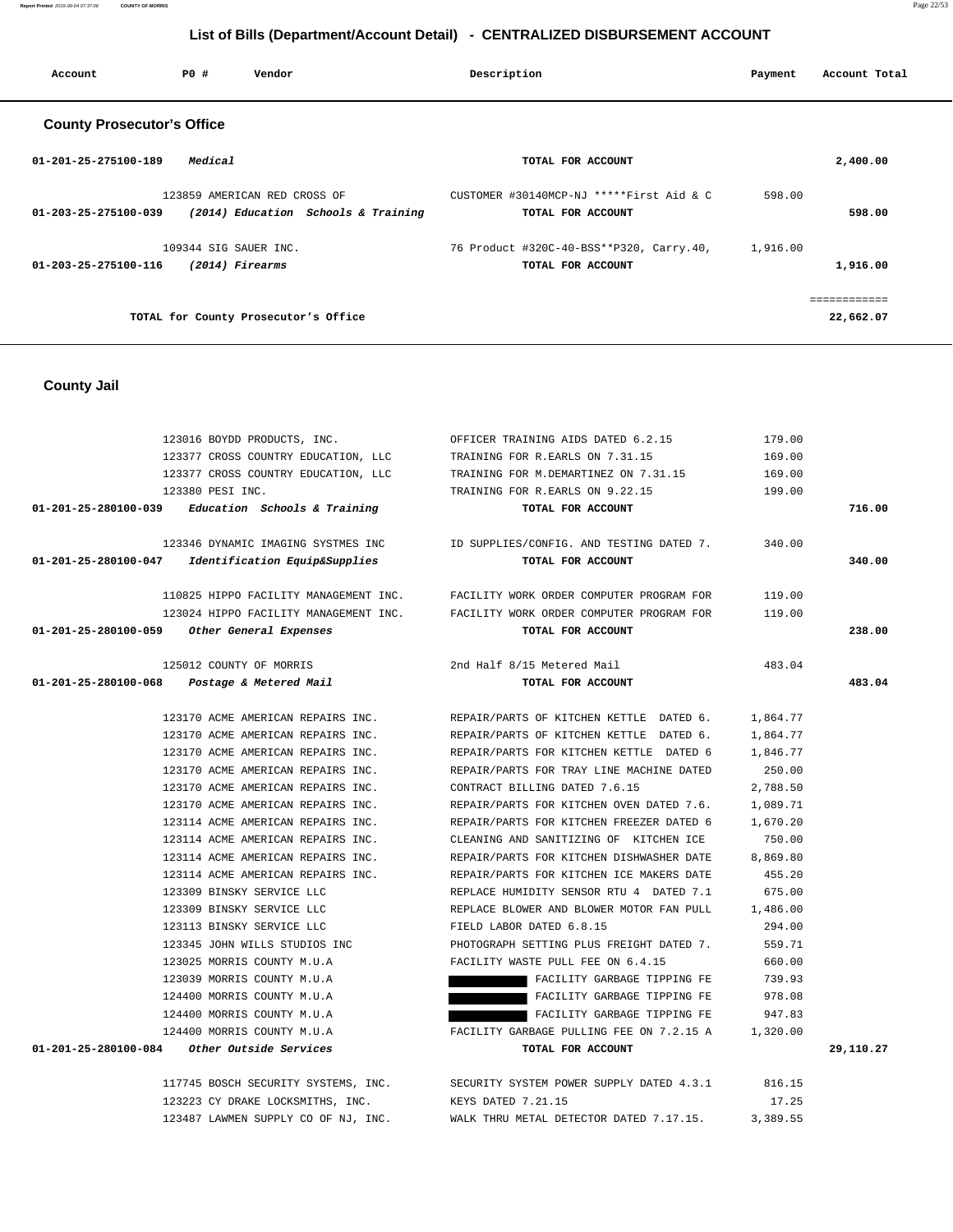**Report Printed** 2015-09-04 07:37:06 **COUNTY OF MORRIS** Page 22/53

# **List of Bills (Department/Account Detail) - CENTRALIZED DISBURSEMENT ACCOUNT**

| Account                           | PO#                   | Vendor                               | Description                              | Payment  | Account Total |  |  |
|-----------------------------------|-----------------------|--------------------------------------|------------------------------------------|----------|---------------|--|--|
| <b>County Prosecutor's Office</b> |                       |                                      |                                          |          |               |  |  |
| 01-201-25-275100-189              | Medical               |                                      | TOTAL FOR ACCOUNT                        |          | 2,400.00      |  |  |
|                                   |                       | 123859 AMERICAN RED CROSS OF         | CUSTOMER #30140MCP-NJ *****First Aid & C | 598.00   |               |  |  |
| 01-203-25-275100-039              |                       | (2014) Education Schools & Training  | TOTAL FOR ACCOUNT                        |          | 598.00        |  |  |
|                                   | 109344 SIG SAUER INC. |                                      | 76 Product #320C-40-BSS**P320, Carry.40, | 1,916.00 |               |  |  |
| 01-203-25-275100-116              |                       | (2014) Firearms                      | TOTAL FOR ACCOUNT                        |          | 1,916.00      |  |  |
|                                   |                       |                                      |                                          |          | ============  |  |  |
|                                   |                       | TOTAL for County Prosecutor's Office |                                          |          | 22,662.07     |  |  |
|                                   |                       |                                      |                                          |          |               |  |  |

#### **County Jail**

| 123016 BOYDD PRODUCTS, INC.                                         | OFFICER TRAINING AIDS DATED 6.2.15                                             | 179.00   |           |
|---------------------------------------------------------------------|--------------------------------------------------------------------------------|----------|-----------|
| 123377 CROSS COUNTRY EDUCATION, LLC TRAINING FOR R.EARLS ON 7.31.15 |                                                                                | 169.00   |           |
|                                                                     | 123377 CROSS COUNTRY EDUCATION, LLC TRAINING FOR M.DEMARTINEZ ON 7.31.15       | 169.00   |           |
| 123380 PESI INC.                                                    | TRAINING FOR R.EARLS ON 9.22.15                                                | 199.00   |           |
| $01-201-25-280100-039$ Education Schools & Training                 | TOTAL FOR ACCOUNT                                                              |          | 716.00    |
|                                                                     | 123346 DYNAMIC IMAGING SYSTMES INC TD SUPPLIES/CONFIG. AND TESTING DATED 7.    | 340.00   |           |
| 01-201-25-280100-047 Identification Equip&Supplies                  | TOTAL FOR ACCOUNT                                                              |          | 340.00    |
|                                                                     | 110825 HIPPO FACILITY MANAGEMENT INC. FACILITY WORK ORDER COMPUTER PROGRAM FOR | 119.00   |           |
|                                                                     | 123024 HIPPO FACILITY MANAGEMENT INC. FACILITY WORK ORDER COMPUTER PROGRAM FOR | 119.00   |           |
| 01-201-25-280100-059 Other General Expenses                         | TOTAL FOR ACCOUNT                                                              |          | 238.00    |
| 125012 COUNTY OF MORRIS 2nd Half 8/15 Metered Mail                  |                                                                                | 483.04   |           |
| $01 - 201 - 25 - 280100 - 068$ Postage & Metered Mail               | TOTAL FOR ACCOUNT                                                              |          | 483.04    |
|                                                                     | 123170 ACME AMERICAN REPAIRS INC. THE REPAIR/PARTS OF KITCHEN KETTLE DATED 6.  | 1,864.77 |           |
| 123170 ACME AMERICAN REPAIRS INC.                                   | REPAIR/PARTS OF KITCHEN KETTLE DATED 6.                                        | 1,864.77 |           |
| 123170 ACME AMERICAN REPAIRS INC.                                   | REPAIR/PARTS FOR KITCHEN KETTLE DATED 6                                        | 1,846.77 |           |
| 123170 ACME AMERICAN REPAIRS INC.                                   | REPAIR/PARTS FOR TRAY LINE MACHINE DATED                                       | 250.00   |           |
| 123170 ACME AMERICAN REPAIRS INC.                                   | CONTRACT BILLING DATED 7.6.15                                                  | 2,788.50 |           |
| 123170 ACME AMERICAN REPAIRS INC.                                   | REPAIR/PARTS FOR KITCHEN OVEN DATED 7.6.                                       | 1,089.71 |           |
| 123114 ACME AMERICAN REPAIRS INC.                                   | REPAIR/PARTS FOR KITCHEN FREEZER DATED 6                                       | 1,670.20 |           |
| 123114 ACME AMERICAN REPAIRS INC.                                   | CLEANING AND SANITIZING OF KITCHEN ICE                                         | 750.00   |           |
| 123114 ACME AMERICAN REPAIRS INC.                                   | REPAIR/PARTS FOR KITCHEN DISHWASHER DATE                                       | 8,869.80 |           |
| 123114 ACME AMERICAN REPAIRS INC.                                   | REPAIR/PARTS FOR KITCHEN ICE MAKERS DATE                                       | 455.20   |           |
| 123309 BINSKY SERVICE LLC                                           | REPLACE HUMIDITY SENSOR RTU 4 DATED 7.1                                        | 675.00   |           |
| 123309 BINSKY SERVICE LLC                                           | REPLACE BLOWER AND BLOWER MOTOR FAN PULL                                       | 1,486.00 |           |
| 123113 BINSKY SERVICE LLC                                           | FIELD LABOR DATED 6.8.15                                                       | 294.00   |           |
| 123345 JOHN WILLS STUDIOS INC                                       | PHOTOGRAPH SETTING PLUS FREIGHT DATED 7.                                       | 559.71   |           |
| 123025 MORRIS COUNTY M.U.A                                          | FACILITY WASTE PULL FEE ON 6.4.15                                              | 660.00   |           |
| 123039 MORRIS COUNTY M.U.A                                          | FACILITY GARBAGE TIPPING FE                                                    | 739.93   |           |
| 124400 MORRIS COUNTY M.U.A                                          | FACILITY GARBAGE TIPPING FE                                                    | 978.08   |           |
| 124400 MORRIS COUNTY M.U.A                                          | FACILITY GARBAGE TIPPING FE                                                    | 947.83   |           |
| 124400 MORRIS COUNTY M.U.A                                          | FACILITY GARBAGE PULLING FEE ON 7.2.15 A                                       | 1,320.00 |           |
| 01-201-25-280100-084 Other Outside Services                         | TOTAL FOR ACCOUNT                                                              |          | 29,110.27 |
|                                                                     | 117745 BOSCH SECURITY SYSTEMS, INC. SECURITY SYSTEM POWER SUPPLY DATED 4.3.1   | 816.15   |           |
| 123223 CY DRAKE LOCKSMITHS, INC.                                    | KEYS DATED 7.21.15                                                             | 17.25    |           |

123487 LAWMEN SUPPLY CO OF NJ, INC. WALK THRU METAL DETECTOR DATED 7.17.15. 3,389.55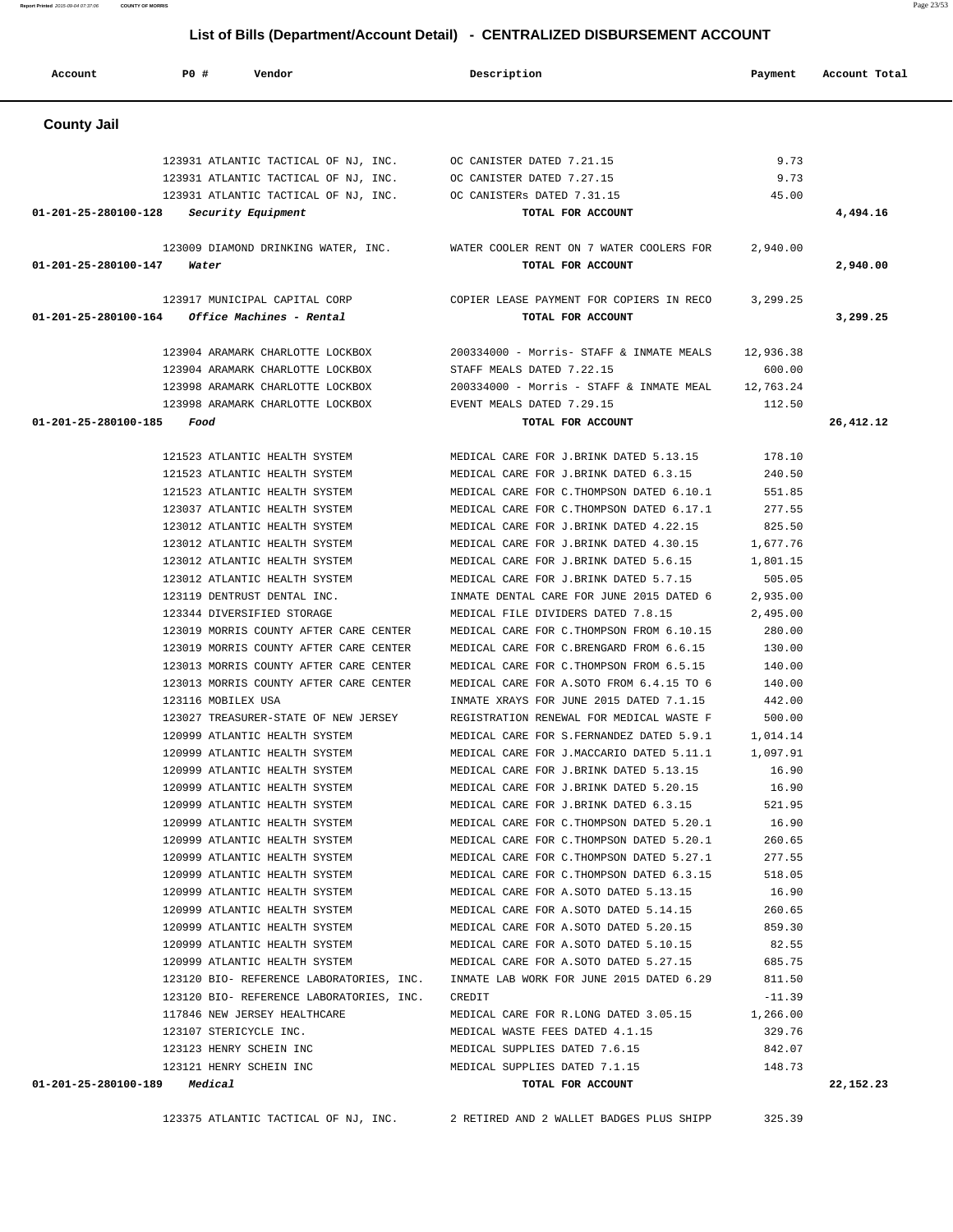| Account                                 | P0#                | Vendor                                                  | Description                                     | Payment   | Account Total |
|-----------------------------------------|--------------------|---------------------------------------------------------|-------------------------------------------------|-----------|---------------|
| <b>County Jail</b>                      |                    |                                                         |                                                 |           |               |
|                                         |                    | 123931 ATLANTIC TACTICAL OF NJ, INC.                    | OC CANISTER DATED 7.21.15                       | 9.73      |               |
|                                         |                    | 123931 ATLANTIC TACTICAL OF NJ, INC.                    | OC CANISTER DATED 7.27.15                       | 9.73      |               |
|                                         |                    | 123931 ATLANTIC TACTICAL OF NJ, INC.                    | OC CANISTERS DATED 7.31.15                      | 45.00     |               |
| 01-201-25-280100-128 Security Equipment |                    |                                                         | TOTAL FOR ACCOUNT                               |           | 4,494.16      |
|                                         |                    | 123009 DIAMOND DRINKING WATER, INC.                     | WATER COOLER RENT ON 7 WATER COOLERS FOR        | 2,940.00  |               |
| 01-201-25-280100-147                    | Water              |                                                         | TOTAL FOR ACCOUNT                               |           | 2,940.00      |
|                                         |                    |                                                         |                                                 |           |               |
|                                         |                    | 123917 MUNICIPAL CAPITAL CORP                           | COPIER LEASE PAYMENT FOR COPIERS IN RECO        | 3,299.25  |               |
|                                         |                    | $01 - 201 - 25 - 280100 - 164$ Office Machines - Rental | TOTAL FOR ACCOUNT                               |           | 3,299.25      |
|                                         |                    | 123904 ARAMARK CHARLOTTE LOCKBOX                        | 200334000 - Morris- STAFF & INMATE MEALS        | 12,936.38 |               |
|                                         |                    | 123904 ARAMARK CHARLOTTE LOCKBOX                        | STAFF MEALS DATED 7.22.15                       | 600.00    |               |
|                                         |                    | 123998 ARAMARK CHARLOTTE LOCKBOX                        | 200334000 - Morris - STAFF & INMATE MEAL        | 12,763.24 |               |
|                                         |                    | 123998 ARAMARK CHARLOTTE LOCKBOX                        | EVENT MEALS DATED 7.29.15                       | 112.50    |               |
| 01-201-25-280100-185                    | Food               |                                                         | TOTAL FOR ACCOUNT                               |           | 26,412.12     |
|                                         |                    | 121523 ATLANTIC HEALTH SYSTEM                           | MEDICAL CARE FOR J.BRINK DATED 5.13.15          | 178.10    |               |
|                                         |                    | 121523 ATLANTIC HEALTH SYSTEM                           | MEDICAL CARE FOR J.BRINK DATED 6.3.15           | 240.50    |               |
|                                         |                    | 121523 ATLANTIC HEALTH SYSTEM                           | MEDICAL CARE FOR C. THOMPSON DATED 6.10.1       | 551.85    |               |
|                                         |                    | 123037 ATLANTIC HEALTH SYSTEM                           | MEDICAL CARE FOR C. THOMPSON DATED 6.17.1       | 277.55    |               |
|                                         |                    | 123012 ATLANTIC HEALTH SYSTEM                           | MEDICAL CARE FOR J.BRINK DATED 4.22.15          | 825.50    |               |
|                                         |                    | 123012 ATLANTIC HEALTH SYSTEM                           | MEDICAL CARE FOR J.BRINK DATED 4.30.15          | 1,677.76  |               |
|                                         |                    | 123012 ATLANTIC HEALTH SYSTEM                           | MEDICAL CARE FOR J.BRINK DATED 5.6.15           | 1,801.15  |               |
|                                         |                    | 123012 ATLANTIC HEALTH SYSTEM                           | MEDICAL CARE FOR J.BRINK DATED 5.7.15           | 505.05    |               |
|                                         |                    | 123119 DENTRUST DENTAL INC.                             | INMATE DENTAL CARE FOR JUNE 2015 DATED 6        | 2,935.00  |               |
|                                         |                    | 123344 DIVERSIFIED STORAGE                              | MEDICAL FILE DIVIDERS DATED 7.8.15              | 2,495.00  |               |
|                                         |                    | 123019 MORRIS COUNTY AFTER CARE CENTER                  | MEDICAL CARE FOR C. THOMPSON FROM 6.10.15       | 280.00    |               |
|                                         |                    | 123019 MORRIS COUNTY AFTER CARE CENTER                  | MEDICAL CARE FOR C.BRENGARD FROM 6.6.15         | 130.00    |               |
|                                         |                    | 123013 MORRIS COUNTY AFTER CARE CENTER                  | MEDICAL CARE FOR C. THOMPSON FROM 6.5.15        | 140.00    |               |
|                                         |                    | 123013 MORRIS COUNTY AFTER CARE CENTER                  | MEDICAL CARE FOR A. SOTO FROM 6.4.15 TO 6       | 140.00    |               |
|                                         | 123116 MOBILEX USA |                                                         | INMATE XRAYS FOR JUNE 2015 DATED 7.1.15         | 442.00    |               |
|                                         |                    | 123027 TREASURER-STATE OF NEW JERSEY                    | REGISTRATION RENEWAL FOR MEDICAL WASTE F        | 500.00    |               |
|                                         |                    | 120999 ATLANTIC HEALTH SYSTEM                           | MEDICAL CARE FOR S. FERNANDEZ DATED 5.9.1       | 1,014.14  |               |
|                                         |                    | 120999 ATLANTIC HEALTH SYSTEM                           | MEDICAL CARE FOR J.MACCARIO DATED 5.11.1        | 1,097.91  |               |
|                                         |                    | 120999 ATLANTIC HEALTH SYSTEM                           | MEDICAL CARE FOR J.BRINK DATED 5.13.15          | 16.90     |               |
|                                         |                    | 120999 ATLANTIC HEALTH SYSTEM                           | MEDICAL CARE FOR J.BRINK DATED 5.20.15          | 16.90     |               |
|                                         |                    | 120999 ATLANTIC HEALTH SYSTEM                           | MEDICAL CARE FOR J.BRINK DATED 6.3.15           | 521.95    |               |
|                                         |                    | 120999 ATLANTIC HEALTH SYSTEM                           | MEDICAL CARE FOR C. THOMPSON DATED 5.20.1 16.90 |           |               |
|                                         |                    | 120999 ATLANTIC HEALTH SYSTEM                           | MEDICAL CARE FOR C.THOMPSON DATED 5.20.1        | 260.65    |               |
|                                         |                    | 120999 ATLANTIC HEALTH SYSTEM                           | MEDICAL CARE FOR C. THOMPSON DATED 5.27.1       | 277.55    |               |
|                                         |                    | 120999 ATLANTIC HEALTH SYSTEM                           | MEDICAL CARE FOR C.THOMPSON DATED 6.3.15        | 518.05    |               |
|                                         |                    | 120999 ATLANTIC HEALTH SYSTEM                           | MEDICAL CARE FOR A.SOTO DATED 5.13.15           | 16.90     |               |
|                                         |                    | 120999 ATLANTIC HEALTH SYSTEM                           | MEDICAL CARE FOR A.SOTO DATED 5.14.15           | 260.65    |               |
|                                         |                    | 120999 ATLANTIC HEALTH SYSTEM                           | MEDICAL CARE FOR A.SOTO DATED 5.20.15           | 859.30    |               |
|                                         |                    | 120999 ATLANTIC HEALTH SYSTEM                           | MEDICAL CARE FOR A. SOTO DATED 5.10.15          | 82.55     |               |
|                                         |                    | 120999 ATLANTIC HEALTH SYSTEM                           | MEDICAL CARE FOR A.SOTO DATED 5.27.15           | 685.75    |               |
|                                         |                    | 123120 BIO- REFERENCE LABORATORIES, INC.                | INMATE LAB WORK FOR JUNE 2015 DATED 6.29        | 811.50    |               |
|                                         |                    | 123120 BIO- REFERENCE LABORATORIES, INC.                | CREDIT                                          | $-11.39$  |               |
|                                         |                    | 117846 NEW JERSEY HEALTHCARE                            | MEDICAL CARE FOR R.LONG DATED 3.05.15           | 1,266.00  |               |
|                                         |                    | 123107 STERICYCLE INC.                                  | MEDICAL WASTE FEES DATED 4.1.15                 | 329.76    |               |
|                                         |                    | 123123 HENRY SCHEIN INC                                 | MEDICAL SUPPLIES DATED 7.6.15                   | 842.07    |               |
|                                         |                    | 123121 HENRY SCHEIN INC                                 | MEDICAL SUPPLIES DATED 7.1.15                   | 148.73    |               |
| $01 - 201 - 25 - 280100 - 189$ Medical  |                    |                                                         | TOTAL FOR ACCOUNT                               |           | 22,152.23     |

123375 ATLANTIC TACTICAL OF NJ, INC. 2 RETIRED AND 2 WALLET BADGES PLUS SHIPP 325.39

**Report Printed** 2015-09-04 07:37:06 **COUNTY OF MORRIS** Page 23/53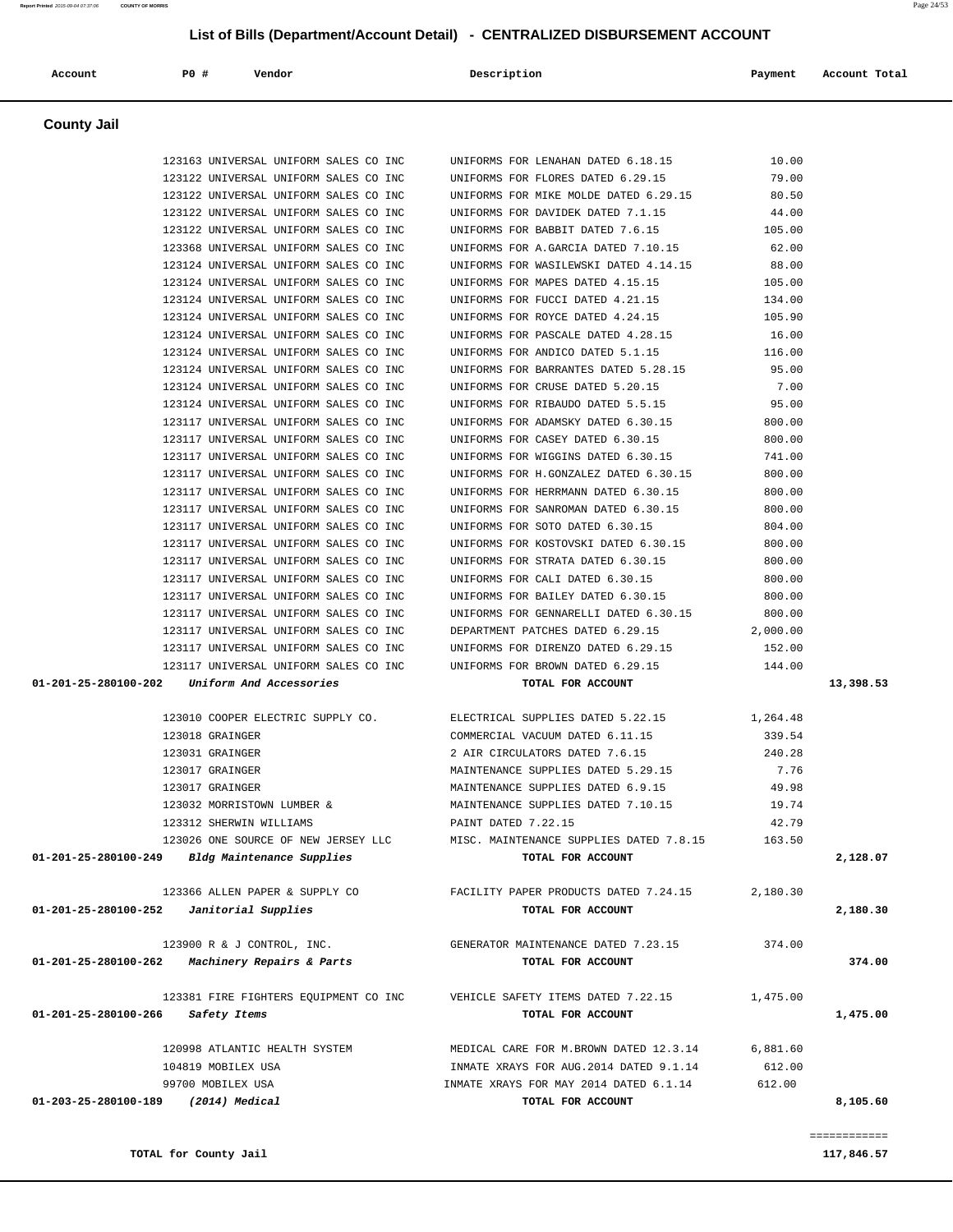| Account              | P0 #<br>Vendor                                                                 | Description                                                               | Payment          | Account Total |
|----------------------|--------------------------------------------------------------------------------|---------------------------------------------------------------------------|------------------|---------------|
| <b>County Jail</b>   |                                                                                |                                                                           |                  |               |
|                      | 123163 UNIVERSAL UNIFORM SALES CO INC                                          | UNIFORMS FOR LENAHAN DATED 6.18.15                                        | 10.00            |               |
|                      | 123122 UNIVERSAL UNIFORM SALES CO INC                                          | UNIFORMS FOR FLORES DATED 6.29.15                                         | 79.00            |               |
|                      | 123122 UNIVERSAL UNIFORM SALES CO INC                                          | UNIFORMS FOR MIKE MOLDE DATED 6.29.15                                     | 80.50            |               |
|                      | 123122 UNIVERSAL UNIFORM SALES CO INC                                          | UNIFORMS FOR DAVIDEK DATED 7.1.15                                         | 44.00            |               |
|                      | 123122 UNIVERSAL UNIFORM SALES CO INC                                          | UNIFORMS FOR BABBIT DATED 7.6.15                                          | 105.00           |               |
|                      | 123368 UNIVERSAL UNIFORM SALES CO INC                                          | UNIFORMS FOR A.GARCIA DATED 7.10.15                                       | 62.00            |               |
|                      | 123124 UNIVERSAL UNIFORM SALES CO INC                                          | UNIFORMS FOR WASILEWSKI DATED 4.14.15                                     | 88.00            |               |
|                      | 123124 UNIVERSAL UNIFORM SALES CO INC                                          | UNIFORMS FOR MAPES DATED 4.15.15                                          | 105.00           |               |
|                      | 123124 UNIVERSAL UNIFORM SALES CO INC<br>123124 UNIVERSAL UNIFORM SALES CO INC | UNIFORMS FOR FUCCI DATED 4.21.15<br>UNIFORMS FOR ROYCE DATED 4.24.15      | 134.00<br>105.90 |               |
|                      | 123124 UNIVERSAL UNIFORM SALES CO INC                                          | UNIFORMS FOR PASCALE DATED 4.28.15                                        | 16.00            |               |
|                      | 123124 UNIVERSAL UNIFORM SALES CO INC                                          | UNIFORMS FOR ANDICO DATED 5.1.15                                          | 116.00           |               |
|                      | 123124 UNIVERSAL UNIFORM SALES CO INC                                          | UNIFORMS FOR BARRANTES DATED 5.28.15                                      | 95.00            |               |
|                      | 123124 UNIVERSAL UNIFORM SALES CO INC                                          | UNIFORMS FOR CRUSE DATED 5.20.15                                          | 7.00             |               |
|                      | 123124 UNIVERSAL UNIFORM SALES CO INC                                          | UNIFORMS FOR RIBAUDO DATED 5.5.15                                         | 95.00            |               |
|                      | 123117 UNIVERSAL UNIFORM SALES CO INC                                          | UNIFORMS FOR ADAMSKY DATED 6.30.15                                        | 800.00           |               |
|                      | 123117 UNIVERSAL UNIFORM SALES CO INC                                          | UNIFORMS FOR CASEY DATED 6.30.15                                          | 800.00           |               |
|                      | 123117 UNIVERSAL UNIFORM SALES CO INC                                          | UNIFORMS FOR WIGGINS DATED 6.30.15                                        | 741.00           |               |
|                      | 123117 UNIVERSAL UNIFORM SALES CO INC                                          | UNIFORMS FOR H.GONZALEZ DATED 6.30.15                                     | 800.00           |               |
|                      | 123117 UNIVERSAL UNIFORM SALES CO INC                                          | UNIFORMS FOR HERRMANN DATED 6.30.15                                       | 800.00           |               |
|                      | 123117 UNIVERSAL UNIFORM SALES CO INC                                          | UNIFORMS FOR SANROMAN DATED 6.30.15                                       | 800.00           |               |
|                      | 123117 UNIVERSAL UNIFORM SALES CO INC                                          | UNIFORMS FOR SOTO DATED 6.30.15                                           | 804.00           |               |
|                      | 123117 UNIVERSAL UNIFORM SALES CO INC<br>123117 UNIVERSAL UNIFORM SALES CO INC | UNIFORMS FOR KOSTOVSKI DATED 6.30.15<br>UNIFORMS FOR STRATA DATED 6.30.15 | 800.00<br>800.00 |               |
|                      | 123117 UNIVERSAL UNIFORM SALES CO INC                                          | UNIFORMS FOR CALI DATED 6.30.15                                           | 800.00           |               |
|                      | 123117 UNIVERSAL UNIFORM SALES CO INC                                          | UNIFORMS FOR BAILEY DATED 6.30.15                                         | 800.00           |               |
|                      | 123117 UNIVERSAL UNIFORM SALES CO INC                                          | UNIFORMS FOR GENNARELLI DATED 6.30.15                                     | 800.00           |               |
|                      | 123117 UNIVERSAL UNIFORM SALES CO INC                                          | DEPARTMENT PATCHES DATED 6.29.15                                          | 2,000.00         |               |
|                      | 123117 UNIVERSAL UNIFORM SALES CO INC                                          | UNIFORMS FOR DIRENZO DATED 6.29.15                                        | 152.00           |               |
|                      | 123117 UNIVERSAL UNIFORM SALES CO INC                                          | UNIFORMS FOR BROWN DATED 6.29.15                                          | 144.00           |               |
| 01-201-25-280100-202 | Uniform And Accessories                                                        | TOTAL FOR ACCOUNT                                                         |                  | 13,398.53     |
|                      | 123010 COOPER ELECTRIC SUPPLY CO.                                              | ELECTRICAL SUPPLIES DATED 5.22.15                                         | 1,264.48         |               |
|                      | 123018 GRAINGER                                                                | COMMERCIAL VACUUM DATED 6.11.15                                           | 339.54           |               |
|                      | 123031 GRAINGER                                                                | 2 AIR CIRCULATORS DATED 7.6.15                                            | 240.28           |               |
|                      | 123017 GRAINGER                                                                | MAINTENANCE SUPPLIES DATED 5.29.15                                        | 7.76             |               |
|                      | 123017 GRAINGER                                                                | MAINTENANCE SUPPLIES DATED 6.9.15                                         | 49.98            |               |
|                      | 123032 MORRISTOWN LUMBER &                                                     | MAINTENANCE SUPPLIES DATED 7.10.15                                        | 19.74            |               |
|                      | 123312 SHERWIN WILLIAMS                                                        | PAINT DATED 7.22.15                                                       | 42.79            |               |
| 01-201-25-280100-249 | 123026 ONE SOURCE OF NEW JERSEY LLC<br>Bldg Maintenance Supplies               | MISC. MAINTENANCE SUPPLIES DATED 7.8.15<br>TOTAL FOR ACCOUNT              | 163.50           | 2,128.07      |
|                      |                                                                                |                                                                           |                  |               |
|                      | 123366 ALLEN PAPER & SUPPLY CO                                                 | FACILITY PAPER PRODUCTS DATED 7.24.15                                     | 2,180.30         |               |
| 01-201-25-280100-252 | Janitorial Supplies                                                            | TOTAL FOR ACCOUNT                                                         |                  | 2,180.30      |
|                      | 123900 R & J CONTROL, INC.                                                     | GENERATOR MAINTENANCE DATED 7.23.15                                       | 374.00           |               |
|                      | $01-201-25-280100-262$ Machinery Repairs & Parts                               | TOTAL FOR ACCOUNT                                                         |                  | 374.00        |
|                      | 123381 FIRE FIGHTERS EQUIPMENT CO INC                                          | VEHICLE SAFETY ITEMS DATED 7.22.15                                        | 1,475.00         |               |
| 01-201-25-280100-266 | Safety Items                                                                   | TOTAL FOR ACCOUNT                                                         |                  | 1,475.00      |
|                      | 120998 ATLANTIC HEALTH SYSTEM                                                  | MEDICAL CARE FOR M.BROWN DATED 12.3.14                                    | 6,881.60         |               |
|                      | 104819 MOBILEX USA                                                             | INMATE XRAYS FOR AUG. 2014 DATED 9.1.14                                   | 612.00           |               |
|                      | 99700 MOBILEX USA                                                              | INMATE XRAYS FOR MAY 2014 DATED 6.1.14                                    | 612.00           |               |
| 01-203-25-280100-189 | (2014) Medical                                                                 | TOTAL FOR ACCOUNT                                                         |                  | 8,105.60      |

============

**TOTAL for County Jail 117,846.57 117,846.57**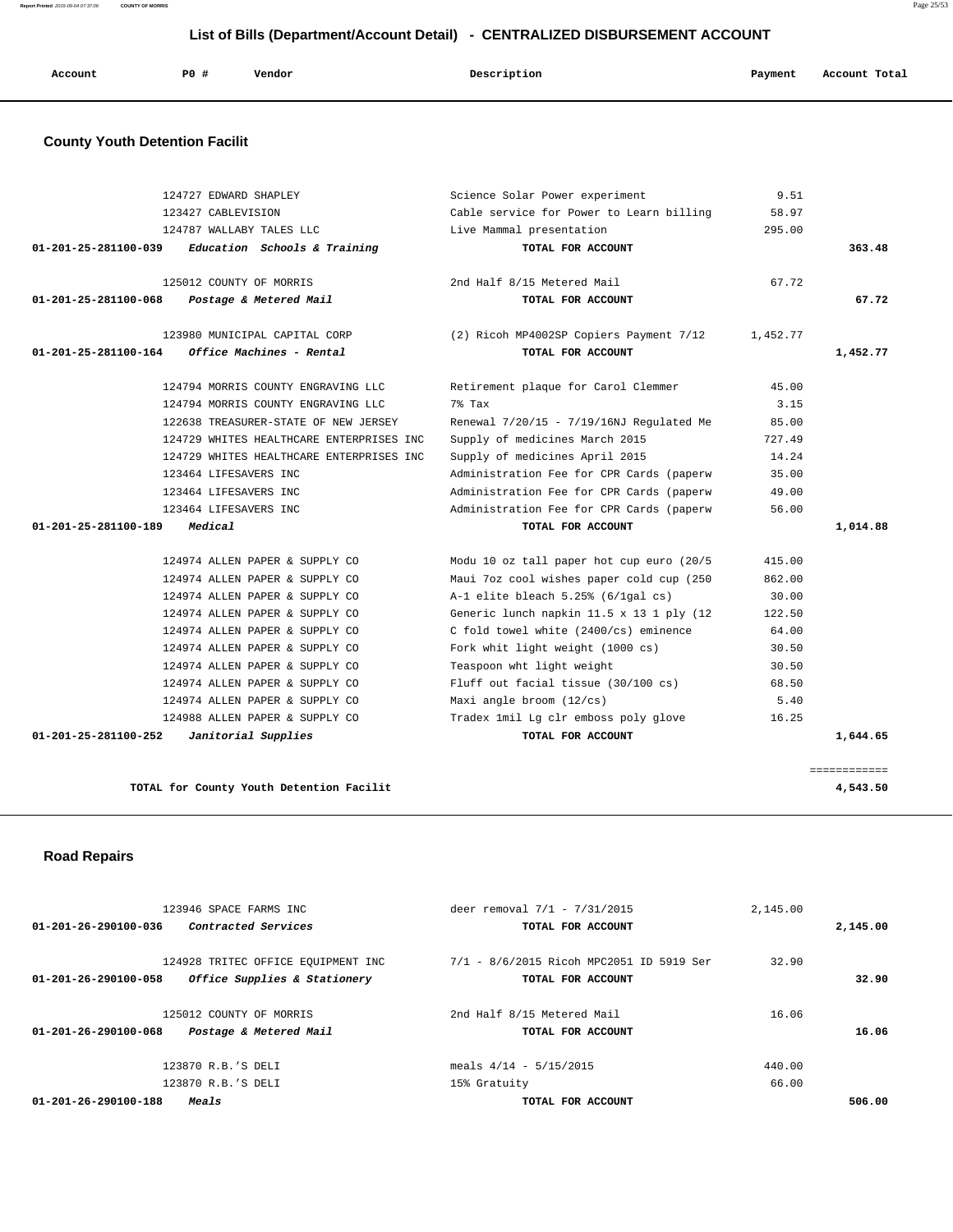| Account<br>. | PO# | Vendor<br>. | Description | Payment<br>. . | Account Total<br>. |
|--------------|-----|-------------|-------------|----------------|--------------------|
|              |     |             |             |                |                    |

# **County Youth Detention Facilit**

|          | 9.51     | Science Solar Power experiment           | 124727 EDWARD SHAPLEY                    |                                |
|----------|----------|------------------------------------------|------------------------------------------|--------------------------------|
|          | 58.97    | Cable service for Power to Learn billing | 123427 CABLEVISION                       |                                |
|          | 295.00   | Live Mammal presentation                 | 124787 WALLABY TALES LLC                 |                                |
| 363.48   |          | TOTAL FOR ACCOUNT                        | Education Schools & Training             | $01 - 201 - 25 - 281100 - 039$ |
|          | 67.72    | 2nd Half 8/15 Metered Mail               | 125012 COUNTY OF MORRIS                  |                                |
| 67.72    |          | TOTAL FOR ACCOUNT                        | Postage & Metered Mail                   | 01-201-25-281100-068           |
|          | 1,452.77 | (2) Ricoh MP4002SP Copiers Payment 7/12  | 123980 MUNICIPAL CAPITAL CORP            |                                |
| 1,452.77 |          | TOTAL FOR ACCOUNT                        | Office Machines - Rental                 | 01-201-25-281100-164           |
|          | 45.00    | Retirement plaque for Carol Clemmer      | 124794 MORRIS COUNTY ENGRAVING LLC       |                                |
|          | 3.15     | 7% Tax                                   | 124794 MORRIS COUNTY ENGRAVING LLC       |                                |
|          | 85.00    | Renewal 7/20/15 - 7/19/16NJ Regulated Me | 122638 TREASURER-STATE OF NEW JERSEY     |                                |
|          | 727.49   | Supply of medicines March 2015           | 124729 WHITES HEALTHCARE ENTERPRISES INC |                                |
|          | 14.24    | Supply of medicines April 2015           | 124729 WHITES HEALTHCARE ENTERPRISES INC |                                |
|          | 35.00    | Administration Fee for CPR Cards (paperw | 123464 LIFESAVERS INC                    |                                |
|          | 49.00    | Administration Fee for CPR Cards (paperw | 123464 LIFESAVERS INC                    |                                |
|          | 56.00    | Administration Fee for CPR Cards (paperw | 123464 LIFESAVERS INC                    |                                |
| 1,014.88 |          | TOTAL FOR ACCOUNT                        | Medical                                  | 01-201-25-281100-189           |
|          | 415.00   | Modu 10 oz tall paper hot cup euro (20/5 | 124974 ALLEN PAPER & SUPPLY CO           |                                |
|          | 862.00   | Maui 7oz cool wishes paper cold cup (250 | 124974 ALLEN PAPER & SUPPLY CO           |                                |
|          | 30.00    | $A-1$ elite bleach 5.25% (6/1qal cs)     | 124974 ALLEN PAPER & SUPPLY CO           |                                |
|          | 122.50   | Generic lunch napkin 11.5 x 13 1 ply (12 | 124974 ALLEN PAPER & SUPPLY CO           |                                |
|          | 64.00    | C fold towel white (2400/cs) eminence    | 124974 ALLEN PAPER & SUPPLY CO           |                                |
|          | 30.50    | Fork whit light weight (1000 cs)         | 124974 ALLEN PAPER & SUPPLY CO           |                                |
|          | 30.50    | Teaspoon wht light weight                | 124974 ALLEN PAPER & SUPPLY CO           |                                |
|          | 68.50    | Fluff out facial tissue (30/100 cs)      | 124974 ALLEN PAPER & SUPPLY CO           |                                |
|          | 5.40     | Maxi angle broom (12/cs)                 | 124974 ALLEN PAPER & SUPPLY CO           |                                |
|          | 16.25    | Tradex 1mil Lg clr emboss poly glove     | 124988 ALLEN PAPER & SUPPLY CO           |                                |
|          |          | TOTAL FOR ACCOUNT                        | Janitorial Supplies                      | 01-201-25-281100-252           |

 **Road Repairs** 

| 123946 SPACE FARMS INC                                         | deer removal 7/1 - 7/31/2015             | 2,145.00 |          |
|----------------------------------------------------------------|------------------------------------------|----------|----------|
| <i>Contracted Services</i><br>$01 - 201 - 26 - 290100 - 036$   | TOTAL FOR ACCOUNT                        |          | 2,145.00 |
|                                                                |                                          |          |          |
| 124928 TRITEC OFFICE EQUIPMENT INC                             | 7/1 - 8/6/2015 Ricoh MPC2051 ID 5919 Ser | 32.90    |          |
| Office Supplies & Stationery<br>$01 - 201 - 26 - 290100 - 058$ | TOTAL FOR ACCOUNT                        |          | 32.90    |
|                                                                |                                          |          |          |
| 125012 COUNTY OF MORRIS                                        | 2nd Half 8/15 Metered Mail               | 16.06    |          |
| $01 - 201 - 26 - 290100 - 068$<br>Postage & Metered Mail       | TOTAL FOR ACCOUNT                        |          | 16.06    |
|                                                                | meals $4/14 - 5/15/2015$                 | 440.00   |          |
| 123870 R.B.'S DELI                                             |                                          |          |          |
| 123870 R.B.'S DELI                                             | 15% Gratuity                             | 66.00    |          |
| $01 - 201 - 26 - 290100 - 188$<br>Meals                        | TOTAL FOR ACCOUNT                        |          | 506.00   |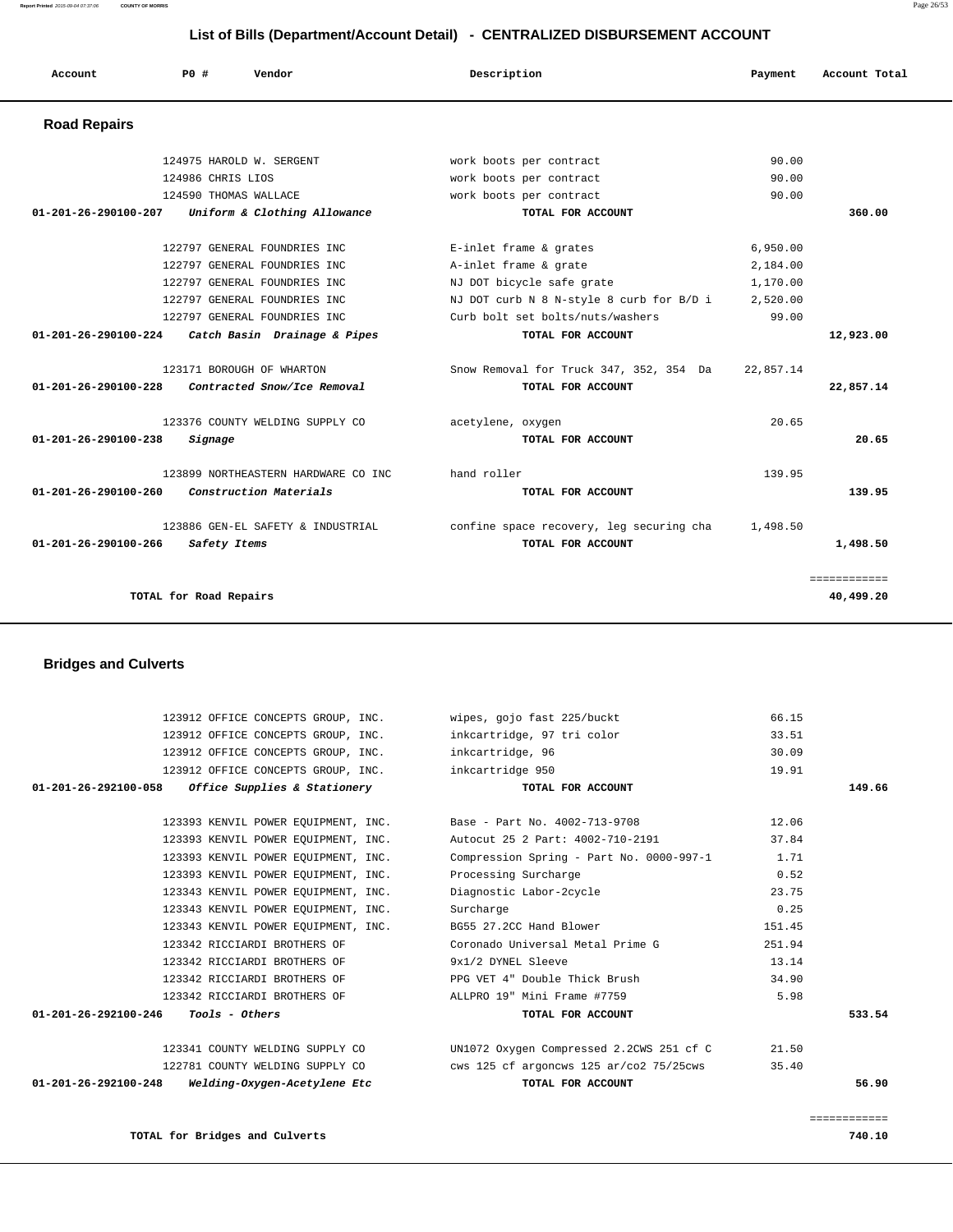**Report Printed** 2015-09-04 07:37:06 **COUNTY OF MORRIS** Page 26/53

#### **List of Bills (Department/Account Detail) - CENTRALIZED DISBURSEMENT ACCOUNT**

| Account                        | PO#                    | Vendor                               | Description                              | Payment   | Account Total |
|--------------------------------|------------------------|--------------------------------------|------------------------------------------|-----------|---------------|
| <b>Road Repairs</b>            |                        |                                      |                                          |           |               |
|                                |                        | 124975 HAROLD W. SERGENT             | work boots per contract                  | 90.00     |               |
|                                | 124986 CHRIS LIOS      |                                      | work boots per contract                  | 90.00     |               |
|                                | 124590 THOMAS WALLACE  |                                      | work boots per contract                  | 90.00     |               |
| 01-201-26-290100-207           |                        | Uniform & Clothing Allowance         | TOTAL FOR ACCOUNT                        |           | 360.00        |
|                                |                        | 122797 GENERAL FOUNDRIES INC         | E-inlet frame & grates                   | 6,950.00  |               |
|                                |                        | 122797 GENERAL FOUNDRIES INC         | A-inlet frame & grate                    | 2,184.00  |               |
|                                |                        | 122797 GENERAL FOUNDRIES INC         | NJ DOT bicycle safe grate                | 1,170.00  |               |
|                                |                        | 122797 GENERAL FOUNDRIES INC         | NJ DOT curb N 8 N-style 8 curb for B/D i | 2,520.00  |               |
|                                |                        | 122797 GENERAL FOUNDRIES INC         | Curb bolt set bolts/nuts/washers         | 99.00     |               |
| 01-201-26-290100-224           |                        | Catch Basin Drainage & Pipes         | TOTAL FOR ACCOUNT                        |           | 12,923.00     |
|                                |                        | 123171 BOROUGH OF WHARTON            | Snow Removal for Truck 347, 352, 354 Da  | 22,857.14 |               |
| 01-201-26-290100-228           |                        | Contracted Snow/Ice Removal          | TOTAL FOR ACCOUNT                        |           | 22,857.14     |
|                                |                        | 123376 COUNTY WELDING SUPPLY CO      | acetylene, oxygen                        | 20.65     |               |
| 01-201-26-290100-238           | Signage                |                                      | TOTAL FOR ACCOUNT                        |           | 20.65         |
|                                |                        | 123899 NORTHEASTERN HARDWARE CO INC. | hand roller                              | 139.95    |               |
| $01 - 201 - 26 - 290100 - 260$ |                        | Construction Materials               | TOTAL FOR ACCOUNT                        |           | 139.95        |
|                                |                        | 123886 GEN-EL SAFETY & INDUSTRIAL    | confine space recovery, leg securing cha | 1,498.50  |               |
| 01-201-26-290100-266           | Safety Items           |                                      | TOTAL FOR ACCOUNT                        |           | 1,498.50      |
|                                |                        |                                      |                                          |           | ============  |
|                                | TOTAL for Road Repairs |                                      |                                          |           | 40,499.20     |

# **Bridges and Culverts**

|                                               | 123912 OFFICE CONCEPTS GROUP, INC.                                | wipes, gojo fast 225/buckt                      | 66.15        |
|-----------------------------------------------|-------------------------------------------------------------------|-------------------------------------------------|--------------|
|                                               | 123912 OFFICE CONCEPTS GROUP, INC.                                | inkcartridge, 97 tri color                      | 33.51        |
|                                               | 123912 OFFICE CONCEPTS GROUP, INC.                                | inkcartridge, 96                                | 30.09        |
|                                               | 123912 OFFICE CONCEPTS GROUP, INC.                                | inkcartridge 950                                | 19.91        |
|                                               | $01-201-26-292100-058$ Office Supplies & Stationery               | TOTAL FOR ACCOUNT                               | 149.66       |
|                                               |                                                                   |                                                 |              |
|                                               | 123393 KENVIL POWER EQUIPMENT, INC. Base - Part No. 4002-713-9708 |                                                 | 12.06        |
|                                               | 123393 KENVIL POWER EQUIPMENT, INC.                               | Autocut 25 2 Part: 4002-710-2191                | 37.84        |
|                                               | 123393 KENVIL POWER EQUIPMENT, INC.                               | Compression Spring - Part No. $0000-997-1$ 1.71 |              |
|                                               | 123393 KENVIL POWER EQUIPMENT, INC.                               | Processing Surcharge                            | 0.52         |
|                                               | 123343 KENVIL POWER EQUIPMENT, INC.                               | Diagnostic Labor-2cycle                         | 23.75        |
|                                               | 123343 KENVIL POWER EOUIPMENT, INC.                               | Surcharge                                       | 0.25         |
|                                               | 123343 KENVIL POWER EOUIPMENT, INC.                               | BG55 27.2CC Hand Blower                         | 151.45       |
|                                               | 123342 RICCIARDI BROTHERS OF                                      | Coronado Universal Metal Prime G                | 251.94       |
|                                               | 123342 RICCIARDI BROTHERS OF                                      | 9x1/2 DYNEL Sleeve                              | 13.14        |
|                                               | 123342 RICCIARDI BROTHERS OF                                      | PPG VET 4" Double Thick Brush                   | 34.90        |
|                                               | 123342 RICCIARDI BROTHERS OF                                      | ALLPRO 19" Mini Frame #7759                     | 5.98         |
| $01 - 201 - 26 - 292100 - 246$ Tools - Others |                                                                   | TOTAL FOR ACCOUNT                               | 533.54       |
|                                               |                                                                   |                                                 |              |
|                                               | 123341 COUNTY WELDING SUPPLY CO                                   | UN1072 Oxygen Compressed 2.2CWS 251 cf C        | 21.50        |
|                                               | 122781 COUNTY WELDING SUPPLY CO                                   | cws 125 cf argoncws 125 ar/co2 75/25cws         | 35.40        |
| $01 - 201 - 26 - 292100 - 248$                | Welding-Oxygen-Acetylene Etc                                      | TOTAL FOR ACCOUNT                               | 56.90        |
|                                               |                                                                   |                                                 |              |
|                                               |                                                                   |                                                 | ============ |

**TOTAL for Bridges and Culverts 740.10**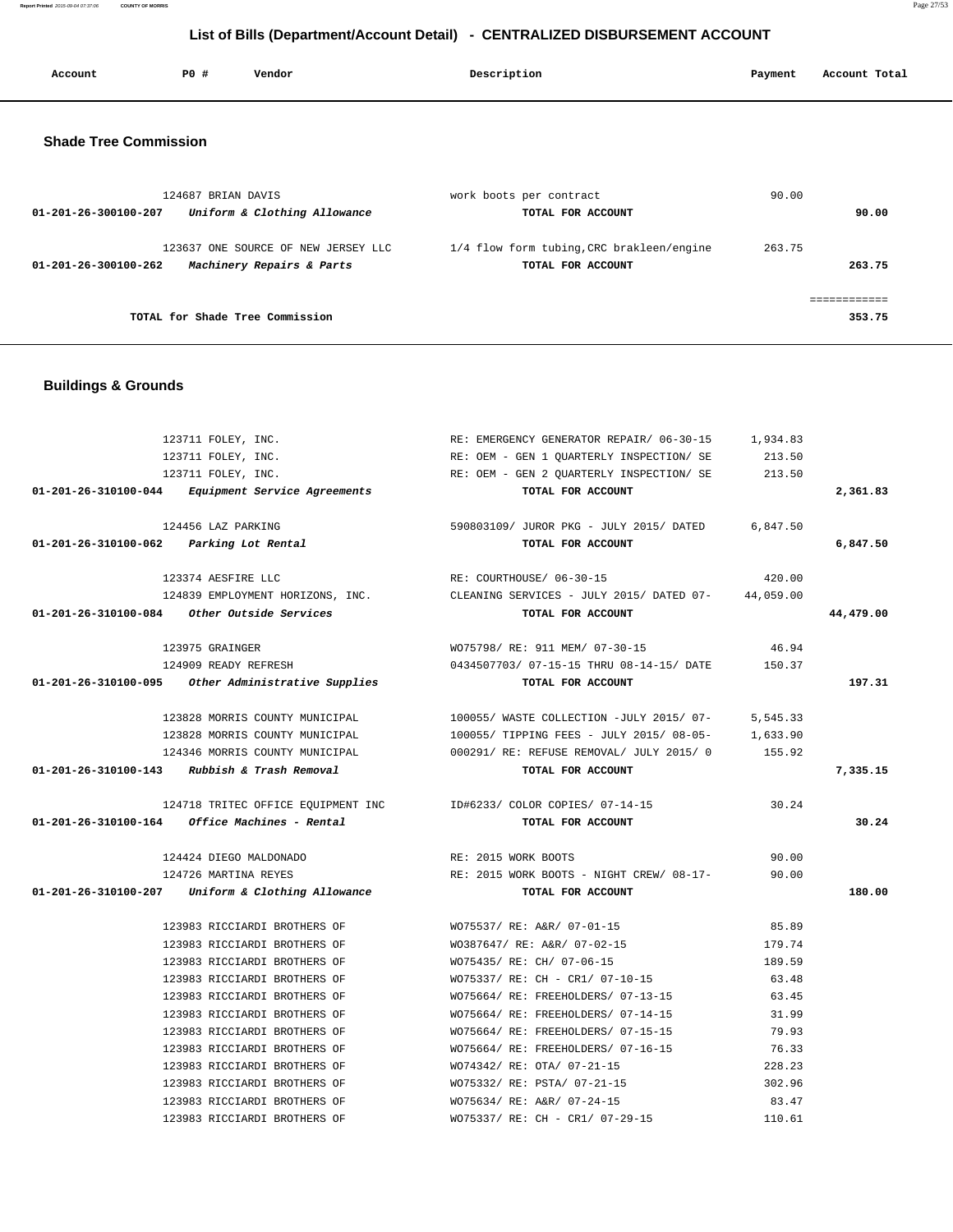**Report Printed** 2015-09-04 07:37:06 **COUNTY OF MORRIS** Page 27/53

# **List of Bills (Department/Account Detail) - CENTRALIZED DISBURSEMENT ACCOUNT**

| Account | PO# | Vendor | Description | Payment | Account Total |
|---------|-----|--------|-------------|---------|---------------|
|         |     |        |             |         |               |

#### **Shade Tree Commission**

| 124687 BRIAN DAVIS<br>Uniform & Clothing Allowance<br>01-201-26-300100-207               | work boots per contract<br>TOTAL FOR ACCOUNT                   | 90.00<br>90.00   |
|------------------------------------------------------------------------------------------|----------------------------------------------------------------|------------------|
| 123637 ONE SOURCE OF NEW JERSEY LLC<br>Machinery Repairs & Parts<br>01-201-26-300100-262 | 1/4 flow form tubing, CRC brakleen/engine<br>TOTAL FOR ACCOUNT | 263.75<br>263.75 |
| TOTAL for Shade Tree Commission                                                          |                                                                | 353.75           |

# **Buildings & Grounds**

|                                         | 123711 FOLEY, INC.                                      | RE: EMERGENCY GENERATOR REPAIR/ 06-30-15                                            | 1,934.83 |           |
|-----------------------------------------|---------------------------------------------------------|-------------------------------------------------------------------------------------|----------|-----------|
|                                         | 123711 FOLEY, INC.                                      | RE: OEM - GEN 1 OUARTERLY INSPECTION/ SE                                            | 213.50   |           |
|                                         | 123711 FOLEY, INC.                                      | RE: OEM - GEN 2 QUARTERLY INSPECTION/ SE                                            | 213.50   |           |
|                                         | 01-201-26-310100-044 Equipment Service Agreements       | TOTAL FOR ACCOUNT                                                                   |          | 2,361.83  |
|                                         | 124456 LAZ PARKING                                      | 590803109/ JUROR PKG - JULY 2015/ DATED 6,847.50                                    |          |           |
| 01-201-26-310100-062 Parking Lot Rental |                                                         | TOTAL FOR ACCOUNT                                                                   |          | 6,847.50  |
|                                         | 123374 AESFIRE LLC                                      | RE: COURTHOUSE/ 06-30-15                                                            | 420.00   |           |
|                                         |                                                         | 124839 EMPLOYMENT HORIZONS, INC. CLEANING SERVICES - JULY 2015/ DATED 07- 44,059.00 |          |           |
|                                         | 01-201-26-310100-084 Other Outside Services             | TOTAL FOR ACCOUNT                                                                   |          | 44,479.00 |
|                                         | 123975 GRAINGER                                         | WO75798/ RE: 911 MEM/ 07-30-15                                                      | 46.94    |           |
|                                         | 124909 READY REFRESH                                    | 0434507703/07-15-15 THRU 08-14-15/DATE 150.37                                       |          |           |
|                                         | 01-201-26-310100-095 Other Administrative Supplies      | TOTAL FOR ACCOUNT                                                                   |          | 197.31    |
|                                         | 123828 MORRIS COUNTY MUNICIPAL                          | 100055/ WASTE COLLECTION -JULY 2015/ 07- 5,545.33                                   |          |           |
|                                         |                                                         | 123828 MORRIS COUNTY MUNICIPAL 100055/ TIPPING FEES - JULY 2015/ 08-05- 1,633.90    |          |           |
|                                         |                                                         | 124346 MORRIS COUNTY MUNICIPAL 600291/RE: REFUSE REMOVAL/ JULY 2015/0 155.92        |          |           |
|                                         | $01-201-26-310100-143$ Rubbish & Trash Removal          | TOTAL FOR ACCOUNT                                                                   |          | 7,335.15  |
|                                         |                                                         | 124718 TRITEC OFFICE EQUIPMENT INC    UD#6233/ COLOR COPIES/ 07-14-15               | 30.24    |           |
|                                         | $01 - 201 - 26 - 310100 - 164$ Office Machines - Rental | TOTAL FOR ACCOUNT                                                                   |          | 30.24     |
|                                         | 124424 DIEGO MALDONADO                                  | RE: 2015 WORK BOOTS                                                                 | 90.00    |           |
|                                         | 124726 MARTINA REYES                                    | RE: 2015 WORK BOOTS - NIGHT CREW/ 08-17-                                            | 90.00    |           |
|                                         | 01-201-26-310100-207 Uniform & Clothing Allowance       | TOTAL FOR ACCOUNT                                                                   |          | 180.00    |
|                                         | 123983 RICCIARDI BROTHERS OF                            | WO75537/ RE: A&R/ 07-01-15                                                          | 85.89    |           |
|                                         | 123983 RICCIARDI BROTHERS OF                            | WO387647/ RE: A&R/ 07-02-15                                                         | 179.74   |           |
|                                         | 123983 RICCIARDI BROTHERS OF                            | WO75435/ RE: CH/ 07-06-15                                                           | 189.59   |           |
|                                         | 123983 RICCIARDI BROTHERS OF                            | WO75337/ RE: CH - CR1/ 07-10-15                                                     | 63.48    |           |
|                                         | 123983 RICCIARDI BROTHERS OF                            | WO75664/ RE: FREEHOLDERS/ 07-13-15                                                  | 63.45    |           |
|                                         | 123983 RICCIARDI BROTHERS OF                            | WO75664/RE: FREEHOLDERS/07-14-15                                                    | 31.99    |           |
|                                         | 123983 RICCIARDI BROTHERS OF                            | WO75664/RE: FREEHOLDERS/07-15-15                                                    | 79.93    |           |
|                                         | 123983 RICCIARDI BROTHERS OF                            | WO75664/ RE: FREEHOLDERS/ 07-16-15                                                  | 76.33    |           |
|                                         | 123983 RICCIARDI BROTHERS OF                            | WO74342/ RE: OTA/ 07-21-15                                                          | 228.23   |           |
|                                         | 123983 RICCIARDI BROTHERS OF                            | WO75332/ RE: PSTA/ 07-21-15                                                         | 302.96   |           |
|                                         | 123983 RICCIARDI BROTHERS OF                            | WO75634/ RE: A&R/ 07-24-15                                                          | 83.47    |           |
|                                         | 123983 RICCIARDI BROTHERS OF                            | WO75337/ RE: CH - CR1/ 07-29-15                                                     | 110.61   |           |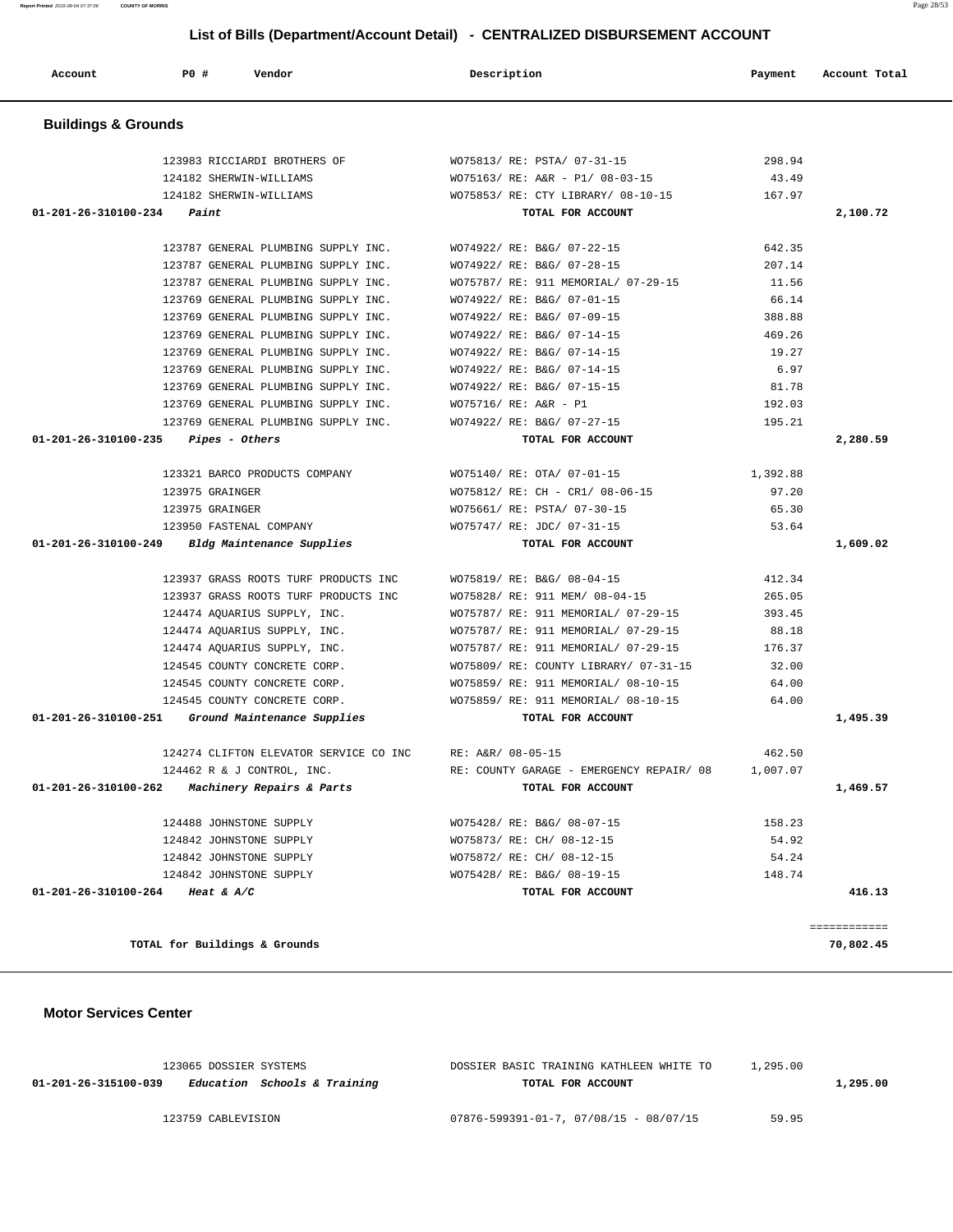| Account                        | <b>PO #</b><br>Vendor                            | Description                              | Payment  | Account Total |
|--------------------------------|--------------------------------------------------|------------------------------------------|----------|---------------|
| <b>Buildings &amp; Grounds</b> |                                                  |                                          |          |               |
|                                | 123983 RICCIARDI BROTHERS OF                     | WO75813/ RE: PSTA/ 07-31-15              | 298.94   |               |
|                                | 124182 SHERWIN-WILLIAMS                          | WO75163/ RE: A&R - P1/ 08-03-15          | 43.49    |               |
|                                | 124182 SHERWIN-WILLIAMS                          | WO75853/ RE: CTY LIBRARY/ 08-10-15       | 167.97   |               |
| 01-201-26-310100-234           | Paint                                            | TOTAL FOR ACCOUNT                        |          | 2,100.72      |
|                                | 123787 GENERAL PLUMBING SUPPLY INC.              | WO74922/ RE: B&G/ 07-22-15               | 642.35   |               |
|                                | 123787 GENERAL PLUMBING SUPPLY INC.              | WO74922/ RE: B&G/ 07-28-15               | 207.14   |               |
|                                | 123787 GENERAL PLUMBING SUPPLY INC.              | WO75787/ RE: 911 MEMORIAL/ 07-29-15      | 11.56    |               |
|                                | 123769 GENERAL PLUMBING SUPPLY INC.              | WO74922/ RE: B&G/ 07-01-15               | 66.14    |               |
|                                | 123769 GENERAL PLUMBING SUPPLY INC.              | WO74922/ RE: B&G/ 07-09-15               | 388.88   |               |
|                                | 123769 GENERAL PLUMBING SUPPLY INC.              | WO74922/ RE: B&G/ 07-14-15               | 469.26   |               |
|                                | 123769 GENERAL PLUMBING SUPPLY INC.              | WO74922/ RE: B&G/ 07-14-15               | 19.27    |               |
|                                | 123769 GENERAL PLUMBING SUPPLY INC.              | WO74922/ RE: B&G/ 07-14-15               | 6.97     |               |
|                                | 123769 GENERAL PLUMBING SUPPLY INC.              | WO74922/ RE: B&G/ 07-15-15               | 81.78    |               |
|                                | 123769 GENERAL PLUMBING SUPPLY INC.              | WO75716/ RE: A&R - P1                    | 192.03   |               |
|                                | 123769 GENERAL PLUMBING SUPPLY INC.              | WO74922/ RE: B&G/ 07-27-15               | 195.21   |               |
| 01-201-26-310100-235           | Pipes - Others                                   | TOTAL FOR ACCOUNT                        |          | 2,280.59      |
|                                | 123321 BARCO PRODUCTS COMPANY                    | WO75140/ RE: OTA/ 07-01-15               | 1,392.88 |               |
|                                | 123975 GRAINGER                                  | WO75812/ RE: CH - CR1/ 08-06-15          | 97.20    |               |
|                                | 123975 GRAINGER                                  | WO75661/ RE: PSTA/ 07-30-15              | 65.30    |               |
|                                | 123950 FASTENAL COMPANY                          | WO75747/ RE: JDC/ 07-31-15               | 53.64    |               |
| 01-201-26-310100-249           | Bldg Maintenance Supplies                        | TOTAL FOR ACCOUNT                        |          | 1,609.02      |
|                                | 123937 GRASS ROOTS TURF PRODUCTS INC             | WO75819/ RE: B&G/ 08-04-15               | 412.34   |               |
|                                | 123937 GRASS ROOTS TURF PRODUCTS INC             | WO75828/ RE: 911 MEM/ 08-04-15           | 265.05   |               |
|                                | 124474 AQUARIUS SUPPLY, INC.                     | WO75787/ RE: 911 MEMORIAL/ 07-29-15      | 393.45   |               |
|                                | 124474 AQUARIUS SUPPLY, INC.                     | WO75787/ RE: 911 MEMORIAL/ 07-29-15      | 88.18    |               |
|                                | 124474 AQUARIUS SUPPLY, INC.                     | WO75787/ RE: 911 MEMORIAL/ 07-29-15      | 176.37   |               |
|                                | 124545 COUNTY CONCRETE CORP.                     | WO75809/ RE: COUNTY LIBRARY/ 07-31-15    | 32.00    |               |
|                                | 124545 COUNTY CONCRETE CORP.                     | WO75859/ RE: 911 MEMORIAL/ 08-10-15      | 64.00    |               |
|                                | 124545 COUNTY CONCRETE CORP.                     | WO75859/ RE: 911 MEMORIAL/ 08-10-15      | 64.00    |               |
| 01-201-26-310100-251           | Ground Maintenance Supplies                      | TOTAL FOR ACCOUNT                        |          | 1,495.39      |
|                                | 124274 CLIFTON ELEVATOR SERVICE CO INC           | RE: A&R/ 08-05-15                        | 462.50   |               |
|                                | 124462 R & J CONTROL, INC.                       | RE: COUNTY GARAGE - EMERGENCY REPAIR/ 08 | 1,007.07 |               |
|                                | $01-201-26-310100-262$ Machinery Repairs & Parts | TOTAL FOR ACCOUNT                        |          | 1,469.57      |
|                                | 124488 JOHNSTONE SUPPLY                          | WO75428/ RE: B&G/ 08-07-15               | 158.23   |               |
|                                | 124842 JOHNSTONE SUPPLY                          | WO75873/ RE: CH/ 08-12-15                | 54.92    |               |
|                                | 124842 JOHNSTONE SUPPLY                          | WO75872/ RE: CH/ 08-12-15                | 54.24    |               |
|                                | 124842 JOHNSTONE SUPPLY                          | WO75428/ RE: B&G/ 08-19-15               | 148.74   |               |
|                                | 01-201-26-310100-264 Heat & A/C                  | TOTAL FOR ACCOUNT                        |          | 416.13        |

**TOTAL for Buildings & Grounds 70,802.45**

### **Motor Services Center**

| 123065 DOSSIER SYSTEMS                               | DOSSIER BASIC TRAINING KATHLEEN WHITE TO       | 1,295.00 |          |
|------------------------------------------------------|------------------------------------------------|----------|----------|
| Education Schools & Training<br>01-201-26-315100-039 | TOTAL FOR ACCOUNT                              |          | 1,295.00 |
| 123759 CABLEVISION                                   | $07876 - 599391 - 01 - 7, 07/08/15 - 08/07/15$ | 59.95    |          |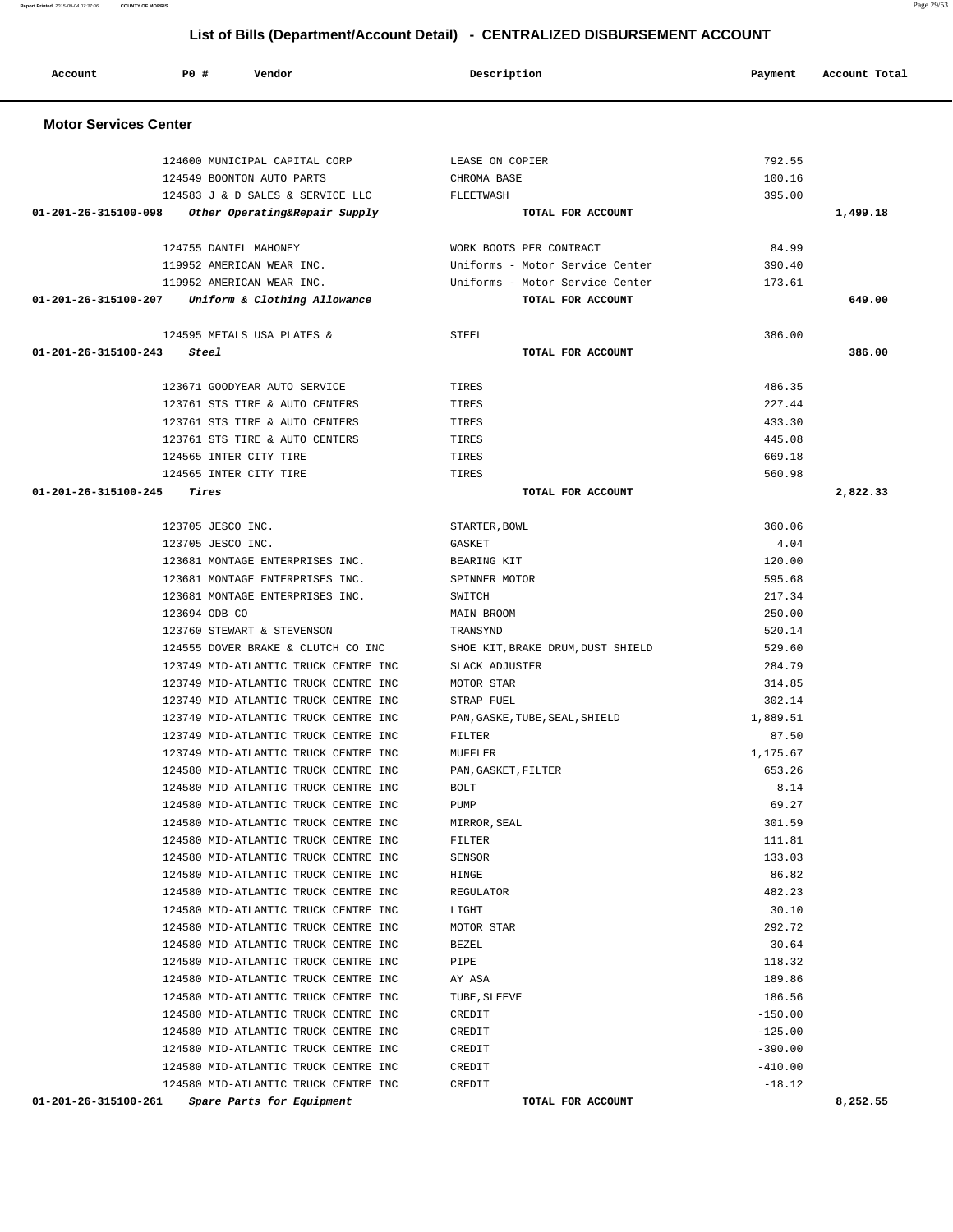**Account P0 # Vendor Description Payment Account Total Motor Services Center**  124600 MUNICIPAL CAPITAL CORP LEASE ON COPIER 792.55 124549 BOONTON AUTO PARTS CHROMA BASE 100.16 124583 J & D SALES & SERVICE LLC FLEETWASH 395.00  **01-201-26-315100-098 Other Operating&Repair Supply TOTAL FOR ACCOUNT 1,499.18** 124755 DANIEL MAHONEY WORK BOOTS PER CONTRACT 84.99 119952 AMERICAN WEAR INC. Uniforms - Motor Service Center 390.40 119952 AMERICAN WEAR INC. Uniforms - Motor Service Center 173.61  **01-201-26-315100-207 Uniform & Clothing Allowance TOTAL FOR ACCOUNT 649.00**  $124595$  METALS USA PLATES  $\kappa$  street. Street, see Street 386.000 and 386.000 and 386.000 and 386.000 and 386.000 and 386.000 and 386.000 and 386.000 and 386.000 and 386.000 and 386.000 and 386.000 and 386.000 and 386.0  **01-201-26-315100-243 Steel TOTAL FOR ACCOUNT 386.00** 123671 GOODYEAR AUTO SERVICE TIRES 486.35 123761 STS TIRE & AUTO CENTERS TIRES 227.44 123761 STS TIRE & AUTO CENTERS TIRES TIRES 433.30 123761 STS TIRE & AUTO CENTERS TIRES 445.08 124565 INTER CITY TIRE TIRES 669.18 124565 INTER CITY TIRE TIRES TIRES THE SERVICE OF SERVICE SERVICE SERVICE SERVICE SERVICE SERVICE SERVICE SERVICE SERVICE SERVICE SERVICE SERVICE SERVICE SERVICE SERVICE SERVICE SERVICE SERVICE SERVICE SERVICE SERVICE SERV  **01-201-26-315100-245 Tires TOTAL FOR ACCOUNT 2,822.33** 123705 JESCO INC. STARTER,BOWL 360.06 123705 JESCO INC. GASKET 4.04 123681 MONTAGE ENTERPRISES INC. BEARING KIT 120.00 123681 MONTAGE ENTERPRISES INC. SPINNER MOTOR 595.68 123681 MONTAGE ENTERPRISES INC. SWITCH SERVICE SERVICE 217.34 123694 ODB CO MAIN BROOM 250.00 123760 STEWART & STEVENSON TRANSYND 520.14 124555 DOVER BRAKE & CLUTCH CO INC SHOE KIT,BRAKE DRUM,DUST SHIELD 529.60 123749 MID-ATLANTIC TRUCK CENTRE INC SLACK ADJUSTER 284.79 123749 MID-ATLANTIC TRUCK CENTRE INC MOTOR STAR 314.85 123749 MID-ATLANTIC TRUCK CENTRE INC STRAP FUEL 302.14 123749 MID-ATLANTIC TRUCK CENTRE INC PAN, GASKE, TUBE, SEAL, SHIELD 1,889.51 123749 MID-ATLANTIC TRUCK CENTRE INC FILTER 87.50 123749 MID-ATLANTIC TRUCK CENTRE INC MUFFLER 1,175.67 124580 MID-ATLANTIC TRUCK CENTRE INC PAN,GASKET,FILTER 653.26 124580 MID-ATLANTIC TRUCK CENTRE INC BOLT 8.14 124580 MID-ATLANTIC TRUCK CENTRE INC PUMP 69.27 124580 MID-ATLANTIC TRUCK CENTRE INC MIRROR,SEAL 301.59 124580 MID-ATLANTIC TRUCK CENTRE INC FILTER 111.81 124580 MID-ATLANTIC TRUCK CENTRE INC SENSOR 133.03 124580 MID-ATLANTIC TRUCK CENTRE INC HINGE 86.82 124580 MID-ATLANTIC TRUCK CENTRE INC REGULATOR 482.23 124580 MID-ATLANTIC TRUCK CENTRE INC LIGHT 30.10 124580 MID-ATLANTIC TRUCK CENTRE INC MOTOR STAR 292.72 124580 MID-ATLANTIC TRUCK CENTRE INC BEZEL 30.64 124580 MID-ATLANTIC TRUCK CENTRE INC PIPE 118.32 124580 MID-ATLANTIC TRUCK CENTRE INC AY ASA 189.86 124580 MID-ATLANTIC TRUCK CENTRE INC TUBE,SLEEVE 186.56 124580 MID-ATLANTIC TRUCK CENTRE INC CREDIT CONSTRUCTED AND THE SERIES OF THE SERIES OF THE SERIES OF THE SERIES OF THE SERIES OF THE SERIES OF THE SERIES OF THE SERIES OF THE SERIES OF THE SERIES OF THE SERIES OF THE SERI 124580 MID-ATLANTIC TRUCK CENTRE INC CREDIT CONSTRUCTED AND THE 125.00 124580 MID-ATLANTIC TRUCK CENTRE INC CREDIT CREDIT CONSIDERED AND 1390.00 124580 MID-ATLANTIC TRUCK CENTRE INC CREDIT CONSTRUCTED AND  $-410.00$ 124580 MID-ATLANTIC TRUCK CENTRE INC CREDIT CREDIT CHARGES AND THE 18.12  **01-201-26-315100-261 Spare Parts for Equipment TOTAL FOR ACCOUNT 8,252.55**

 **List of Bills (Department/Account Detail) - CENTRALIZED DISBURSEMENT ACCOUNT**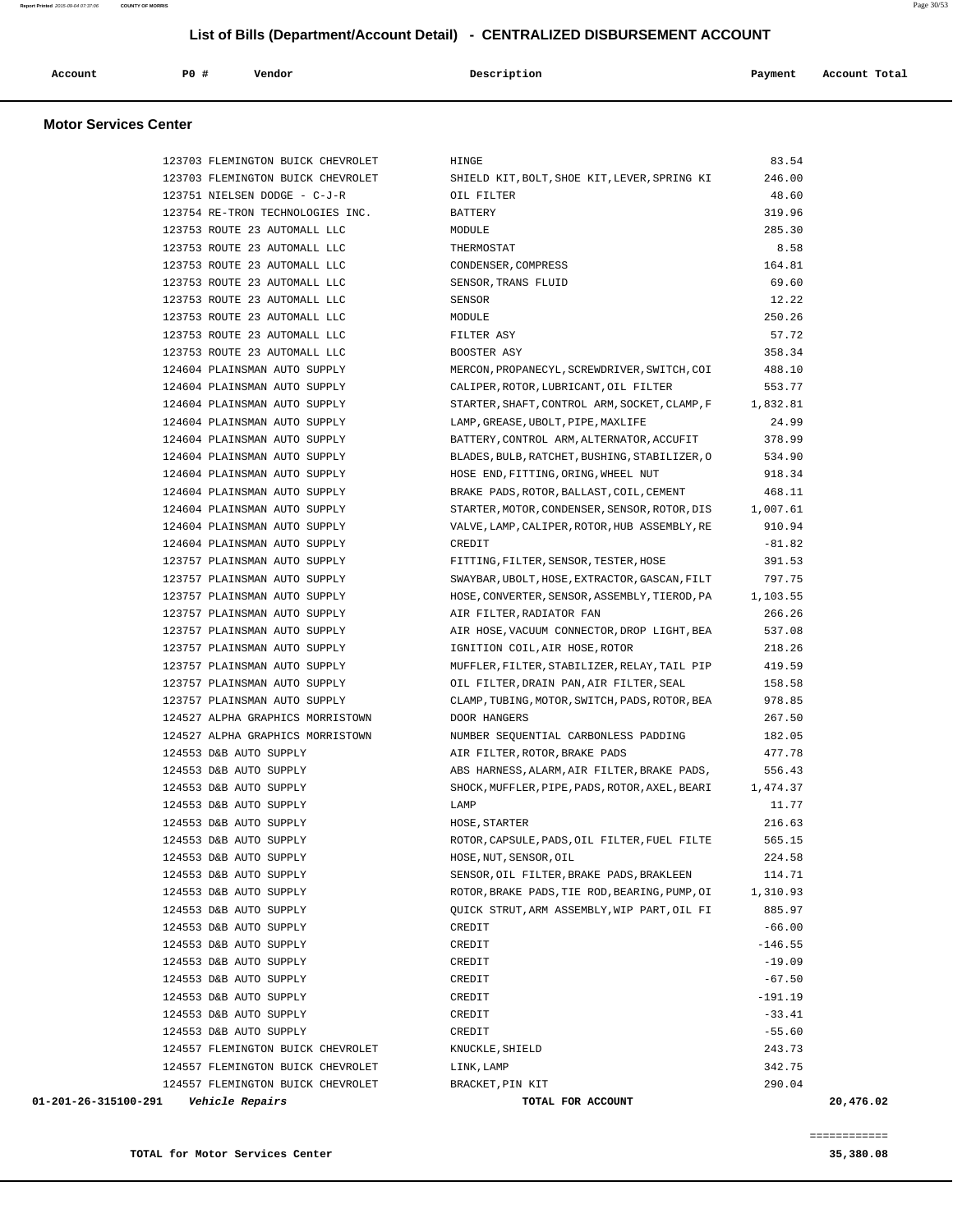| Account<br>. | PO# | Vendor | Description | Payment | Account Total |
|--------------|-----|--------|-------------|---------|---------------|
|              |     |        |             |         |               |

#### **Motor Services Center**

| 123703 FLEMINGTON BUICK CHEVROLET                     | HINGE                                                   | 83.54     |           |
|-------------------------------------------------------|---------------------------------------------------------|-----------|-----------|
| 123703 FLEMINGTON BUICK CHEVROLET                     | SHIELD KIT, BOLT, SHOE KIT, LEVER, SPRING KI            | 246.00    |           |
| 123751 NIELSEN DODGE - C-J-R                          | OIL FILTER                                              | 48.60     |           |
| 123754 RE-TRON TECHNOLOGIES INC.                      | BATTERY                                                 | 319.96    |           |
| 123753 ROUTE 23 AUTOMALL LLC                          | MODULE                                                  | 285.30    |           |
| 123753 ROUTE 23 AUTOMALL LLC                          | THERMOSTAT                                              | 8.58      |           |
| 123753 ROUTE 23 AUTOMALL LLC                          | CONDENSER, COMPRESS                                     | 164.81    |           |
| 123753 ROUTE 23 AUTOMALL LLC                          | SENSOR, TRANS FLUID                                     | 69.60     |           |
| 123753 ROUTE 23 AUTOMALL LLC                          | SENSOR                                                  | 12.22     |           |
| 123753 ROUTE 23 AUTOMALL LLC                          | MODULE                                                  | 250.26    |           |
| 123753 ROUTE 23 AUTOMALL LLC                          | FILTER ASY                                              | 57.72     |           |
| 123753 ROUTE 23 AUTOMALL LLC                          | BOOSTER ASY                                             | 358.34    |           |
| 124604 PLAINSMAN AUTO SUPPLY                          | MERCON, PROPANECYL, SCREWDRIVER, SWITCH, COI            | 488.10    |           |
| 124604 PLAINSMAN AUTO SUPPLY                          | CALIPER, ROTOR, LUBRICANT, OIL FILTER                   | 553.77    |           |
| 124604 PLAINSMAN AUTO SUPPLY                          | STARTER, SHAFT, CONTROL ARM, SOCKET, CLAMP, F 1, 832.81 |           |           |
| 124604 PLAINSMAN AUTO SUPPLY                          | LAMP, GREASE, UBOLT, PIPE, MAXLIFE                      | 24.99     |           |
| 124604 PLAINSMAN AUTO SUPPLY                          | BATTERY, CONTROL ARM, ALTERNATOR, ACCUFIT               | 378.99    |           |
| 124604 PLAINSMAN AUTO SUPPLY                          | BLADES, BULB, RATCHET, BUSHING, STABILIZER, O           | 534.90    |           |
| 124604 PLAINSMAN AUTO SUPPLY                          | HOSE END, FITTING, ORING, WHEEL NUT                     | 918.34    |           |
| 124604 PLAINSMAN AUTO SUPPLY                          | BRAKE PADS, ROTOR, BALLAST, COIL, CEMENT                | 468.11    |           |
| 124604 PLAINSMAN AUTO SUPPLY                          | STARTER, MOTOR, CONDENSER, SENSOR, ROTOR, DIS           | 1,007.61  |           |
| 124604 PLAINSMAN AUTO SUPPLY                          | VALVE, LAMP, CALIPER, ROTOR, HUB ASSEMBLY, RE           | 910.94    |           |
| 124604 PLAINSMAN AUTO SUPPLY                          | CREDIT                                                  | $-81.82$  |           |
| 123757 PLAINSMAN AUTO SUPPLY                          | FITTING, FILTER, SENSOR, TESTER, HOSE                   | 391.53    |           |
| 123757 PLAINSMAN AUTO SUPPLY                          | SWAYBAR, UBOLT, HOSE, EXTRACTOR, GASCAN, FILT           | 797.75    |           |
| 123757 PLAINSMAN AUTO SUPPLY                          | HOSE, CONVERTER, SENSOR, ASSEMBLY, TIEROD, PA           | 1,103.55  |           |
| 123757 PLAINSMAN AUTO SUPPLY                          | AIR FILTER, RADIATOR FAN                                | 266.26    |           |
| 123757 PLAINSMAN AUTO SUPPLY                          | AIR HOSE, VACUUM CONNECTOR, DROP LIGHT, BEA             | 537.08    |           |
| 123757 PLAINSMAN AUTO SUPPLY                          | IGNITION COIL, AIR HOSE, ROTOR                          | 218.26    |           |
| 123757 PLAINSMAN AUTO SUPPLY                          | MUFFLER, FILTER, STABILIZER, RELAY, TAIL PIP            | 419.59    |           |
| 123757 PLAINSMAN AUTO SUPPLY                          | OIL FILTER, DRAIN PAN, AIR FILTER, SEAL                 | 158.58    |           |
| 123757 PLAINSMAN AUTO SUPPLY                          | CLAMP, TUBING, MOTOR, SWITCH, PADS, ROTOR, BEA          | 978.85    |           |
| 124527 ALPHA GRAPHICS MORRISTOWN                      | DOOR HANGERS                                            | 267.50    |           |
| 124527 ALPHA GRAPHICS MORRISTOWN                      | NUMBER SEQUENTIAL CARBONLESS PADDING                    | 182.05    |           |
| 124553 D&B AUTO SUPPLY                                | AIR FILTER, ROTOR, BRAKE PADS                           | 477.78    |           |
| 124553 D&B AUTO SUPPLY                                | ABS HARNESS, ALARM, AIR FILTER, BRAKE PADS,             | 556.43    |           |
| 124553 D&B AUTO SUPPLY                                | SHOCK, MUFFLER, PIPE, PADS, ROTOR, AXEL, BEARI          | 1,474.37  |           |
| 124553 D&B AUTO SUPPLY                                | LAMP                                                    | 11.77     |           |
| 124553 D&B AUTO SUPPLY                                | HOSE, STARTER                                           | 216.63    |           |
| 124553 D&B AUTO SUPPLY                                | ROTOR, CAPSULE, PADS, OIL FILTER, FUEL FILTE            | 565.15    |           |
| 124553 D&B AUTO SUPPLY                                | HOSE, NUT, SENSOR, OIL                                  | 224.58    |           |
| 124553 D&B AUTO SUPPLY                                | SENSOR, OIL FILTER, BRAKE PADS, BRAKLEEN                | 114.71    |           |
| 124553 D&B AUTO SUPPLY                                | ROTOR, BRAKE PADS, TIE ROD, BEARING, PUMP, OI           | 1,310.93  |           |
| 124553 D&B AUTO SUPPLY                                | OUICK STRUT, ARM ASSEMBLY, WIP PART, OIL FI             | 885.97    |           |
| 124553 D&B AUTO SUPPLY                                | CREDIT                                                  | $-66.00$  |           |
| 124553 D&B AUTO SUPPLY                                | CREDIT                                                  | $-146.55$ |           |
| 124553 D&B AUTO SUPPLY                                | CREDIT                                                  | $-19.09$  |           |
| 124553 D&B AUTO SUPPLY                                | CREDIT                                                  | $-67.50$  |           |
| 124553 D&B AUTO SUPPLY                                | CREDIT                                                  | $-191.19$ |           |
| 124553 D&B AUTO SUPPLY                                | CREDIT                                                  | $-33.41$  |           |
| 124553 D&B AUTO SUPPLY                                | CREDIT                                                  | $-55.60$  |           |
| 124557 FLEMINGTON BUICK CHEVROLET                     | KNUCKLE, SHIELD                                         | 243.73    |           |
| 124557 FLEMINGTON BUICK CHEVROLET                     | LINK, LAMP                                              | 342.75    |           |
| 124557 FLEMINGTON BUICK CHEVROLET                     | BRACKET, PIN KIT                                        | 290.04    |           |
| 01-201-26-315100-291<br><i><b>Vehicle Repairs</b></i> | TOTAL FOR ACCOUNT                                       |           | 20,476.02 |
|                                                       |                                                         |           |           |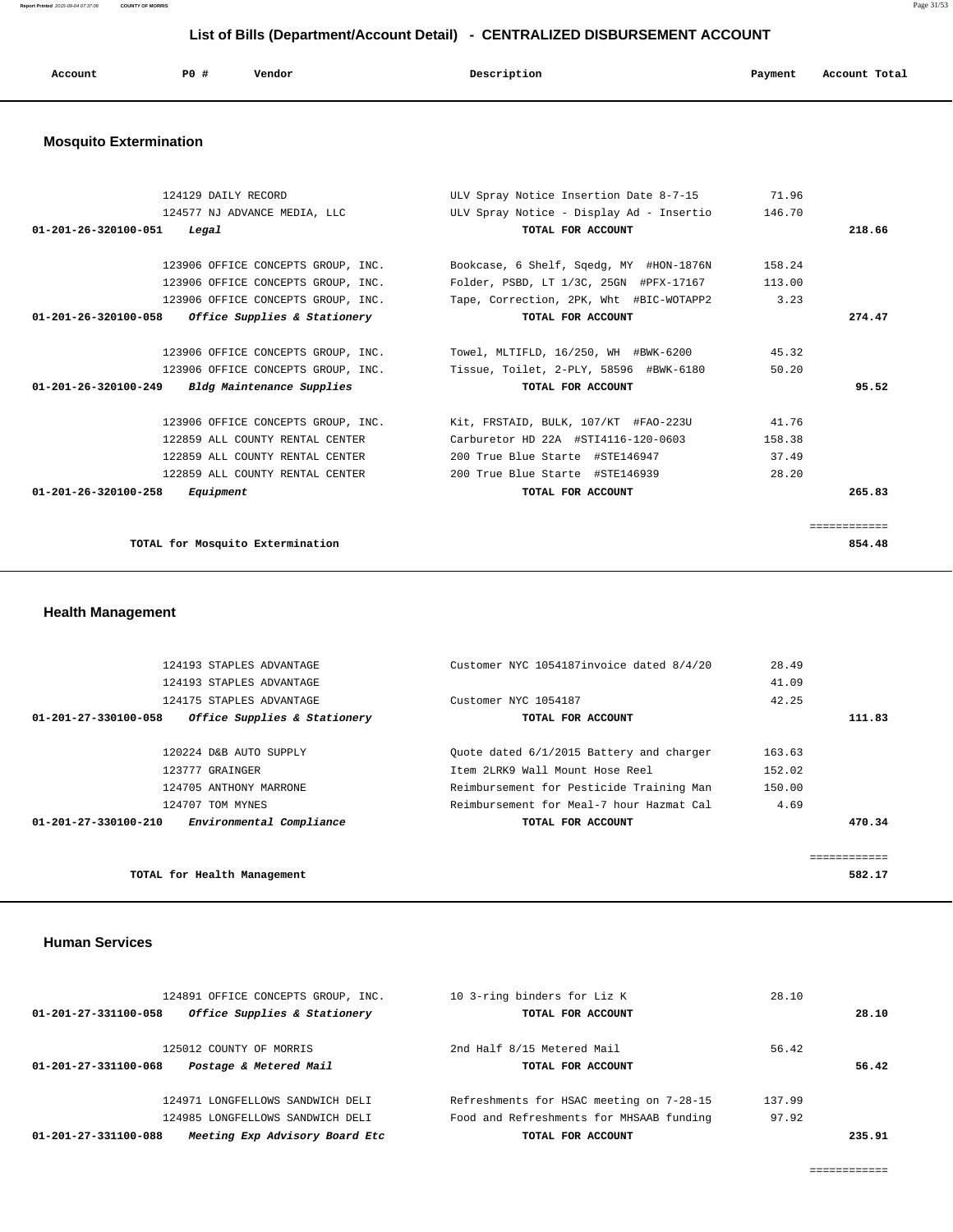**Report Printed** 2015-09-04 07:37:06 **COUNTY OF MORRIS** Page 31/53

# **List of Bills (Department/Account Detail) - CENTRALIZED DISBURSEMENT ACCOUNT**

| Account | PO# | Vendor<br>. | Description<br>$\sim$ $\sim$ | Payment | Account Total |
|---------|-----|-------------|------------------------------|---------|---------------|
|         |     |             |                              |         |               |

# **Mosquito Extermination**

| 124129 DAILY RECORD                                 | ULV Spray Notice Insertion Date 8-7-15 71.96    |        |              |
|-----------------------------------------------------|-------------------------------------------------|--------|--------------|
| 124577 NJ ADVANCE MEDIA, LLC                        | ULV Spray Notice - Display Ad - Insertio 146.70 |        |              |
| 01-201-26-320100-051<br>Legal                       | TOTAL FOR ACCOUNT                               |        | 218.66       |
|                                                     |                                                 |        |              |
| 123906 OFFICE CONCEPTS GROUP, INC.                  | Bookcase, 6 Shelf, Sqedq, MY #HON-1876N 158.24  |        |              |
| 123906 OFFICE CONCEPTS GROUP, INC.                  | Folder, PSBD, LT 1/3C, 25GN #PFX-17167 113.00   |        |              |
| 123906 OFFICE CONCEPTS GROUP, INC.                  | Tape, Correction, 2PK, Wht #BIC-WOTAPP2         | 3.23   |              |
| $01-201-26-320100-058$ Office Supplies & Stationery | TOTAL FOR ACCOUNT                               |        | 274.47       |
|                                                     |                                                 |        |              |
| 123906 OFFICE CONCEPTS GROUP, INC.                  | Towel, MLTIFLD, 16/250, WH #BWK-6200            | 45.32  |              |
| 123906 OFFICE CONCEPTS GROUP, INC.                  | Tissue, Toilet, 2-PLY, 58596 #BWK-6180          | 50.20  |              |
| $01-201-26-320100-249$ Bldg Maintenance Supplies    | TOTAL FOR ACCOUNT                               |        | 95.52        |
| 123906 OFFICE CONCEPTS GROUP, INC.                  | Kit, FRSTAID, BULK, 107/KT #FAO-223U            | 41.76  |              |
|                                                     |                                                 |        |              |
| 122859 ALL COUNTY RENTAL CENTER                     | Carburetor HD 22A #STI4116-120-0603             | 158.38 |              |
| 122859 ALL COUNTY RENTAL CENTER                     | 200 True Blue Starte #STE146947                 | 37.49  |              |
| 122859 ALL COUNTY RENTAL CENTER                     | 200 True Blue Starte #STE146939                 | 28.20  |              |
| $01 - 201 - 26 - 320100 - 258$<br>Equipment         | TOTAL FOR ACCOUNT                               |        | 265.83       |
|                                                     |                                                 |        |              |
|                                                     |                                                 |        | ============ |
| TOTAL for Mosquito Extermination                    |                                                 |        | 854.48       |

# **Health Management**

|                                | 124193 STAPLES ADVANTAGE     | Customer NYC 1054187invoice dated 8/4/20 | 28.49  |        |
|--------------------------------|------------------------------|------------------------------------------|--------|--------|
|                                | 124193 STAPLES ADVANTAGE     |                                          | 41.09  |        |
|                                | 124175 STAPLES ADVANTAGE     | Customer NYC 1054187                     | 42.25  |        |
| 01-201-27-330100-058           | Office Supplies & Stationery | TOTAL FOR ACCOUNT                        |        | 111.83 |
|                                |                              |                                          |        |        |
|                                | 120224 D&B AUTO SUPPLY       | Quote dated 6/1/2015 Battery and charger | 163.63 |        |
|                                | 123777 GRAINGER              | Item 2LRK9 Wall Mount Hose Reel          | 152.02 |        |
|                                | 124705 ANTHONY MARRONE       | Reimbursement for Pesticide Training Man | 150.00 |        |
|                                | 124707 TOM MYNES             | Reimbursement for Meal-7 hour Hazmat Cal | 4.69   |        |
| $01 - 201 - 27 - 330100 - 210$ | Environmental Compliance     | TOTAL FOR ACCOUNT                        |        | 470.34 |
|                                |                              |                                          |        |        |
|                                |                              |                                          |        |        |
|                                | TOTAL for Health Management  |                                          |        | 582.17 |
|                                |                              |                                          |        |        |

#### **Human Services**

| 124891 OFFICE CONCEPTS GROUP, INC.                     | 10 3-ring binders for Liz K              | 28.10  |        |
|--------------------------------------------------------|------------------------------------------|--------|--------|
| Office Supplies & Stationery<br>01-201-27-331100-058   | TOTAL FOR ACCOUNT                        |        | 28.10  |
| 125012 COUNTY OF MORRIS                                | 2nd Half 8/15 Metered Mail               | 56.42  |        |
| Postage & Metered Mail<br>01-201-27-331100-068         | TOTAL FOR ACCOUNT                        |        | 56.42  |
| 124971 LONGFELLOWS SANDWICH DELI                       | Refreshments for HSAC meeting on 7-28-15 | 137.99 |        |
| 124985 LONGFELLOWS SANDWICH DELI                       | Food and Refreshments for MHSAAB funding | 97.92  |        |
| Meeting Exp Advisory Board Etc<br>01-201-27-331100-088 | TOTAL FOR ACCOUNT                        |        | 235.91 |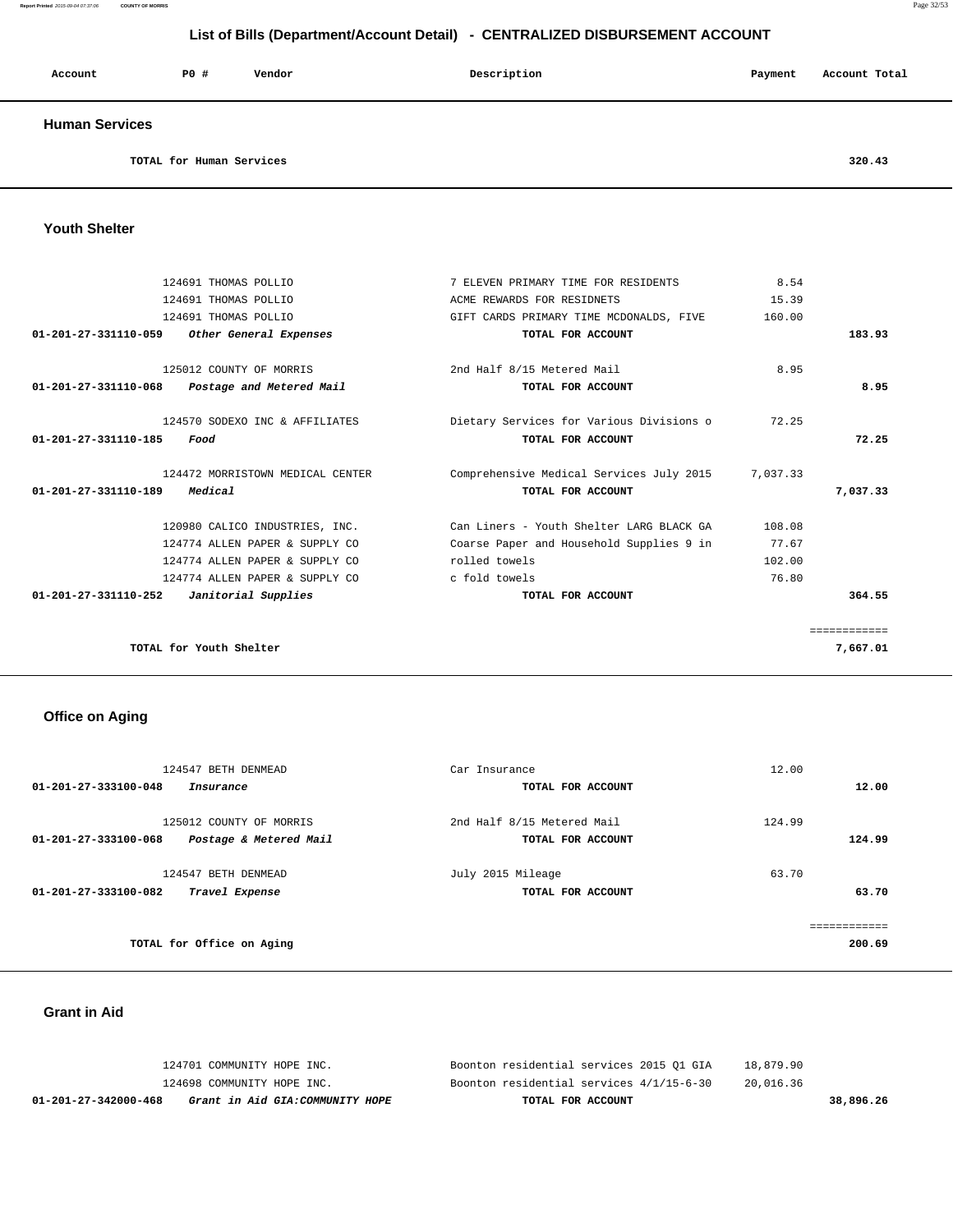#### **Report Printed** 2015-09-04 07:37:06 **COUNTY OF MORRIS** Page 32/53

# **List of Bills (Department/Account Detail) - CENTRALIZED DISBURSEMENT ACCOUNT**

| Account               | P0# | Vendor | Description | Payment | Account Total |
|-----------------------|-----|--------|-------------|---------|---------------|
| <b>Human Services</b> |     |        |             |         |               |

**TOTAL for Human Services 320.43**

#### **Youth Shelter**

|              | 8.54     | 7 ELEVEN PRIMARY TIME FOR RESIDENTS      | 124691 THOMAS POLLIO                            |
|--------------|----------|------------------------------------------|-------------------------------------------------|
|              | 15.39    | ACME REWARDS FOR RESIDNETS               | 124691 THOMAS POLLIO                            |
|              | 160.00   | GIFT CARDS PRIMARY TIME MCDONALDS, FIVE  | 124691 THOMAS POLLIO                            |
| 183.93       |          | TOTAL FOR ACCOUNT                        | 01-201-27-331110-059 Other General Expenses     |
|              | 8.95     | 2nd Half 8/15 Metered Mail               | 125012 COUNTY OF MORRIS                         |
| 8.95         |          | TOTAL FOR ACCOUNT                        | $01-201-27-331110-068$ Postage and Metered Mail |
|              | 72.25    | Dietary Services for Various Divisions o | 124570 SODEXO INC & AFFILIATES                  |
| 72.25        |          | TOTAL FOR ACCOUNT                        | 01-201-27-331110-185<br>Food                    |
|              | 7,037.33 | Comprehensive Medical Services July 2015 | 124472 MORRISTOWN MEDICAL CENTER                |
| 7,037.33     |          | TOTAL FOR ACCOUNT                        | Medical<br>01-201-27-331110-189                 |
|              | 108.08   | Can Liners - Youth Shelter LARG BLACK GA | 120980 CALICO INDUSTRIES, INC.                  |
|              | 77.67    | Coarse Paper and Household Supplies 9 in | 124774 ALLEN PAPER & SUPPLY CO                  |
|              | 102.00   | rolled towels                            | 124774 ALLEN PAPER & SUPPLY CO                  |
|              | 76.80    | c fold towels                            | 124774 ALLEN PAPER & SUPPLY CO                  |
| 364.55       |          | TOTAL FOR ACCOUNT                        | 01-201-27-331110-252<br>Janitorial Supplies     |
| ============ |          |                                          |                                                 |
| 7,667.01     |          |                                          | TOTAL for Youth Shelter                         |

# **Office on Aging**

| 124547 BETH DENMEAD                            | Car Insurance              | 12.00  |
|------------------------------------------------|----------------------------|--------|
| 01-201-27-333100-048<br>Insurance              | TOTAL FOR ACCOUNT          | 12.00  |
|                                                |                            |        |
| 125012 COUNTY OF MORRIS                        | 2nd Half 8/15 Metered Mail | 124.99 |
| 01-201-27-333100-068<br>Postage & Metered Mail | TOTAL FOR ACCOUNT          | 124.99 |
| 124547 BETH DENMEAD                            | July 2015 Mileage          | 63.70  |
| 01-201-27-333100-082                           |                            | 63.70  |
| Travel Expense                                 | TOTAL FOR ACCOUNT          |        |
|                                                |                            |        |
|                                                |                            |        |
| TOTAL for Office on Aging                      |                            | 200.69 |

#### **Grant in Aid**

| 01-201-27-342000-468       | Grant in Aid GIA:COMMUNITY HOPE | TOTAL FOR ACCOUNT                        | 38,896.26 |
|----------------------------|---------------------------------|------------------------------------------|-----------|
| 124698 COMMUNITY HOPE INC. |                                 | Boonton residential services 4/1/15-6-30 | 20,016.36 |
| 124701 COMMUNITY HOPE INC. |                                 | Boonton residential services 2015 O1 GIA | 18,879.90 |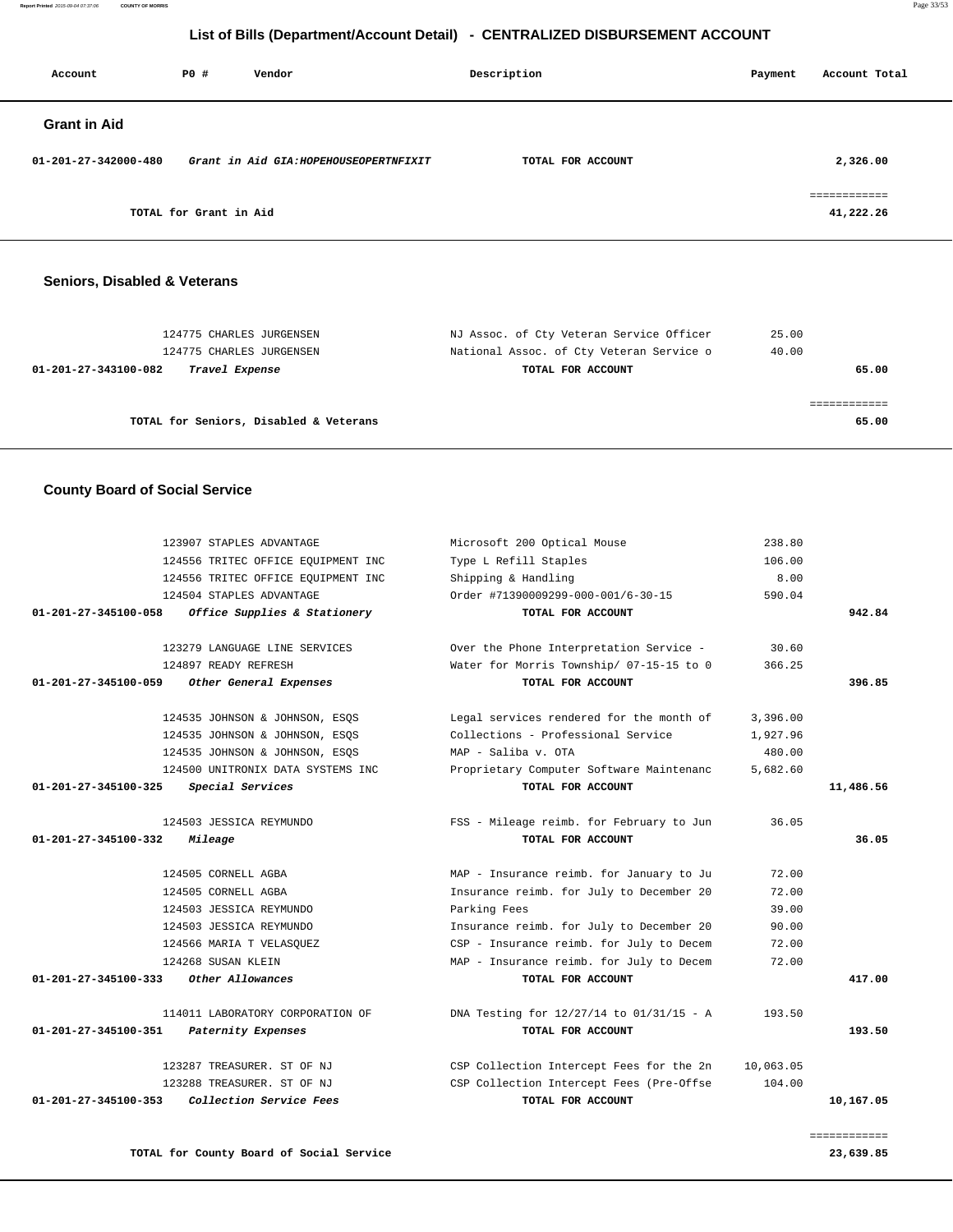**Report Printed** 2015-09-04 07:37:06 **COUNTY OF MORRIS** Page 33/53

# **List of Bills (Department/Account Detail) - CENTRALIZED DISBURSEMENT ACCOUNT**

| Account              | PO#                    | Vendor                                 | Description       | Payment | Account Total             |
|----------------------|------------------------|----------------------------------------|-------------------|---------|---------------------------|
| <b>Grant in Aid</b>  |                        |                                        |                   |         |                           |
| 01-201-27-342000-480 |                        | Grant in Aid GIA: HOPEHOUSEOPERTNFIXIT | TOTAL FOR ACCOUNT |         | 2,326.00                  |
|                      | TOTAL for Grant in Aid |                                        |                   |         | ------------<br>41,222.26 |

#### **Seniors, Disabled & Veterans**

| 124775 CHARLES JURGENSEN                                           | NJ Assoc. of Cty Veteran Service Officer                      | 25.00          |
|--------------------------------------------------------------------|---------------------------------------------------------------|----------------|
| 124775 CHARLES JURGENSEN<br>01-201-27-343100-082<br>Travel Expense | National Assoc. of Cty Veteran Service o<br>TOTAL FOR ACCOUNT | 40.00<br>65.00 |
|                                                                    |                                                               |                |
|                                                                    |                                                               |                |
| TOTAL for Seniors, Disabled & Veterans                             |                                                               | 65.00          |
|                                                                    |                                                               |                |

#### **County Board of Social Service**

|                      | 123907 STAPLES ADVANTAGE           | Microsoft 200 Optical Mouse              | 238.80    |           |
|----------------------|------------------------------------|------------------------------------------|-----------|-----------|
|                      | 124556 TRITEC OFFICE EQUIPMENT INC | Type L Refill Staples                    | 106.00    |           |
|                      | 124556 TRITEC OFFICE EQUIPMENT INC | Shipping & Handling                      | 8.00      |           |
|                      | 124504 STAPLES ADVANTAGE           | Order #71390009299-000-001/6-30-15       | 590.04    |           |
| 01-201-27-345100-058 | Office Supplies & Stationery       | TOTAL FOR ACCOUNT                        |           | 942.84    |
|                      | 123279 LANGUAGE LINE SERVICES      | Over the Phone Interpretation Service -  | 30.60     |           |
|                      | 124897 READY REFRESH               | Water for Morris Township/ 07-15-15 to 0 | 366.25    |           |
| 01-201-27-345100-059 | Other General Expenses             | TOTAL FOR ACCOUNT                        |           | 396.85    |
|                      | 124535 JOHNSON & JOHNSON, ESOS     | Legal services rendered for the month of | 3,396.00  |           |
|                      | 124535 JOHNSON & JOHNSON, ESOS     | Collections - Professional Service       | 1,927.96  |           |
|                      | 124535 JOHNSON & JOHNSON, ESOS     | MAP - Saliba v. OTA                      | 480.00    |           |
|                      | 124500 UNITRONIX DATA SYSTEMS INC  | Proprietary Computer Software Maintenanc | 5,682.60  |           |
| 01-201-27-345100-325 | Special Services                   | TOTAL FOR ACCOUNT                        |           | 11,486.56 |
|                      | 124503 JESSICA REYMUNDO            | FSS - Mileage reimb. for February to Jun | 36.05     |           |
| 01-201-27-345100-332 | Mileage                            | TOTAL FOR ACCOUNT                        |           | 36.05     |
|                      | 124505 CORNELL AGBA                | MAP - Insurance reimb. for January to Ju | 72.00     |           |
|                      | 124505 CORNELL AGBA                | Insurance reimb. for July to December 20 | 72.00     |           |
|                      | 124503 JESSICA REYMUNDO            | Parking Fees                             | 39.00     |           |
|                      | 124503 JESSICA REYMUNDO            | Insurance reimb. for July to December 20 | 90.00     |           |
|                      | 124566 MARIA T VELASOUEZ           | CSP - Insurance reimb. for July to Decem | 72.00     |           |
|                      | 124268 SUSAN KLEIN                 | MAP - Insurance reimb. for July to Decem | 72.00     |           |
| 01-201-27-345100-333 | Other Allowances                   | TOTAL FOR ACCOUNT                        |           | 417.00    |
|                      | 114011 LABORATORY CORPORATION OF   | DNA Testing for 12/27/14 to 01/31/15 - A | 193.50    |           |
| 01-201-27-345100-351 | Paternity Expenses                 | TOTAL FOR ACCOUNT                        |           | 193.50    |
|                      | 123287 TREASURER. ST OF NJ         | CSP Collection Intercept Fees for the 2n | 10,063.05 |           |
|                      | 123288 TREASURER. ST OF NJ         | CSP Collection Intercept Fees (Pre-Offse | 104.00    |           |
| 01-201-27-345100-353 | Collection Service Fees            | TOTAL FOR ACCOUNT                        |           | 10,167.05 |
|                      |                                    |                                          |           |           |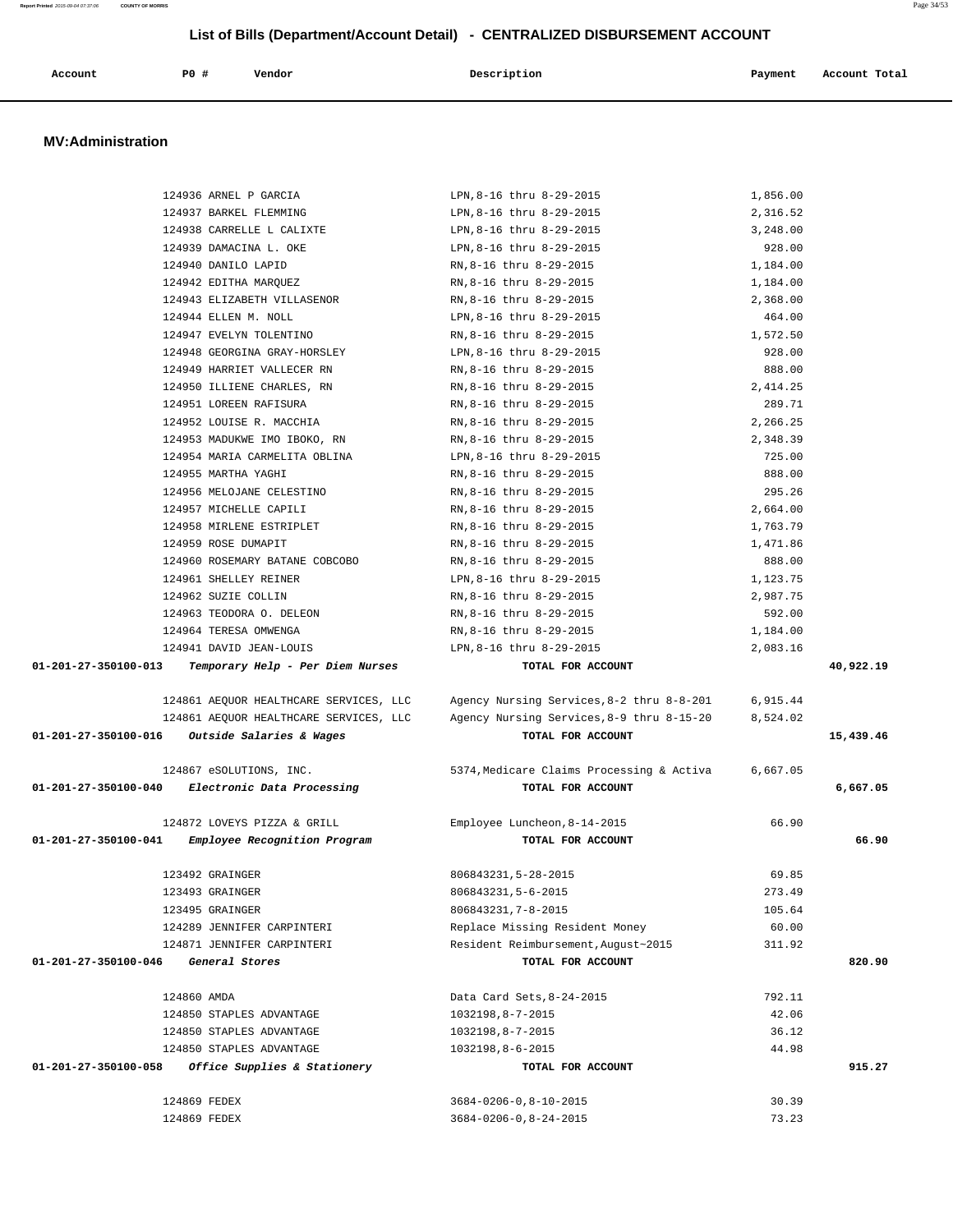| Account | P <sub>0</sub> | Vendor | Description | Pavment | Account Total |
|---------|----------------|--------|-------------|---------|---------------|
|         |                |        |             |         |               |

#### **MV:Administration**

|                      | 124936 ARNEL P GARCIA                             | LPN, 8-16 thru 8-29-2015                                             | 1,856.00       |           |
|----------------------|---------------------------------------------------|----------------------------------------------------------------------|----------------|-----------|
|                      | 124937 BARKEL FLEMMING                            | LPN, 8-16 thru 8-29-2015                                             | 2,316.52       |           |
|                      | 124938 CARRELLE L CALIXTE                         | LPN,8-16 thru 8-29-2015                                              | 3,248.00       |           |
|                      | 124939 DAMACINA L. OKE                            | LPN, 8-16 thru 8-29-2015                                             | 928.00         |           |
|                      | 124940 DANILO LAPID                               | RN, 8-16 thru 8-29-2015                                              | 1,184.00       |           |
|                      | 124942 EDITHA MARQUEZ                             | RN, 8-16 thru 8-29-2015                                              | 1,184.00       |           |
|                      | 124943 ELIZABETH VILLASENOR                       | RN, 8-16 thru 8-29-2015                                              | 2,368.00       |           |
|                      | 124944 ELLEN M. NOLL                              | LPN, 8-16 thru 8-29-2015                                             | 464.00         |           |
|                      | 124947 EVELYN TOLENTINO                           | RN, 8-16 thru 8-29-2015                                              | 1,572.50       |           |
|                      | 124948 GEORGINA GRAY-HORSLEY                      | LPN, 8-16 thru 8-29-2015                                             | 928.00         |           |
|                      | 124949 HARRIET VALLECER RN                        | RN,8-16 thru 8-29-2015                                               | 888.00         |           |
|                      | 124950 ILLIENE CHARLES, RN                        | RN,8-16 thru 8-29-2015                                               | 2,414.25       |           |
|                      | 124951 LOREEN RAFISURA                            | RN,8-16 thru 8-29-2015                                               | 289.71         |           |
|                      | 124952 LOUISE R. MACCHIA                          | RN,8-16 thru 8-29-2015                                               | 2,266.25       |           |
|                      | 124953 MADUKWE IMO IBOKO, RN                      | RN,8-16 thru 8-29-2015                                               | 2,348.39       |           |
|                      | 124954 MARIA CARMELITA OBLINA                     | LPN, 8-16 thru 8-29-2015                                             | 725.00         |           |
|                      | 124955 MARTHA YAGHI                               | RN,8-16 thru 8-29-2015                                               | 888.00         |           |
|                      | 124956 MELOJANE CELESTINO                         | RN,8-16 thru 8-29-2015                                               | 295.26         |           |
|                      | 124957 MICHELLE CAPILI                            | RN, 8-16 thru 8-29-2015                                              | 2,664.00       |           |
|                      | 124958 MIRLENE ESTRIPLET                          | RN, 8-16 thru 8-29-2015                                              | 1,763.79       |           |
|                      | 124959 ROSE DUMAPIT                               | RN,8-16 thru 8-29-2015                                               | 1,471.86       |           |
|                      | 124960 ROSEMARY BATANE COBCOBO                    | RN,8-16 thru 8-29-2015                                               | 888.00         |           |
|                      | 124961 SHELLEY REINER                             | LPN, 8-16 thru 8-29-2015                                             | 1,123.75       |           |
|                      | 124962 SUZIE COLLIN                               | RN, 8-16 thru 8-29-2015                                              | 2,987.75       |           |
|                      | 124963 TEODORA O. DELEON                          | RN, 8-16 thru 8-29-2015                                              | 592.00         |           |
|                      | 124964 TERESA OMWENGA                             | RN, 8-16 thru 8-29-2015                                              | 1,184.00       |           |
|                      | 124941 DAVID JEAN-LOUIS                           | LPN, 8-16 thru 8-29-2015                                             | 2,083.16       |           |
| 01-201-27-350100-013 | Temporary Help - Per Diem Nurses                  | TOTAL FOR ACCOUNT                                                    |                | 40,922.19 |
|                      |                                                   |                                                                      |                |           |
|                      |                                                   |                                                                      |                |           |
|                      | 124861 AEQUOR HEALTHCARE SERVICES, LLC            | Agency Nursing Services, 8-2 thru 8-8-201                            | 6,915.44       |           |
|                      | 124861 AEQUOR HEALTHCARE SERVICES, LLC            | Agency Nursing Services, 8-9 thru 8-15-20                            | 8,524.02       |           |
|                      | $01-201-27-350100-016$ Outside Salaries & Wages   | TOTAL FOR ACCOUNT                                                    |                | 15,439.46 |
|                      |                                                   |                                                                      |                |           |
|                      | 124867 eSOLUTIONS, INC.                           | 5374, Medicare Claims Processing & Activa 6,667.05                   |                |           |
|                      | 01-201-27-350100-040 Electronic Data Processing   | TOTAL FOR ACCOUNT                                                    |                | 6,667.05  |
|                      |                                                   |                                                                      |                |           |
|                      | 124872 LOVEYS PIZZA & GRILL                       | Employee Luncheon, 8-14-2015                                         | 66.90          |           |
|                      | 01-201-27-350100-041 Employee Recognition Program | TOTAL FOR ACCOUNT                                                    |                | 66.90     |
|                      |                                                   |                                                                      |                |           |
|                      | 123492 GRAINGER                                   | 806843231, 5-28-2015                                                 | 69.85          |           |
|                      | 123493 GRAINGER                                   | 806843231,5-6-2015                                                   | 273.49         |           |
|                      | 123495 GRAINGER                                   | 806843231, 7-8-2015                                                  | 105.64         |           |
|                      | 124289 JENNIFER CARPINTERI                        | Replace Missing Resident Money                                       | 60.00          |           |
|                      | 124871 JENNIFER CARPINTERI                        | Resident Reimbursement, August~2015                                  | 311.92         |           |
| 01-201-27-350100-046 | General Stores                                    | TOTAL FOR ACCOUNT                                                    |                | 820.90    |
|                      |                                                   |                                                                      |                |           |
|                      | 124860 AMDA                                       | Data Card Sets, 8-24-2015                                            | 792.11         |           |
|                      | 124850 STAPLES ADVANTAGE                          | 1032198,8-7-2015                                                     | 42.06          |           |
|                      | 124850 STAPLES ADVANTAGE                          | 1032198,8-7-2015                                                     | 36.12          |           |
|                      | 124850 STAPLES ADVANTAGE                          | 1032198,8-6-2015                                                     | 44.98          |           |
| 01-201-27-350100-058 | Office Supplies & Stationery                      | TOTAL FOR ACCOUNT                                                    |                | 915.27    |
|                      |                                                   |                                                                      |                |           |
|                      | 124869 FEDEX<br>124869 FEDEX                      | $3684 - 0206 - 0, 8 - 10 - 2015$<br>$3684 - 0206 - 0, 8 - 24 - 2015$ | 30.39<br>73.23 |           |

**Report Printed** 2015-09-04 07:37:06 **COUNTY OF MORRIS** Page 34/53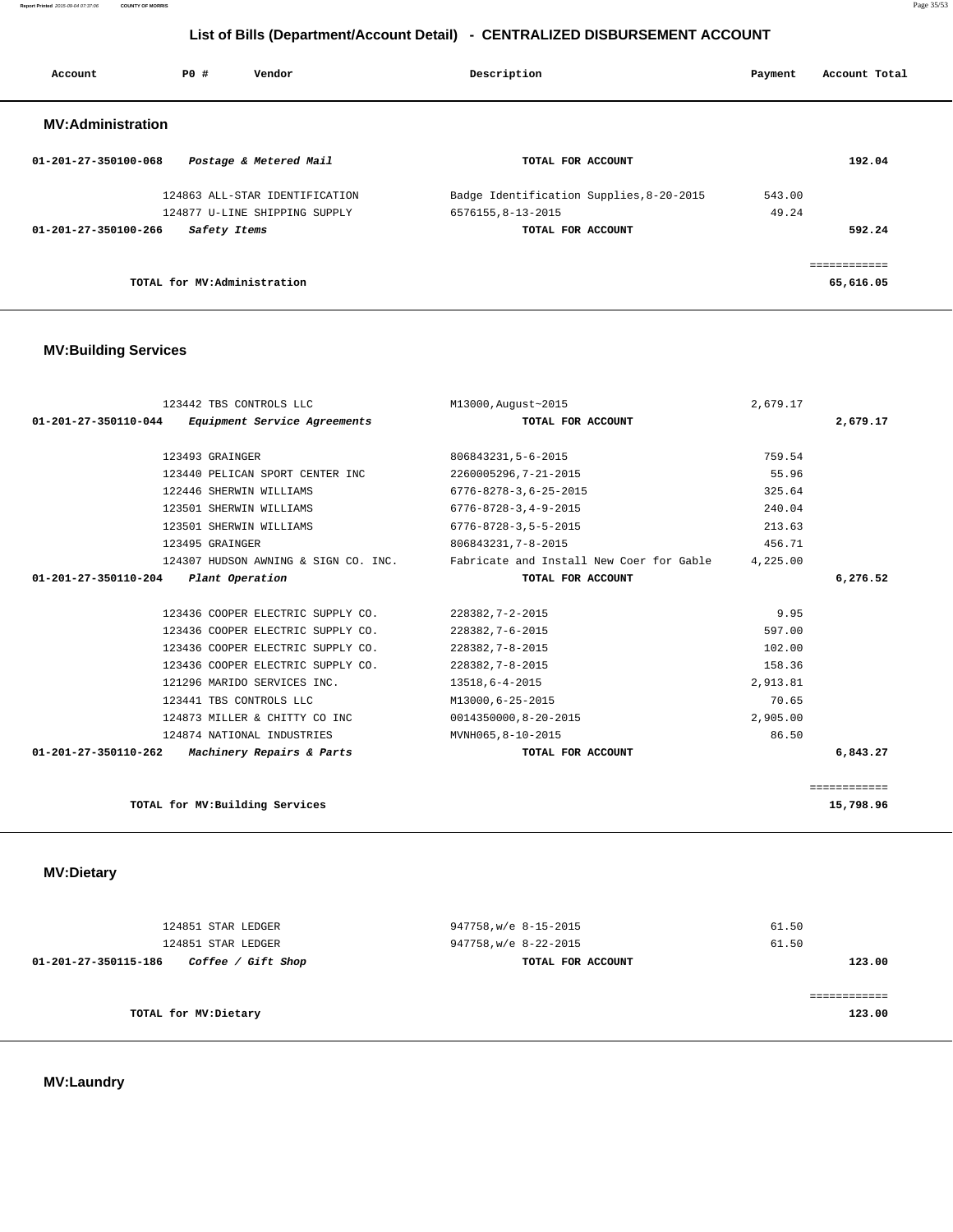**Report Printed** 2015-09-04 07:37:06 **COUNTY OF MORRIS** Page 35/53

# **List of Bills (Department/Account Detail) - CENTRALIZED DISBURSEMENT ACCOUNT**

| Account                        | PO#                         | Vendor                         | Description                              | Payment | Account Total |  |
|--------------------------------|-----------------------------|--------------------------------|------------------------------------------|---------|---------------|--|
| <b>MV:Administration</b>       |                             |                                |                                          |         |               |  |
| $01 - 201 - 27 - 350100 - 068$ |                             | Postage & Metered Mail         | TOTAL FOR ACCOUNT                        |         | 192.04        |  |
|                                |                             | 124863 ALL-STAR IDENTIFICATION | Badge Identification Supplies, 8-20-2015 | 543.00  |               |  |
|                                |                             | 124877 U-LINE SHIPPING SUPPLY  | 6576155,8-13-2015                        | 49.24   |               |  |
| $01 - 201 - 27 - 350100 - 266$ | Safety Items                |                                | TOTAL FOR ACCOUNT                        |         | 592.24        |  |
|                                |                             |                                |                                          |         | ============  |  |
|                                | TOTAL for MV:Administration |                                |                                          |         | 65,616.05     |  |

# **MV:Building Services**

| 123442 TBS CONTROLS LLC                                     | M13000, August~2015                      | 2,679.17 |              |
|-------------------------------------------------------------|------------------------------------------|----------|--------------|
| 01-201-27-350110-044 Equipment Service Agreements           | TOTAL FOR ACCOUNT                        |          | 2,679.17     |
|                                                             |                                          |          |              |
| 123493 GRAINGER                                             | 806843231,5-6-2015                       | 759.54   |              |
| 123440 PELICAN SPORT CENTER INC                             | 2260005296,7-21-2015                     | 55.96    |              |
| 122446 SHERWIN WILLIAMS                                     | $6776 - 8278 - 3, 6 - 25 - 2015$         | 325.64   |              |
| 123501 SHERWIN WILLIAMS                                     | $6776 - 8728 - 3, 4 - 9 - 2015$          | 240.04   |              |
| 123501 SHERWIN WILLIAMS                                     | $6776 - 8728 - 3, 5 - 5 - 2015$          | 213.63   |              |
| 123495 GRAINGER                                             | 806843231, 7-8-2015                      | 456.71   |              |
| 124307 HUDSON AWNING & SIGN CO. INC.                        | Fabricate and Install New Coer for Gable | 4,225.00 |              |
| 01-201-27-350110-204<br>Plant Operation                     | TOTAL FOR ACCOUNT                        |          | 6,276.52     |
|                                                             |                                          |          |              |
| 123436 COOPER ELECTRIC SUPPLY CO.                           | 228382, 7-2-2015                         | 9.95     |              |
| 123436 COOPER ELECTRIC SUPPLY CO.                           | 228382, 7-6-2015                         | 597.00   |              |
| 123436 COOPER ELECTRIC SUPPLY CO.                           | 228382, 7-8-2015                         | 102.00   |              |
| 123436 COOPER ELECTRIC SUPPLY CO.                           | 228382, 7-8-2015                         | 158.36   |              |
| 121296 MARIDO SERVICES INC.                                 | 13518,6-4-2015                           | 2,913.81 |              |
| 123441 TBS CONTROLS LLC                                     | M13000,6-25-2015                         | 70.65    |              |
| 124873 MILLER & CHITTY CO INC                               | 0014350000,8-20-2015                     | 2,905.00 |              |
| 124874 NATIONAL INDUSTRIES                                  | MVNH065,8-10-2015                        | 86.50    |              |
| $01 - 201 - 27 - 350110 - 262$<br>Machinery Repairs & Parts | TOTAL FOR ACCOUNT                        |          | 6,843.27     |
|                                                             |                                          |          |              |
|                                                             |                                          |          | ============ |
| TOTAL for MV: Building Services                             |                                          |          | 15,798.96    |

 **MV:Dietary** 

| 124851 STAR LEDGER                         | 947758, w/e 8-15-2015 | 61.50  |
|--------------------------------------------|-----------------------|--------|
| 124851 STAR LEDGER                         | 947758, w/e 8-22-2015 | 61.50  |
| Coffee / Gift Shop<br>01-201-27-350115-186 | TOTAL FOR ACCOUNT     | 123.00 |
|                                            |                       |        |
|                                            |                       |        |
| TOTAL for MV: Dietary                      |                       | 123.00 |
|                                            |                       |        |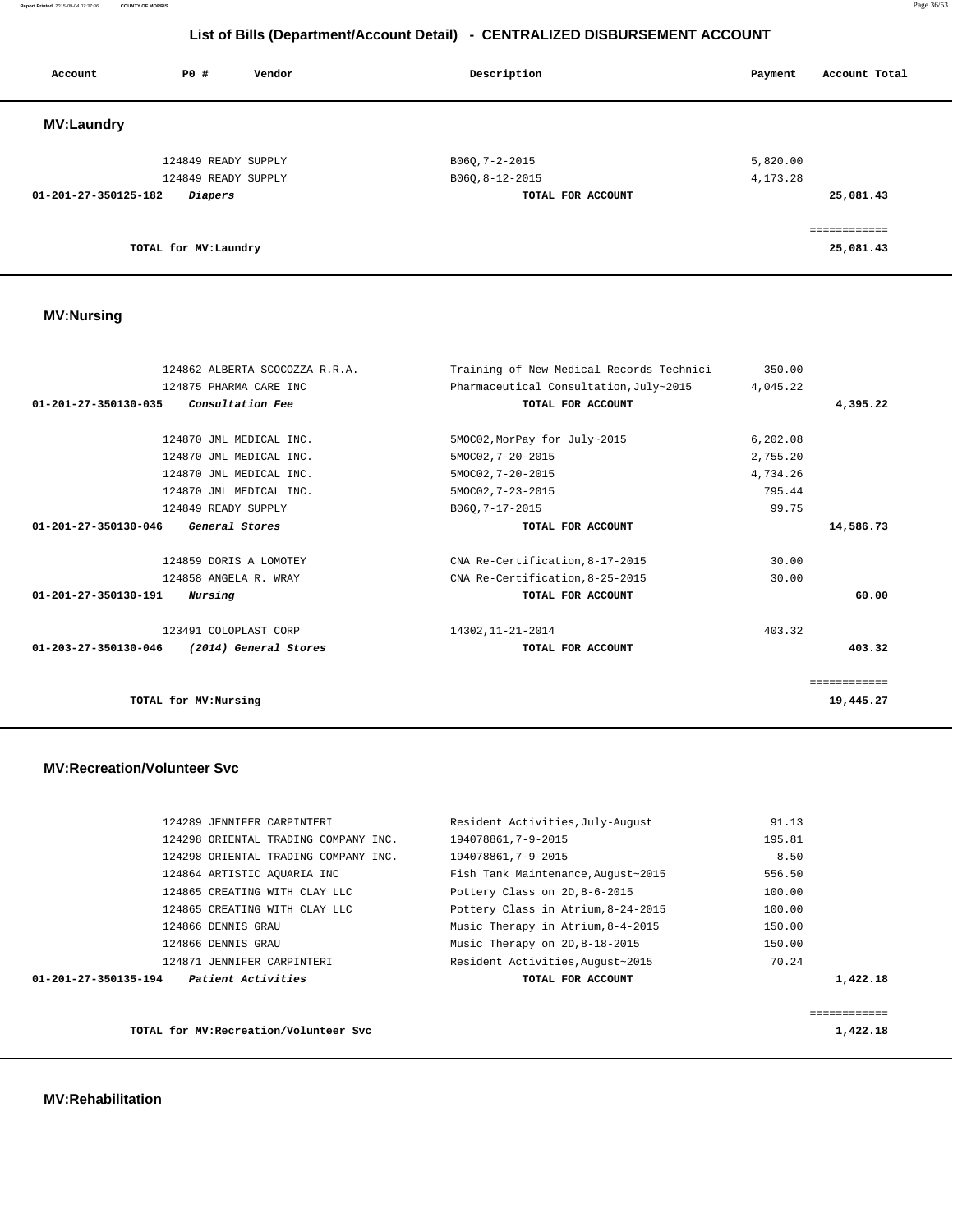**Report Printed** 2015-09-04 07:37:06 **COUNTY OF MORRIS** Page 36/53

# **List of Bills (Department/Account Detail) - CENTRALIZED DISBURSEMENT ACCOUNT**

| Account              | <b>PO #</b>           | Vendor | Description       | Account Total<br>Payment |
|----------------------|-----------------------|--------|-------------------|--------------------------|
| <b>MV:Laundry</b>    |                       |        |                   |                          |
|                      | 124849 READY SUPPLY   |        | B060, 7-2-2015    | 5,820.00                 |
|                      | 124849 READY SUPPLY   |        | B06Q, 8-12-2015   | 4, 173. 28               |
| 01-201-27-350125-182 | Diapers               |        | TOTAL FOR ACCOUNT | 25,081.43                |
|                      |                       |        |                   | ============             |
|                      | TOTAL for MV: Laundry |        |                   | 25,081.43                |

# **MV:Nursing**

| 124862 ALBERTA SCOCOZZA R.R.A.                          | Training of New Medical Records Technici | 350.00    |              |
|---------------------------------------------------------|------------------------------------------|-----------|--------------|
| 124875 PHARMA CARE INC                                  | Pharmaceutical Consultation, July~2015   | 4,045.22  |              |
| $01 - 201 - 27 - 350130 - 035$<br>Consultation Fee      | TOTAL FOR ACCOUNT                        |           | 4,395.22     |
|                                                         |                                          |           |              |
| 124870 JML MEDICAL INC.                                 | 5MOC02, MorPay for July~2015             | 6, 202.08 |              |
| 124870 JML MEDICAL INC.                                 | 5MOC02, 7-20-2015                        | 2,755.20  |              |
| 124870 JML MEDICAL INC.                                 | 5MOC02, 7-20-2015                        | 4,734.26  |              |
| 124870 JML MEDICAL INC.                                 | 5MOC02, 7-23-2015                        | 795.44    |              |
| 124849 READY SUPPLY                                     | B060, 7-17-2015                          | 99.75     |              |
| $01 - 201 - 27 - 350130 - 046$<br>General Stores        | TOTAL FOR ACCOUNT                        |           | 14,586.73    |
| 124859 DORIS A LOMOTEY                                  | CNA Re-Certification, 8-17-2015          | 30.00     |              |
| 124858 ANGELA R. WRAY                                   | CNA Re-Certification, 8-25-2015          | 30.00     |              |
| $01 - 201 - 27 - 350130 - 191$<br>Nursing               | TOTAL FOR ACCOUNT                        |           | 60.00        |
| 123491 COLOPLAST CORP                                   | 14302, 11-21-2014                        | 403.32    |              |
| (2014) General Stores<br>$01 - 203 - 27 - 350130 - 046$ | TOTAL FOR ACCOUNT                        |           | 403.32       |
|                                                         |                                          |           | ============ |
| TOTAL for MV: Nursing                                   |                                          |           | 19,445.27    |

#### **MV:Recreation/Volunteer Svc**

|                      | TOTAL for MV: Recreation/Volunteer Svc |                                    |        | 1,422.18     |
|----------------------|----------------------------------------|------------------------------------|--------|--------------|
|                      |                                        |                                    |        | ============ |
| 01-201-27-350135-194 | <i>Patient Activities</i>              | TOTAL FOR ACCOUNT                  |        | 1,422.18     |
|                      | 124871 JENNIFER CARPINTERI             | Resident Activities, August~2015   | 70.24  |              |
|                      | 124866 DENNIS GRAU                     | Music Therapy on 2D, 8-18-2015     | 150.00 |              |
|                      | 124866 DENNIS GRAU                     | Music Therapy in Atrium, 8-4-2015  | 150.00 |              |
|                      | 124865 CREATING WITH CLAY LLC          | Pottery Class in Atrium, 8-24-2015 | 100.00 |              |
|                      | 124865 CREATING WITH CLAY LLC          | Pottery Class on 2D, 8-6-2015      | 100.00 |              |
|                      | 124864 ARTISTIC AOUARIA INC            | Fish Tank Maintenance, August~2015 | 556.50 |              |
|                      | 124298 ORIENTAL TRADING COMPANY INC.   | 194078861,7-9-2015                 | 8.50   |              |
|                      | 124298 ORIENTAL TRADING COMPANY INC.   | 194078861,7-9-2015                 | 195.81 |              |
|                      | 124289 JENNIFER CARPINTERI             | Resident Activities, July-August   | 91.13  |              |
|                      |                                        |                                    |        |              |

 **MV:Rehabilitation**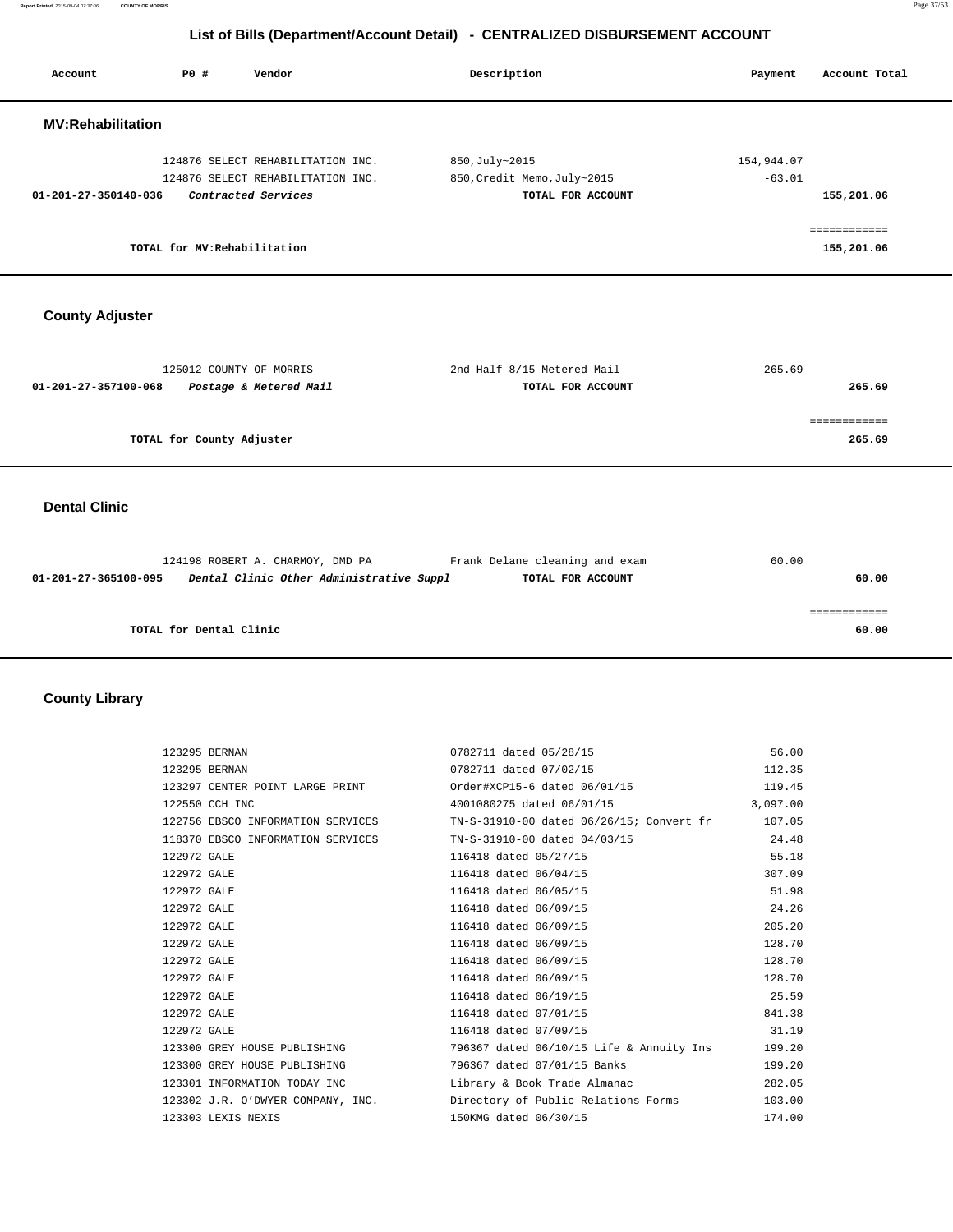**Report Printed** 2015-09-04 07:37:06 **COUNTY OF MORRIS** Page 37/53

# **List of Bills (Department/Account Detail) - CENTRALIZED DISBURSEMENT ACCOUNT**

| Account                        | PO#                          | Vendor                                                                                                      | Description                                                        | Payment                | Account Total              |
|--------------------------------|------------------------------|-------------------------------------------------------------------------------------------------------------|--------------------------------------------------------------------|------------------------|----------------------------|
| <b>MV:Rehabilitation</b>       |                              |                                                                                                             |                                                                    |                        |                            |
| $01 - 201 - 27 - 350140 - 036$ |                              | 124876 SELECT REHABILITATION INC.<br>124876 SELECT REHABILITATION INC.<br>Contracted Services               | 850, July~2015<br>850, Credit Memo, July~2015<br>TOTAL FOR ACCOUNT | 154,944.07<br>$-63.01$ | 155,201.06                 |
|                                | TOTAL for MV: Rehabilitation |                                                                                                             |                                                                    |                        | ============<br>155,201.06 |
| <b>County Adjuster</b>         |                              |                                                                                                             |                                                                    |                        |                            |
| 01-201-27-357100-068           | 125012 COUNTY OF MORRIS      | Postage & Metered Mail                                                                                      | 2nd Half 8/15 Metered Mail<br>TOTAL FOR ACCOUNT                    | 265.69                 | 265.69                     |
|                                | TOTAL for County Adjuster    |                                                                                                             |                                                                    |                        | ============<br>265.69     |
| <b>Dental Clinic</b>           |                              |                                                                                                             |                                                                    |                        |                            |
| 01-201-27-365100-095           |                              | 124198 ROBERT A. CHARMOY, DMD PA Frank Delane cleaning and exam<br>Dental Clinic Other Administrative Suppl | TOTAL FOR ACCOUNT                                                  | 60.00                  | 60.00                      |
|                                | TOTAL for Dental Clinic      |                                                                                                             |                                                                    |                        | ============<br>60.00      |

# **County Library**

| 123295 BERNAN                                            | 0782711 dated 05/28/15                                                            | 56.00    |
|----------------------------------------------------------|-----------------------------------------------------------------------------------|----------|
| 123295 BERNAN                                            | 0782711 dated 07/02/15                                                            | 112.35   |
|                                                          | 19.45 123297 CENTER POINT LARGE PRINT 67 Order#XCP15-6 dated $06/01/15$           |          |
| 122550 CCH INC                                           | 4001080275 dated 06/01/15                                                         | 3,097.00 |
|                                                          | 122756 EBSCO INFORMATION SERVICES TN-S-31910-00 dated 06/26/15; Convert fr 107.05 |          |
|                                                          | 118370 EBSCO INFORMATION SERVICES TN-S-31910-00 dated 04/03/15 24.48              |          |
| 122972 GALE                                              | 116418 dated 05/27/15                                                             | 55.18    |
| 122972 GALE                                              | 116418 dated 06/04/15                                                             | 307.09   |
| 122972 GALE                                              | 116418 dated 06/05/15                                                             | 51.98    |
| 122972 GALE                                              | 116418 dated 06/09/15                                                             | 24.26    |
| 122972 GALE                                              | 116418 dated 06/09/15                                                             | 205.20   |
| 122972 GALE                                              | 116418 dated 06/09/15                                                             | 128.70   |
| 122972 GALE                                              | 116418 dated 06/09/15                                                             | 128.70   |
| 122972 GALE                                              | 116418 dated 06/09/15                                                             | 128.70   |
| 122972 GALE                                              | 116418 dated 06/19/15                                                             | 25.59    |
| 122972 GALE                                              | 116418 dated 07/01/15                                                             | 841.38   |
| 122972 GALE                                              | 116418 dated 07/09/15                                                             | 31.19    |
|                                                          | 123300 GREY HOUSE PUBLISHING 796367 dated 06/10/15 Life & Annuity Ins 199.20      |          |
| 123300 GREY HOUSE PUBLISHING 796367 dated 07/01/15 Banks |                                                                                   | 199.20   |
|                                                          | 123301 INFORMATION TODAY INC The Library & Book Trade Almanac                     | 282.05   |
|                                                          | 123302 J.R. O'DWYER COMPANY, INC. Directory of Public Relations Forms 103.00      |          |
| 123303 LEXIS NEXIS                                       | 150KMG dated 06/30/15                                                             | 174.00   |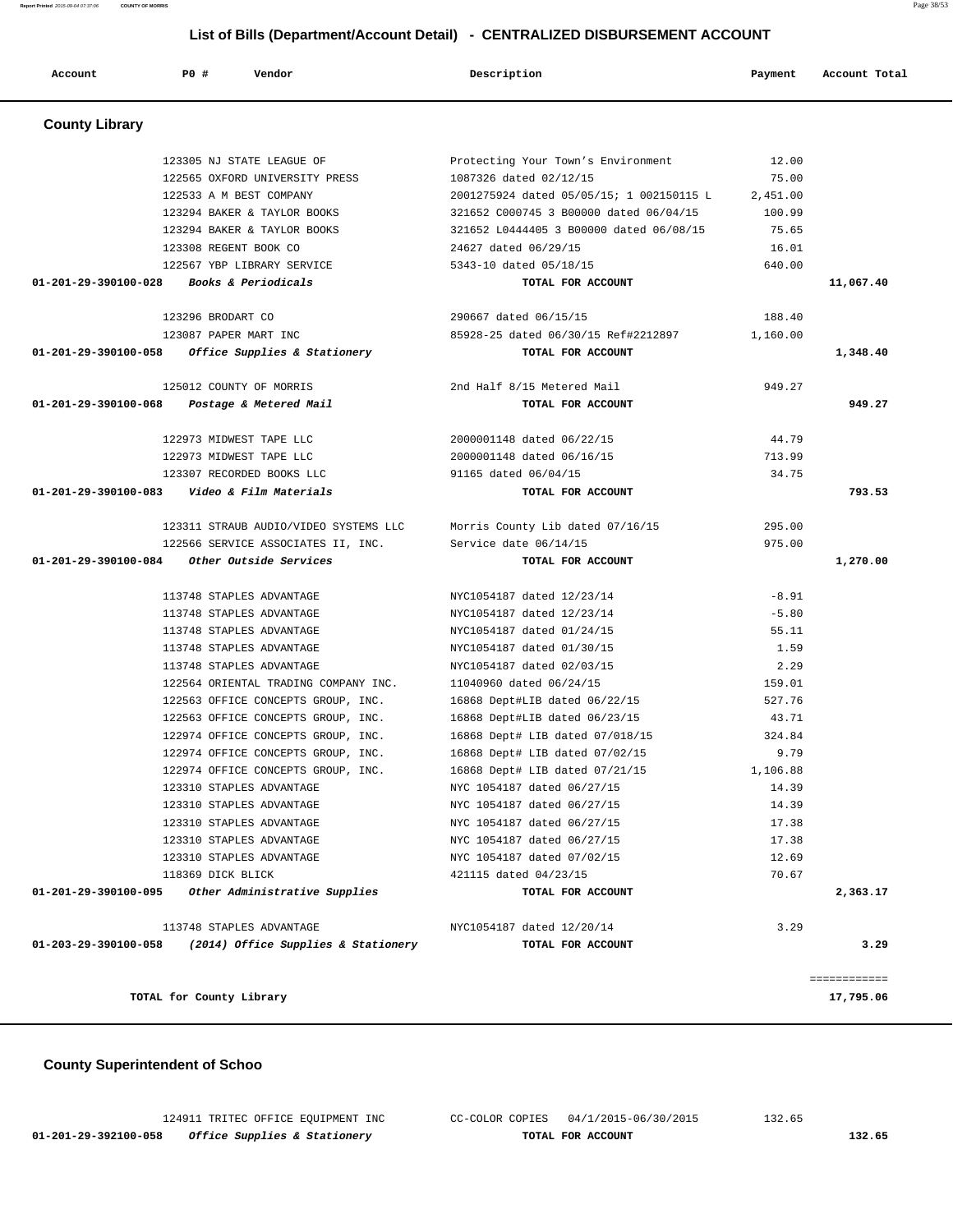**01-201-29-392100-058 Office Supplies & Stationery TOTAL FOR ACCOUNT 132.65**

124911 TRITEC OFFICE EQUIPMENT INC CC-COLOR COPIES 04/1/2015-06/30/2015 132.65

#### **County Superintendent of Schoo**

|                      | 122533 A M BEST COMPANY                                          | 2001275924 dated 05/05/15; 1 002150115 L                               | 2,451.00 |              |
|----------------------|------------------------------------------------------------------|------------------------------------------------------------------------|----------|--------------|
|                      | 123294 BAKER & TAYLOR BOOKS                                      | 321652 C000745 3 B00000 dated 06/04/15                                 | 100.99   |              |
|                      | 123294 BAKER & TAYLOR BOOKS                                      | 321652 L0444405 3 B00000 dated 06/08/15                                | 75.65    |              |
|                      | 123308 REGENT BOOK CO                                            | 24627 dated 06/29/15                                                   | 16.01    |              |
|                      | 122567 YBP LIBRARY SERVICE                                       | 5343-10 dated 05/18/15                                                 | 640.00   |              |
|                      | $01-201-29-390100-028$ Books & Periodicals                       | TOTAL FOR ACCOUNT                                                      |          | 11,067.40    |
|                      | 123296 BRODART CO                                                | 290667 dated 06/15/15                                                  | 188.40   |              |
|                      | 123087 PAPER MART INC                                            | 85928-25 dated 06/30/15 Ref#2212897 1,160.00                           |          |              |
|                      | $01-201-29-390100-058$ Office Supplies & Stationery              | TOTAL FOR ACCOUNT                                                      |          | 1,348.40     |
|                      | 125012 COUNTY OF MORRIS                                          | 2nd Half 8/15 Metered Mail                                             | 949.27   |              |
|                      | 01-201-29-390100-068 Postage & Metered Mail                      | TOTAL FOR ACCOUNT                                                      |          | 949.27       |
|                      | 122973 MIDWEST TAPE LLC                                          | 2000001148 dated 06/22/15                                              | 44.79    |              |
|                      | 122973 MIDWEST TAPE LLC                                          | 2000001148 dated 06/16/15                                              | 713.99   |              |
|                      | 123307 RECORDED BOOKS LLC                                        | 91165 dated 06/04/15                                                   | 34.75    |              |
|                      | 01-201-29-390100-083    Video & Film Materials                   | TOTAL FOR ACCOUNT                                                      |          | 793.53       |
|                      |                                                                  | 123311 STRAUB AUDIO/VIDEO SYSTEMS LLC Morris County Lib dated 07/16/15 | 295.00   |              |
|                      | 122566 SERVICE ASSOCIATES II, INC. Service date 06/14/15         |                                                                        | 975.00   |              |
|                      | 01-201-29-390100-084 Other Outside Services                      | TOTAL FOR ACCOUNT                                                      |          | 1,270.00     |
|                      | 113748 STAPLES ADVANTAGE                                         | NYC1054187 dated 12/23/14                                              | $-8.91$  |              |
|                      | 113748 STAPLES ADVANTAGE                                         | NYC1054187 dated 12/23/14                                              | $-5.80$  |              |
|                      | 113748 STAPLES ADVANTAGE                                         | NYC1054187 dated 01/24/15                                              | 55.11    |              |
|                      | 113748 STAPLES ADVANTAGE                                         | NYC1054187 dated 01/30/15                                              | 1.59     |              |
|                      | 113748 STAPLES ADVANTAGE                                         | NYC1054187 dated 02/03/15                                              | 2.29     |              |
|                      | 122564 ORIENTAL TRADING COMPANY INC. 11040960 dated 06/24/15     |                                                                        | 159.01   |              |
|                      | 122563 OFFICE CONCEPTS GROUP, INC. 16868 Dept#LIB dated 06/22/15 |                                                                        | 527.76   |              |
|                      | 122563 OFFICE CONCEPTS GROUP, INC. 16868 Dept#LIB dated 06/23/15 |                                                                        | 43.71    |              |
|                      | 122974 OFFICE CONCEPTS GROUP, INC.                               | 16868 Dept# LIB dated 07/018/15                                        | 324.84   |              |
|                      | 122974 OFFICE CONCEPTS GROUP, INC.                               | 16868 Dept# LIB dated 07/02/15                                         | 9.79     |              |
|                      | 122974 OFFICE CONCEPTS GROUP, INC.                               | 16868 Dept# LIB dated 07/21/15                                         | 1,106.88 |              |
|                      | 123310 STAPLES ADVANTAGE                                         | NYC 1054187 dated 06/27/15                                             | 14.39    |              |
|                      | 123310 STAPLES ADVANTAGE                                         | NYC 1054187 dated 06/27/15                                             | 14.39    |              |
|                      | 123310 STAPLES ADVANTAGE                                         | NYC 1054187 dated 06/27/15                                             | 17.38    |              |
|                      | 123310 STAPLES ADVANTAGE                                         | NYC 1054187 dated 06/27/15                                             | 17.38    |              |
|                      | 123310 STAPLES ADVANTAGE                                         | NYC 1054187 dated 07/02/15                                             | 12.69    |              |
| 01-201-29-390100-095 | 118369 DICK BLICK<br>Other Administrative Supplies               | 421115 dated 04/23/15<br>TOTAL FOR ACCOUNT                             | 70.67    | 2,363.17     |
|                      |                                                                  |                                                                        |          |              |
| 01-203-29-390100-058 | 113748 STAPLES ADVANTAGE<br>(2014) Office Supplies & Stationery  | NYC1054187 dated 12/20/14<br>TOTAL FOR ACCOUNT                         | 3.29     | 3.29         |
|                      |                                                                  |                                                                        |          |              |
|                      |                                                                  |                                                                        |          | ============ |
|                      | TOTAL for County Library                                         |                                                                        |          | 17,795.06    |

| Report Printed 2015-09-04 07:37:06 | <b>COUNTY OF MORRIS</b>        |                                                                              |          | Page 38/53    |
|------------------------------------|--------------------------------|------------------------------------------------------------------------------|----------|---------------|
|                                    |                                | List of Bills (Department/Account Detail) - CENTRALIZED DISBURSEMENT ACCOUNT |          |               |
| Account                            | PO#<br>Vendor                  | Description                                                                  | Payment  | Account Total |
| <b>County Library</b>              |                                |                                                                              |          |               |
|                                    | 123305 NJ STATE LEAGUE OF      | Protecting Your Town's Environment                                           | 12.00    |               |
|                                    | 122565 OXFORD UNIVERSITY PRESS | 1087326 dated 02/12/15                                                       | 75.00    |               |
|                                    | 122533 A M BEST COMPANY        | 2001275924 dated 05/05/15; 1 002150115 L                                     | 2.451.00 |               |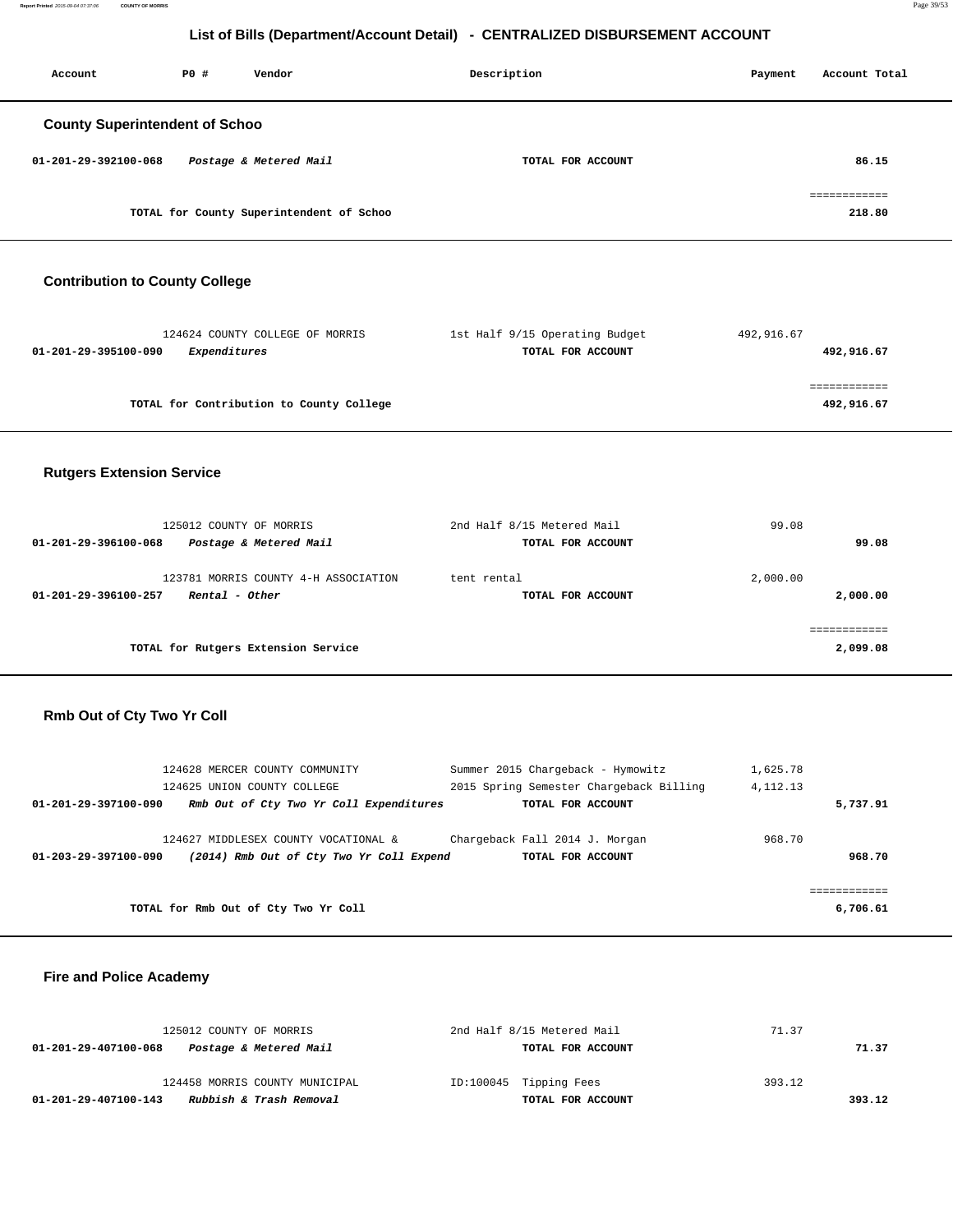**Report Printed** 2015-09-04 07:37:06 **COUNTY OF MORRIS** Page 39/53

# **List of Bills (Department/Account Detail) - CENTRALIZED DISBURSEMENT ACCOUNT**

| Account                               | PO# | Vendor                                   | Description       | Account Total<br>Payment |
|---------------------------------------|-----|------------------------------------------|-------------------|--------------------------|
| <b>County Superintendent of Schoo</b> |     |                                          |                   |                          |
| $01 - 201 - 29 - 392100 - 068$        |     | Postage & Metered Mail                   | TOTAL FOR ACCOUNT | 86.15                    |
|                                       |     | TOTAL for County Superintendent of Schoo |                   | ------------<br>218.80   |

# **Contribution to County College**

| 124624 COUNTY COLLEGE OF MORRIS          | 1st Half 9/15 Operating Budget | 492,916.67 |
|------------------------------------------|--------------------------------|------------|
| 01-201-29-395100-090<br>Expenditures     | TOTAL FOR ACCOUNT              | 492,916.67 |
|                                          |                                |            |
|                                          |                                |            |
| TOTAL for Contribution to County College |                                | 492,916.67 |
|                                          |                                |            |

# **Rutgers Extension Service**

| 125012 COUNTY OF MORRIS<br>Postage & Metered Mail<br>01-201-29-396100-068      | 2nd Half 8/15 Metered Mail<br>TOTAL FOR ACCOUNT | 99.08<br>99.08       |
|--------------------------------------------------------------------------------|-------------------------------------------------|----------------------|
| 123781 MORRIS COUNTY 4-H ASSOCIATION<br>Rental - Other<br>01-201-29-396100-257 | tent rental<br>TOTAL FOR ACCOUNT                | 2,000.00<br>2,000.00 |
| TOTAL for Rutgers Extension Service                                            |                                                 | 2,099.08             |

#### **Rmb Out of Cty Two Yr Coll**

| 124628 MERCER COUNTY COMMUNITY                                   | Summer 2015 Chargeback - Hymowitz       | 1,625.78   |
|------------------------------------------------------------------|-----------------------------------------|------------|
| 124625 UNION COUNTY COLLEGE                                      | 2015 Spring Semester Chargeback Billing | 4, 112, 13 |
| Rmb Out of Cty Two Yr Coll Expenditures<br>01-201-29-397100-090  | TOTAL FOR ACCOUNT                       | 5,737.91   |
|                                                                  |                                         |            |
| 124627 MIDDLESEX COUNTY VOCATIONAL &                             | Chargeback Fall 2014 J. Morgan          | 968.70     |
| (2014) Rmb Out of Cty Two Yr Coll Expend<br>01-203-29-397100-090 | TOTAL FOR ACCOUNT                       | 968.70     |
|                                                                  |                                         |            |
|                                                                  |                                         |            |
| TOTAL for Rmb Out of Cty Two Yr Coll                             |                                         | 6,706.61   |

#### **Fire and Police Academy**

| 125012 COUNTY OF MORRIS                         | 2nd Half 8/15 Metered Mail | 71.37  |
|-------------------------------------------------|----------------------------|--------|
| Postage & Metered Mail<br>01-201-29-407100-068  | TOTAL FOR ACCOUNT          | 71.37  |
| 124458 MORRIS COUNTY MUNICIPAL                  | ID:100045 Tipping Fees     | 393.12 |
| Rubbish & Trash Removal<br>01-201-29-407100-143 | TOTAL FOR ACCOUNT          | 393.12 |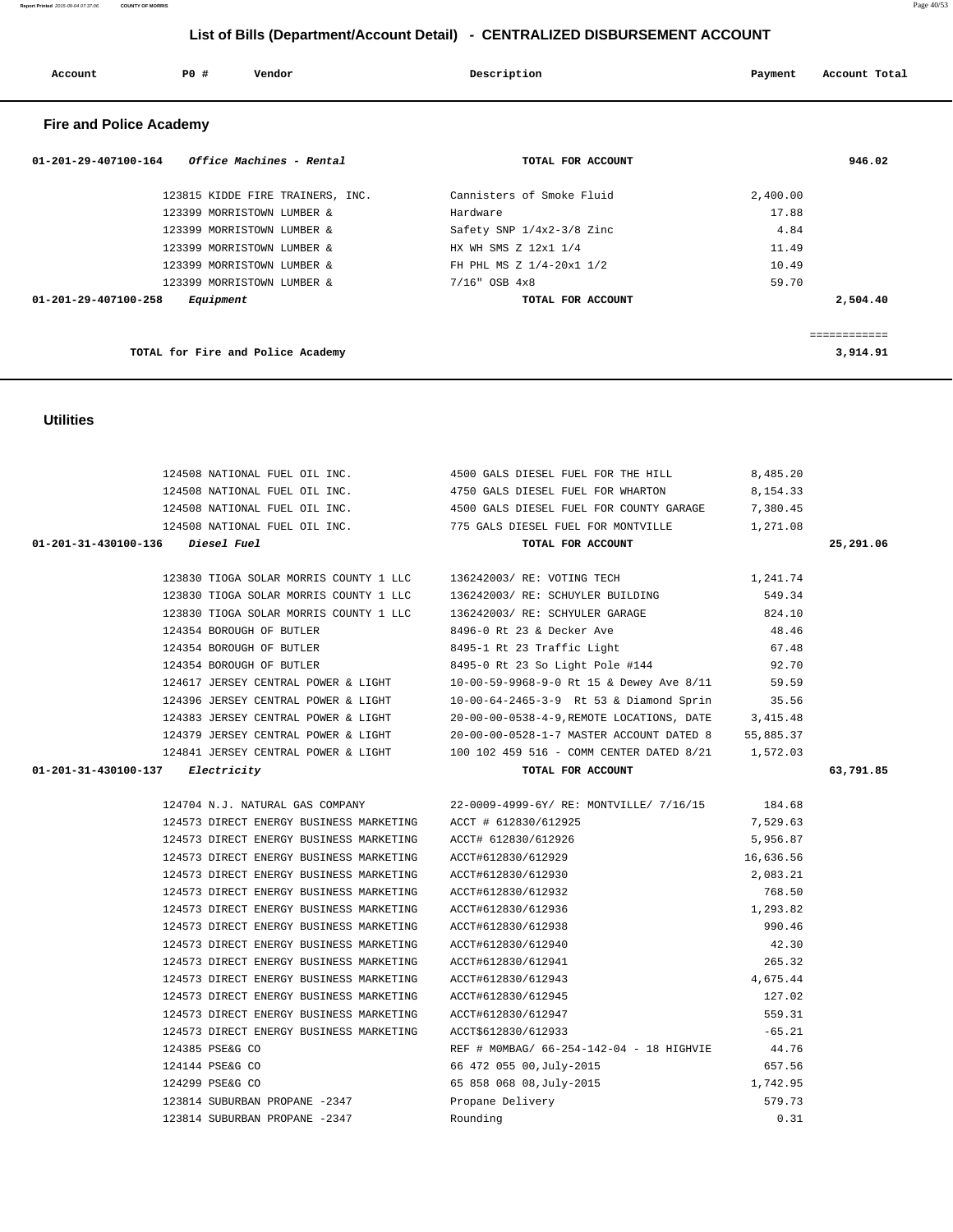| 124354 BOROUGH OF BUILER                                     | 8495-1 Rt 23 Traffic Light                                                             | 67.48     |           |
|--------------------------------------------------------------|----------------------------------------------------------------------------------------|-----------|-----------|
| 124354 BOROUGH OF BUTLER                                     | 8495-0 Rt 23 So Light Pole #144 92.70                                                  |           |           |
|                                                              | 124617 JERSEY CENTRAL POWER & LIGHT 10-00-59-9968-9-0 Rt 15 & Dewey Ave 8/11 59.59     |           |           |
| 124396 JERSEY CENTRAL POWER & LIGHT                          | 10-00-64-2465-3-9 Rt 53 & Diamond Sprin 35.56                                          |           |           |
| 124383 JERSEY CENTRAL POWER & LIGHT                          | 20-00-00-0538-4-9, REMOTE LOCATIONS, DATE 3, 415.48                                    |           |           |
|                                                              | 124379 JERSEY CENTRAL POWER & LIGHT 20-00-00-0528-1-7 MASTER ACCOUNT DATED 8 55,885.37 |           |           |
|                                                              | 124841 JERSEY CENTRAL POWER & LIGHT 100 102 459 516 - COMM CENTER DATED 8/21 1,572.03  |           |           |
| 01-201-31-430100-137 Electricity                             | TOTAL FOR ACCOUNT                                                                      |           | 63,791.85 |
|                                                              |                                                                                        |           |           |
|                                                              | 124704 N.J. NATURAL GAS COMPANY 22-0009-4999-6Y/ RE: MONTVILLE/ 7/16/15 184.68         |           |           |
| 124573 DIRECT ENERGY BUSINESS MARKETING ACCT # 612830/612925 |                                                                                        | 7,529.63  |           |
| 124573 DIRECT ENERGY BUSINESS MARKETING                      | ACCT# 612830/612926                                                                    | 5,956.87  |           |
| 124573 DIRECT ENERGY BUSINESS MARKETING                      | ACCT#612830/612929                                                                     | 16,636.56 |           |
| 124573 DIRECT ENERGY BUSINESS MARKETING                      | ACCT#612830/612930                                                                     | 2,083.21  |           |
| 124573 DIRECT ENERGY BUSINESS MARKETING                      | ACCT#612830/612932                                                                     | 768.50    |           |
| 124573 DIRECT ENERGY BUSINESS MARKETING                      | ACCT#612830/612936                                                                     | 1, 293.82 |           |
| 124573 DIRECT ENERGY BUSINESS MARKETING                      | ACCT#612830/612938                                                                     | 990.46    |           |
| 124573 DIRECT ENERGY BUSINESS MARKETING                      | ACCT#612830/612940                                                                     | 42.30     |           |
| 124573 DIRECT ENERGY BUSINESS MARKETING                      | ACCT#612830/612941                                                                     | 265.32    |           |
| 124573 DIRECT ENERGY BUSINESS MARKETING                      | ACCT#612830/612943                                                                     | 4,675.44  |           |
| 124573 DIRECT ENERGY BUSINESS MARKETING                      | ACCT#612830/612945                                                                     | 127.02    |           |
| 124573 DIRECT ENERGY BUSINESS MARKETING                      | ACCT#612830/612947                                                                     | 559.31    |           |
| 124573 DIRECT ENERGY BUSINESS MARKETING                      | ACCT\$612830/612933                                                                    | $-65.21$  |           |
| 124385 PSE&G CO                                              | REF # MOMBAG/ 66-254-142-04 - 18 HIGHVIE 44.76                                         |           |           |
| 124144 PSE&G CO                                              | 66 472 055 00, July-2015                                                               | 657.56    |           |
| 124299 PSE&G CO                                              | 65 858 068 08, July-2015 1, 742.95                                                     |           |           |
| 123814 SUBURBAN PROPANE -2347                                | Propane Delivery                                                                       | 579.73    |           |
| 123814 SUBURBAN PROPANE -2347                                | Rounding                                                                               | 0.31      |           |
|                                                              |                                                                                        |           |           |

#### 124508 NATIONAL FUEL OIL INC. 4500 GALS DIESEL FUEL FOR THE HILL 8,485.20 124508 NATIONAL FUEL OIL INC. 4750 GALS DIESEL FUEL FOR WHARTON 8,154.33 124508 NATIONAL FUEL OIL INC. 4500 GALS DIESEL FUEL FOR COUNTY GARAGE 7,380.45 124508 NATIONAL FUEL OIL INC. 775 GALS DIESEL FUEL FOR MONTVILLE 1,271.08  **01-201-31-430100-136 Diesel Fuel TOTAL FOR ACCOUNT 25,291.06** 123830 TIOGA SOLAR MORRIS COUNTY 1 LLC 136242003/ RE: VOTING TECH 1,241.74 123830 TIOGA SOLAR MORRIS COUNTY 1 LLC 136242003/ RE: SCHUYLER BUILDING 549.34 123830 TIOGA SOLAR MORRIS COUNTY 1 LLC 136242003/ RE: SCHYULER GARAGE 824.10 124354 BOROUGH OF BUTLER 8496-0 Rt 23 & Decker Ave 48.46 124354 BOROUGH OF BUTLER 8495-1 Rt 23 Traffic Light 67.48 124354 BOROUGH OF BUTLER 8495-0 Rt 23 So Light Pole #144 92.70

#### **Utilities**

| <b>Fire and Police Academy</b>                   |                           |              |
|--------------------------------------------------|---------------------------|--------------|
| Office Machines - Rental<br>01-201-29-407100-164 | TOTAL FOR ACCOUNT         | 946.02       |
| 123815 KIDDE FIRE TRAINERS, INC.                 | Cannisters of Smoke Fluid | 2,400.00     |
| 123399 MORRISTOWN LUMBER &                       | Hardware                  | 17.88        |
| 123399 MORRISTOWN LUMBER &                       | Safety SNP 1/4x2-3/8 Zinc | 4.84         |
| 123399 MORRISTOWN LUMBER &                       | HX WH SMS Z 12x1 1/4      | 11.49        |
| 123399 MORRISTOWN LUMBER &                       | FH PHL MS Z 1/4-20x1 1/2  | 10.49        |
| 123399 MORRISTOWN LUMBER &                       | $7/16$ " OSB $4x8$        | 59.70        |
| $01 - 201 - 29 - 407100 - 258$<br>Equipment      | TOTAL FOR ACCOUNT         | 2,504.40     |
|                                                  |                           | ============ |
| TOTAL for Fire and Police Academy                |                           | 3,914.91     |

# **List of Bills (Department/Account Detail) - CENTRALIZED DISBURSEMENT ACCOUNT**

 **Account P0 # Vendor Description Payment Account Total**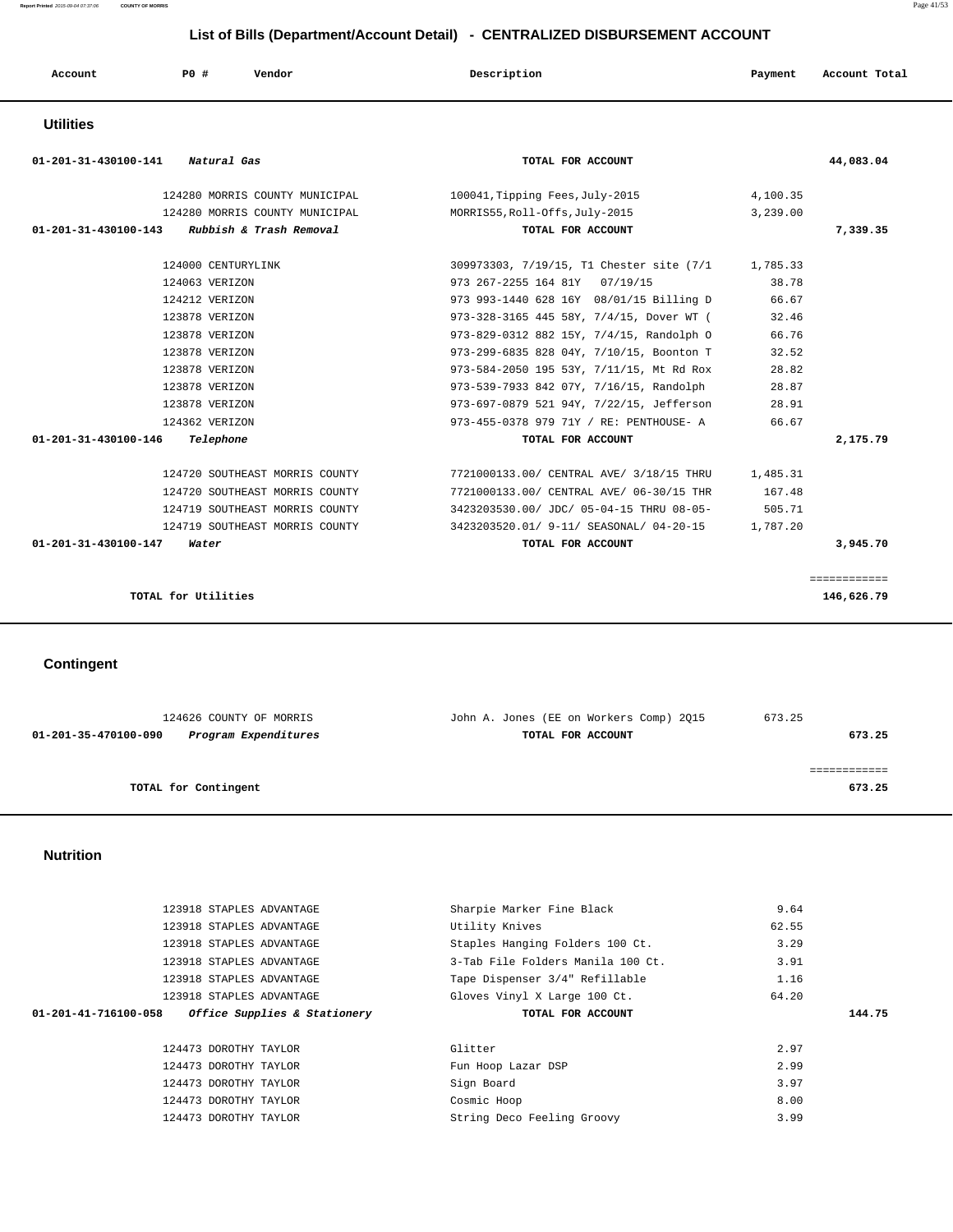| Account     | P0 # | Vendor | Description | Payment | Account Total |
|-------------|------|--------|-------------|---------|---------------|
| 11411242222 |      |        |             |         |               |

#### **Utilities**

| 01-201-31-430100-141<br>Natural Gas          | TOTAL FOR ACCOUNT                        | 44,083.04    |
|----------------------------------------------|------------------------------------------|--------------|
| 124280 MORRIS COUNTY MUNICIPAL               | 100041, Tipping Fees, July-2015          | 4,100.35     |
| 124280 MORRIS COUNTY MUNICIPAL               | MORRIS55, Roll-Offs, July-2015           | 3,239.00     |
| 01-201-31-430100-143 Rubbish & Trash Removal | TOTAL FOR ACCOUNT                        | 7,339.35     |
| 124000 CENTURYLINK                           | 309973303, 7/19/15, T1 Chester site (7/1 | 1,785.33     |
| 124063 VERIZON                               | 973 267-2255 164 81Y 07/19/15            | 38.78        |
| 124212 VERIZON                               | 973 993-1440 628 16Y 08/01/15 Billing D  | 66.67        |
| 123878 VERIZON                               | 973-328-3165 445 58Y, 7/4/15, Dover WT ( | 32.46        |
| 123878 VERIZON                               | 973-829-0312 882 15Y, 7/4/15, Randolph O | 66.76        |
| 123878 VERIZON                               | 973-299-6835 828 04Y, 7/10/15, Boonton T | 32.52        |
| 123878 VERIZON                               | 973-584-2050 195 53Y, 7/11/15, Mt Rd Rox | 28.82        |
| 123878 VERIZON                               | 973-539-7933 842 07Y, 7/16/15, Randolph  | 28.87        |
| 123878 VERIZON                               | 973-697-0879 521 94Y, 7/22/15, Jefferson | 28.91        |
| 124362 VERIZON                               | 973-455-0378 979 71Y / RE: PENTHOUSE- A  | 66.67        |
| 01-201-31-430100-146<br>Telephone            | TOTAL FOR ACCOUNT                        | 2,175.79     |
| 124720 SOUTHEAST MORRIS COUNTY               | 7721000133.00/ CENTRAL AVE/ 3/18/15 THRU | 1,485.31     |
| 124720 SOUTHEAST MORRIS COUNTY               | 7721000133.00/ CENTRAL AVE/ 06-30/15 THR | 167.48       |
| 124719 SOUTHEAST MORRIS COUNTY               | 3423203530.00/ JDC/ 05-04-15 THRU 08-05- | 505.71       |
| 124719 SOUTHEAST MORRIS COUNTY               | 3423203520.01/ 9-11/ SEASONAL/ 04-20-15  | 1,787.20     |
| 01-201-31-430100-147<br>Water                | TOTAL FOR ACCOUNT                        | 3,945.70     |
|                                              |                                          | ============ |
| TOTAL for Utilities                          |                                          | 146,626.79   |

 **Contingent** 

| 124626 COUNTY OF MORRIS                      | John A. Jones (EE on Workers Comp) 2015 | 673.25 |
|----------------------------------------------|-----------------------------------------|--------|
| 01-201-35-470100-090<br>Program Expenditures | TOTAL FOR ACCOUNT                       | 673.25 |
|                                              |                                         |        |
|                                              |                                         |        |
| TOTAL for Contingent                         |                                         | 673.25 |

#### **Nutrition**

| 123918 STAPLES ADVANTAGE                             | Sharpie Marker Fine Black         | 9.64  |        |
|------------------------------------------------------|-----------------------------------|-------|--------|
| 123918 STAPLES ADVANTAGE                             | Utility Knives                    | 62.55 |        |
| 123918 STAPLES ADVANTAGE                             | Staples Hanging Folders 100 Ct.   | 3.29  |        |
| 123918 STAPLES ADVANTAGE                             | 3-Tab File Folders Manila 100 Ct. | 3.91  |        |
| 123918 STAPLES ADVANTAGE                             | Tape Dispenser 3/4" Refillable    | 1.16  |        |
| 123918 STAPLES ADVANTAGE                             | Gloves Vinyl X Large 100 Ct.      | 64.20 |        |
| Office Supplies & Stationery<br>01-201-41-716100-058 | TOTAL FOR ACCOUNT                 |       | 144.75 |
|                                                      |                                   |       |        |
|                                                      |                                   |       |        |
| 124473 DOROTHY TAYLOR                                | Glitter                           | 2.97  |        |
| 124473 DOROTHY TAYLOR                                | Fun Hoop Lazar DSP                | 2.99  |        |
| 124473 DOROTHY TAYLOR                                | Sign Board                        | 3.97  |        |
| 124473 DOROTHY TAYLOR                                | Cosmic Hoop                       | 8.00  |        |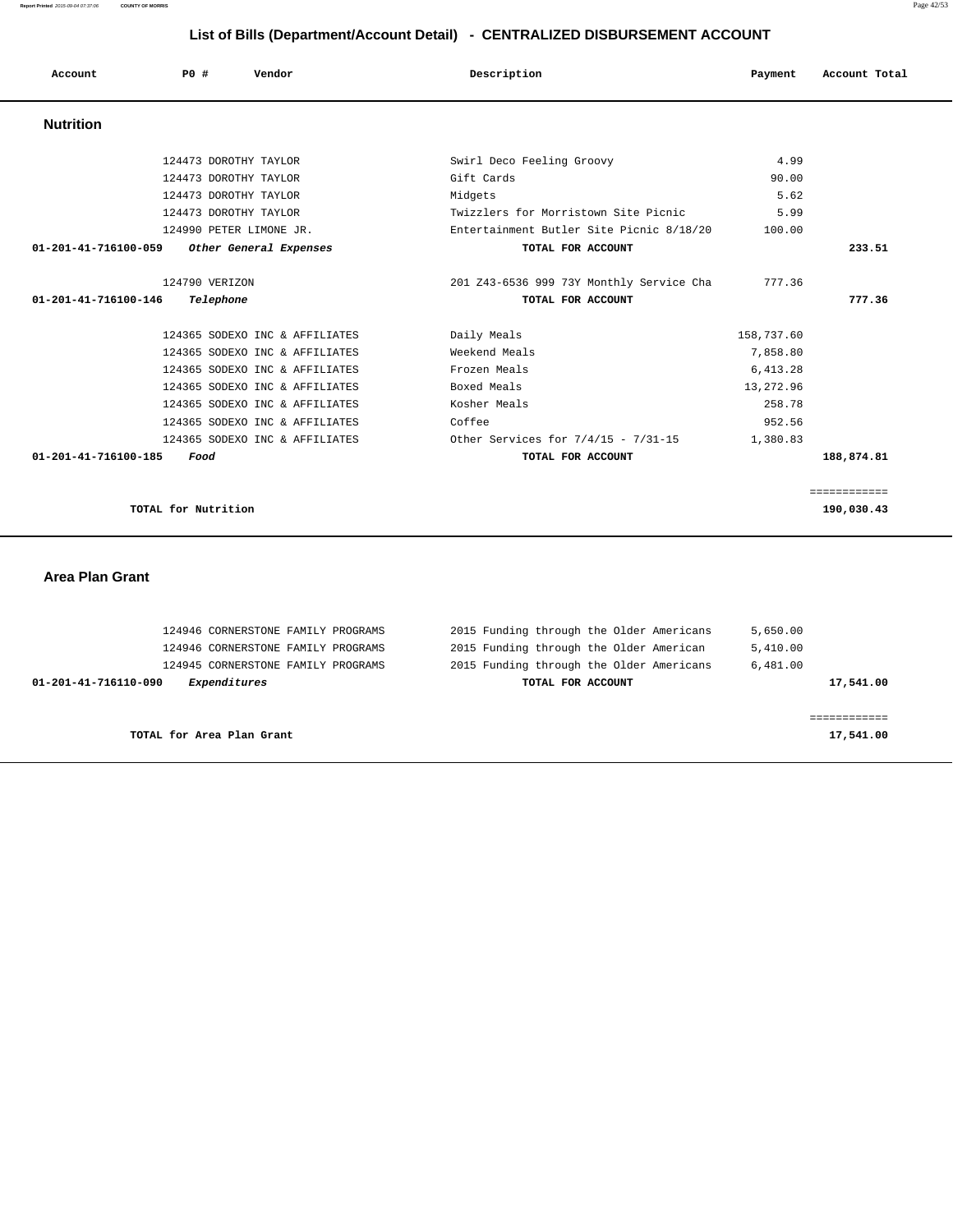**Report Printed** 2015-09-04 07:37:06 **COUNTY OF MORRIS** Page 42/53

# **List of Rills (Department/Account Detail)**

| List of Bills (Department/Account Detail) - CENTRALIZED DISBURSEMENT ACCOUNT |                       |                                |                                          |            |               |
|------------------------------------------------------------------------------|-----------------------|--------------------------------|------------------------------------------|------------|---------------|
| Account                                                                      | PO#                   | Vendor                         | Description                              | Payment    | Account Total |
| <b>Nutrition</b>                                                             |                       |                                |                                          |            |               |
|                                                                              | 124473 DOROTHY TAYLOR |                                | Swirl Deco Feeling Groovy                | 4.99       |               |
|                                                                              | 124473 DOROTHY TAYLOR |                                | Gift Cards                               | 90.00      |               |
|                                                                              | 124473 DOROTHY TAYLOR |                                | Midgets                                  | 5.62       |               |
|                                                                              | 124473 DOROTHY TAYLOR |                                | Twizzlers for Morristown Site Picnic     | 5.99       |               |
|                                                                              |                       | 124990 PETER LIMONE JR.        | Entertainment Butler Site Picnic 8/18/20 | 100.00     |               |
| 01-201-41-716100-059                                                         |                       | Other General Expenses         | TOTAL FOR ACCOUNT                        |            | 233.51        |
|                                                                              | 124790 VERIZON        |                                | 201 Z43-6536 999 73Y Monthly Service Cha | 777.36     |               |
| 01-201-41-716100-146                                                         | Telephone             |                                | TOTAL FOR ACCOUNT                        |            | 777.36        |
|                                                                              |                       | 124365 SODEXO INC & AFFILIATES | Daily Meals                              | 158,737.60 |               |
|                                                                              |                       | 124365 SODEXO INC & AFFILIATES | Weekend Meals                            | 7,858.80   |               |
|                                                                              |                       | 124365 SODEXO INC & AFFILIATES | Frozen Meals                             | 6,413.28   |               |
|                                                                              |                       | 124365 SODEXO INC & AFFILIATES | Boxed Meals                              | 13,272.96  |               |
|                                                                              |                       | 124365 SODEXO INC & AFFILIATES | Kosher Meals                             | 258.78     |               |

|                                      |                                          | ============ |
|--------------------------------------|------------------------------------------|--------------|
| TOTAL for Nutrition                  |                                          | 190,030.43   |
|                                      |                                          |              |
|                                      |                                          |              |
| <b>Area Plan Grant</b>               |                                          |              |
|                                      |                                          |              |
|                                      |                                          |              |
| 124946 CORNERSTONE FAMILY PROGRAMS   | 2015 Funding through the Older Americans | 5,650.00     |
| 124946 CORNERSTONE FAMILY PROGRAMS   | 2015 Funding through the Older American  | 5,410.00     |
| 124945 CORNERSTONE FAMILY PROGRAMS   | 2015 Funding through the Older Americans | 6,481.00     |
| 01-201-41-716110-090<br>Expenditures | TOTAL FOR ACCOUNT                        | 17,541.00    |
|                                      |                                          |              |
|                                      |                                          | ============ |
| TOTAL for Area Plan Grant            |                                          | 17,541.00    |

 **01-201-41-716100-185 Food TOTAL FOR ACCOUNT 188,874.81**

 124365 SODEXO INC & AFFILIATES Coffee 952.56 124365 SODEXO INC & AFFILIATES Other Services for 7/4/15 - 7/31-15 1,380.83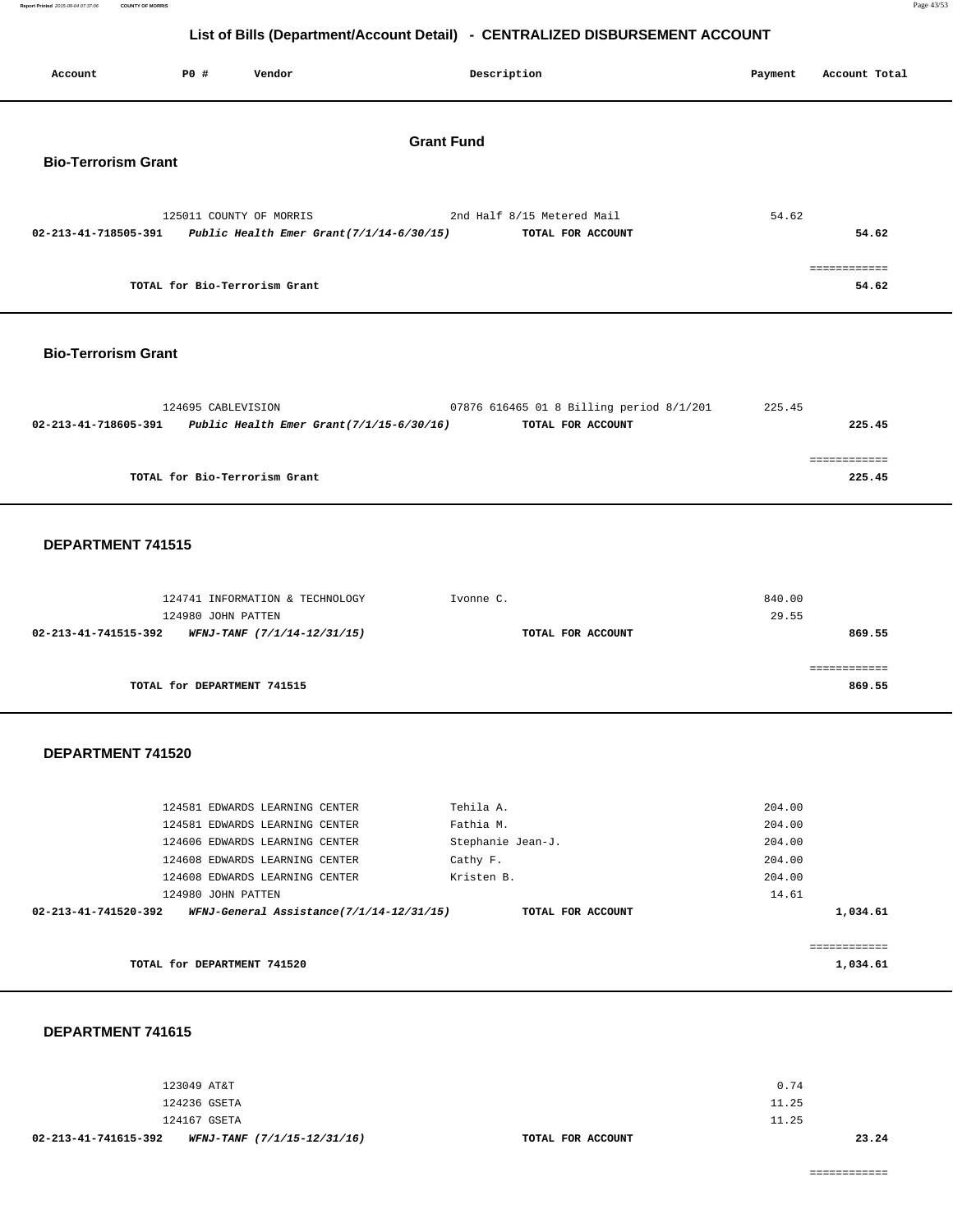**Report Printed** 2015-09-04 07:37:06 **COUNTY OF MORRIS** Page 43/53

# **List of Bills (Department/Account Detail) - CENTRALIZED DISBURSEMENT ACCOUNT**

|                            |                    |                                                                        | LIST OF BIIIS (Department/Account Detail) - CENTRALIZED DISBURSEMENT ACCOUNT |         |                        |
|----------------------------|--------------------|------------------------------------------------------------------------|------------------------------------------------------------------------------|---------|------------------------|
| Account                    | P0 #               | Vendor                                                                 | Description                                                                  | Payment | Account Total          |
|                            |                    |                                                                        | <b>Grant Fund</b>                                                            |         |                        |
| <b>Bio-Terrorism Grant</b> |                    |                                                                        |                                                                              |         |                        |
|                            |                    |                                                                        |                                                                              |         |                        |
| 02-213-41-718505-391       |                    | 125011 COUNTY OF MORRIS<br>Public Health Emer Grant $(7/1/14-6/30/15)$ | 2nd Half 8/15 Metered Mail<br>TOTAL FOR ACCOUNT                              | 54.62   | 54.62                  |
|                            |                    | TOTAL for Bio-Terrorism Grant                                          |                                                                              |         | ============<br>54.62  |
| <b>Bio-Terrorism Grant</b> |                    |                                                                        |                                                                              |         |                        |
|                            |                    |                                                                        |                                                                              |         |                        |
|                            | 124695 CABLEVISION |                                                                        | 07876 616465 01 8 Billing period 8/1/201                                     | 225.45  |                        |
| 02-213-41-718605-391       |                    | Public Health Emer Grant $(7/1/15-6/30/16)$                            | TOTAL FOR ACCOUNT                                                            |         | 225.45                 |
|                            |                    |                                                                        |                                                                              |         | ============           |
|                            |                    | TOTAL for Bio-Terrorism Grant                                          |                                                                              |         | 225.45                 |
| DEPARTMENT 741515          |                    |                                                                        |                                                                              |         |                        |
|                            |                    |                                                                        |                                                                              |         |                        |
|                            |                    | 124741 INFORMATION & TECHNOLOGY                                        | Ivonne C.                                                                    | 840.00  |                        |
| 02-213-41-741515-392       | 124980 JOHN PATTEN | WFNJ-TANF (7/1/14-12/31/15)                                            | TOTAL FOR ACCOUNT                                                            | 29.55   | 869.55                 |
|                            |                    |                                                                        |                                                                              |         |                        |
|                            |                    |                                                                        |                                                                              |         | ============<br>869.55 |
|                            |                    | TOTAL for DEPARTMENT 741515                                            |                                                                              |         |                        |
| DEPARTMENT 741520          |                    |                                                                        |                                                                              |         |                        |
|                            |                    | 124581 EDWARDS LEARNING CENTER                                         | Tehila A.                                                                    | 204.00  |                        |

|                      | TOTAL for DEPARTMENT 741520                                                                                                                                                                                                                                    |                   | 1,034.61    |
|----------------------|----------------------------------------------------------------------------------------------------------------------------------------------------------------------------------------------------------------------------------------------------------------|-------------------|-------------|
|                      |                                                                                                                                                                                                                                                                |                   | ----------- |
| 02-213-41-741520-392 | WFNJ-General Assistance(7/1/14-12/31/15)                                                                                                                                                                                                                       | TOTAL FOR ACCOUNT | 1,034.61    |
|                      | 124980 JOHN PATTEN                                                                                                                                                                                                                                             |                   | 14.61       |
|                      | 124608 EDWARDS LEARNING CENTER                                                                                                                                                                                                                                 | Kristen B.        | 204.00      |
|                      | 124608 EDWARDS LEARNING CENTER                                                                                                                                                                                                                                 | Cathy F.          | 204.00      |
|                      | 124606 EDWARDS LEARNING CENTER                                                                                                                                                                                                                                 | Stephanie Jean-J. | 204.00      |
|                      | 124581 EDWARDS LEARNING CENTER                                                                                                                                                                                                                                 | Fathia M.         | 204.00      |
|                      | $\pm$ 2. $\pm$ . $\pm$ . $\pm$ . $\pm$ . $\pm$ . $\pm$ . $\pm$ . $\pm$ . $\pm$ . $\pm$ . $\pm$ . $\pm$ . $\pm$ . $\pm$ . $\pm$ . $\pm$ . $\pm$ . $\pm$ . $\pm$ . $\pm$ . $\pm$ . $\pm$ . $\pm$ . $\pm$ . $\pm$ . $\pm$ . $\pm$ . $\pm$ . $\pm$ . $\pm$ . $\pm$ | 15111107          | 201.00      |

 **DEPARTMENT 741615** 

| WFNJ-TANF (7/1/15-12/31/16)<br>02-213-41-741615-392 | TOTAL FOR ACCOUNT |       | 23.24 |
|-----------------------------------------------------|-------------------|-------|-------|
| 124167 GSETA                                        |                   | 11.25 |       |
| 124236 GSETA                                        |                   | 11.25 |       |
| 123049 AT&T                                         |                   | 0.74  |       |
|                                                     |                   |       |       |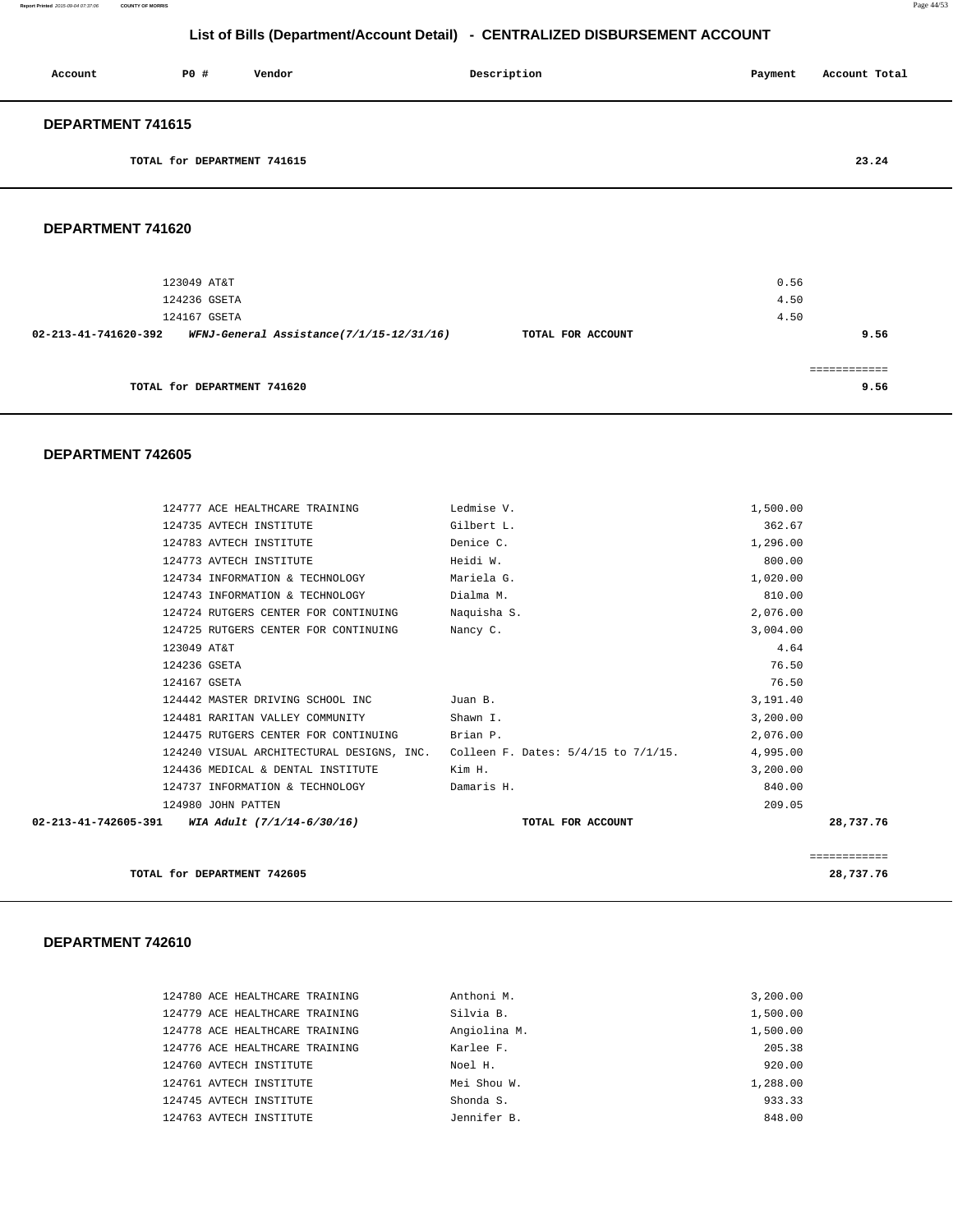**Report Printed** 2015-09-04 07:37:06 **COUNTY OF MORRIS** Page 44/53

# **List of Bills (Department/Account Detail) - CENTRALIZED DISBURSEMENT ACCOUNT**

| Account           | P0#                         | Vendor | Description | Payment | Account Total |
|-------------------|-----------------------------|--------|-------------|---------|---------------|
| DEPARTMENT 741615 |                             |        |             |         |               |
|                   | TOTAL for DEPARTMENT 741615 |        |             |         | 23.24         |
|                   |                             |        |             |         |               |

#### **DEPARTMENT 741620**

| 123049 AT&T<br>124236 GSETA                                      |                   | 0.56<br>4.50 |
|------------------------------------------------------------------|-------------------|--------------|
| 124167 GSETA                                                     |                   | 4.50         |
| WFNJ-General Assistance(7/1/15-12/31/16)<br>02-213-41-741620-392 | TOTAL FOR ACCOUNT | 9.56         |
| TOTAL for DEPARTMENT 741620                                      |                   | 9.56         |

#### **DEPARTMENT 742605**

|                                                 | 124777 ACE HEALTHCARE TRAINING       | Ledmise V.                                                                    | 1,500.00 |              |
|-------------------------------------------------|--------------------------------------|-------------------------------------------------------------------------------|----------|--------------|
|                                                 | 124735 AVTECH INSTITUTE              | Gilbert L.                                                                    | 362.67   |              |
|                                                 | 124783 AVTECH INSTITUTE              | Denice C.                                                                     | 1,296.00 |              |
|                                                 | 124773 AVTECH INSTITUTE              | Heidi W.                                                                      | 800.00   |              |
|                                                 | 124734 INFORMATION & TECHNOLOGY      | Mariela G.                                                                    | 1,020.00 |              |
|                                                 | 124743 INFORMATION & TECHNOLOGY      | Dialma M.                                                                     | 810.00   |              |
|                                                 | 124724 RUTGERS CENTER FOR CONTINUING | Naquisha S.                                                                   | 2,076.00 |              |
|                                                 | 124725 RUTGERS CENTER FOR CONTINUING | Nancy C.                                                                      | 3,004.00 |              |
| 123049 AT&T                                     |                                      |                                                                               | 4.64     |              |
| 124236 GSETA                                    |                                      |                                                                               | 76.50    |              |
| 124167 GSETA                                    |                                      |                                                                               | 76.50    |              |
|                                                 | 124442 MASTER DRIVING SCHOOL INC     | Juan B.                                                                       | 3,191.40 |              |
|                                                 | 124481 RARITAN VALLEY COMMUNITY      | Shawn I.                                                                      | 3,200.00 |              |
|                                                 | 124475 RUTGERS CENTER FOR CONTINUING | Brian P.                                                                      | 2,076.00 |              |
|                                                 |                                      | 124240 VISUAL ARCHITECTURAL DESIGNS, INC. Colleen F. Dates: 5/4/15 to 7/1/15. | 4,995.00 |              |
|                                                 | 124436 MEDICAL & DENTAL INSTITUTE    | Kim H.                                                                        | 3,200.00 |              |
|                                                 | 124737 INFORMATION & TECHNOLOGY      | Damaris H.                                                                    | 840.00   |              |
|                                                 | 124980 JOHN PATTEN                   |                                                                               | 209.05   |              |
| 02-213-41-742605-391 WIA Adult (7/1/14-6/30/16) |                                      | TOTAL FOR ACCOUNT                                                             |          | 28,737.76    |
|                                                 |                                      |                                                                               |          |              |
|                                                 |                                      |                                                                               |          | ============ |
|                                                 | TOTAL for DEPARTMENT 742605          |                                                                               |          | 28,737.76    |

#### **DEPARTMENT 742610**

| 124780 ACE HEALTHCARE TRAINING | Anthoni M.   | 3,200.00 |
|--------------------------------|--------------|----------|
| 124779 ACE HEALTHCARE TRAINING | Silvia B.    | 1,500.00 |
| 124778 ACE HEALTHCARE TRAINING | Angiolina M. | 1,500.00 |
| 124776 ACE HEALTHCARE TRAINING | Karlee F.    | 205.38   |
| 124760 AVTECH INSTITUTE        | Noel H.      | 920.00   |
| 124761 AVTECH INSTITUTE        | Mei Shou W.  | 1,288.00 |
| 124745 AVTECH INSTITUTE        | Shonda S.    | 933.33   |
| 124763 AVTECH INSTITUTE        | Jennifer B.  | 848.00   |
|                                |              |          |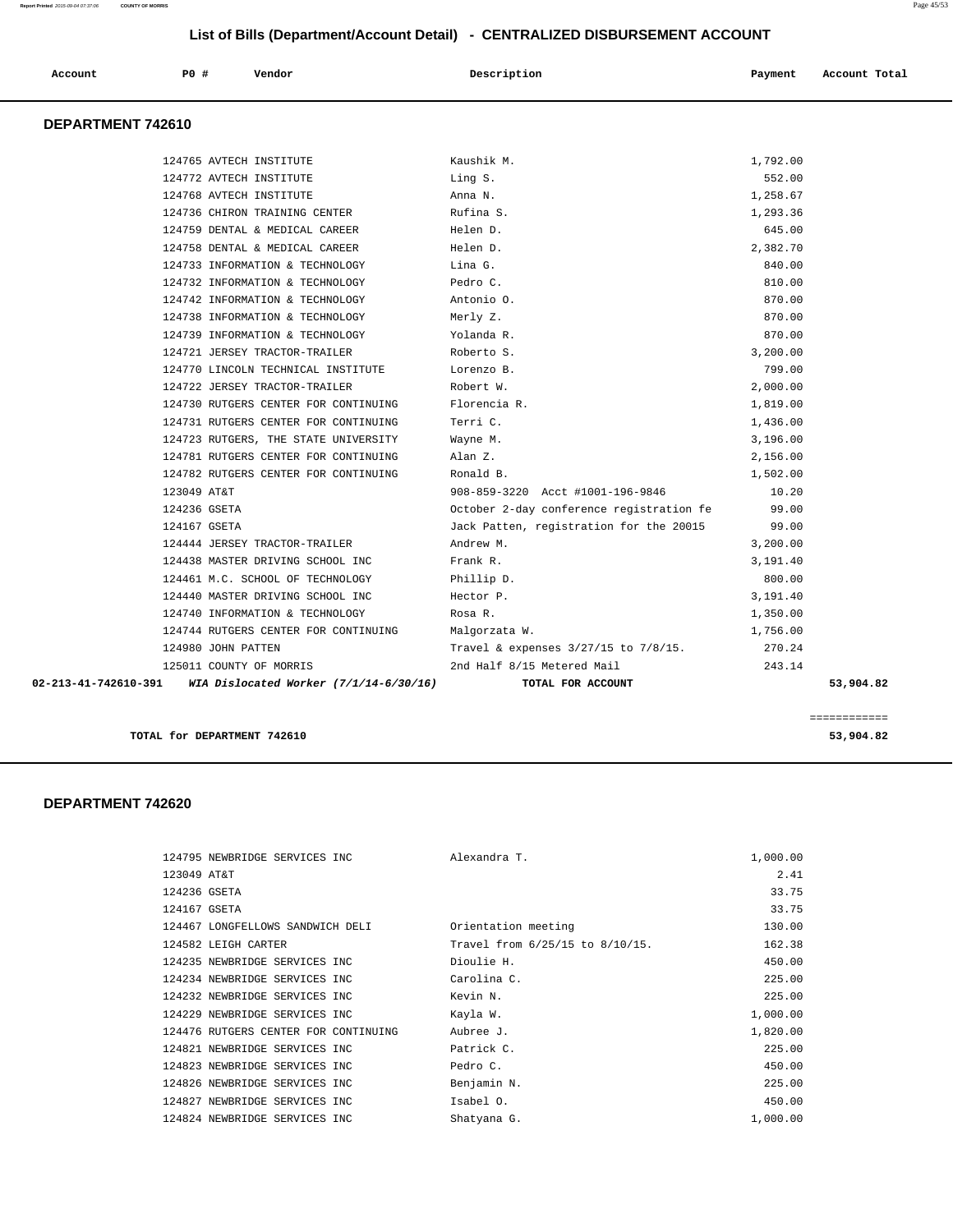|                   |                                      | LISTOI DIIIS (DEPARTINENTACCOUNT DETAIL) - CENTRALIZED DISBORSEMENT ACCOUNT |          |               |
|-------------------|--------------------------------------|-----------------------------------------------------------------------------|----------|---------------|
| Account           | <b>PO #</b><br>Vendor                | Description                                                                 | Payment  | Account Total |
| DEPARTMENT 742610 |                                      |                                                                             |          |               |
|                   | 124765 AVTECH INSTITUTE              | Kaushik M.                                                                  | 1,792.00 |               |
|                   | 124772 AVTECH INSTITUTE              | Ling S.                                                                     | 552.00   |               |
|                   | 124768 AVTECH INSTITUTE              | Anna N.                                                                     | 1,258.67 |               |
|                   | 124736 CHIRON TRAINING CENTER        | Rufina S.                                                                   | 1,293.36 |               |
|                   | 124759 DENTAL & MEDICAL CAREER       | Helen D.                                                                    | 645.00   |               |
|                   | 124758 DENTAL & MEDICAL CAREER       | Helen D.                                                                    | 2,382.70 |               |
|                   | 124733 INFORMATION & TECHNOLOGY      | Lina G.                                                                     | 840.00   |               |
|                   | 124732 INFORMATION & TECHNOLOGY      | Pedro C.                                                                    | 810.00   |               |
|                   | 124742 INFORMATION & TECHNOLOGY      | Antonio O.                                                                  | 870.00   |               |
|                   | 124738 INFORMATION & TECHNOLOGY      | Merly Z.                                                                    | 870.00   |               |
|                   | 124739 INFORMATION & TECHNOLOGY      | Yolanda R.                                                                  | 870.00   |               |
|                   | 124721 JERSEY TRACTOR-TRAILER        | Roberto S.                                                                  | 3,200.00 |               |
|                   | 124770 LINCOLN TECHNICAL INSTITUTE   | Lorenzo B.                                                                  | 799.00   |               |
|                   | 124722 JERSEY TRACTOR-TRAILER        | Robert W.                                                                   | 2,000.00 |               |
|                   | 124730 RUTGERS CENTER FOR CONTINUING | Florencia R.                                                                | 1,819.00 |               |
|                   | 124731 RUTGERS CENTER FOR CONTINUING | Terri C.                                                                    | 1,436.00 |               |
|                   | 124723 RUTGERS, THE STATE UNIVERSITY | Wayne M.                                                                    | 3,196.00 |               |
|                   | 124781 RUTGERS CENTER FOR CONTINUING | Alan Z.                                                                     | 2,156.00 |               |
|                   | 124782 RUTGERS CENTER FOR CONTINUING | Ronald B.                                                                   | 1,502.00 |               |
|                   | 123049 AT&T                          | 908-859-3220 Acct #1001-196-9846                                            | 10.20    |               |
|                   | 124236 GSETA                         | October 2-day conference registration fe                                    | 99.00    |               |
|                   | 124167 GSETA                         | Jack Patten, registration for the 20015                                     | 99.00    |               |
|                   | 124444 JERSEY TRACTOR-TRAILER        | Andrew M.                                                                   | 3,200.00 |               |
|                   | 124438 MASTER DRIVING SCHOOL INC     | Frank R.                                                                    | 3,191.40 |               |
|                   | 124461 M.C. SCHOOL OF TECHNOLOGY     | Phillip D.                                                                  | 800.00   |               |
|                   | 124440 MASTER DRIVING SCHOOL INC     | Hector P.                                                                   | 3,191.40 |               |
|                   | 124740 INFORMATION & TECHNOLOGY      | Rosa R.                                                                     | 1,350.00 |               |
|                   | 124744 RUTGERS CENTER FOR CONTINUING | Malgorzata W.                                                               | 1,756.00 |               |

 124980 JOHN PATTEN Travel & expenses 3/27/15 to 7/8/15. 270.24 125011 COUNTY OF MORRIS 2nd Half 8/15 Metered Mail 243.14

 **02-213-41-742610-391 WIA Dislocated Worker (7/1/14-6/30/16) TOTAL FOR ACCOUNT 53,904.82**

============

**TOTAL for DEPARTMENT 742610 53,904.82**

# **DEPARTMENT 742620**

| 124795 NEWBRIDGE SERVICES INC        | Alexandra T.                    | 1,000.00 |
|--------------------------------------|---------------------------------|----------|
| 123049 AT&T                          |                                 | 2.41     |
| 124236 GSETA                         |                                 | 33.75    |
| 124167 GSETA                         |                                 | 33.75    |
| 124467 LONGFELLOWS SANDWICH DELI     | Orientation meeting             | 130.00   |
| 124582 LEIGH CARTER                  | Travel from 6/25/15 to 8/10/15. | 162.38   |
| 124235 NEWBRIDGE SERVICES INC        | Dioulie H.                      | 450.00   |
| 124234 NEWBRIDGE SERVICES INC        | Carolina C.                     | 225.00   |
| 124232 NEWBRIDGE SERVICES INC        | Kevin N.                        | 225.00   |
| 124229 NEWBRIDGE SERVICES INC        | Kayla W.                        | 1,000.00 |
| 124476 RUTGERS CENTER FOR CONTINUING | Aubree J.                       | 1,820.00 |
| 124821 NEWBRIDGE SERVICES INC        | Patrick C.                      | 225.00   |
| 124823 NEWBRIDGE SERVICES INC        | Pedro C.                        | 450.00   |
| 124826 NEWBRIDGE SERVICES INC        | Benjamin N.                     | 225.00   |
| 124827 NEWBRIDGE SERVICES INC        | Isabel 0.                       | 450.00   |
| 124824 NEWBRIDGE SERVICES INC        | Shatyana G.                     | 1,000.00 |

**Report Printed** 2015-09-04 07:37:06 **COUNTY OF MORRIS** Page 45/53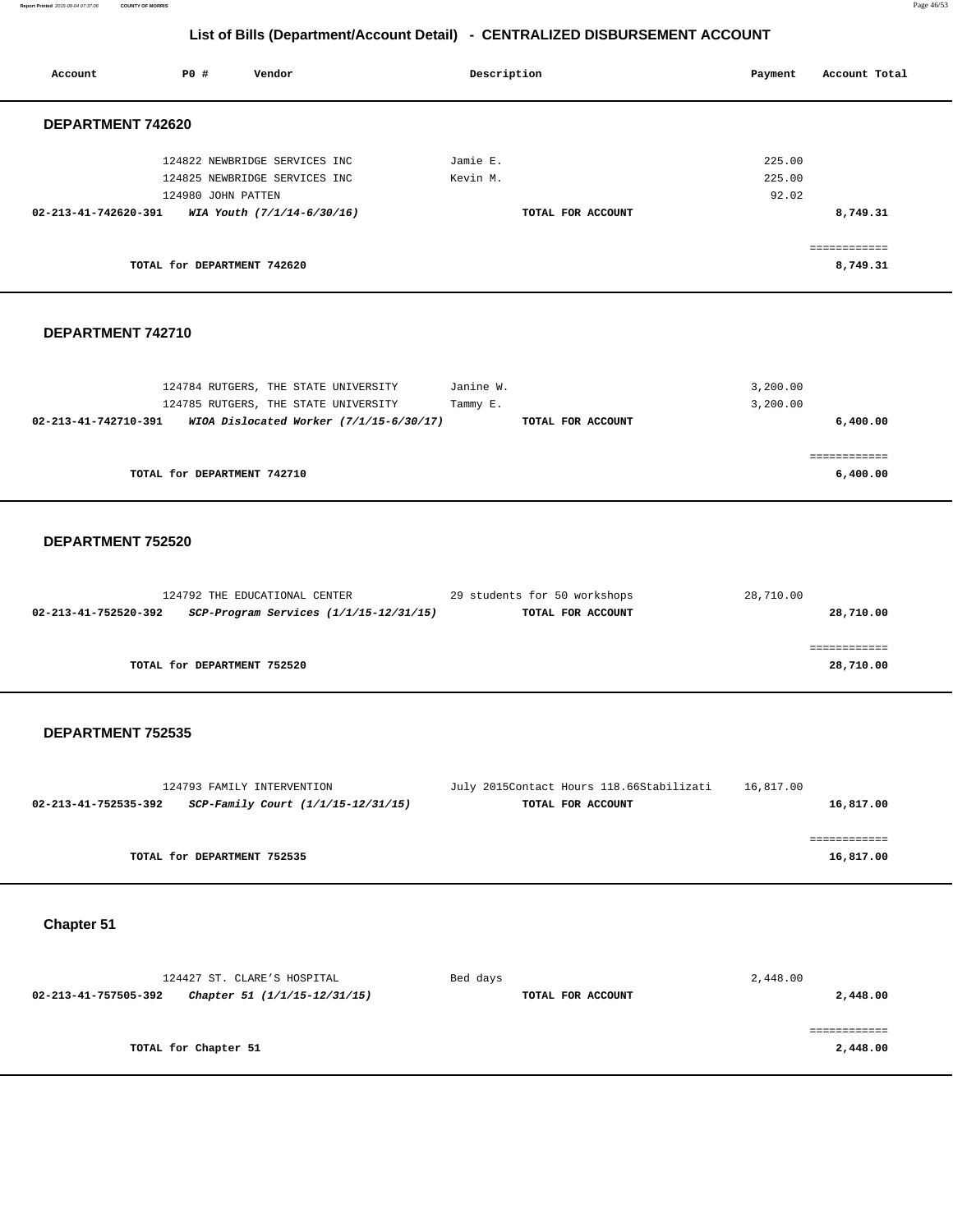**Report Printed** 2015-09-04 07:37:06 **COUNTY OF MORRIS** Page 46/53

|                      | List of Bills (Department/Account Detail) - CENTRALIZED DISBURSEMENT ACCOUNT |                                                                                                                         |                       |                                                               |                           |                           |
|----------------------|------------------------------------------------------------------------------|-------------------------------------------------------------------------------------------------------------------------|-----------------------|---------------------------------------------------------------|---------------------------|---------------------------|
| Account              | P0 #                                                                         | Vendor                                                                                                                  | Description           |                                                               | Payment                   | Account Total             |
| DEPARTMENT 742620    |                                                                              |                                                                                                                         |                       |                                                               |                           |                           |
| 02-213-41-742620-391 | 124980 JOHN PATTEN                                                           | 124822 NEWBRIDGE SERVICES INC<br>124825 NEWBRIDGE SERVICES INC<br>WIA Youth (7/1/14-6/30/16)                            | Jamie E.<br>Kevin M.  | TOTAL FOR ACCOUNT                                             | 225.00<br>225.00<br>92.02 | 8,749.31                  |
|                      | TOTAL for DEPARTMENT 742620                                                  |                                                                                                                         |                       |                                                               |                           | ============<br>8,749.31  |
| DEPARTMENT 742710    |                                                                              |                                                                                                                         |                       |                                                               |                           |                           |
| 02-213-41-742710-391 |                                                                              | 124784 RUTGERS, THE STATE UNIVERSITY<br>124785 RUTGERS, THE STATE UNIVERSITY<br>WIOA Dislocated Worker (7/1/15-6/30/17) | Janine W.<br>Tammy E. | TOTAL FOR ACCOUNT                                             | 3,200.00<br>3,200.00      | 6,400.00                  |
|                      | TOTAL for DEPARTMENT 742710                                                  |                                                                                                                         |                       |                                                               |                           | 6,400.00                  |
| DEPARTMENT 752520    |                                                                              |                                                                                                                         |                       |                                                               |                           |                           |
| 02-213-41-752520-392 |                                                                              | 124792 THE EDUCATIONAL CENTER<br>SCP-Program Services (1/1/15-12/31/15)                                                 |                       | 29 students for 50 workshops<br>TOTAL FOR ACCOUNT             | 28,710.00                 | 28,710.00                 |
|                      | TOTAL for DEPARTMENT 752520                                                  |                                                                                                                         |                       |                                                               |                           | ============<br>28,710.00 |
| DEPARTMENT 752535    |                                                                              |                                                                                                                         |                       |                                                               |                           |                           |
| 02-213-41-752535-392 |                                                                              | 124793 FAMILY INTERVENTION<br>SCP-Family Court (1/1/15-12/31/15)                                                        |                       | July 2015Contact Hours 118.66Stabilizati<br>TOTAL FOR ACCOUNT | 16,817.00                 | 16,817.00                 |
|                      | TOTAL for DEPARTMENT 752535                                                  |                                                                                                                         |                       |                                                               |                           | ============<br>16,817.00 |
| Chapter 51           |                                                                              |                                                                                                                         |                       |                                                               |                           |                           |
| 02-213-41-757505-392 |                                                                              | 124427 ST. CLARE'S HOSPITAL<br>Chapter 51 (1/1/15-12/31/15)                                                             | Bed days              | TOTAL FOR ACCOUNT                                             | 2,448.00                  | 2,448.00                  |
|                      | TOTAL for Chapter 51                                                         |                                                                                                                         |                       |                                                               |                           | ============<br>2,448.00  |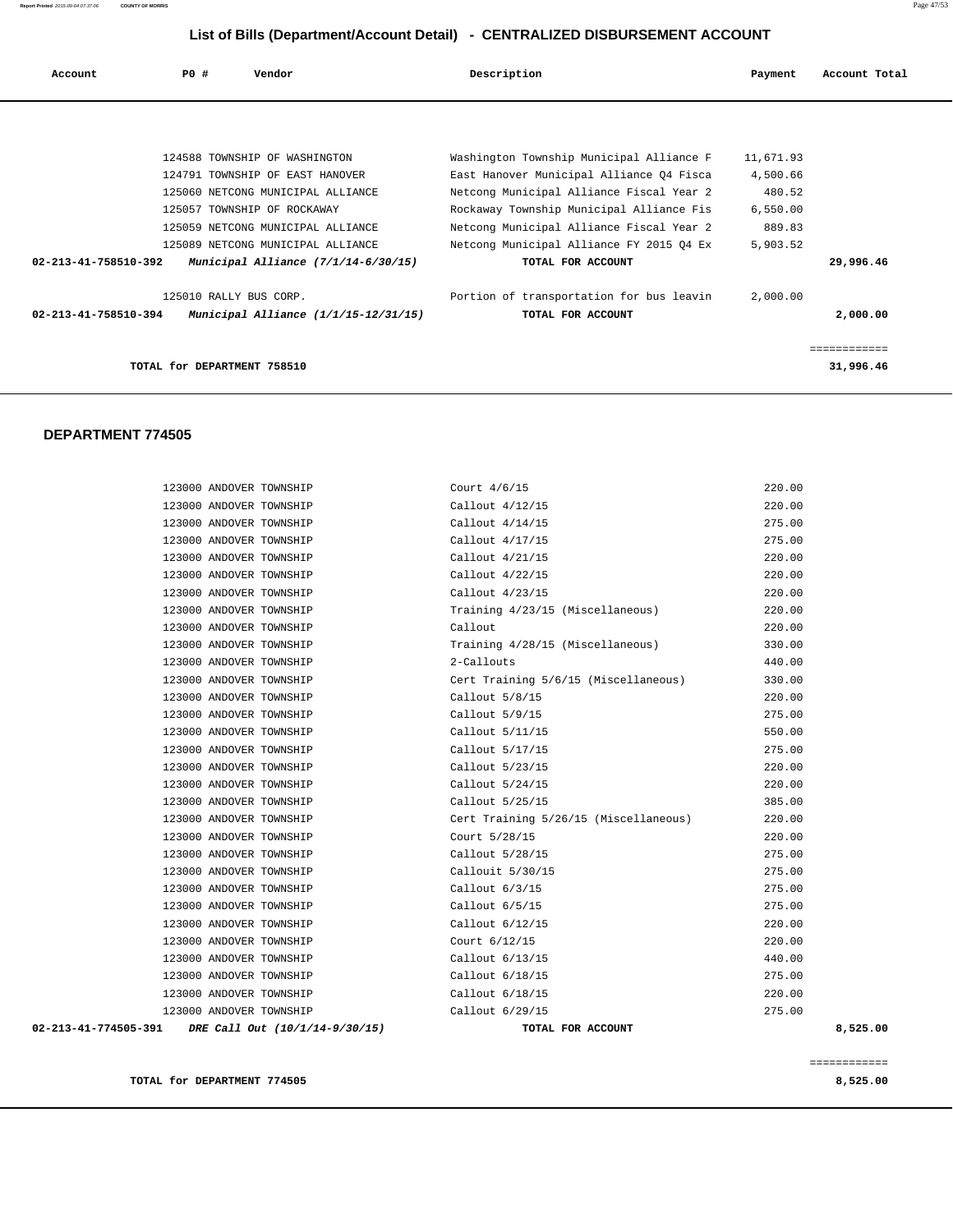| Account Total | Payment   | Description                              | Vendor                                | PO#<br>Account       |
|---------------|-----------|------------------------------------------|---------------------------------------|----------------------|
|               |           |                                          |                                       |                      |
|               | 11,671.93 | Washington Township Municipal Alliance F | 124588 TOWNSHIP OF WASHINGTON         |                      |
|               | 4,500.66  | East Hanover Municipal Alliance Q4 Fisca | 124791 TOWNSHIP OF EAST HANOVER       |                      |
| 480.52        |           | Netcong Municipal Alliance Fiscal Year 2 | 125060 NETCONG MUNICIPAL ALLIANCE     |                      |
|               | 6,550.00  | Rockaway Township Municipal Alliance Fis | 125057 TOWNSHIP OF ROCKAWAY           |                      |
| 889.83        |           | Netcong Municipal Alliance Fiscal Year 2 | 125059 NETCONG MUNICIPAL ALLIANCE     |                      |
|               | 5,903.52  | Netcong Municipal Alliance FY 2015 Q4 Ex | 125089 NETCONG MUNICIPAL ALLIANCE     |                      |
| 29,996.46     |           | TOTAL FOR ACCOUNT                        | Municipal Alliance $(7/1/14-6/30/15)$ | 02-213-41-758510-392 |
|               | 2,000.00  | Portion of transportation for bus leavin | 125010 RALLY BUS CORP.                |                      |
| 2,000.00      |           | TOTAL FOR ACCOUNT                        | Municipal Alliance (1/1/15-12/31/15)  | 02-213-41-758510-394 |
| ============  |           |                                          |                                       |                      |
| 31,996.46     |           |                                          | TOTAL for DEPARTMENT 758510           |                      |
|               |           |                                          |                                       |                      |

#### **DEPARTMENT 774505**

| 123000 ANDOVER TOWNSHIP<br>02-213-41-774505-391 DRE Call Out (10/1/14-9/30/15) | Callout 6/29/15<br>TOTAL FOR ACCOUNT  | 275.00<br>8,525.00 |
|--------------------------------------------------------------------------------|---------------------------------------|--------------------|
| 123000 ANDOVER TOWNSHIP                                                        | Callout 6/18/15                       | 220.00             |
| 123000 ANDOVER TOWNSHIP                                                        | Callout 6/18/15                       | 275.00             |
| 123000 ANDOVER TOWNSHIP                                                        | Callout 6/13/15                       | 440.00             |
| 123000 ANDOVER TOWNSHIP                                                        | Court 6/12/15                         | 220.00             |
| 123000 ANDOVER TOWNSHIP                                                        | Callout 6/12/15                       | 220.00             |
| 123000 ANDOVER TOWNSHIP                                                        | Callout $6/5/15$                      | 275.00             |
| 123000 ANDOVER TOWNSHIP                                                        | Callout $6/3/15$                      | 275.00             |
| 123000 ANDOVER TOWNSHIP                                                        | Callouit 5/30/15                      | 275.00             |
| 123000 ANDOVER TOWNSHIP                                                        | Callout 5/28/15                       | 275.00             |
| 123000 ANDOVER TOWNSHIP                                                        | Court 5/28/15                         | 220.00             |
| 123000 ANDOVER TOWNSHIP                                                        | Cert Training 5/26/15 (Miscellaneous) | 220.00             |
| 123000 ANDOVER TOWNSHIP                                                        | Callout 5/25/15                       | 385.00             |
| 123000 ANDOVER TOWNSHIP                                                        | Callout 5/24/15                       | 220.00             |
| 123000 ANDOVER TOWNSHIP                                                        | Callout 5/23/15                       | 220.00             |
| 123000 ANDOVER TOWNSHIP                                                        | Callout 5/17/15                       | 275.00             |
| 123000 ANDOVER TOWNSHIP                                                        | Callout 5/11/15                       | 550.00             |
| 123000 ANDOVER TOWNSHIP                                                        | Callout 5/9/15                        | 275.00             |
| 123000 ANDOVER TOWNSHIP                                                        | Callout 5/8/15                        | 220.00             |
| 123000 ANDOVER TOWNSHIP                                                        | Cert Training 5/6/15 (Miscellaneous)  | 330.00             |
| 123000 ANDOVER TOWNSHIP                                                        | 2-Callouts                            | 440.00             |
| 123000 ANDOVER TOWNSHIP                                                        | Training 4/28/15 (Miscellaneous)      | 330.00             |
| 123000 ANDOVER TOWNSHIP                                                        | Callout                               | 220.00             |
| 123000 ANDOVER TOWNSHIP                                                        | Training 4/23/15 (Miscellaneous)      | 220.00             |
| 123000 ANDOVER TOWNSHIP                                                        | Callout 4/23/15                       | 220.00             |
| 123000 ANDOVER TOWNSHIP                                                        | Callout 4/22/15                       | 220.00             |
| 123000 ANDOVER TOWNSHIP                                                        | Callout 4/21/15                       | 220.00             |
| 123000 ANDOVER TOWNSHIP                                                        | Callout 4/17/15                       | 275.00             |
| 123000 ANDOVER TOWNSHIP                                                        | Callout $4/14/15$                     | 275.00             |
| 123000 ANDOVER TOWNSHIP                                                        | Callout 4/12/15                       | 220.00             |
| 123000 ANDOVER TOWNSHIP                                                        | Court 4/6/15                          | 220.00             |
|                                                                                |                                       |                    |

**TOTAL for DEPARTMENT 774505 8,525.00**

============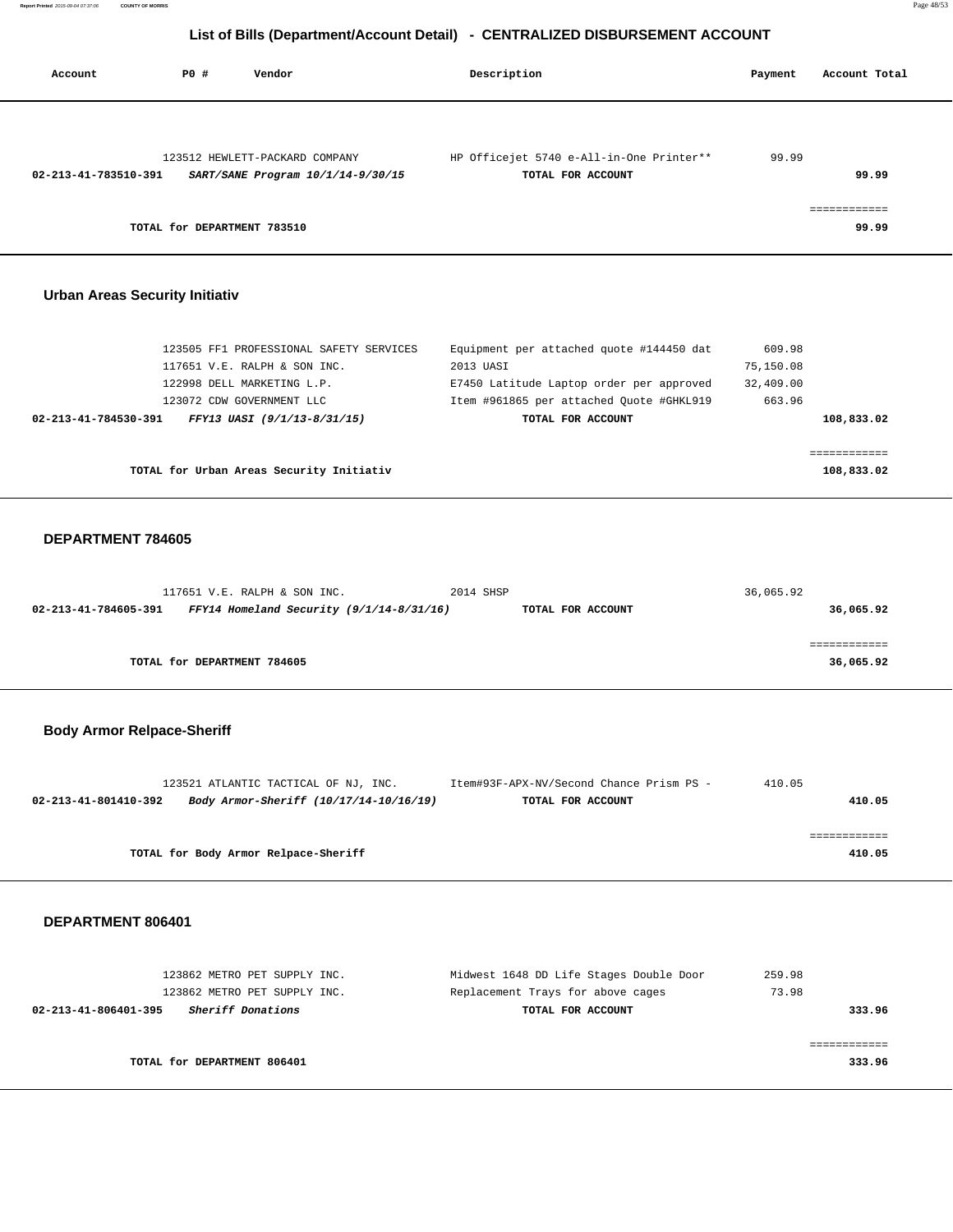| Account                               | PO#                         | Vendor                                                                  | Description                                                                          | Payment             | Account Total         |
|---------------------------------------|-----------------------------|-------------------------------------------------------------------------|--------------------------------------------------------------------------------------|---------------------|-----------------------|
| 02-213-41-783510-391                  |                             | 123512 HEWLETT-PACKARD COMPANY<br>SART/SANE Program 10/1/14-9/30/15     | HP Officejet 5740 e-All-in-One Printer**<br>TOTAL FOR ACCOUNT                        | 99.99               | 99.99                 |
|                                       | TOTAL for DEPARTMENT 783510 |                                                                         |                                                                                      |                     | ============<br>99.99 |
| <b>Urban Areas Security Initiativ</b> |                             |                                                                         |                                                                                      |                     |                       |
|                                       |                             | 123505 FF1 PROFESSIONAL SAFETY SERVICES<br>117651 V.E. RALPH & SON INC. | Equipment per attached quote #144450 dat<br>2013 UASI                                | 609.98<br>75,150.08 |                       |
|                                       |                             | 122998 DELL MARKETING L.P.<br>123072 CDW GOVERNMENT LLC                 | E7450 Latitude Laptop order per approved<br>Item #961865 per attached Quote #GHKL919 | 32,409.00<br>663.96 |                       |
| 02-213-41-784530-391                  |                             | FFY13 UASI (9/1/13-8/31/15)                                             | TOTAL FOR ACCOUNT                                                                    |                     | 108,833.02            |

**TOTAL for Urban Areas Security Initiativ 108,833.02**

#### **DEPARTMENT 784605**

| 117651 V.E. RALPH & SON INC.                                       | 2014 SHSP         | 36,065.92 |
|--------------------------------------------------------------------|-------------------|-----------|
| FFY14 Homeland Security $(9/1/14-8/31/16)$<br>02-213-41-784605-391 | TOTAL FOR ACCOUNT | 36,065.92 |
|                                                                    |                   |           |
|                                                                    |                   |           |
| TOTAL for DEPARTMENT 784605                                        |                   | 36,065.92 |
|                                                                    |                   |           |

============

#### **Body Armor Relpace-Sheriff**

|                      | 123521 ATLANTIC TACTICAL OF NJ, INC.   | Item#93F-APX-NV/Second Chance Prism PS - | 410.05 |
|----------------------|----------------------------------------|------------------------------------------|--------|
| 02-213-41-801410-392 | Body Armor-Sheriff (10/17/14-10/16/19) | TOTAL FOR ACCOUNT                        | 410.05 |
|                      |                                        |                                          |        |
|                      |                                        |                                          |        |
|                      | TOTAL for Body Armor Relpace-Sheriff   |                                          | 410.05 |

#### **DEPARTMENT 806401**

| 123862 METRO PET SUPPLY INC.                     | Midwest 1648 DD Life Stages Double Door | 259.98 |
|--------------------------------------------------|-----------------------------------------|--------|
| 123862 METRO PET SUPPLY INC.                     | Replacement Trays for above cages       | 73.98  |
| 02-213-41-806401-395<br><i>Sheriff Donations</i> | TOTAL FOR ACCOUNT                       | 333.96 |
|                                                  |                                         |        |
|                                                  |                                         |        |
| TOTAL for DEPARTMENT 806401                      |                                         | 333.96 |
|                                                  |                                         |        |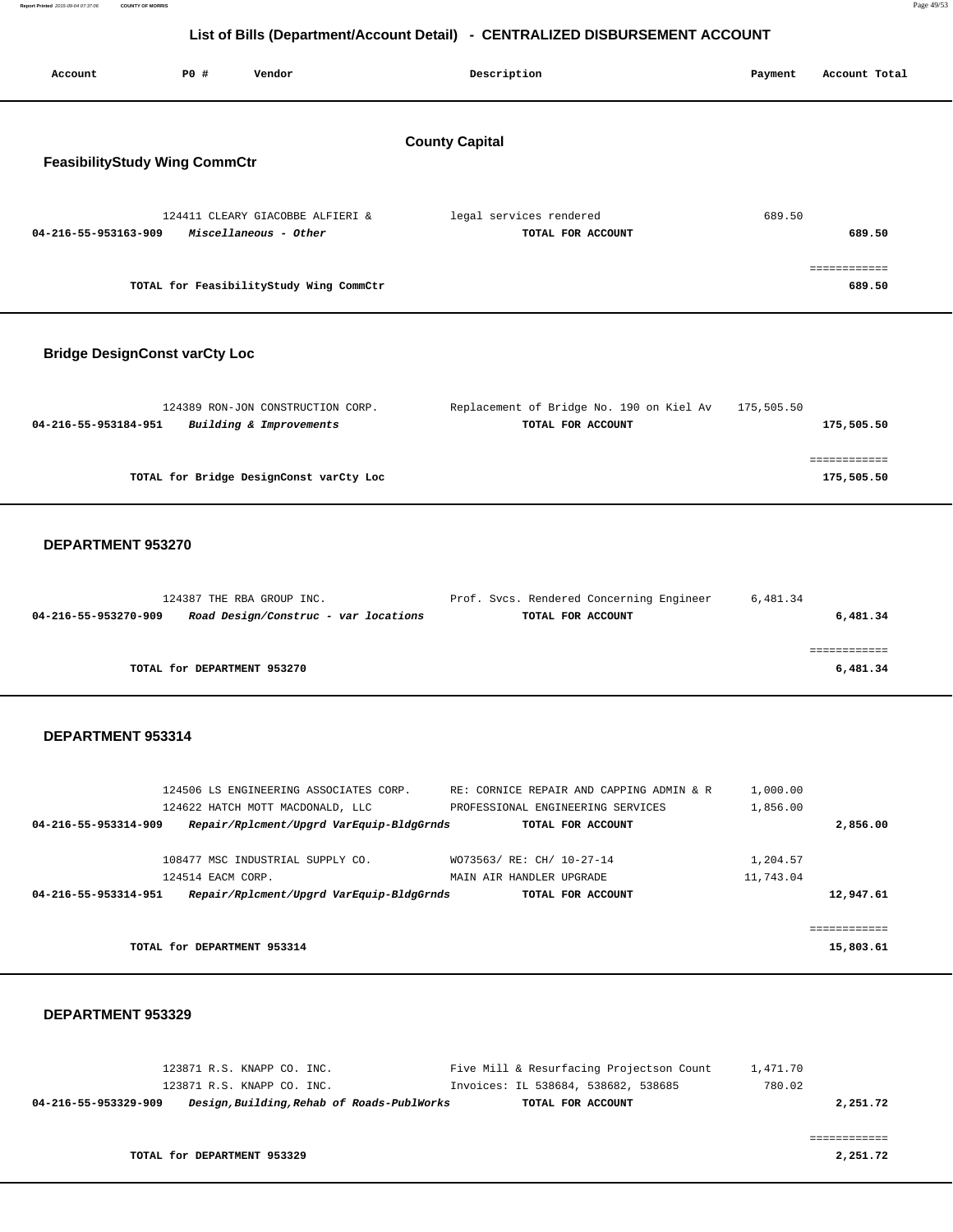| Report Printed 2015-09-04 07:37:06 | <b>COUNTY OF MORRIS</b> | Page 49/53 |
|------------------------------------|-------------------------|------------|
|                                    |                         |            |

| Account                              | <b>PO #</b><br>Vendor                                                      | Description                                                                   | Payment               | Account Total          |
|--------------------------------------|----------------------------------------------------------------------------|-------------------------------------------------------------------------------|-----------------------|------------------------|
|                                      |                                                                            |                                                                               |                       |                        |
|                                      |                                                                            |                                                                               |                       |                        |
|                                      |                                                                            | <b>County Capital</b>                                                         |                       |                        |
| <b>FeasibilityStudy Wing CommCtr</b> |                                                                            |                                                                               |                       |                        |
|                                      |                                                                            |                                                                               |                       |                        |
|                                      | 124411 CLEARY GIACOBBE ALFIERI &                                           | legal services rendered                                                       | 689.50                |                        |
| 04-216-55-953163-909                 | Miscellaneous - Other                                                      | TOTAL FOR ACCOUNT                                                             |                       | 689.50                 |
|                                      |                                                                            |                                                                               |                       |                        |
|                                      | TOTAL for FeasibilityStudy Wing CommCtr                                    |                                                                               |                       | ============<br>689.50 |
|                                      |                                                                            |                                                                               |                       |                        |
|                                      |                                                                            |                                                                               |                       |                        |
| <b>Bridge DesignConst varCty Loc</b> |                                                                            |                                                                               |                       |                        |
|                                      |                                                                            |                                                                               |                       |                        |
|                                      |                                                                            |                                                                               |                       |                        |
|                                      | 124389 RON-JON CONSTRUCTION CORP.                                          | Replacement of Bridge No. 190 on Kiel Av                                      | 175,505.50            |                        |
| 04-216-55-953184-951                 | Building & Improvements                                                    | TOTAL FOR ACCOUNT                                                             |                       | 175,505.50             |
|                                      |                                                                            |                                                                               |                       | ============           |
|                                      | TOTAL for Bridge DesignConst varCty Loc                                    |                                                                               |                       | 175,505.50             |
|                                      |                                                                            |                                                                               |                       |                        |
|                                      |                                                                            |                                                                               |                       |                        |
| DEPARTMENT 953270                    |                                                                            |                                                                               |                       |                        |
|                                      |                                                                            |                                                                               |                       |                        |
|                                      | 124387 THE RBA GROUP INC.                                                  | Prof. Svcs. Rendered Concerning Engineer                                      | 6,481.34              |                        |
| 04-216-55-953270-909                 | Road Design/Construc - var locations                                       | TOTAL FOR ACCOUNT                                                             |                       | 6,481.34               |
|                                      |                                                                            |                                                                               |                       | ============           |
|                                      | TOTAL for DEPARTMENT 953270                                                |                                                                               |                       | 6,481.34               |
|                                      |                                                                            |                                                                               |                       |                        |
|                                      |                                                                            |                                                                               |                       |                        |
| DEPARTMENT 953314                    |                                                                            |                                                                               |                       |                        |
|                                      |                                                                            |                                                                               |                       |                        |
|                                      |                                                                            |                                                                               |                       |                        |
|                                      | 124506 LS ENGINEERING ASSOCIATES CORP.<br>124622 HATCH MOTT MACDONALD, LLC | RE: CORNICE REPAIR AND CAPPING ADMIN & R<br>PROFESSIONAL ENGINEERING SERVICES | 1,000.00<br>1,856.00  |                        |
| 04-216-55-953314-909                 | Repair/Rplcment/Upgrd VarEquip-BldgGrnds                                   | TOTAL FOR ACCOUNT                                                             |                       | 2,856.00               |
|                                      |                                                                            |                                                                               |                       |                        |
|                                      | 108477 MSC INDUSTRIAL SUPPLY CO.<br>124514 EACM CORP.                      | WO73563/ RE: CH/ 10-27-14                                                     | 1,204.57<br>11,743.04 |                        |
| 04-216-55-953314-951                 | Repair/Rplcment/Upgrd VarEquip-BldgGrnds                                   | MAIN AIR HANDLER UPGRADE<br>TOTAL FOR ACCOUNT                                 |                       | 12,947.61              |
|                                      |                                                                            |                                                                               |                       |                        |
|                                      |                                                                            |                                                                               |                       | ============           |
|                                      | TOTAL for DEPARTMENT 953314                                                |                                                                               |                       | 15,803.61              |
|                                      |                                                                            |                                                                               |                       |                        |
| DEPARTMENT 953329                    |                                                                            |                                                                               |                       |                        |
|                                      |                                                                            |                                                                               |                       |                        |
|                                      |                                                                            |                                                                               |                       |                        |
|                                      | 123871 R.S. KNAPP CO. INC.                                                 | Five Mill & Resurfacing Projectson Count                                      | 1,471.70              |                        |
|                                      | 123871 R.S. KNAPP CO. INC.                                                 | Invoices: IL 538684, 538682, 538685                                           | 780.02                |                        |

| 04-216-55-953329-909 | Design,Building,Rehab of Roads-PublWorks | TOTAL FOR ACCOUNT | 2,251.72 |
|----------------------|------------------------------------------|-------------------|----------|
|                      |                                          |                   |          |

============

**TOTAL for DEPARTMENT 953329** 2,251.72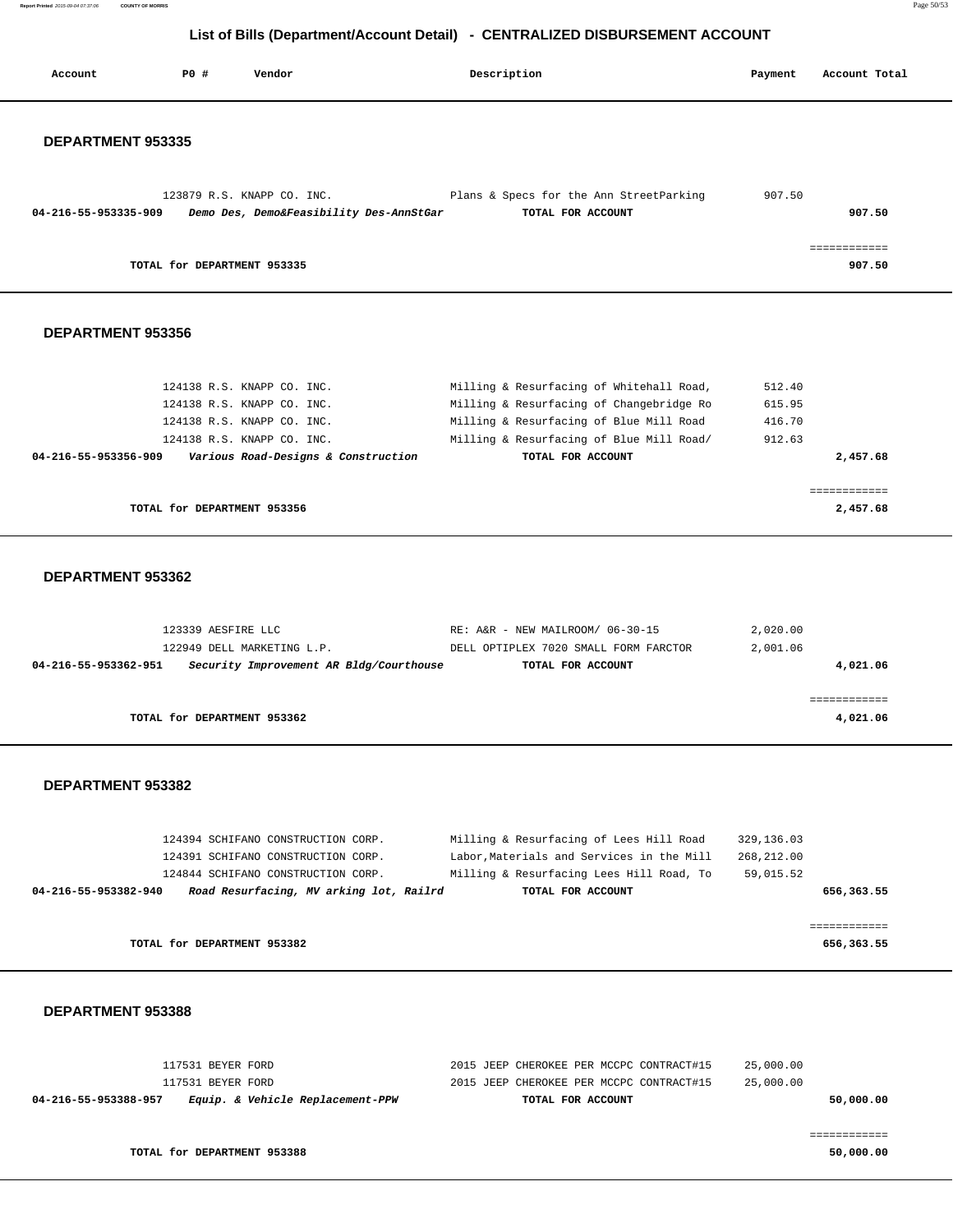**Report Printed** 2015-09-04 07:37:06 **COUNTY OF MORRIS** Page 50/53

#### **List of Bills (Department/Account Detail) - CENTRALIZED DISBURSEMENT ACCOUNT**

| Account              | P0 #                        | Vendor                                                                                                                                                      | Description                                                                                                                                                                                      | Payment                              | Account Total            |
|----------------------|-----------------------------|-------------------------------------------------------------------------------------------------------------------------------------------------------------|--------------------------------------------------------------------------------------------------------------------------------------------------------------------------------------------------|--------------------------------------|--------------------------|
| DEPARTMENT 953335    |                             |                                                                                                                                                             |                                                                                                                                                                                                  |                                      |                          |
| 04-216-55-953335-909 |                             | 123879 R.S. KNAPP CO. INC.<br>Demo Des, Demo&Feasibility Des-AnnStGar                                                                                       | Plans & Specs for the Ann StreetParking<br>TOTAL FOR ACCOUNT                                                                                                                                     | 907.50                               | 907.50                   |
|                      | TOTAL for DEPARTMENT 953335 |                                                                                                                                                             |                                                                                                                                                                                                  |                                      | ------------<br>907.50   |
| DEPARTMENT 953356    |                             |                                                                                                                                                             |                                                                                                                                                                                                  |                                      |                          |
| 04-216-55-953356-909 |                             | 124138 R.S. KNAPP CO. INC.<br>124138 R.S. KNAPP CO. INC.<br>124138 R.S. KNAPP CO. INC.<br>124138 R.S. KNAPP CO. INC.<br>Various Road-Designs & Construction | Milling & Resurfacing of Whitehall Road,<br>Milling & Resurfacing of Changebridge Ro<br>Milling & Resurfacing of Blue Mill Road<br>Milling & Resurfacing of Blue Mill Road/<br>TOTAL FOR ACCOUNT | 512.40<br>615.95<br>416.70<br>912.63 | 2,457.68                 |
|                      | TOTAL for DEPARTMENT 953356 |                                                                                                                                                             |                                                                                                                                                                                                  |                                      | ============<br>2,457.68 |
| DEPARTMENT 953362    |                             |                                                                                                                                                             |                                                                                                                                                                                                  |                                      |                          |
| 04-216-55-953362-951 | 123339 AESFIRE LLC          | 122949 DELL MARKETING L.P.<br>Security Improvement AR Bldg/Courthouse                                                                                       | RE: A&R - NEW MAILROOM/ 06-30-15<br>DELL OPTIPLEX 7020 SMALL FORM FARCTOR<br>TOTAL FOR ACCOUNT                                                                                                   | 2,020.00<br>2,001.06                 | 4,021.06                 |
|                      | TOTAL for DEPARTMENT 953362 |                                                                                                                                                             |                                                                                                                                                                                                  |                                      | ============<br>4,021.06 |
| DEPARTMENT 953382    |                             |                                                                                                                                                             |                                                                                                                                                                                                  |                                      |                          |

| 124394 SCHIFANO CONSTRUCTION CORP.                              | Milling & Resurfacing of Lees Hill Road   | 329,136.03 |
|-----------------------------------------------------------------|-------------------------------------------|------------|
| 124391 SCHIFANO CONSTRUCTION CORP.                              | Labor. Materials and Services in the Mill | 268,212.00 |
| 124844 SCHIFANO CONSTRUCTION CORP.                              | Milling & Resurfacing Lees Hill Road, To  | 59,015.52  |
| Road Resurfacing, MV arking lot, Railrd<br>04-216-55-953382-940 | TOTAL FOR ACCOUNT                         | 656,363.55 |
|                                                                 |                                           |            |
|                                                                 |                                           |            |
| TOTAL for DEPARTMENT 953382                                     |                                           | 656,363.55 |

|  |  | <b>DEPARTMENT 953388</b> |
|--|--|--------------------------|
|--|--|--------------------------|

| 117531 BEYER FORD                                        | 2015 JEEP CHEROKEE PER MCCPC CONTRACT#15 | 25,000.00 |
|----------------------------------------------------------|------------------------------------------|-----------|
| 117531 BEYER FORD                                        | 2015 JEEP CHEROKEE PER MCCPC CONTRACT#15 | 25,000.00 |
| Equip. & Vehicle Replacement-PPW<br>04-216-55-953388-957 | TOTAL FOR ACCOUNT                        | 50,000.00 |
|                                                          |                                          |           |
|                                                          |                                          |           |

**TOTAL for DEPARTMENT 953388 50,000.00**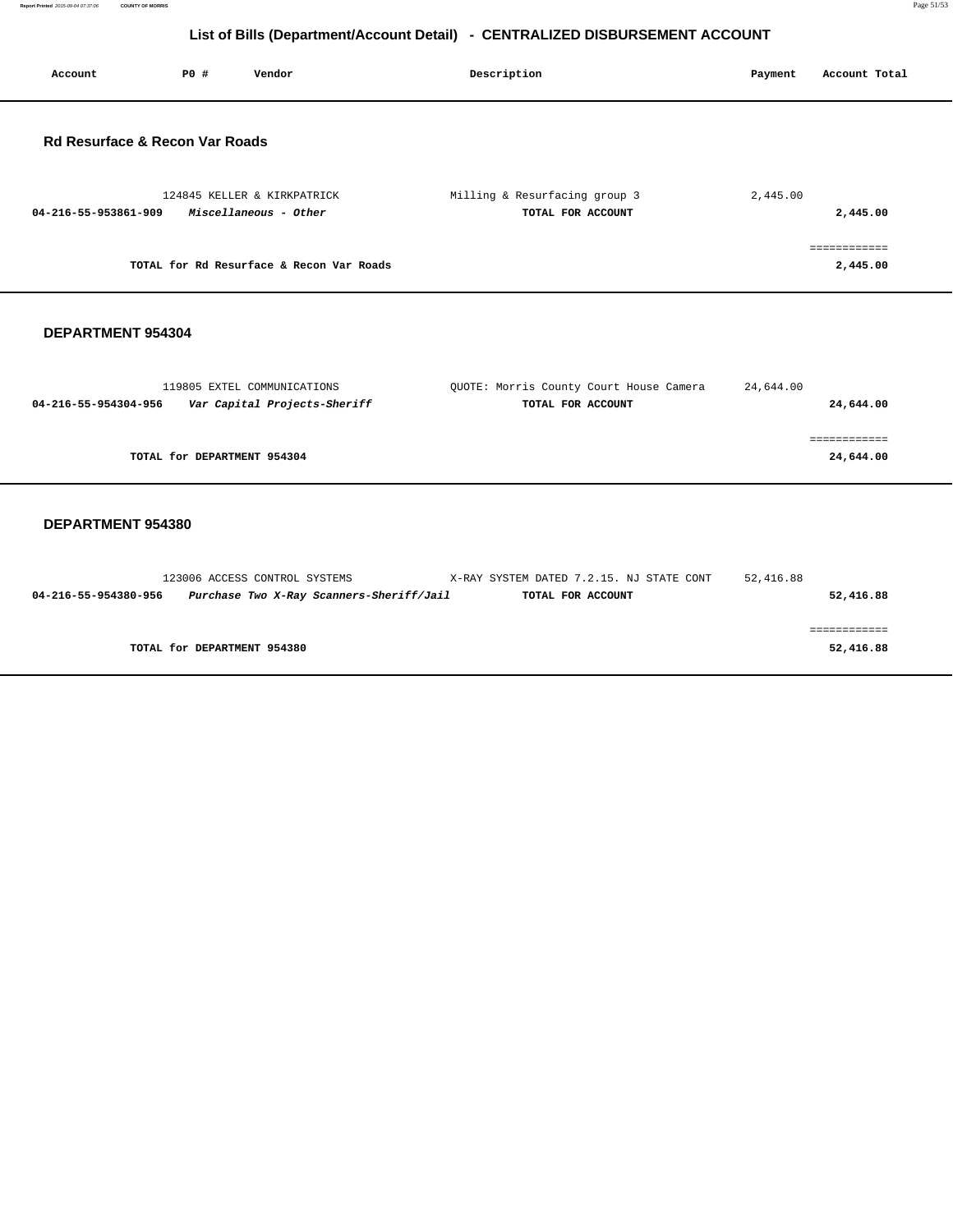**Report Printed** 2015-09-04 07:37:06 **COUNTY OF MORRIS** Page 51/53

# **List of Bills (Department/Account Detail) - CENTRALIZED DISBURSEMENT ACCOUNT**

| Account                                   | P0# | Vendor                                               | Description                                        | Account Total<br>Payment |
|-------------------------------------------|-----|------------------------------------------------------|----------------------------------------------------|--------------------------|
| <b>Rd Resurface &amp; Recon Var Roads</b> |     |                                                      |                                                    |                          |
| 04-216-55-953861-909                      |     | 124845 KELLER & KIRKPATRICK<br>Miscellaneous - Other | Milling & Resurfacing group 3<br>TOTAL FOR ACCOUNT | 2,445.00<br>2,445.00     |
|                                           |     | TOTAL for Rd Resurface & Recon Var Roads             |                                                    | ============<br>2,445.00 |
| DEPARTMENT 954304                         |     |                                                      |                                                    |                          |

| 119805 EXTEL COMMUNICATIONS                          | QUOTE: Morris County Court House Camera | 24,644.00 |
|------------------------------------------------------|-----------------------------------------|-----------|
| Var Capital Projects-Sheriff<br>04-216-55-954304-956 | TOTAL FOR ACCOUNT                       | 24,644.00 |
|                                                      |                                         |           |
|                                                      |                                         |           |
| TOTAL for DEPARTMENT 954304                          |                                         | 24,644.00 |
|                                                      |                                         |           |

#### **DEPARTMENT 954380**

|                      | 123006 ACCESS CONTROL SYSTEMS |                                          | X-RAY SYSTEM DATED 7.2.15. NJ STATE CONT |                   | 52,416.88 |           |
|----------------------|-------------------------------|------------------------------------------|------------------------------------------|-------------------|-----------|-----------|
| 04-216-55-954380-956 |                               | Purchase Two X-Ray Scanners-Sheriff/Jail |                                          | TOTAL FOR ACCOUNT |           | 52,416.88 |
|                      |                               |                                          |                                          |                   |           |           |
|                      |                               |                                          |                                          |                   |           |           |
|                      | TOTAL for DEPARTMENT 954380   |                                          |                                          |                   |           | 52,416.88 |
|                      |                               |                                          |                                          |                   |           |           |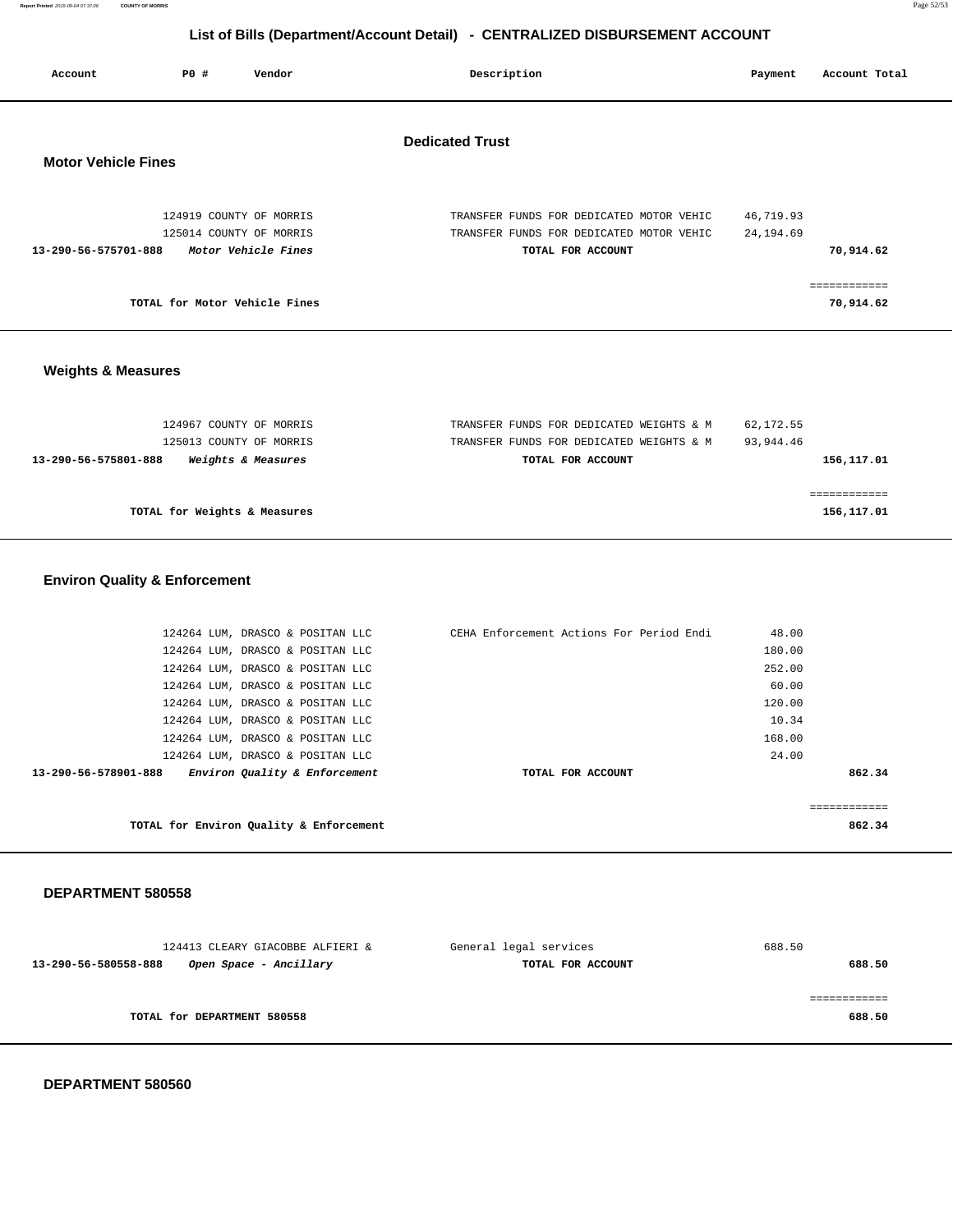**Report Printed** 2015-09-04 07:37:06 **COUNTY OF MORRIS** Page 52/53

# **List of Bills (Department/Account Detail) - CENTRALIZED DISBURSEMENT ACCOUNT**

| Account                    | PO# | Vendor                                                                    | Description                                                                                               | Payment                 | Account Total             |
|----------------------------|-----|---------------------------------------------------------------------------|-----------------------------------------------------------------------------------------------------------|-------------------------|---------------------------|
| <b>Motor Vehicle Fines</b> |     |                                                                           | <b>Dedicated Trust</b>                                                                                    |                         |                           |
| 13-290-56-575701-888       |     | 124919 COUNTY OF MORRIS<br>125014 COUNTY OF MORRIS<br>Motor Vehicle Fines | TRANSFER FUNDS FOR DEDICATED MOTOR VEHIC<br>TRANSFER FUNDS FOR DEDICATED MOTOR VEHIC<br>TOTAL FOR ACCOUNT | 46,719.93<br>24, 194.69 | 70,914.62                 |
|                            |     | TOTAL for Motor Vehicle Fines                                             |                                                                                                           |                         | ============<br>70,914.62 |

#### **Weights & Measures**

| 124967 COUNTY OF MORRIS                                      | TRANSFER FUNDS FOR DEDICATED WEIGHTS & M | 62,172.55  |
|--------------------------------------------------------------|------------------------------------------|------------|
| 125013 COUNTY OF MORRIS                                      | TRANSFER FUNDS FOR DEDICATED WEIGHTS & M | 93,944.46  |
| <i><b>Weights &amp; Measures</b></i><br>13-290-56-575801-888 | TOTAL FOR ACCOUNT                        | 156,117.01 |
|                                                              |                                          |            |
|                                                              |                                          |            |
| TOTAL for Weights & Measures                                 |                                          | 156,117.01 |
|                                                              |                                          |            |

#### **Environ Quality & Enforcement**

|                      | 124264 LUM, DRASCO & POSITAN LLC        | CEHA Enforcement Actions For Period Endi | 48.00        |
|----------------------|-----------------------------------------|------------------------------------------|--------------|
|                      | 124264 LUM, DRASCO & POSITAN LLC        |                                          | 180.00       |
|                      | 124264 LUM, DRASCO & POSITAN LLC        |                                          | 252.00       |
|                      | 124264 LUM, DRASCO & POSITAN LLC        |                                          | 60.00        |
|                      | 124264 LUM, DRASCO & POSITAN LLC        |                                          | 120.00       |
|                      | 124264 LUM, DRASCO & POSITAN LLC        |                                          | 10.34        |
|                      | 124264 LUM, DRASCO & POSITAN LLC        |                                          | 168.00       |
|                      | 124264 LUM, DRASCO & POSITAN LLC        |                                          | 24.00        |
| 13-290-56-578901-888 | Environ Quality & Enforcement           | TOTAL FOR ACCOUNT                        | 862.34       |
|                      |                                         |                                          |              |
|                      |                                         |                                          | ============ |
|                      | TOTAL for Environ Quality & Enforcement |                                          | 862.34       |
|                      |                                         |                                          |              |

#### **DEPARTMENT 580558**

| 124413 CLEARY GIACOBBE ALFIERI &               | General legal services | 688.50 |
|------------------------------------------------|------------------------|--------|
| 13-290-56-580558-888<br>Open Space - Ancillary | TOTAL FOR ACCOUNT      | 688.50 |
|                                                |                        |        |
|                                                |                        |        |
| TOTAL for DEPARTMENT 580558                    |                        | 688.50 |
|                                                |                        |        |

#### **DEPARTMENT 580560**